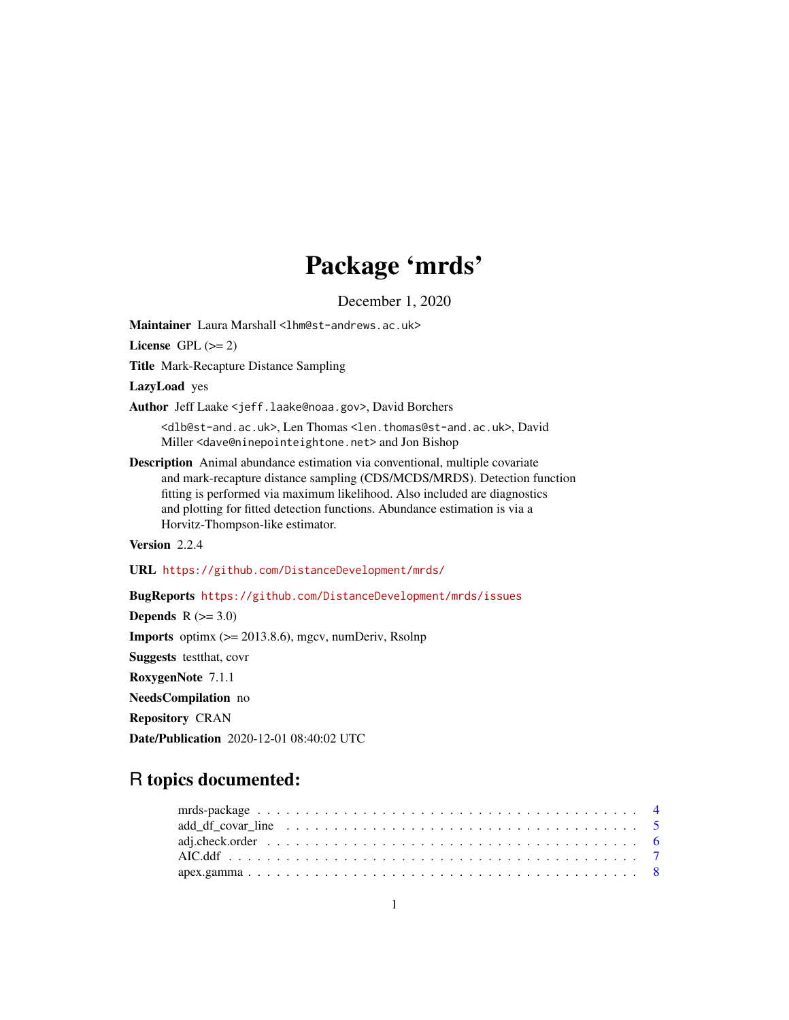# Package 'mrds'

December 1, 2020

<span id="page-0-0"></span>Maintainer Laura Marshall <1hm@st-andrews.ac.uk>

License GPL  $(>= 2)$ 

Title Mark-Recapture Distance Sampling

LazyLoad yes

Author Jeff Laake <jeff.laake@noaa.gov>, David Borchers

<dlb@st-and.ac.uk>, Len Thomas <len.thomas@st-and.ac.uk>, David Miller <dave@ninepointeightone.net> and Jon Bishop

Description Animal abundance estimation via conventional, multiple covariate and mark-recapture distance sampling (CDS/MCDS/MRDS). Detection function fitting is performed via maximum likelihood. Also included are diagnostics and plotting for fitted detection functions. Abundance estimation is via a Horvitz-Thompson-like estimator.

Version 2.2.4

URL <https://github.com/DistanceDevelopment/mrds/>

BugReports <https://github.com/DistanceDevelopment/mrds/issues>

Depends  $R$  ( $>= 3.0$ ) **Imports** optimx  $(>= 2013.8.6)$ , mgcv, numDeriv, Rsolnp Suggests testthat, covr RoxygenNote 7.1.1 NeedsCompilation no Repository CRAN Date/Publication 2020-12-01 08:40:02 UTC

# R topics documented:

| add df covar line $\ldots \ldots \ldots \ldots \ldots \ldots \ldots \ldots \ldots \ldots \ldots \ldots \ldots 5$ |  |  |  |  |  |  |  |  |  |  |  |  |  |  |  |  |  |  |
|------------------------------------------------------------------------------------------------------------------|--|--|--|--|--|--|--|--|--|--|--|--|--|--|--|--|--|--|
|                                                                                                                  |  |  |  |  |  |  |  |  |  |  |  |  |  |  |  |  |  |  |
|                                                                                                                  |  |  |  |  |  |  |  |  |  |  |  |  |  |  |  |  |  |  |
|                                                                                                                  |  |  |  |  |  |  |  |  |  |  |  |  |  |  |  |  |  |  |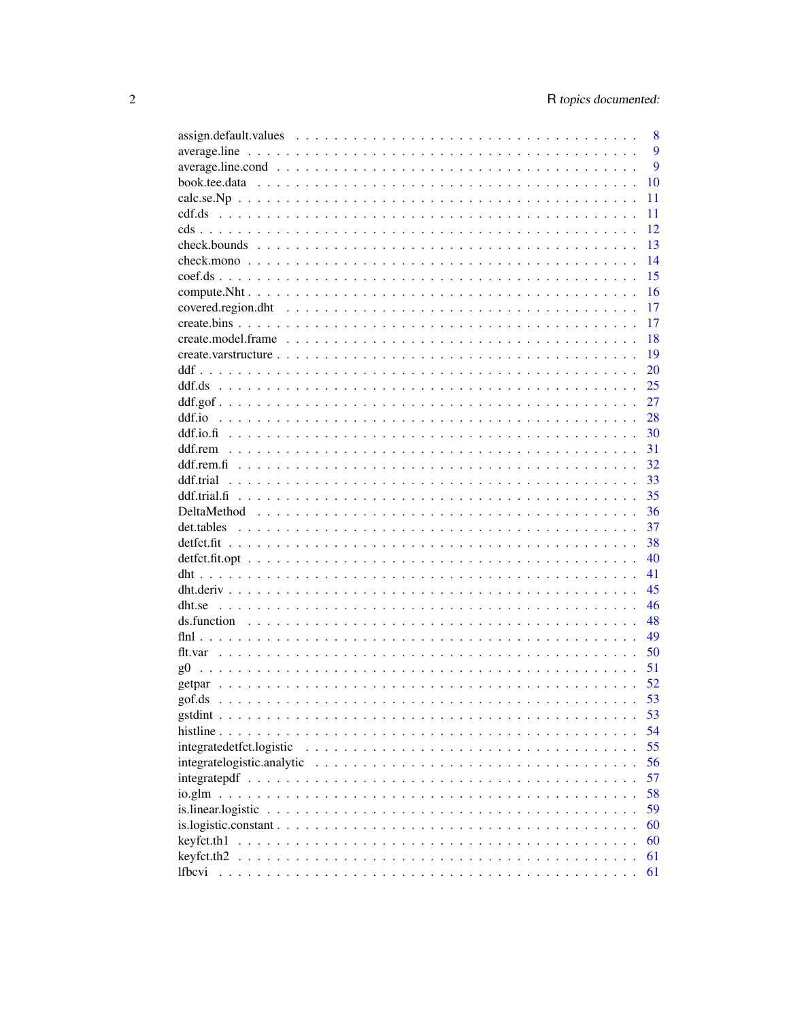|                                  | 8 |
|----------------------------------|---|
|                                  | 9 |
|                                  | 9 |
| 10                               |   |
| 11                               |   |
| 11                               |   |
| 12                               |   |
| 13                               |   |
| 14                               |   |
| 15                               |   |
| 16                               |   |
| 17                               |   |
| 17                               |   |
| 18                               |   |
| 19                               |   |
| 20                               |   |
| 25                               |   |
| 27                               |   |
| ddf.io<br>28                     |   |
| 30                               |   |
| 31                               |   |
| 32                               |   |
| 33                               |   |
| 35                               |   |
| 36                               |   |
| 37                               |   |
| 38                               |   |
| 40                               |   |
| 41                               |   |
| 45                               |   |
| 46                               |   |
| 48                               |   |
| 49                               |   |
| 50                               |   |
| 51<br>$\varrho$ 0                |   |
| 52                               |   |
| 53                               |   |
| 53                               |   |
| 54                               |   |
| 55<br>integratedetfct.logistic   |   |
| integratelogistic.analytic<br>56 |   |
| 57                               |   |
| 58<br>io.glm                     |   |
| 59                               |   |
| 60                               |   |
| 60                               |   |
| keyfct.th2.<br>61                |   |
| <i>lfbcvi</i><br>61              |   |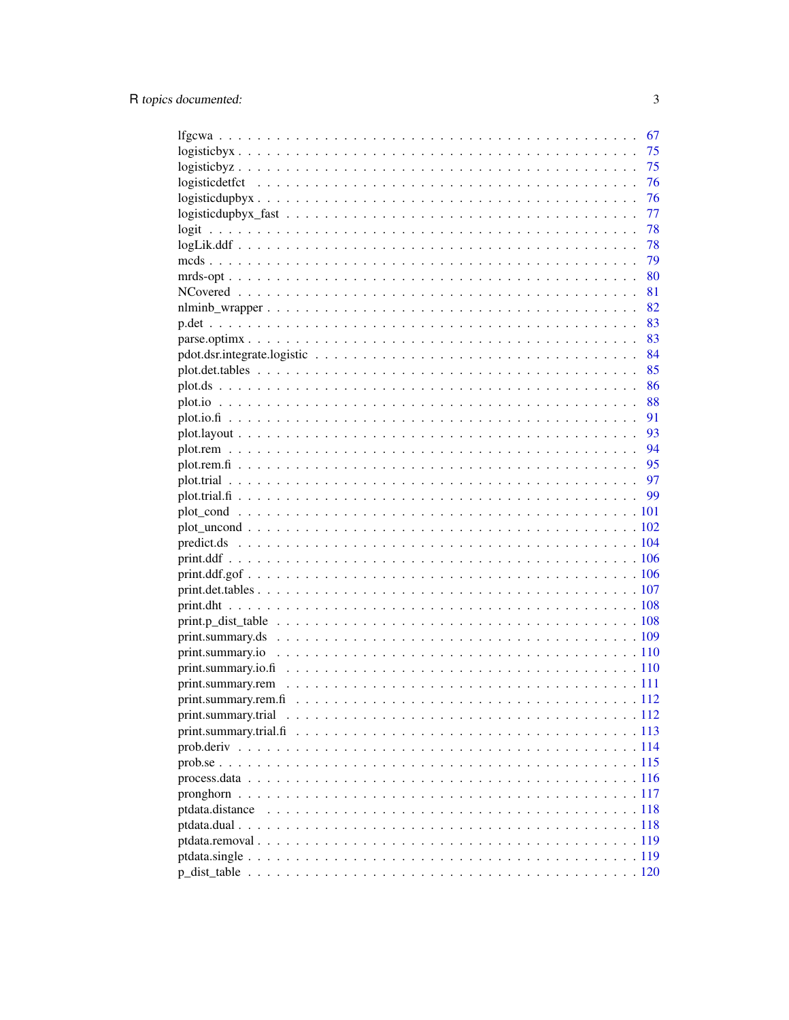|                                                                                                              | 67   |
|--------------------------------------------------------------------------------------------------------------|------|
|                                                                                                              | 75   |
| $logisticbyz$                                                                                                | 75   |
|                                                                                                              | 76   |
| $logisticallybyx \ldots \ldots \ldots \ldots \ldots \ldots \ldots \ldots \ldots \ldots \ldots \ldots \ldots$ | 76   |
|                                                                                                              | -77  |
| logit                                                                                                        | - 78 |
|                                                                                                              |      |
|                                                                                                              |      |
|                                                                                                              |      |
|                                                                                                              |      |
|                                                                                                              | 82   |
|                                                                                                              |      |
|                                                                                                              |      |
|                                                                                                              |      |
|                                                                                                              |      |
|                                                                                                              |      |
|                                                                                                              |      |
|                                                                                                              | 91   |
|                                                                                                              | 93   |
|                                                                                                              | 94   |
|                                                                                                              |      |
|                                                                                                              |      |
|                                                                                                              |      |
|                                                                                                              |      |
|                                                                                                              |      |
|                                                                                                              |      |
|                                                                                                              |      |
|                                                                                                              |      |
|                                                                                                              |      |
|                                                                                                              |      |
|                                                                                                              |      |
|                                                                                                              |      |
|                                                                                                              |      |
|                                                                                                              |      |
|                                                                                                              |      |
|                                                                                                              |      |
|                                                                                                              |      |
|                                                                                                              |      |
|                                                                                                              |      |
|                                                                                                              |      |
|                                                                                                              |      |
|                                                                                                              |      |
| ptdata.distance                                                                                              |      |
|                                                                                                              |      |
|                                                                                                              |      |
|                                                                                                              |      |
|                                                                                                              |      |
|                                                                                                              |      |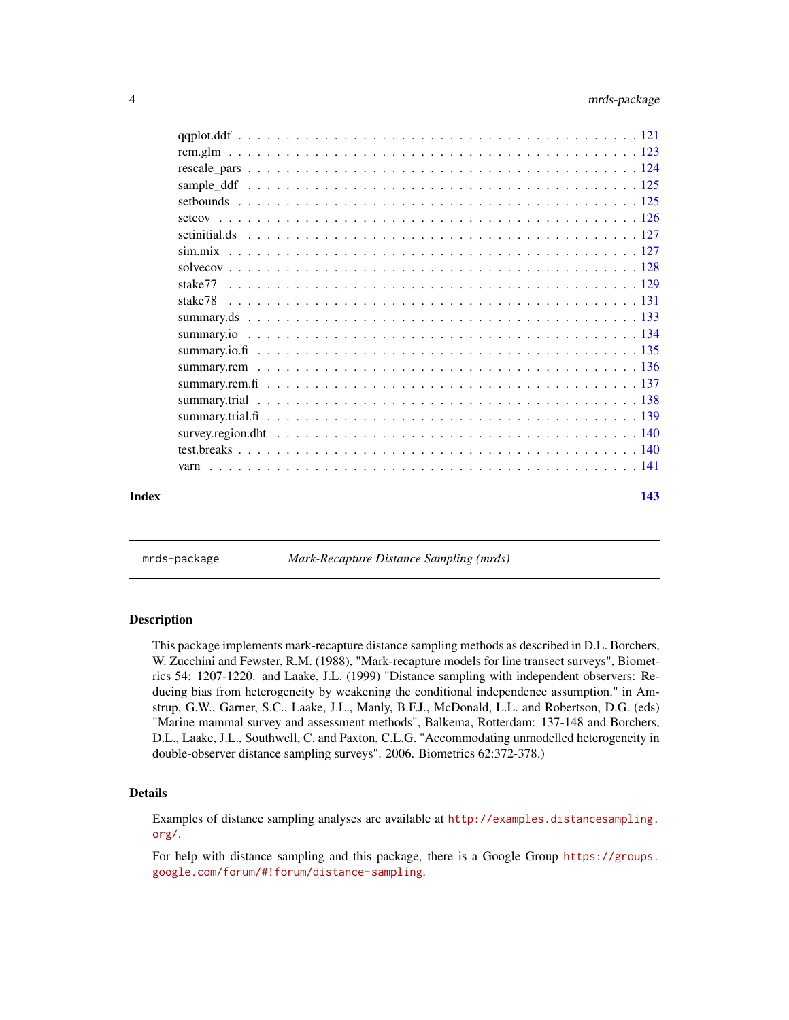<span id="page-3-0"></span>

| Index | 143 |
|-------|-----|

mrds-package *Mark-Recapture Distance Sampling (mrds)*

#### Description

This package implements mark-recapture distance sampling methods as described in D.L. Borchers, W. Zucchini and Fewster, R.M. (1988), "Mark-recapture models for line transect surveys", Biometrics 54: 1207-1220. and Laake, J.L. (1999) "Distance sampling with independent observers: Reducing bias from heterogeneity by weakening the conditional independence assumption." in Amstrup, G.W., Garner, S.C., Laake, J.L., Manly, B.F.J., McDonald, L.L. and Robertson, D.G. (eds) "Marine mammal survey and assessment methods", Balkema, Rotterdam: 137-148 and Borchers, D.L., Laake, J.L., Southwell, C. and Paxton, C.L.G. "Accommodating unmodelled heterogeneity in double-observer distance sampling surveys". 2006. Biometrics 62:372-378.)

# Details

Examples of distance sampling analyses are available at [http://examples.distancesampling.](http://examples.distancesampling.org/) [org/](http://examples.distancesampling.org/).

For help with distance sampling and this package, there is a Google Group [https://groups.](https://groups.google.com/forum/#!forum/distance-sampling) [google.com/forum/#!forum/distance-sampling](https://groups.google.com/forum/#!forum/distance-sampling).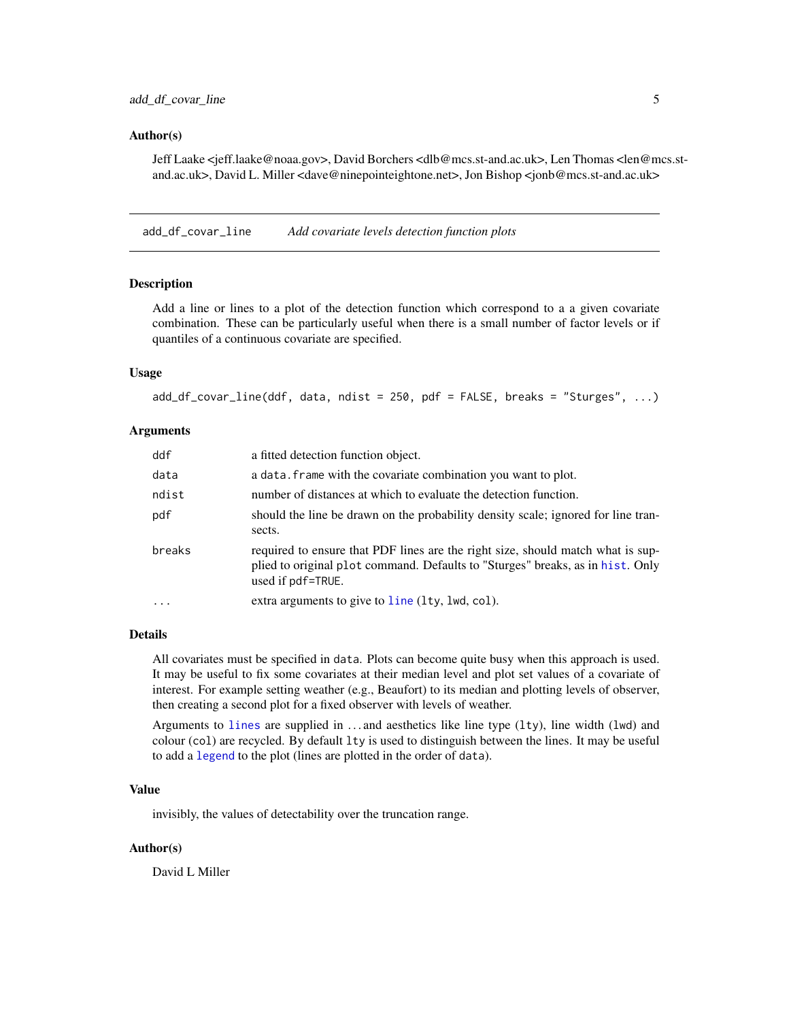#### <span id="page-4-0"></span>Author(s)

Jeff Laake <jeff.laake@noaa.gov>, David Borchers <dlb@mcs.st-and.ac.uk>, Len Thomas <len@mcs.stand.ac.uk>, David L. Miller <dave@ninepointeightone.net>, Jon Bishop <jonb@mcs.st-and.ac.uk>

add\_df\_covar\_line *Add covariate levels detection function plots*

# Description

Add a line or lines to a plot of the detection function which correspond to a a given covariate combination. These can be particularly useful when there is a small number of factor levels or if quantiles of a continuous covariate are specified.

#### Usage

 $add\_df\_covar\_line(ddf, data, ndist = 250, pdf = FALSE, breaks = "Sturges", ...)$ 

#### Arguments

| ddf     | a fitted detection function object.                                                                                                                                                    |
|---------|----------------------------------------------------------------------------------------------------------------------------------------------------------------------------------------|
| data    | a data. Frame with the covariate combination you want to plot.                                                                                                                         |
| ndist   | number of distances at which to evaluate the detection function.                                                                                                                       |
| pdf     | should the line be drawn on the probability density scale; ignored for line tran-<br>sects.                                                                                            |
| breaks  | required to ensure that PDF lines are the right size, should match what is sup-<br>plied to original plot command. Defaults to "Sturges" breaks, as in hist. Only<br>used if pdf=TRUE. |
| $\cdot$ | extra arguments to give to line (lty, lwd, col).                                                                                                                                       |

# Details

All covariates must be specified in data. Plots can become quite busy when this approach is used. It may be useful to fix some covariates at their median level and plot set values of a covariate of interest. For example setting weather (e.g., Beaufort) to its median and plotting levels of observer, then creating a second plot for a fixed observer with levels of weather.

Arguments to [lines](#page-0-0) are supplied in  $\dots$  and aesthetics like line type  $(1ty)$ , line width  $(1wd)$  and colour (col) are recycled. By default lty is used to distinguish between the lines. It may be useful to add a [legend](#page-0-0) to the plot (lines are plotted in the order of data).

# Value

invisibly, the values of detectability over the truncation range.

#### Author(s)

David L Miller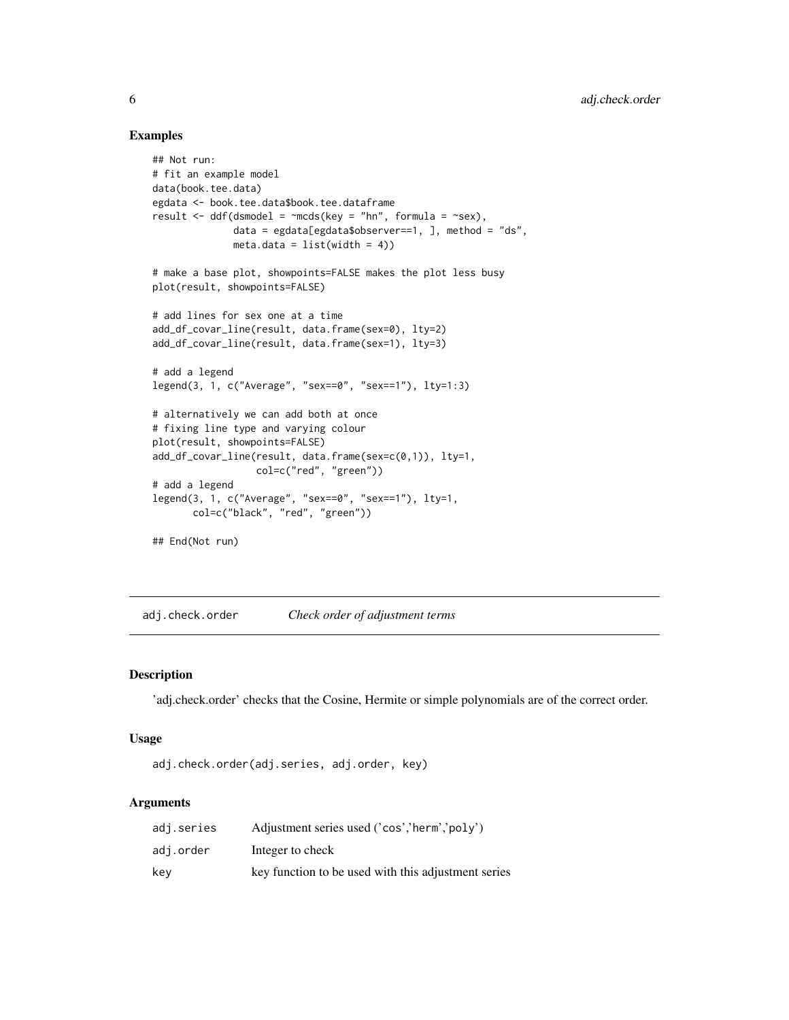# Examples

```
## Not run:
# fit an example model
data(book.tee.data)
egdata <- book.tee.data$book.tee.dataframe
result \leq ddf(dsmodel = \simmcds(key = "hn", formula = \simsex),
              data = egdata[egdata$observer==1, ], method = "ds",
              meta.data = list(width = 4))# make a base plot, showpoints=FALSE makes the plot less busy
plot(result, showpoints=FALSE)
# add lines for sex one at a time
add_df_covar_line(result, data.frame(sex=0), lty=2)
add_df_covar_line(result, data.frame(sex=1), lty=3)
# add a legend
legend(3, 1, c("Average", "sex==0", "sex==1"), lty=1:3)
# alternatively we can add both at once
# fixing line type and varying colour
plot(result, showpoints=FALSE)
add_df_covar_line(result, data.frame(sex=c(0,1)), lty=1,
                  col=c("red", "green"))
# add a legend
legend(3, 1, c("Average", "sex==0", "sex==1"), lty=1,
       col=c("black", "red", "green"))
## End(Not run)
```
adj.check.order *Check order of adjustment terms*

#### Description

'adj.check.order' checks that the Cosine, Hermite or simple polynomials are of the correct order.

#### Usage

```
adj.check.order(adj.series, adj.order, key)
```
#### Arguments

| adi.series | Adjustment series used ('cos','herm','poly')        |
|------------|-----------------------------------------------------|
| adi.order  | Integer to check                                    |
| kev        | key function to be used with this adjustment series |

<span id="page-5-0"></span>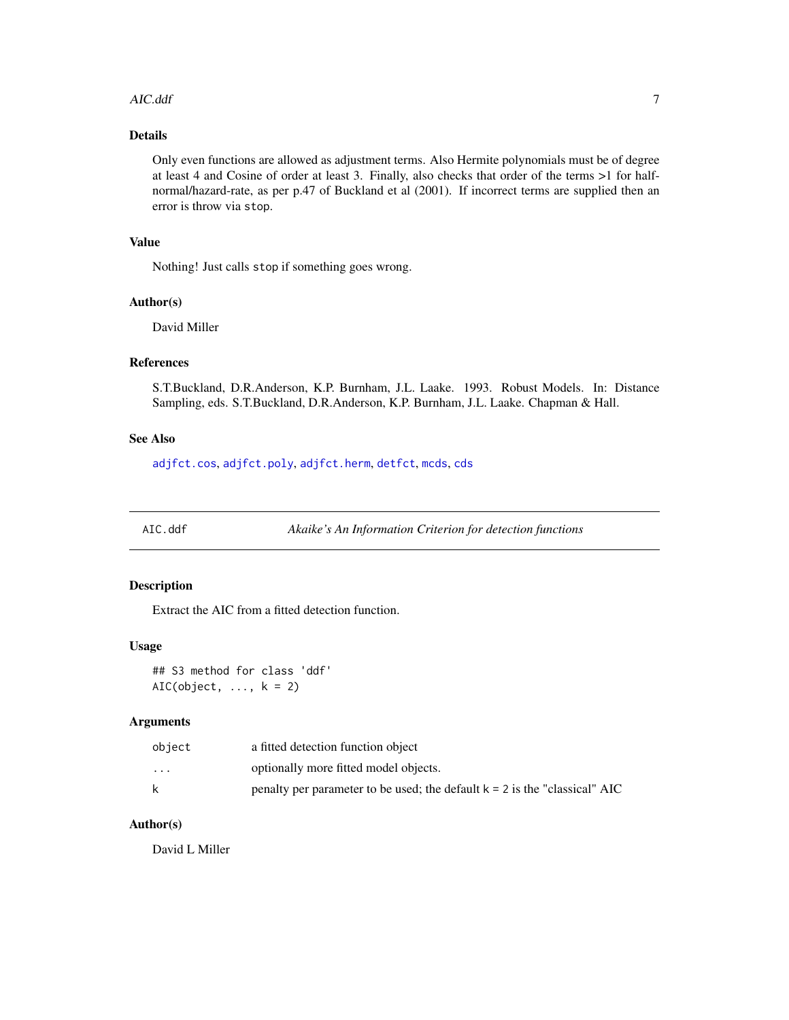#### <span id="page-6-0"></span>AIC.ddf 7

# Details

Only even functions are allowed as adjustment terms. Also Hermite polynomials must be of degree at least 4 and Cosine of order at least 3. Finally, also checks that order of the terms >1 for halfnormal/hazard-rate, as per p.47 of Buckland et al (2001). If incorrect terms are supplied then an error is throw via stop.

# Value

Nothing! Just calls stop if something goes wrong.

#### Author(s)

David Miller

# References

S.T.Buckland, D.R.Anderson, K.P. Burnham, J.L. Laake. 1993. Robust Models. In: Distance Sampling, eds. S.T.Buckland, D.R.Anderson, K.P. Burnham, J.L. Laake. Chapman & Hall.

# See Also

[adjfct.cos](#page-0-0), [adjfct.poly](#page-0-0), [adjfct.herm](#page-0-0), [detfct](#page-0-0), [mcds](#page-78-1), [cds](#page-11-1)

AIC.ddf *Akaike's An Information Criterion for detection functions*

# Description

Extract the AIC from a fitted detection function.

#### Usage

## S3 method for class 'ddf'  $AIC(object, ..., k = 2)$ 

# Arguments

| object   | a fitted detection function object                                           |
|----------|------------------------------------------------------------------------------|
| $\cdots$ | optionally more fitted model objects.                                        |
| k.       | penalty per parameter to be used; the default $k = 2$ is the "classical" AIC |

# Author(s)

David L Miller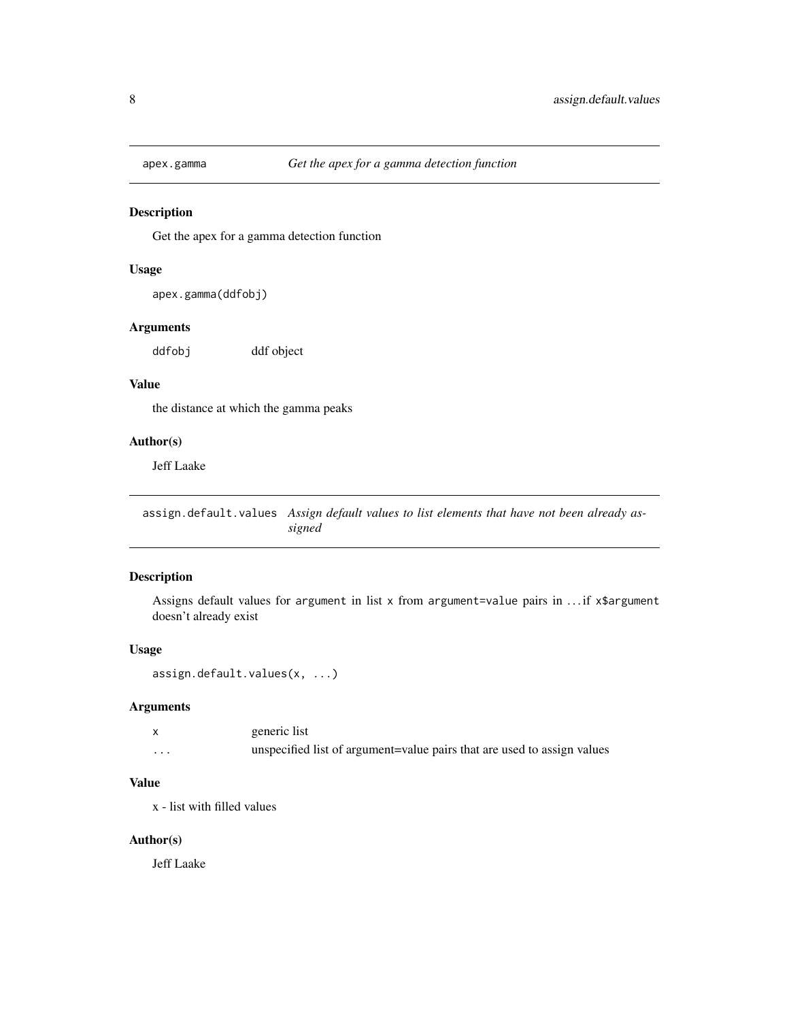<span id="page-7-0"></span>

Get the apex for a gamma detection function

# Usage

```
apex.gamma(ddfobj)
```
# Arguments

ddfobj ddf object

#### Value

the distance at which the gamma peaks

# Author(s)

Jeff Laake

assign.default.values *Assign default values to list elements that have not been already assigned*

# Description

Assigns default values for argument in list x from argument=value pairs in . . . if x\$argument doesn't already exist

#### Usage

```
assign.default.values(x, ...)
```
#### Arguments

|         | generic list                                                            |
|---------|-------------------------------------------------------------------------|
| $\cdot$ | unspecified list of argument=value pairs that are used to assign values |

# Value

x - list with filled values

#### Author(s)

Jeff Laake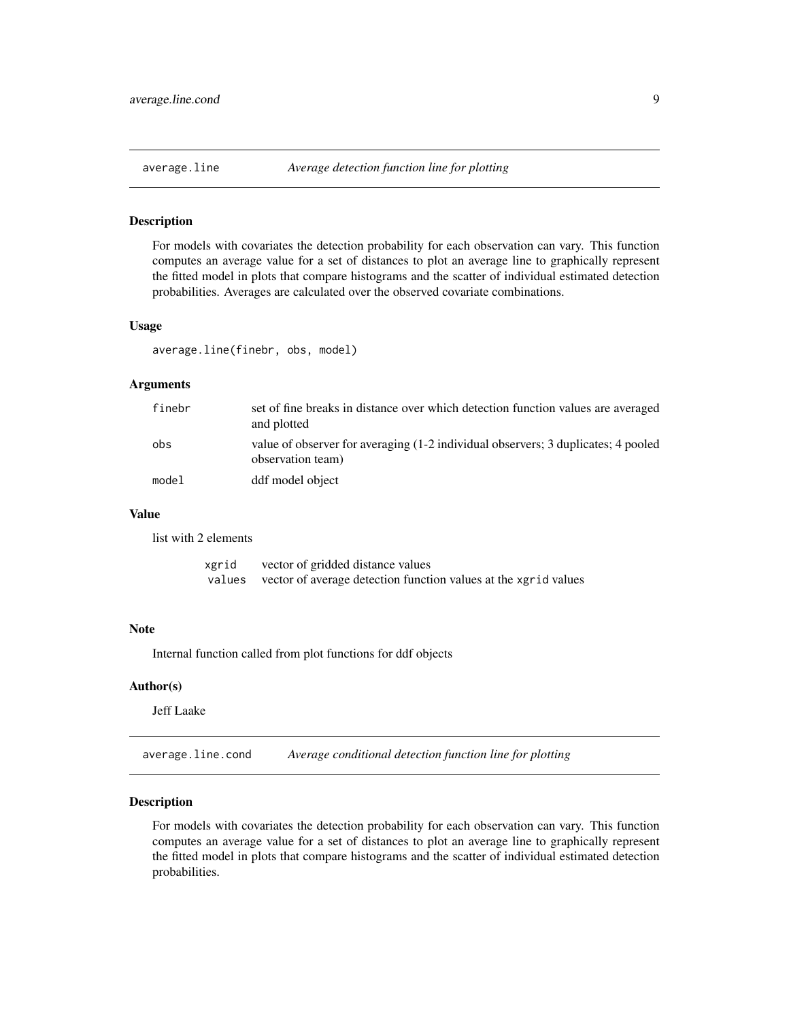<span id="page-8-0"></span>

For models with covariates the detection probability for each observation can vary. This function computes an average value for a set of distances to plot an average line to graphically represent the fitted model in plots that compare histograms and the scatter of individual estimated detection probabilities. Averages are calculated over the observed covariate combinations.

#### Usage

average.line(finebr, obs, model)

#### Arguments

| finebr | set of fine breaks in distance over which detection function values are averaged<br>and plotted        |
|--------|--------------------------------------------------------------------------------------------------------|
| obs    | value of observer for averaging (1-2 individual observers; 3 duplicates; 4 pooled<br>observation team) |
| model  | ddf model object                                                                                       |

# Value

list with 2 elements

| xgrid  | vector of gridded distance values                               |
|--------|-----------------------------------------------------------------|
| values | vector of average detection function values at the xgrid values |

#### Note

Internal function called from plot functions for ddf objects

# Author(s)

Jeff Laake

average.line.cond *Average conditional detection function line for plotting*

#### Description

For models with covariates the detection probability for each observation can vary. This function computes an average value for a set of distances to plot an average line to graphically represent the fitted model in plots that compare histograms and the scatter of individual estimated detection probabilities.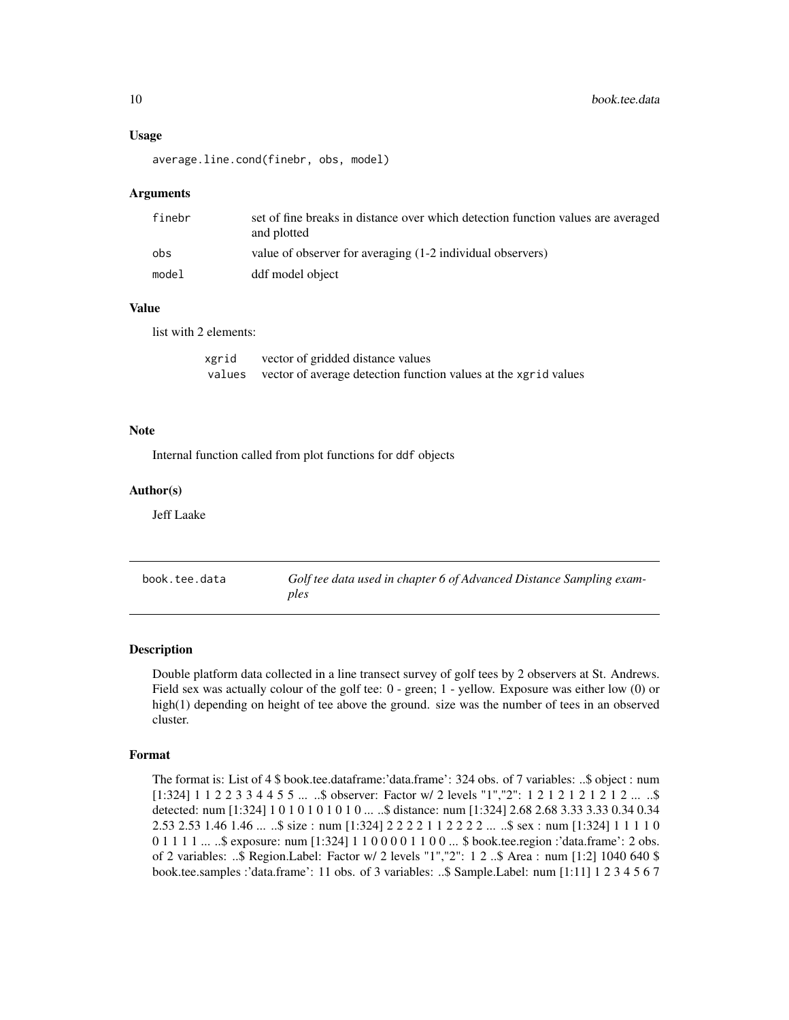#### <span id="page-9-0"></span>Usage

average.line.cond(finebr, obs, model)

#### Arguments

| finebr | set of fine breaks in distance over which detection function values are averaged<br>and plotted |
|--------|-------------------------------------------------------------------------------------------------|
| obs    | value of observer for averaging (1-2 individual observers)                                      |
| model  | ddf model object                                                                                |

# Value

list with 2 elements:

| xgrid  | vector of gridded distance values                               |
|--------|-----------------------------------------------------------------|
| values | vector of average detection function values at the xgrid values |

#### Note

Internal function called from plot functions for ddf objects

#### Author(s)

Jeff Laake

| book.tee.data | Golf tee data used in chapter 6 of Advanced Distance Sampling exam- |
|---------------|---------------------------------------------------------------------|
|               | ples                                                                |

#### Description

Double platform data collected in a line transect survey of golf tees by 2 observers at St. Andrews. Field sex was actually colour of the golf tee: 0 - green; 1 - yellow. Exposure was either low (0) or high(1) depending on height of tee above the ground. size was the number of tees in an observed cluster.

#### Format

The format is: List of 4 \$ book.tee.dataframe:'data.frame': 324 obs. of 7 variables: ..\$ object : num [1:324] 1 1 2 2 3 3 4 4 5 5 ... ..\$ observer: Factor w/ 2 levels "1","2": 1 2 1 2 1 2 1 2 1 2 ... ..\$ detected: num [1:324] 1 0 1 0 1 0 1 0 1 0 ... ..\$ distance: num [1:324] 2.68 2.68 3.33 3.33 0.34 0.34 2.53 2.53 1.46 1.46 ... ..\$ size : num [1:324] 2 2 2 2 1 1 2 2 2 2 ... ..\$ sex : num [1:324] 1 1 1 1 0 0 1 1 1 1 ... ..\$ exposure: num [1:324] 1 1 0 0 0 0 1 1 0 0 ... \$ book.tee.region :'data.frame': 2 obs. of 2 variables: ..\$ Region.Label: Factor w/ 2 levels "1","2": 1 2 ..\$ Area : num [1:2] 1040 640 \$ book.tee.samples :'data.frame': 11 obs. of 3 variables: ..\$ Sample.Label: num [1:11] 1 2 3 4 5 6 7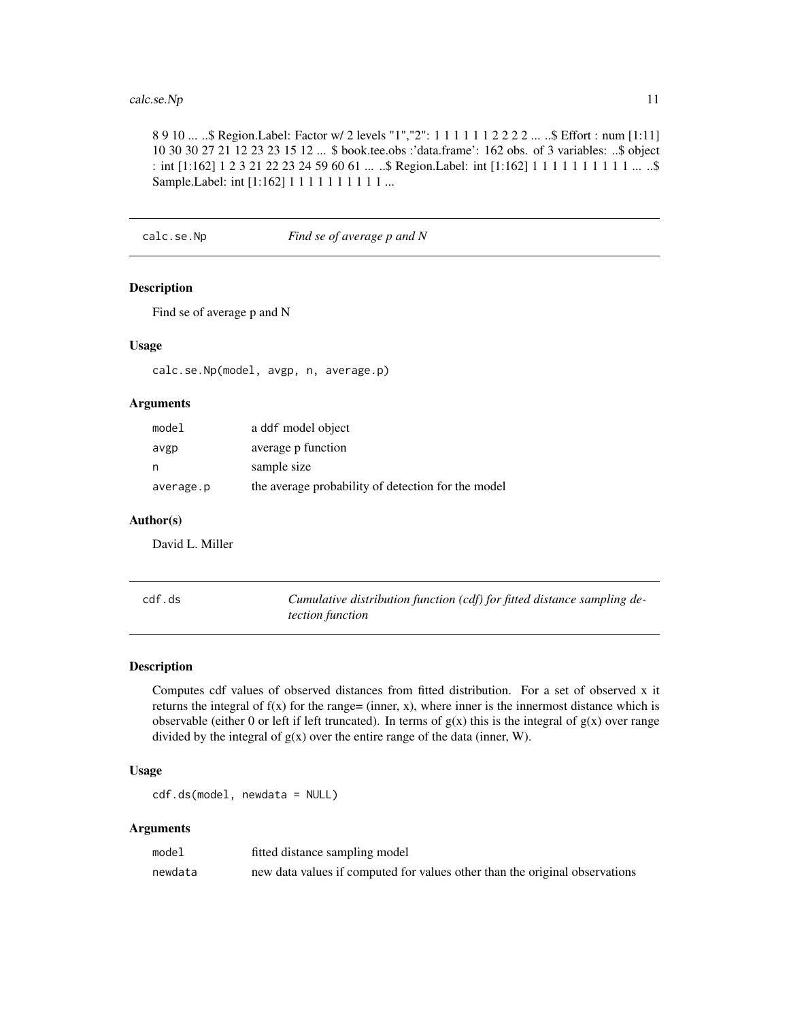# <span id="page-10-0"></span>calc.se.Np 11

8 9 10 ... ..\$ Region.Label: Factor w/ 2 levels "1","2": 1 1 1 1 1 1 2 2 2 2 ... ..\$ Effort : num [1:11] 10 30 30 27 21 12 23 23 15 12 ... \$ book.tee.obs :'data.frame': 162 obs. of 3 variables: ..\$ object : int [1:162] 1 2 3 21 22 23 24 59 60 61 ... ..\$ Region.Label: int [1:162] 1 1 1 1 1 1 1 1 1 1 ... ..\$ Sample.Label: int [1:162] 1 1 1 1 1 1 1 1 1 1 ...

calc.se.Np *Find se of average p and N*

# Description

Find se of average p and N

#### Usage

calc.se.Np(model, avgp, n, average.p)

# Arguments

| model     | a ddf model object                                 |
|-----------|----------------------------------------------------|
| avgp      | average p function                                 |
| n         | sample size                                        |
| average.p | the average probability of detection for the model |

#### Author(s)

David L. Miller

| cdf.ds | Cumulative distribution function (cdf) for fitted distance sampling de- |
|--------|-------------------------------------------------------------------------|
|        | <i>tection function</i>                                                 |

# Description

Computes cdf values of observed distances from fitted distribution. For a set of observed x it returns the integral of  $f(x)$  for the range= (inner, x), where inner is the innermost distance which is observable (either 0 or left if left truncated). In terms of  $g(x)$  this is the integral of  $g(x)$  over range divided by the integral of  $g(x)$  over the entire range of the data (inner, W).

# Usage

cdf.ds(model, newdata = NULL)

#### Arguments

| model   | fitted distance sampling model                                              |
|---------|-----------------------------------------------------------------------------|
| newdata | new data values if computed for values other than the original observations |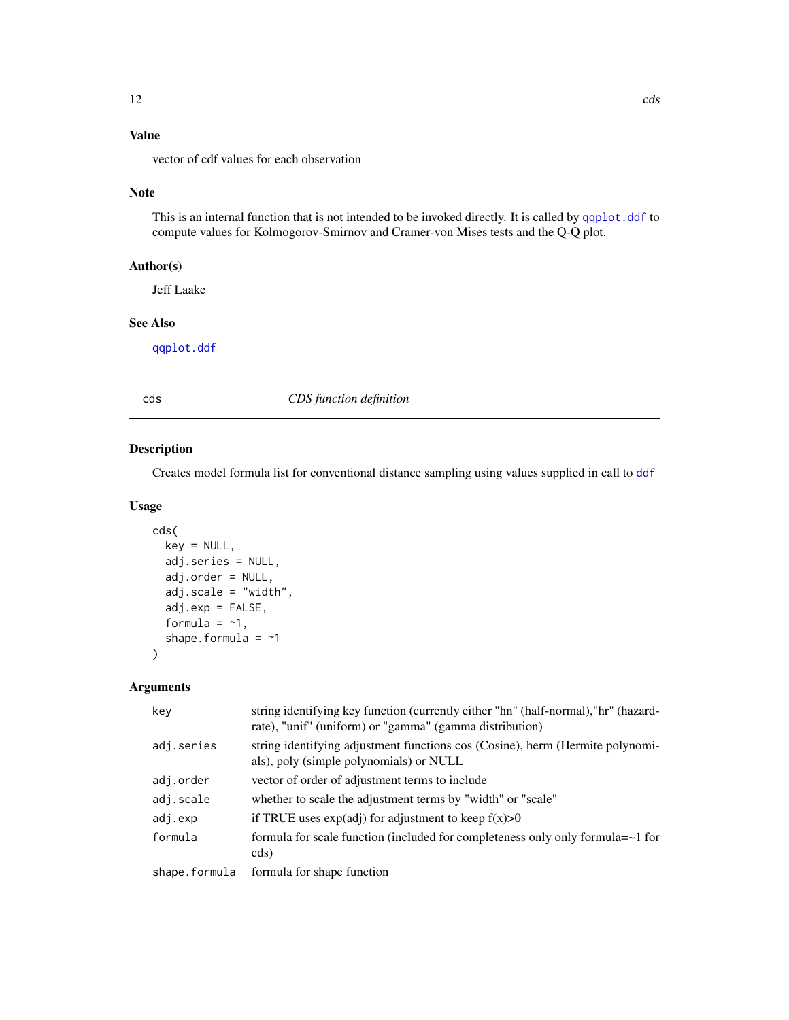# <span id="page-11-0"></span>Value

vector of cdf values for each observation

# Note

This is an internal function that is not intended to be invoked directly. It is called by [qqplot.ddf](#page-120-1) to compute values for Kolmogorov-Smirnov and Cramer-von Mises tests and the Q-Q plot.

# Author(s)

Jeff Laake

# See Also

[qqplot.ddf](#page-120-1)

<span id="page-11-1"></span>

cds *CDS function definition*

# Description

Creates model formula list for conventional distance sampling using values supplied in call to [ddf](#page-19-1)

#### Usage

```
cds(
  key = NULL,
  adj.series = NULL,
  adj.order = NULL,
  adj.scale = "width",
  adj.exp = FALSE,formula = -1,
  shape.formula = ~1)
```
# Arguments

| key           | string identifying key function (currently either "hn" (half-normal), "hr" (hazard-<br>rate), "unif" (uniform) or "gamma" (gamma distribution) |
|---------------|------------------------------------------------------------------------------------------------------------------------------------------------|
| adj.series    | string identifying adjustment functions cos (Cosine), herm (Hermite polynomi-<br>als), poly (simple polynomials) or NULL                       |
| adj.order     | vector of order of adjustment terms to include                                                                                                 |
| adj.scale     | whether to scale the adjustment terms by "width" or "scale"                                                                                    |
| adj.exp       | if TRUE uses $exp(adj)$ for adjustment to keep $f(x) > 0$                                                                                      |
| formula       | formula for scale function (included for completeness only only formula $=\sim 1$ for                                                          |
|               | cds)                                                                                                                                           |
| shape.formula | formula for shape function                                                                                                                     |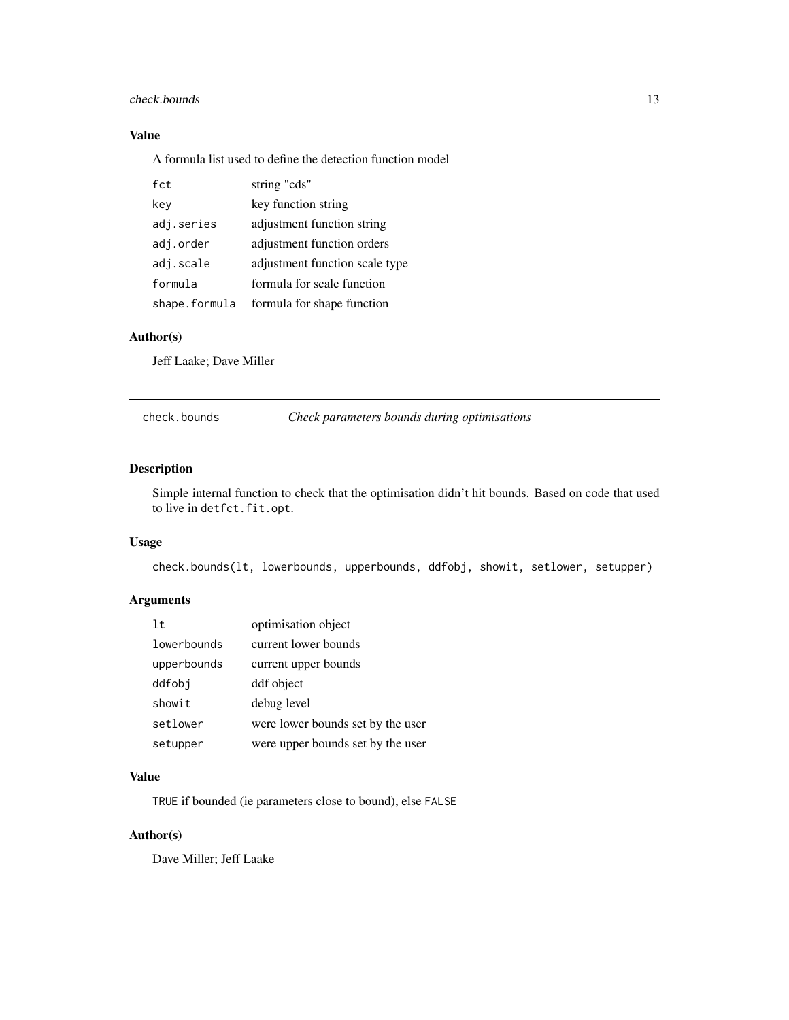# <span id="page-12-0"></span>check.bounds 13

# Value

A formula list used to define the detection function model

| fct           | string "cds"                   |
|---------------|--------------------------------|
| key           | key function string            |
| adj.series    | adjustment function string     |
| adj.order     | adjustment function orders     |
| adj.scale     | adjustment function scale type |
| formula       | formula for scale function     |
| shape.formula | formula for shape function     |

# Author(s)

Jeff Laake; Dave Miller

check.bounds *Check parameters bounds during optimisations*

# Description

Simple internal function to check that the optimisation didn't hit bounds. Based on code that used to live in detfct.fit.opt.

#### Usage

check.bounds(lt, lowerbounds, upperbounds, ddfobj, showit, setlower, setupper)

# Arguments

| 1t          | optimisation object               |
|-------------|-----------------------------------|
| lowerbounds | current lower bounds              |
| upperbounds | current upper bounds              |
| ddfobi      | ddf object                        |
| showit      | debug level                       |
| setlower    | were lower bounds set by the user |
| setupper    | were upper bounds set by the user |

## Value

TRUE if bounded (ie parameters close to bound), else FALSE

# Author(s)

Dave Miller; Jeff Laake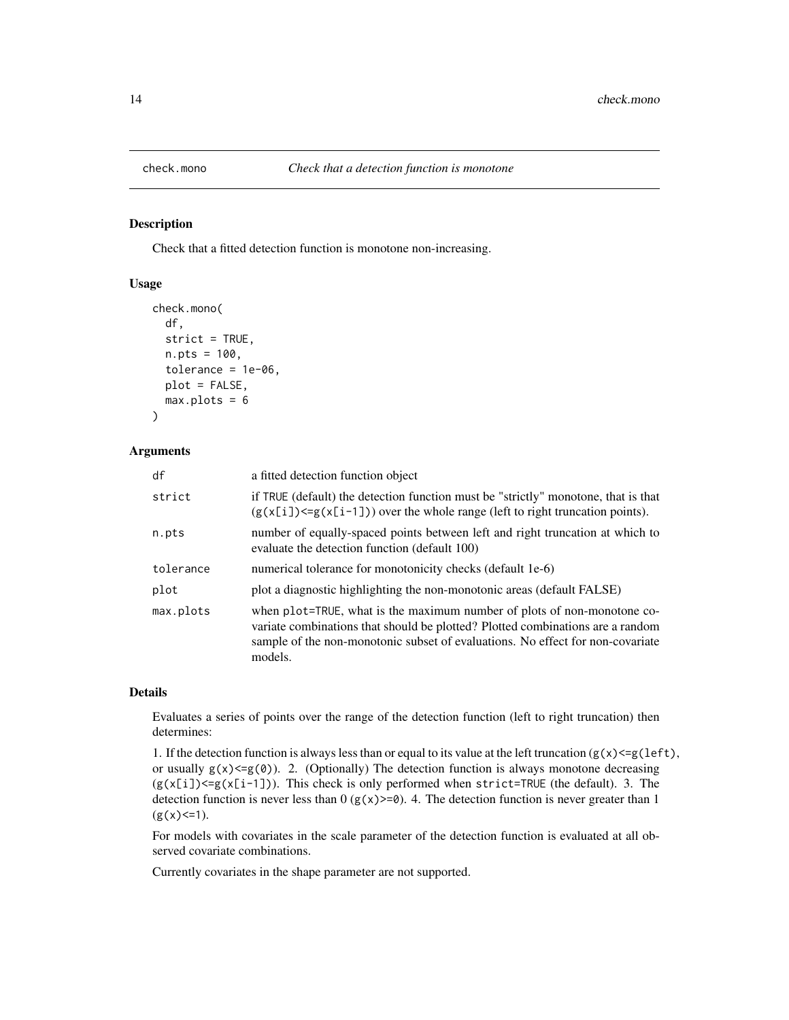<span id="page-13-0"></span>

Check that a fitted detection function is monotone non-increasing.

# Usage

```
check.mono(
  df,
  strict = TRUE,
 n.pts = 100,
  tolerance = 1e-06,
 plot = FALSE,
 max.plots = 6)
```
#### Arguments

| df        | a fitted detection function object                                                                                                                                                                                                                     |
|-----------|--------------------------------------------------------------------------------------------------------------------------------------------------------------------------------------------------------------------------------------------------------|
| strict    | if TRUE (default) the detection function must be "strictly" monotone, that is that<br>$(g(x[i]) \le g(x[i-1]))$ over the whole range (left to right truncation points).                                                                                |
| n.pts     | number of equally-spaced points between left and right truncation at which to<br>evaluate the detection function (default 100)                                                                                                                         |
| tolerance | numerical tolerance for monotonicity checks (default 1e-6)                                                                                                                                                                                             |
| plot      | plot a diagnostic highlighting the non-monotonic areas (default FALSE)                                                                                                                                                                                 |
| max.plots | when plot=TRUE, what is the maximum number of plots of non-monotone co-<br>variate combinations that should be plotted? Plotted combinations are a random<br>sample of the non-monotonic subset of evaluations. No effect for non-covariate<br>models. |

# Details

Evaluates a series of points over the range of the detection function (left to right truncation) then determines:

1. If the detection function is always less than or equal to its value at the left truncation  $(g(x) \le g(\text{left}),$ or usually  $g(x) \leq g(0)$ . 2. (Optionally) The detection function is always monotone decreasing  $(g(x[i])\leq g(x[i-1]))$ . This check is only performed when strict=TRUE (the default). 3. The detection function is never less than  $0 (g(x)=0)$ . 4. The detection function is never greater than 1  $(g(x) \leq 1)$ .

For models with covariates in the scale parameter of the detection function is evaluated at all observed covariate combinations.

Currently covariates in the shape parameter are not supported.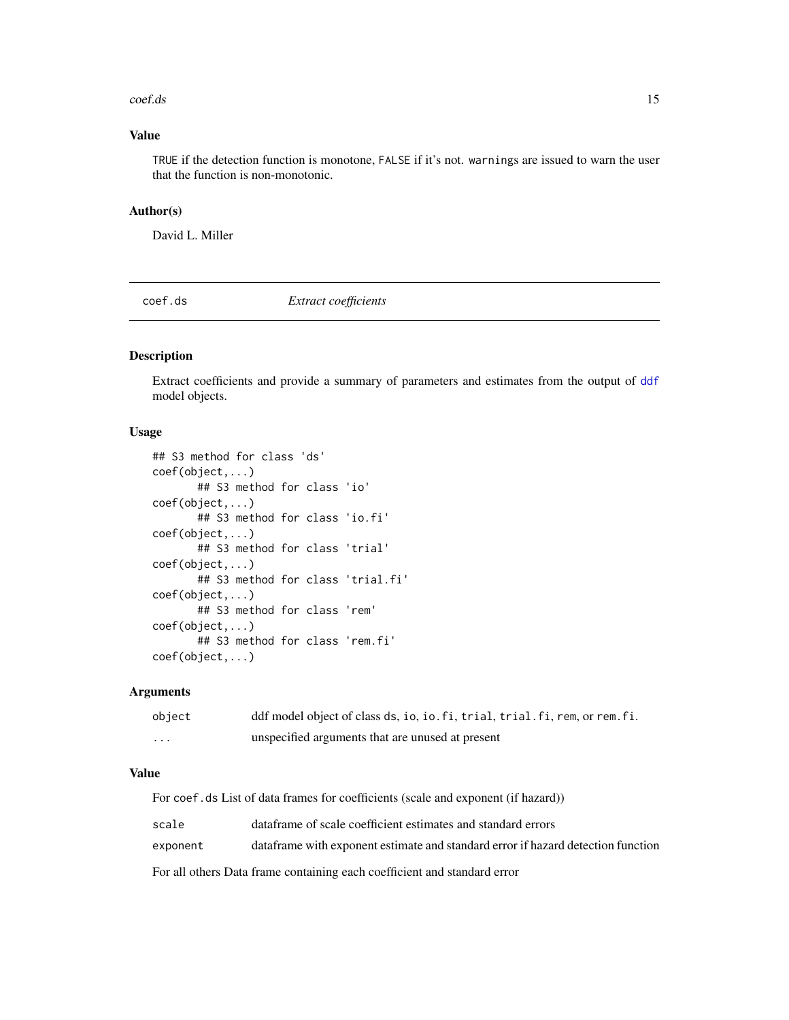#### <span id="page-14-0"></span>coef.ds 15

# Value

TRUE if the detection function is monotone, FALSE if it's not. warnings are issued to warn the user that the function is non-monotonic.

#### Author(s)

David L. Miller

<span id="page-14-1"></span>coef.ds *Extract coefficients*

#### <span id="page-14-2"></span>Description

Extract coefficients and provide a summary of parameters and estimates from the output of [ddf](#page-19-1) model objects.

# Usage

```
## S3 method for class 'ds'
coef(object,...)
       ## S3 method for class 'io'
coef(object,...)
       ## S3 method for class 'io.fi'
coef(object,...)
       ## S3 method for class 'trial'
coef(object,...)
       ## S3 method for class 'trial.fi'
coef(object,...)
       ## S3 method for class 'rem'
coef(object,...)
      ## S3 method for class 'rem.fi'
coef(object,...)
```
#### Arguments

| object | ddf model object of class ds, io, io. fi, trial, trial. fi, rem, or rem. fi. |
|--------|------------------------------------------------------------------------------|
| .      | unspecified arguments that are unused at present                             |

# Value

For coef.ds List of data frames for coefficients (scale and exponent (if hazard))

| scale    | data frame of scale coefficient estimates and standard errors                    |
|----------|----------------------------------------------------------------------------------|
| exponent | dataframe with exponent estimate and standard error if hazard detection function |

For all others Data frame containing each coefficient and standard error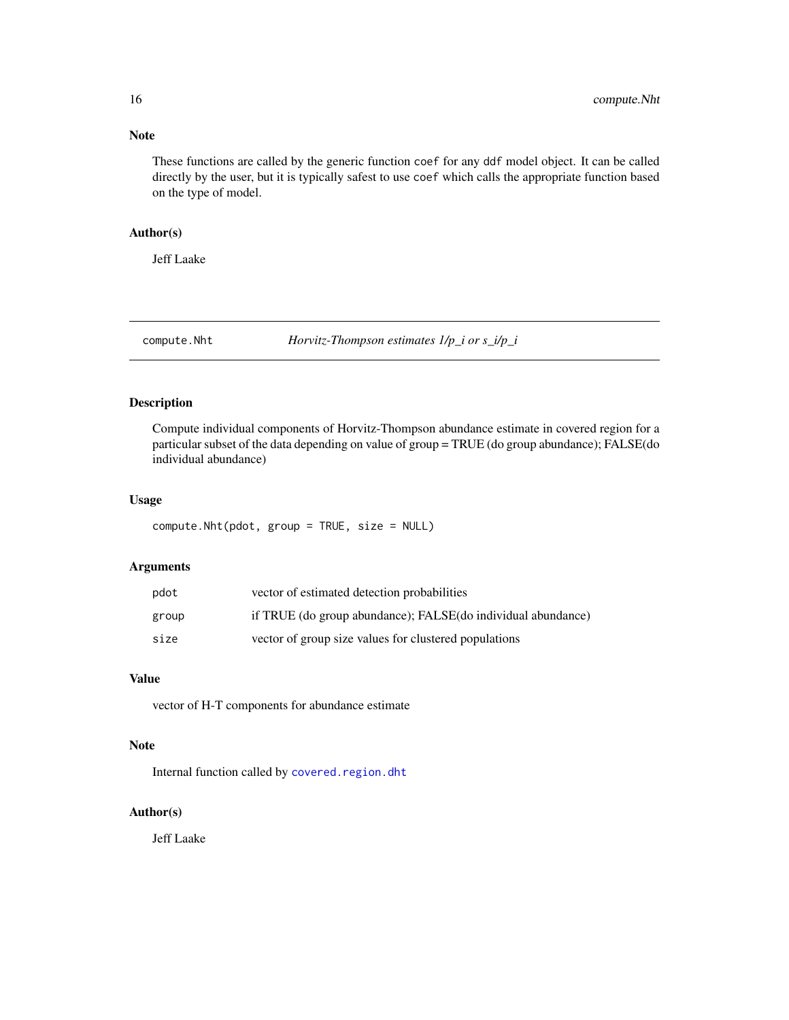<span id="page-15-0"></span>These functions are called by the generic function coef for any ddf model object. It can be called directly by the user, but it is typically safest to use coef which calls the appropriate function based on the type of model.

#### Author(s)

Jeff Laake

compute.Nht *Horvitz-Thompson estimates 1/p\_i or s\_i/p\_i*

# Description

Compute individual components of Horvitz-Thompson abundance estimate in covered region for a particular subset of the data depending on value of group = TRUE (do group abundance); FALSE(do individual abundance)

#### Usage

compute.Nht(pdot, group = TRUE, size = NULL)

# Arguments

| pdot  | vector of estimated detection probabilities                  |
|-------|--------------------------------------------------------------|
| group | if TRUE (do group abundance); FALSE(do individual abundance) |
| size  | vector of group size values for clustered populations        |

# Value

vector of H-T components for abundance estimate

# Note

Internal function called by [covered.region.dht](#page-16-1)

#### Author(s)

Jeff Laake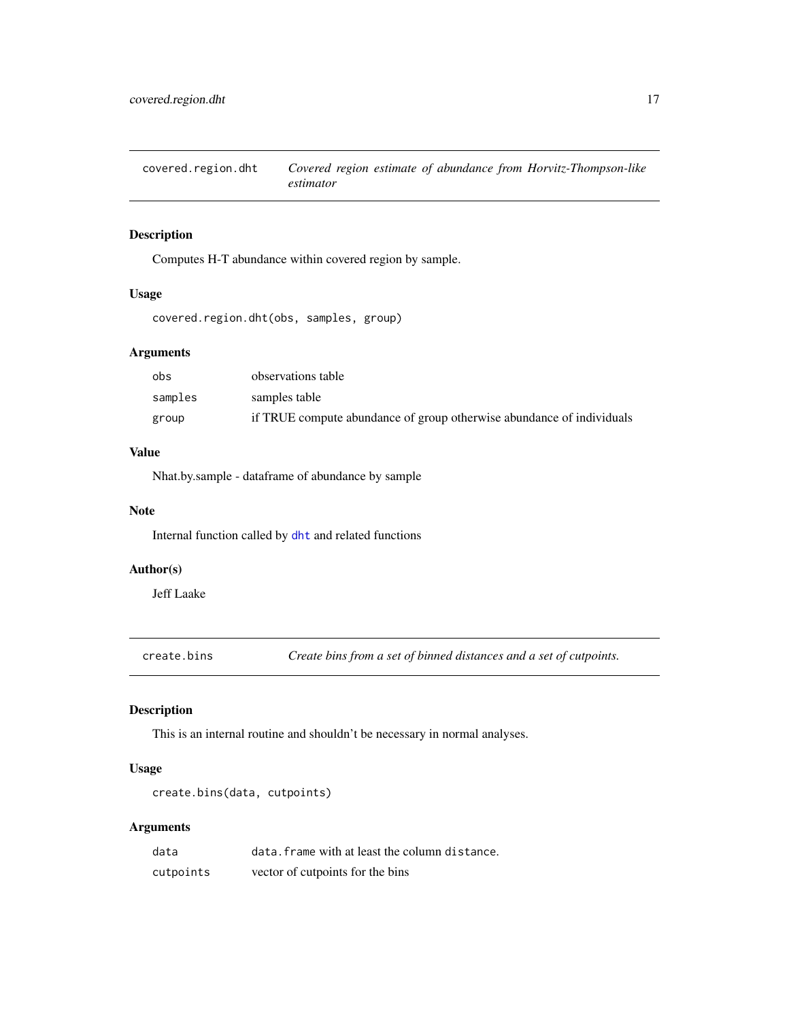<span id="page-16-1"></span><span id="page-16-0"></span>covered.region.dht *Covered region estimate of abundance from Horvitz-Thompson-like estimator*

# Description

Computes H-T abundance within covered region by sample.

# Usage

covered.region.dht(obs, samples, group)

# Arguments

| obs     | observations table                                                    |
|---------|-----------------------------------------------------------------------|
| samples | samples table                                                         |
| group   | if TRUE compute abundance of group otherwise abundance of individuals |

# Value

Nhat.by.sample - dataframe of abundance by sample

# Note

Internal function called by [dht](#page-40-1) and related functions

# Author(s)

Jeff Laake

create.bins *Create bins from a set of binned distances and a set of cutpoints.*

# Description

This is an internal routine and shouldn't be necessary in normal analyses.

#### Usage

```
create.bins(data, cutpoints)
```
# Arguments

| data      | data. frame with at least the column distance. |
|-----------|------------------------------------------------|
| cutpoints | vector of cutpoints for the bins               |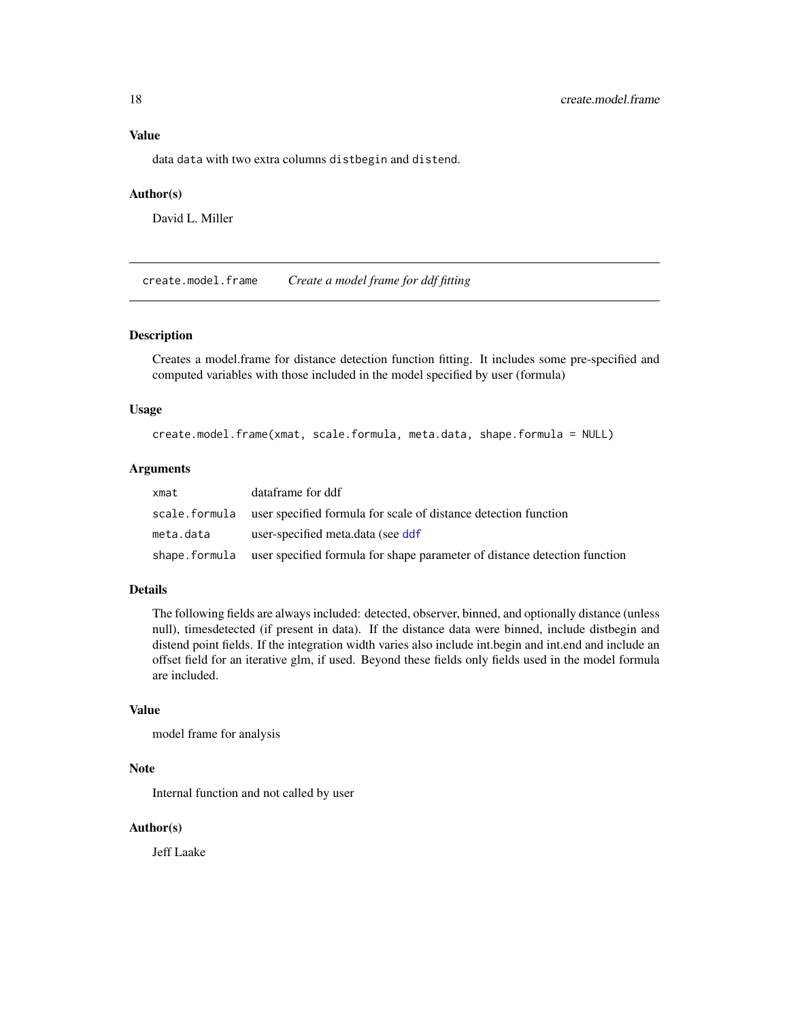# <span id="page-17-0"></span>Value

data data with two extra columns distbegin and distend.

#### Author(s)

David L. Miller

create.model.frame *Create a model frame for ddf fitting*

# Description

Creates a model.frame for distance detection function fitting. It includes some pre-specified and computed variables with those included in the model specified by user (formula)

#### Usage

create.model.frame(xmat, scale.formula, meta.data, shape.formula = NULL)

# Arguments

| xmat      | dataframe for ddf                                                                        |
|-----------|------------------------------------------------------------------------------------------|
|           | scale, formula user specified formula for scale of distance detection function           |
| meta.data | user-specified meta.data (see ddf                                                        |
|           | shape. formula user specified formula for shape parameter of distance detection function |

# Details

The following fields are always included: detected, observer, binned, and optionally distance (unless null), timesdetected (if present in data). If the distance data were binned, include distbegin and distend point fields. If the integration width varies also include int.begin and int.end and include an offset field for an iterative glm, if used. Beyond these fields only fields used in the model formula are included.

#### Value

model frame for analysis

# Note

Internal function and not called by user

# Author(s)

Jeff Laake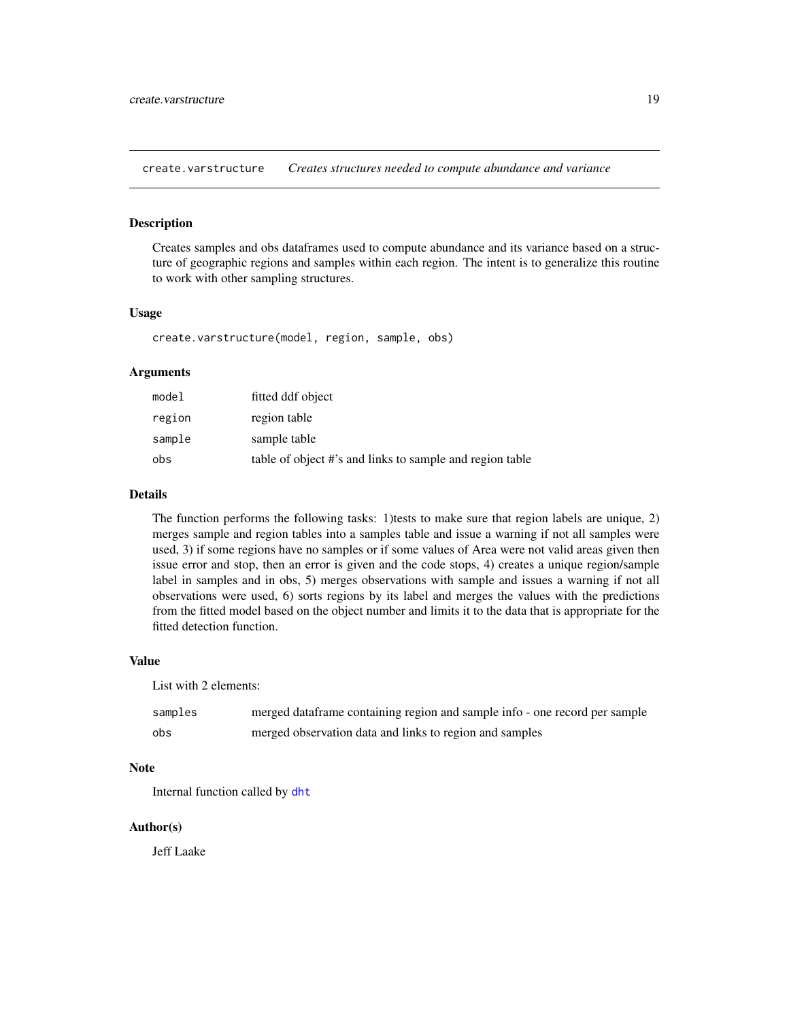<span id="page-18-0"></span>create.varstructure *Creates structures needed to compute abundance and variance*

#### Description

Creates samples and obs dataframes used to compute abundance and its variance based on a structure of geographic regions and samples within each region. The intent is to generalize this routine to work with other sampling structures.

#### Usage

create.varstructure(model, region, sample, obs)

# Arguments

| model  | fitted ddf object                                        |
|--------|----------------------------------------------------------|
| region | region table                                             |
| sample | sample table                                             |
| obs    | table of object #'s and links to sample and region table |

#### Details

The function performs the following tasks: 1)tests to make sure that region labels are unique, 2) merges sample and region tables into a samples table and issue a warning if not all samples were used, 3) if some regions have no samples or if some values of Area were not valid areas given then issue error and stop, then an error is given and the code stops, 4) creates a unique region/sample label in samples and in obs, 5) merges observations with sample and issues a warning if not all observations were used, 6) sorts regions by its label and merges the values with the predictions from the fitted model based on the object number and limits it to the data that is appropriate for the fitted detection function.

#### Value

List with 2 elements:

| samples | merged dataframe containing region and sample info - one record per sample |
|---------|----------------------------------------------------------------------------|
| obs     | merged observation data and links to region and samples                    |

#### Note

Internal function called by [dht](#page-40-1)

# Author(s)

Jeff Laake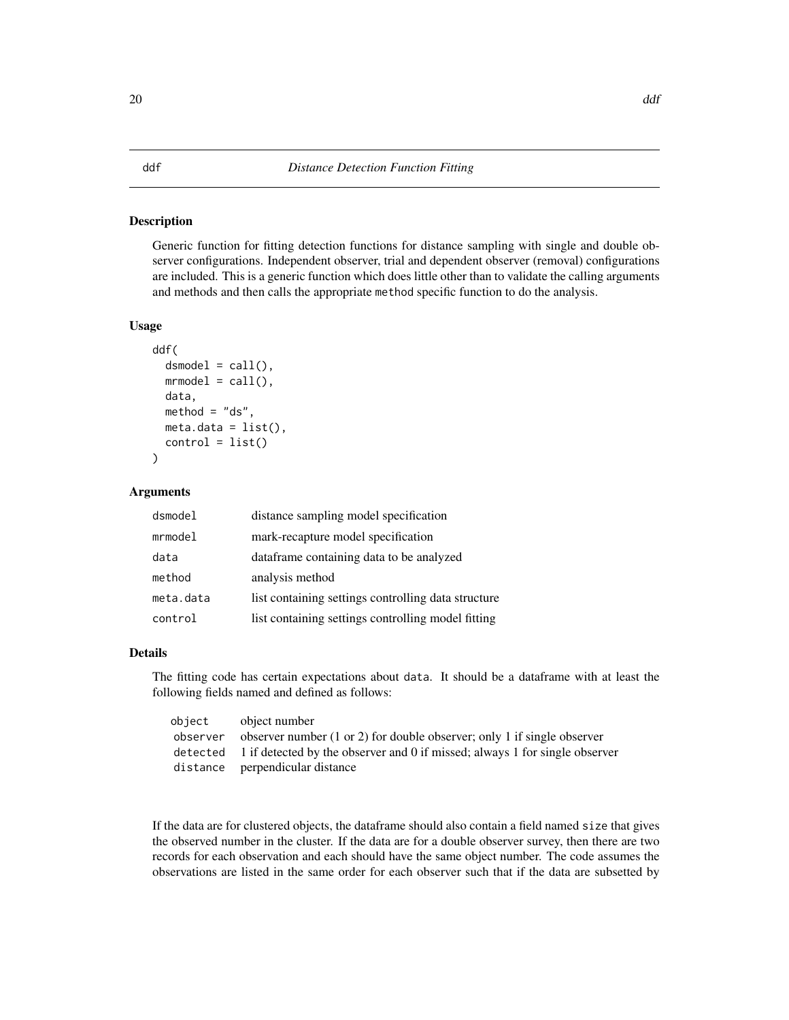<span id="page-19-1"></span><span id="page-19-0"></span>Generic function for fitting detection functions for distance sampling with single and double observer configurations. Independent observer, trial and dependent observer (removal) configurations are included. This is a generic function which does little other than to validate the calling arguments and methods and then calls the appropriate method specific function to do the analysis.

#### Usage

```
ddf(
  dsmodel = call(),
 mmodel = call(),data,
  method = "ds",meta.data = list(),
  control = list())
```
#### Arguments

| dsmodel   | distance sampling model specification               |
|-----------|-----------------------------------------------------|
| mrmodel   | mark-recapture model specification                  |
| data      | dataframe containing data to be analyzed            |
| method    | analysis method                                     |
| meta.data | list containing settings controlling data structure |
| control   | list containing settings controlling model fitting  |

# Details

The fitting code has certain expectations about data. It should be a dataframe with at least the following fields named and defined as follows:

| object   | object number                                                                        |
|----------|--------------------------------------------------------------------------------------|
| observer | observer number $(1 \text{ or } 2)$ for double observer; only 1 if single observer   |
|          | detected 1 if detected by the observer and 0 if missed; always 1 for single observer |
|          | distance perpendicular distance                                                      |

If the data are for clustered objects, the dataframe should also contain a field named size that gives the observed number in the cluster. If the data are for a double observer survey, then there are two records for each observation and each should have the same object number. The code assumes the observations are listed in the same order for each observer such that if the data are subsetted by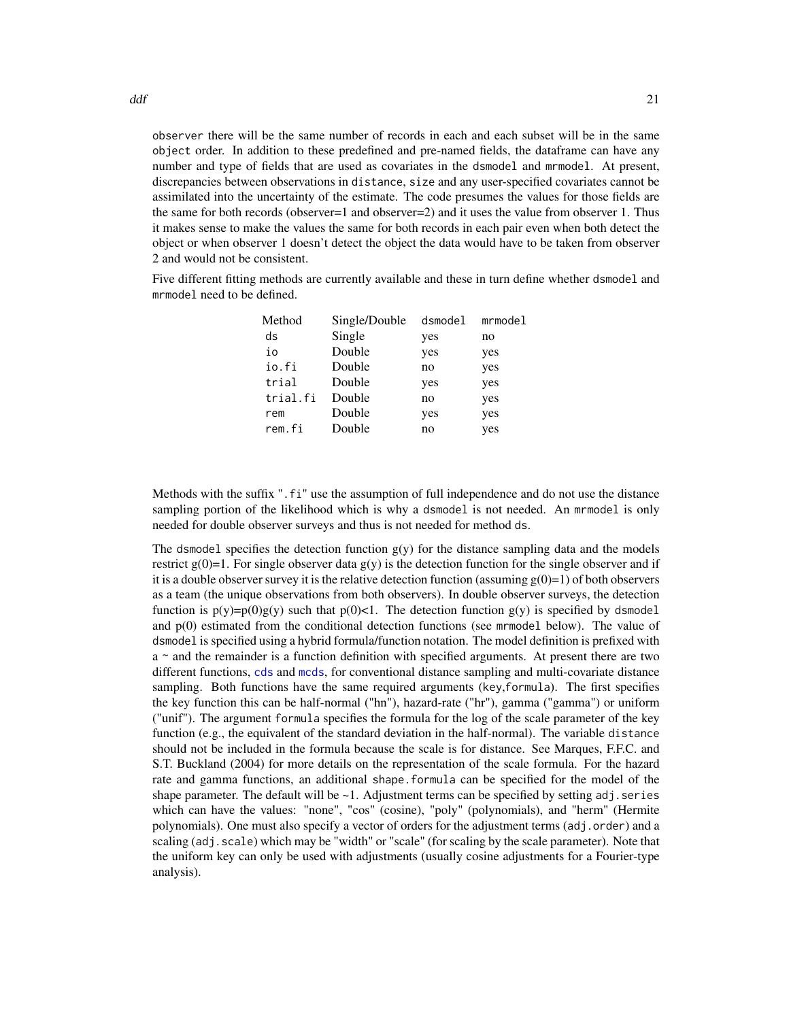observer there will be the same number of records in each and each subset will be in the same object order. In addition to these predefined and pre-named fields, the dataframe can have any number and type of fields that are used as covariates in the dsmodel and mrmodel. At present, discrepancies between observations in distance, size and any user-specified covariates cannot be assimilated into the uncertainty of the estimate. The code presumes the values for those fields are the same for both records (observer=1 and observer=2) and it uses the value from observer 1. Thus it makes sense to make the values the same for both records in each pair even when both detect the object or when observer 1 doesn't detect the object the data would have to be taken from observer 2 and would not be consistent.

Five different fitting methods are currently available and these in turn define whether dsmodel and mrmodel need to be defined.

| Method   | Single/Double | dsmodel | mmode1 |
|----------|---------------|---------|--------|
| ds       | Single        | yes     | no     |
| io       | Double        | yes     | yes    |
| io.fi    | Double        | no      | yes    |
| trial    | Double        | yes     | yes    |
| trial.fi | Double        | no      | yes    |
| rem      | Double        | yes     | yes    |
| rem.fi   | Double        | no      | yes    |

Methods with the suffix ".fi" use the assumption of full independence and do not use the distance sampling portion of the likelihood which is why a dsmodel is not needed. An mrmodel is only needed for double observer surveys and thus is not needed for method ds.

The dsmodel specifies the detection function  $g(y)$  for the distance sampling data and the models restrict  $g(0)=1$ . For single observer data  $g(y)$  is the detection function for the single observer and if it is a double observer survey it is the relative detection function (assuming  $g(0)=1$ ) of both observers as a team (the unique observations from both observers). In double observer surveys, the detection function is  $p(y)=p(0)g(y)$  such that  $p(0) < 1$ . The detection function  $g(y)$  is specified by dsmodel and p(0) estimated from the conditional detection functions (see mrmodel below). The value of dsmodel is specified using a hybrid formula/function notation. The model definition is prefixed with  $a \sim$  and the remainder is a function definition with specified arguments. At present there are two different functions, [cds](#page-11-1) and [mcds](#page-78-1), for conventional distance sampling and multi-covariate distance sampling. Both functions have the same required arguments (key,formula). The first specifies the key function this can be half-normal ("hn"), hazard-rate ("hr"), gamma ("gamma") or uniform ("unif"). The argument formula specifies the formula for the log of the scale parameter of the key function (e.g., the equivalent of the standard deviation in the half-normal). The variable distance should not be included in the formula because the scale is for distance. See Marques, F.F.C. and S.T. Buckland (2004) for more details on the representation of the scale formula. For the hazard rate and gamma functions, an additional shape.formula can be specified for the model of the shape parameter. The default will be  $\sim$ 1. Adjustment terms can be specified by setting adj. series which can have the values: "none", "cos" (cosine), "poly" (polynomials), and "herm" (Hermite polynomials). One must also specify a vector of orders for the adjustment terms (adj.order) and a scaling (adj.scale) which may be "width" or "scale" (for scaling by the scale parameter). Note that the uniform key can only be used with adjustments (usually cosine adjustments for a Fourier-type analysis).

 $\mathsf{d} \mathsf{d} \mathsf{f}$  21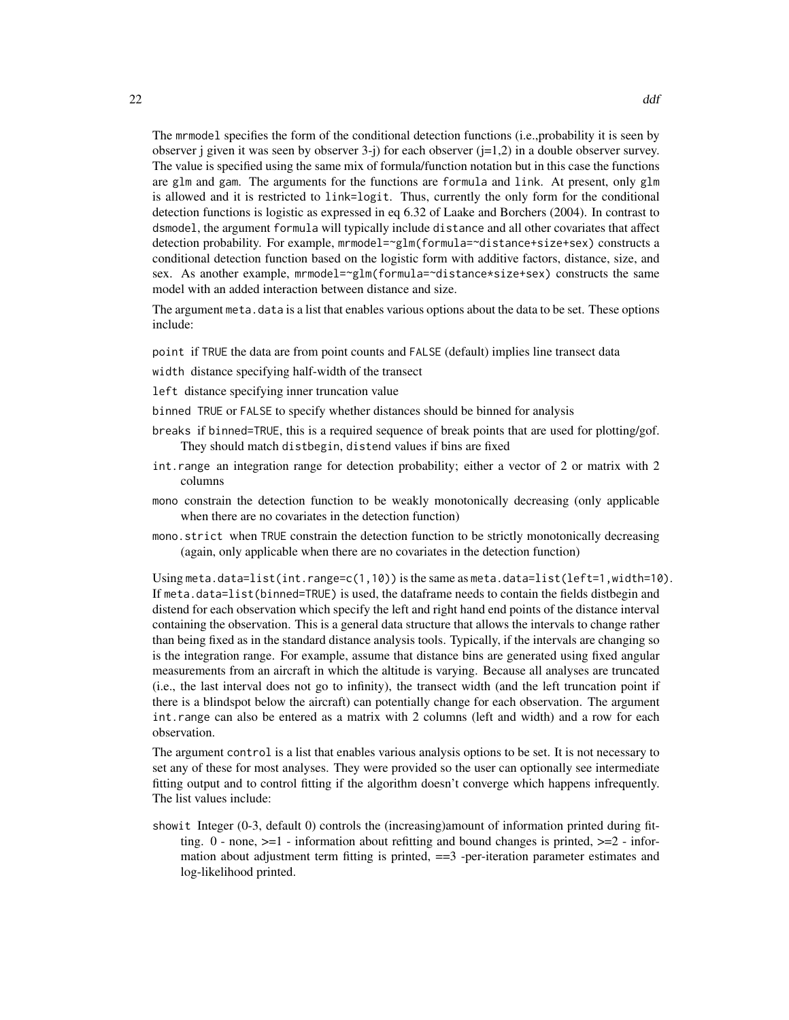The mrmodel specifies the form of the conditional detection functions (i.e.,probability it is seen by observer j given it was seen by observer  $3-i$ ) for each observer  $(i=1,2)$  in a double observer survey. The value is specified using the same mix of formula/function notation but in this case the functions are glm and gam. The arguments for the functions are formula and link. At present, only glm is allowed and it is restricted to link=logit. Thus, currently the only form for the conditional detection functions is logistic as expressed in eq 6.32 of Laake and Borchers (2004). In contrast to dsmodel, the argument formula will typically include distance and all other covariates that affect detection probability. For example, mrmodel=~glm(formula=~distance+size+sex) constructs a conditional detection function based on the logistic form with additive factors, distance, size, and sex. As another example, mrmodel=~glm(formula=~distance\*size+sex) constructs the same model with an added interaction between distance and size.

The argument meta. data is a list that enables various options about the data to be set. These options include:

point if TRUE the data are from point counts and FALSE (default) implies line transect data

width distance specifying half-width of the transect

left distance specifying inner truncation value

binned TRUE or FALSE to specify whether distances should be binned for analysis

- breaks if binned=TRUE, this is a required sequence of break points that are used for plotting/gof. They should match distbegin, distend values if bins are fixed
- int.range an integration range for detection probability; either a vector of 2 or matrix with 2 columns
- mono constrain the detection function to be weakly monotonically decreasing (only applicable when there are no covariates in the detection function)
- mono.strict when TRUE constrain the detection function to be strictly monotonically decreasing (again, only applicable when there are no covariates in the detection function)

Using meta.data=list(int.range=c(1,10)) is the same as meta.data=list(left=1,width=10). If meta.data=list(binned=TRUE) is used, the dataframe needs to contain the fields distbegin and distend for each observation which specify the left and right hand end points of the distance interval containing the observation. This is a general data structure that allows the intervals to change rather than being fixed as in the standard distance analysis tools. Typically, if the intervals are changing so is the integration range. For example, assume that distance bins are generated using fixed angular measurements from an aircraft in which the altitude is varying. Because all analyses are truncated (i.e., the last interval does not go to infinity), the transect width (and the left truncation point if there is a blindspot below the aircraft) can potentially change for each observation. The argument int.range can also be entered as a matrix with 2 columns (left and width) and a row for each observation.

The argument control is a list that enables various analysis options to be set. It is not necessary to set any of these for most analyses. They were provided so the user can optionally see intermediate fitting output and to control fitting if the algorithm doesn't converge which happens infrequently. The list values include:

showit Integer (0-3, default 0) controls the (increasing)amount of information printed during fitting.  $0$  - none,  $>=1$  - information about refitting and bound changes is printed,  $>=2$  - information about adjustment term fitting is printed,  $==3$  -per-iteration parameter estimates and log-likelihood printed.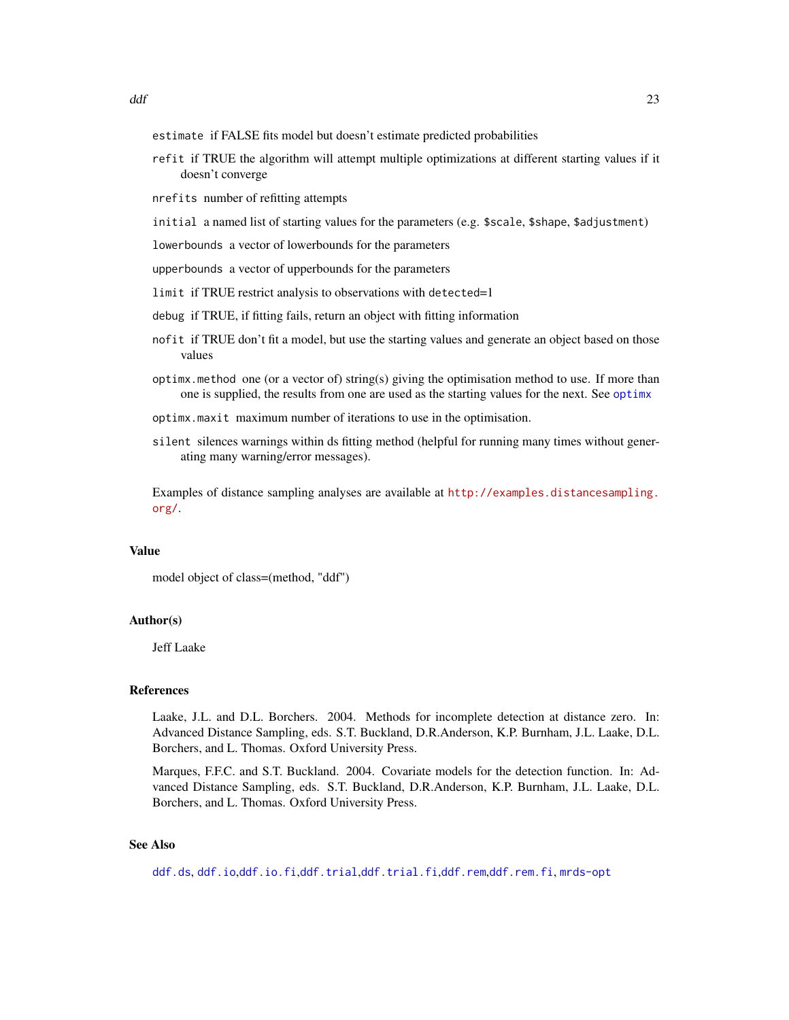- estimate if FALSE fits model but doesn't estimate predicted probabilities
- refit if TRUE the algorithm will attempt multiple optimizations at different starting values if it doesn't converge
- nrefits number of refitting attempts
- initial a named list of starting values for the parameters (e.g. \$scale, \$shape, \$adjustment)
- lowerbounds a vector of lowerbounds for the parameters
- upperbounds a vector of upperbounds for the parameters
- limit if TRUE restrict analysis to observations with detected=1
- debug if TRUE, if fitting fails, return an object with fitting information
- nofit if TRUE don't fit a model, but use the starting values and generate an object based on those values
- optimx.method one (or a vector of) string(s) giving the optimisation method to use. If more than one is supplied, the results from one are used as the starting values for the next. See [optimx](#page-0-0)
- optimx.maxit maximum number of iterations to use in the optimisation.
- silent silences warnings within ds fitting method (helpful for running many times without generating many warning/error messages).

Examples of distance sampling analyses are available at [http://examples.distancesampling.](http://examples.distancesampling.org/) [org/](http://examples.distancesampling.org/).

#### Value

model object of class=(method, "ddf")

# Author(s)

Jeff Laake

#### References

Laake, J.L. and D.L. Borchers. 2004. Methods for incomplete detection at distance zero. In: Advanced Distance Sampling, eds. S.T. Buckland, D.R.Anderson, K.P. Burnham, J.L. Laake, D.L. Borchers, and L. Thomas. Oxford University Press.

Marques, F.F.C. and S.T. Buckland. 2004. Covariate models for the detection function. In: Advanced Distance Sampling, eds. S.T. Buckland, D.R.Anderson, K.P. Burnham, J.L. Laake, D.L. Borchers, and L. Thomas. Oxford University Press.

#### See Also

[ddf.ds](#page-24-1), [ddf.io](#page-27-1),[ddf.io.fi](#page-29-1),[ddf.trial](#page-32-1),[ddf.trial.fi](#page-34-1),[ddf.rem](#page-30-1),[ddf.rem.fi](#page-31-1), [mrds-opt](#page-79-1)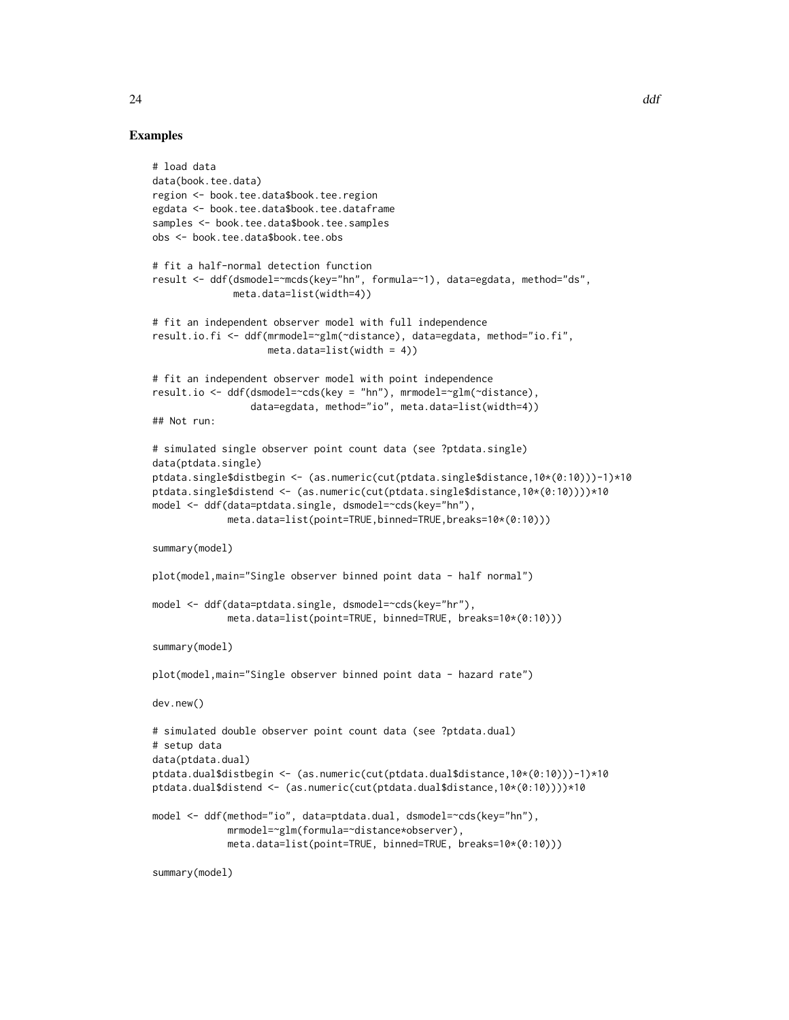# Examples

```
# load data
data(book.tee.data)
region <- book.tee.data$book.tee.region
egdata <- book.tee.data$book.tee.dataframe
samples <- book.tee.data$book.tee.samples
obs <- book.tee.data$book.tee.obs
# fit a half-normal detection function
result <- ddf(dsmodel=~mcds(key="hn", formula=~1), data=egdata, method="ds",
             meta.data=list(width=4))
# fit an independent observer model with full independence
result.io.fi <- ddf(mrmodel=~glm(~distance), data=egdata, method="io.fi",
                   meta.data=list(width = 4)# fit an independent observer model with point independence
result.io <- ddf(dsmodel=~cds(key = "hn"), mrmodel=~glm(~distance),
                 data=egdata, method="io", meta.data=list(width=4))
## Not run:
# simulated single observer point count data (see ?ptdata.single)
data(ptdata.single)
ptdata.single$distbegin <- (as.numeric(cut(ptdata.single$distance,10*(0:10)))-1)*10
ptdata.single$distend <- (as.numeric(cut(ptdata.single$distance,10*(0:10))))*10
model <- ddf(data=ptdata.single, dsmodel=~cds(key="hn"),
             meta.data=list(point=TRUE,binned=TRUE,breaks=10*(0:10)))
summary(model)
plot(model,main="Single observer binned point data - half normal")
model <- ddf(data=ptdata.single, dsmodel=~cds(key="hr"),
             meta.data=list(point=TRUE, binned=TRUE, breaks=10*(0:10)))
summary(model)
plot(model,main="Single observer binned point data - hazard rate")
dev.new()
# simulated double observer point count data (see ?ptdata.dual)
# setup data
data(ptdata.dual)
ptdata.dual$distbegin <- (as.numeric(cut(ptdata.dual$distance,10*(0:10)))-1)*10
ptdata.dual$distend <- (as.numeric(cut(ptdata.dual$distance,10*(0:10))))*10
model <- ddf(method="io", data=ptdata.dual, dsmodel=~cds(key="hn"),
             mrmodel=~glm(formula=~distance*observer),
             meta.data=list(point=TRUE, binned=TRUE, breaks=10*(0:10)))
```
summary(model)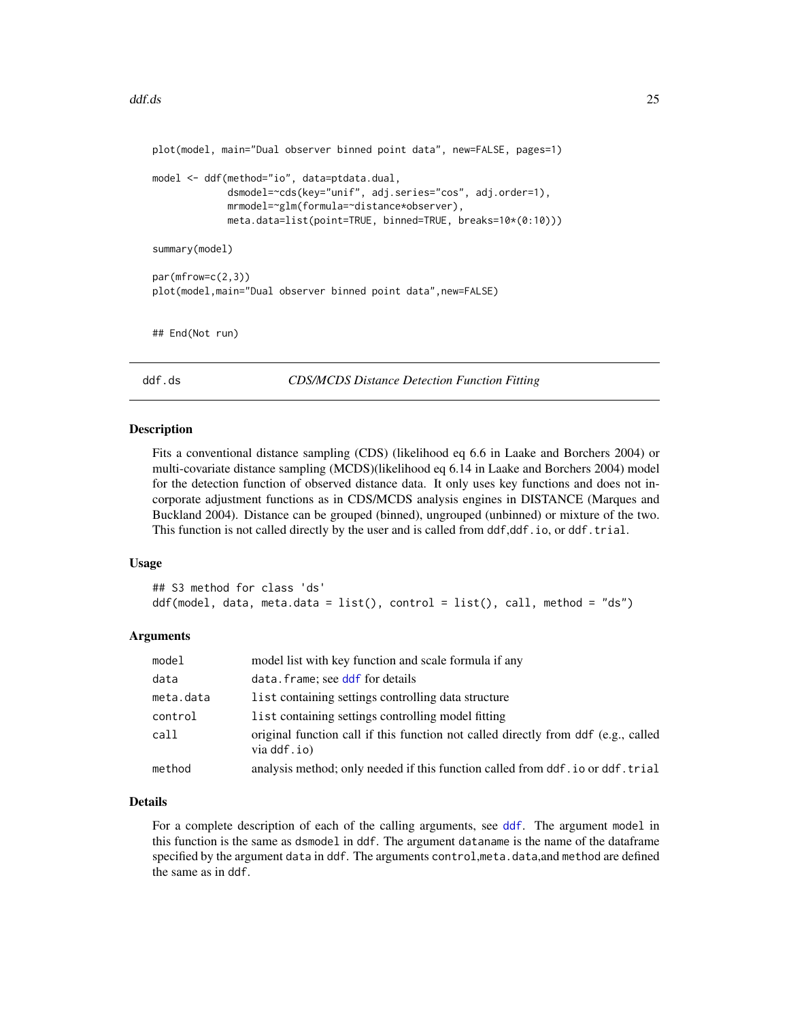```
plot(model, main="Dual observer binned point data", new=FALSE, pages=1)
model <- ddf(method="io", data=ptdata.dual,
             dsmodel=~cds(key="unif", adj.series="cos", adj.order=1),
             mrmodel=~glm(formula=~distance*observer),
             meta.data=list(point=TRUE, binned=TRUE, breaks=10*(0:10)))
summary(model)
par(mfrow=c(2,3))
plot(model,main="Dual observer binned point data",new=FALSE)
## End(Not run)
```
<span id="page-24-1"></span>ddf.ds *CDS/MCDS Distance Detection Function Fitting*

#### Description

Fits a conventional distance sampling (CDS) (likelihood eq 6.6 in Laake and Borchers 2004) or multi-covariate distance sampling (MCDS)(likelihood eq 6.14 in Laake and Borchers 2004) model for the detection function of observed distance data. It only uses key functions and does not incorporate adjustment functions as in CDS/MCDS analysis engines in DISTANCE (Marques and Buckland 2004). Distance can be grouped (binned), ungrouped (unbinned) or mixture of the two. This function is not called directly by the user and is called from  $ddf, ddf$ .io, or  $ddf.trial$ .

#### Usage

```
## S3 method for class 'ds'
ddf(model, data, meta.data = list(), control = list(), call, method = "ds")
```
# Arguments

| model     | model list with key function and scale formula if any                                             |
|-----------|---------------------------------------------------------------------------------------------------|
| data      | data.frame; see ddf for details                                                                   |
| meta.data | list containing settings controlling data structure                                               |
| control   | list containing settings controlling model fitting                                                |
| call      | original function call if this function not called directly from ddf (e.g., called<br>via ddf.io) |
| method    | analysis method; only needed if this function called from ddf.io or ddf.trial                     |

#### Details

For a complete description of each of the calling arguments, see [ddf](#page-19-1). The argument model in this function is the same as dsmodel in ddf. The argument dataname is the name of the dataframe specified by the argument data in ddf. The arguments control, meta.data, and method are defined the same as in ddf.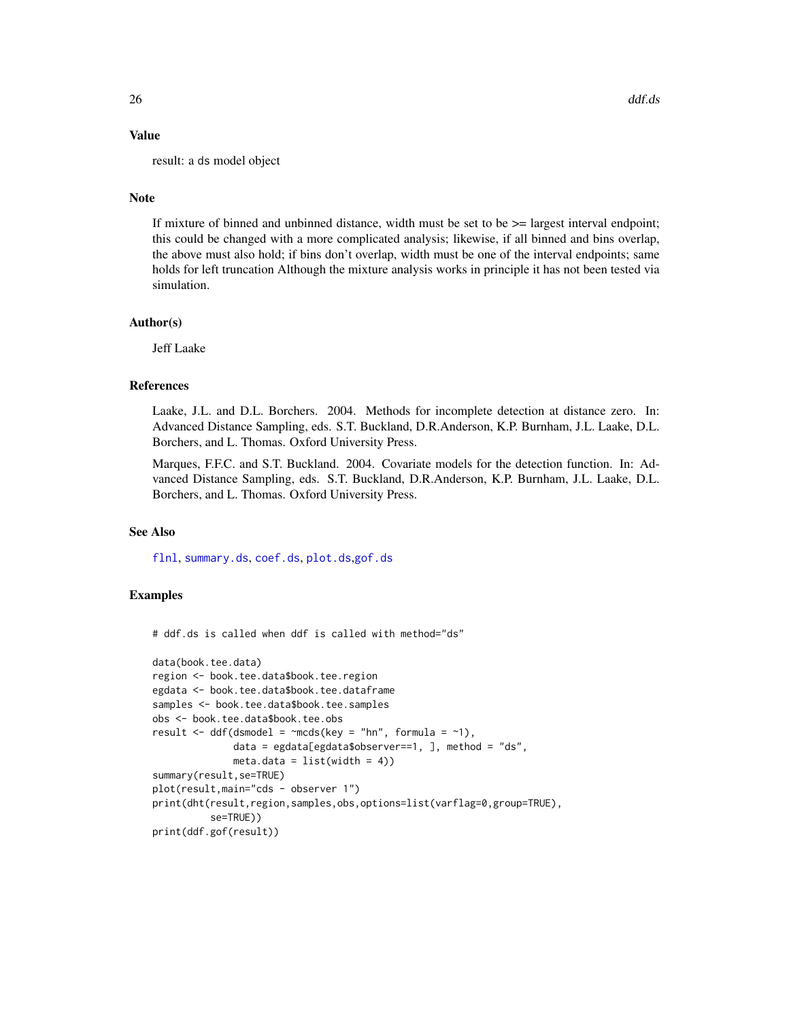# Value

result: a ds model object

# Note

If mixture of binned and unbinned distance, width must be set to be  $>=$  largest interval endpoint; this could be changed with a more complicated analysis; likewise, if all binned and bins overlap, the above must also hold; if bins don't overlap, width must be one of the interval endpoints; same holds for left truncation Although the mixture analysis works in principle it has not been tested via simulation.

# Author(s)

Jeff Laake

#### References

Laake, J.L. and D.L. Borchers. 2004. Methods for incomplete detection at distance zero. In: Advanced Distance Sampling, eds. S.T. Buckland, D.R.Anderson, K.P. Burnham, J.L. Laake, D.L. Borchers, and L. Thomas. Oxford University Press.

Marques, F.F.C. and S.T. Buckland. 2004. Covariate models for the detection function. In: Advanced Distance Sampling, eds. S.T. Buckland, D.R.Anderson, K.P. Burnham, J.L. Laake, D.L. Borchers, and L. Thomas. Oxford University Press.

# See Also

[flnl](#page-48-1), [summary.ds](#page-132-1), [coef.ds](#page-14-1), [plot.ds](#page-85-1),[gof.ds](#page-52-1)

# Examples

# ddf.ds is called when ddf is called with method="ds"

```
data(book.tee.data)
region <- book.tee.data$book.tee.region
egdata <- book.tee.data$book.tee.dataframe
samples <- book.tee.data$book.tee.samples
obs <- book.tee.data$book.tee.obs
result \leq ddf(dsmodel = \simmcds(key = "hn", formula = \sim1),
              data = egdata[egdata$observer==1, ], method = "ds",
              meta.data = list(width = 4))
summary(result,se=TRUE)
plot(result,main="cds - observer 1")
print(dht(result,region,samples,obs,options=list(varflag=0,group=TRUE),
          se=TRUE))
print(ddf.gof(result))
```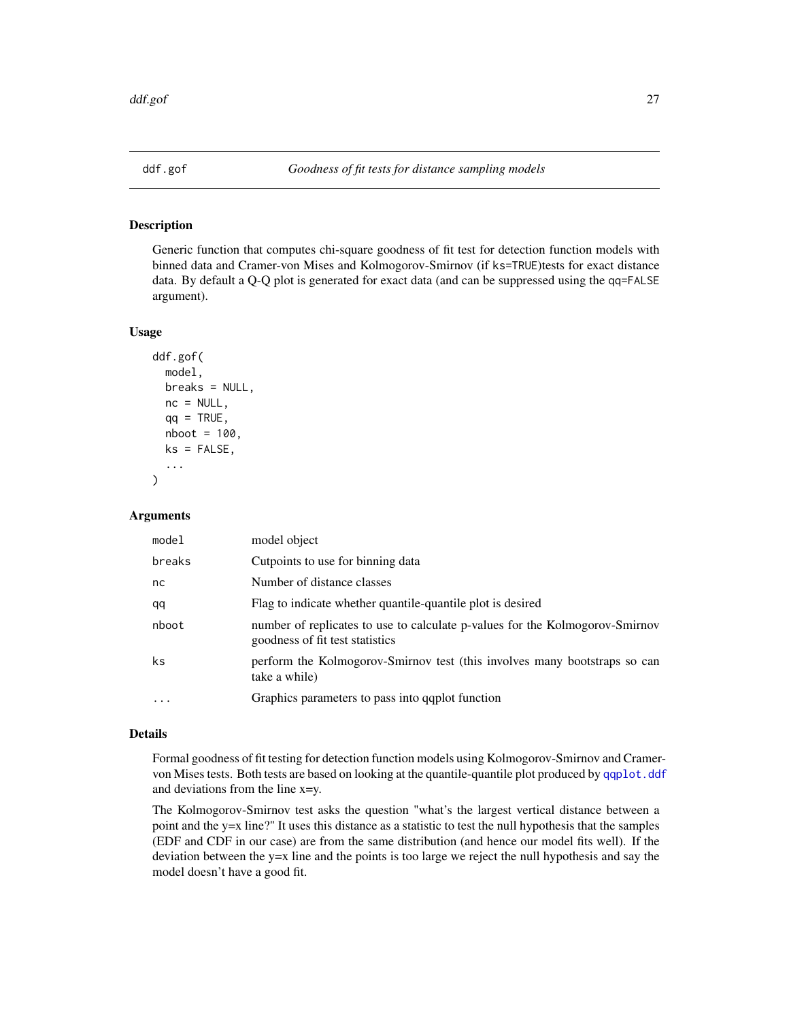<span id="page-26-1"></span><span id="page-26-0"></span>

Generic function that computes chi-square goodness of fit test for detection function models with binned data and Cramer-von Mises and Kolmogorov-Smirnov (if ks=TRUE)tests for exact distance data. By default a Q-Q plot is generated for exact data (and can be suppressed using the qq=FALSE argument).

#### Usage

```
ddf.gof(
 model,
 breaks = NULL,
 nc = NULL,qq = TRUE,nboot = 100,ks = FALSE,
  ...
)
```
# Arguments

| model    | model object                                                                                                    |
|----------|-----------------------------------------------------------------------------------------------------------------|
| breaks   | Cutpoints to use for binning data                                                                               |
| nc       | Number of distance classes                                                                                      |
| qq       | Flag to indicate whether quantile-quantile plot is desired                                                      |
| nboot    | number of replicates to use to calculate p-values for the Kolmogorov-Smirnov<br>goodness of fit test statistics |
| ks       | perform the Kolmogorov-Smirnov test (this involves many bootstraps so can<br>take a while)                      |
| $\cdots$ | Graphics parameters to pass into gaplot function                                                                |

#### Details

Formal goodness of fit testing for detection function models using Kolmogorov-Smirnov and Cramervon Mises tests. Both tests are based on looking at the quantile-quantile plot produced by [qqplot.ddf](#page-120-1) and deviations from the line x=y.

The Kolmogorov-Smirnov test asks the question "what's the largest vertical distance between a point and the y=x line?" It uses this distance as a statistic to test the null hypothesis that the samples (EDF and CDF in our case) are from the same distribution (and hence our model fits well). If the deviation between the y=x line and the points is too large we reject the null hypothesis and say the model doesn't have a good fit.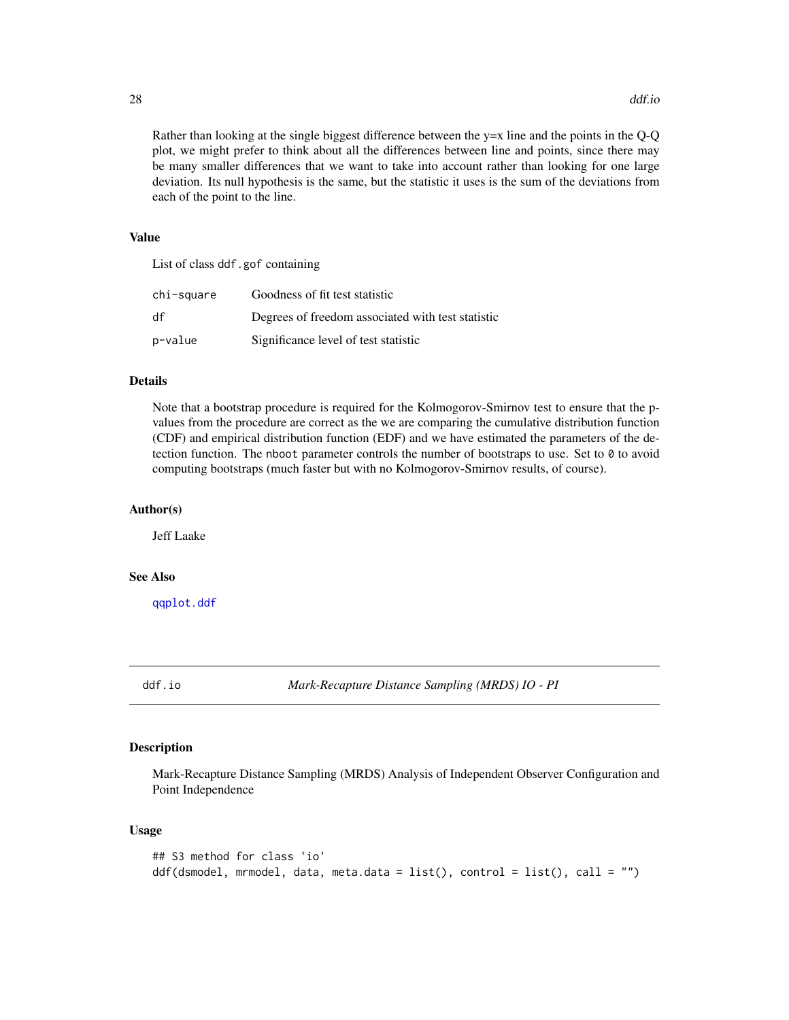28 ddf.io

Rather than looking at the single biggest difference between the y=x line and the points in the Q-Q plot, we might prefer to think about all the differences between line and points, since there may be many smaller differences that we want to take into account rather than looking for one large deviation. Its null hypothesis is the same, but the statistic it uses is the sum of the deviations from each of the point to the line.

# Value

List of class ddf.gof containing

| chi-square | Goodness of fit test statistic                    |
|------------|---------------------------------------------------|
| df         | Degrees of freedom associated with test statistic |
| p-value    | Significance level of test statistic              |

# Details

Note that a bootstrap procedure is required for the Kolmogorov-Smirnov test to ensure that the pvalues from the procedure are correct as the we are comparing the cumulative distribution function (CDF) and empirical distribution function (EDF) and we have estimated the parameters of the detection function. The nboot parameter controls the number of bootstraps to use. Set to 0 to avoid computing bootstraps (much faster but with no Kolmogorov-Smirnov results, of course).

# Author(s)

Jeff Laake

# See Also

[qqplot.ddf](#page-120-1)

<span id="page-27-1"></span>

ddf.io *Mark-Recapture Distance Sampling (MRDS) IO - PI*

# Description

Mark-Recapture Distance Sampling (MRDS) Analysis of Independent Observer Configuration and Point Independence

#### Usage

```
## S3 method for class 'io'
ddf(dsmodel, mrmodel, data, meta.data = list(), control = list(), call = "")
```
<span id="page-27-0"></span>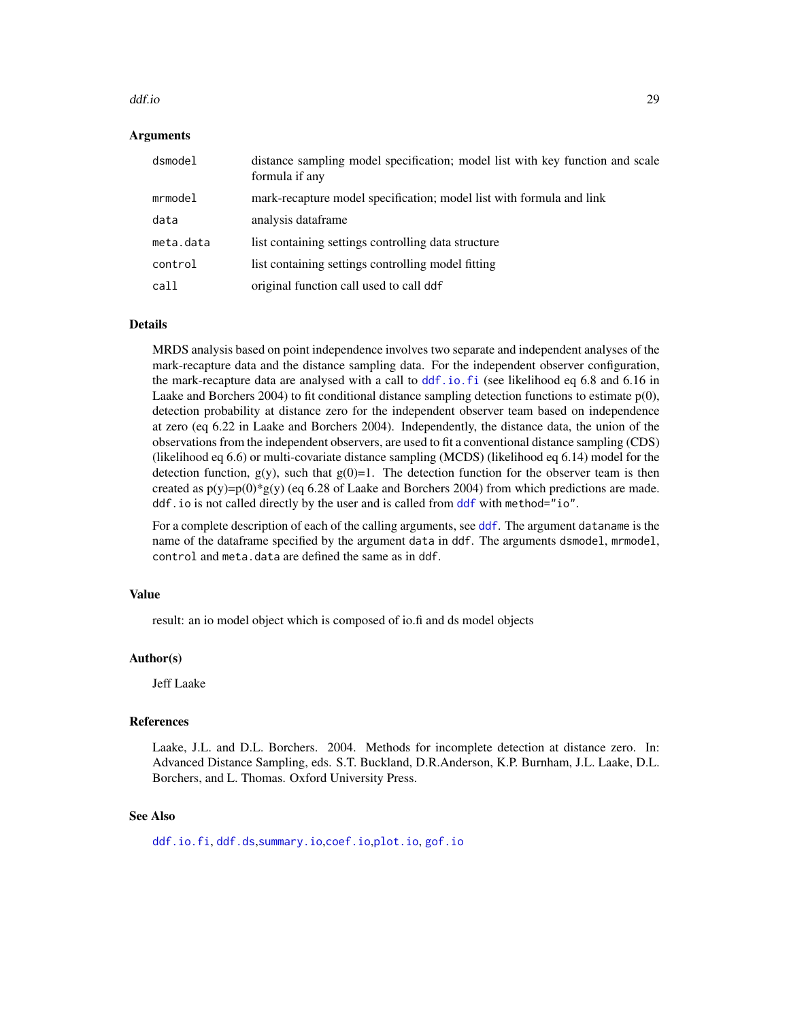#### ddf.io 29

#### Arguments

| dsmodel   | distance sampling model specification; model list with key function and scale<br>formula if any |
|-----------|-------------------------------------------------------------------------------------------------|
| mrmodel   | mark-recapture model specification; model list with formula and link                            |
| data      | analysis dataframe                                                                              |
| meta.data | list containing settings controlling data structure                                             |
| control   | list containing settings controlling model fitting                                              |
| call      | original function call used to call ddf                                                         |

#### Details

MRDS analysis based on point independence involves two separate and independent analyses of the mark-recapture data and the distance sampling data. For the independent observer configuration, the mark-recapture data are analysed with a call to [ddf.io.fi](#page-29-1) (see likelihood eq 6.8 and 6.16 in Laake and Borchers 2004) to fit conditional distance sampling detection functions to estimate  $p(0)$ , detection probability at distance zero for the independent observer team based on independence at zero (eq 6.22 in Laake and Borchers 2004). Independently, the distance data, the union of the observations from the independent observers, are used to fit a conventional distance sampling (CDS) (likelihood eq 6.6) or multi-covariate distance sampling (MCDS) (likelihood eq 6.14) model for the detection function,  $g(y)$ , such that  $g(0)=1$ . The detection function for the observer team is then created as  $p(y)=p(0)*g(y)$  (eq 6.28 of Laake and Borchers 2004) from which predictions are made. ddf.io is not called directly by the user and is called from [ddf](#page-19-1) with method="io".

For a complete description of each of the calling arguments, see [ddf](#page-19-1). The argument dataname is the name of the dataframe specified by the argument data in ddf. The arguments dsmodel, mrmodel, control and meta.data are defined the same as in ddf.

#### Value

result: an io model object which is composed of io.fi and ds model objects

#### Author(s)

Jeff Laake

# References

Laake, J.L. and D.L. Borchers. 2004. Methods for incomplete detection at distance zero. In: Advanced Distance Sampling, eds. S.T. Buckland, D.R.Anderson, K.P. Burnham, J.L. Laake, D.L. Borchers, and L. Thomas. Oxford University Press.

#### See Also

[ddf.io.fi](#page-29-1), [ddf.ds](#page-24-1),[summary.io](#page-133-1),[coef.io](#page-14-2),[plot.io](#page-87-1), [gof.io](#page-26-1)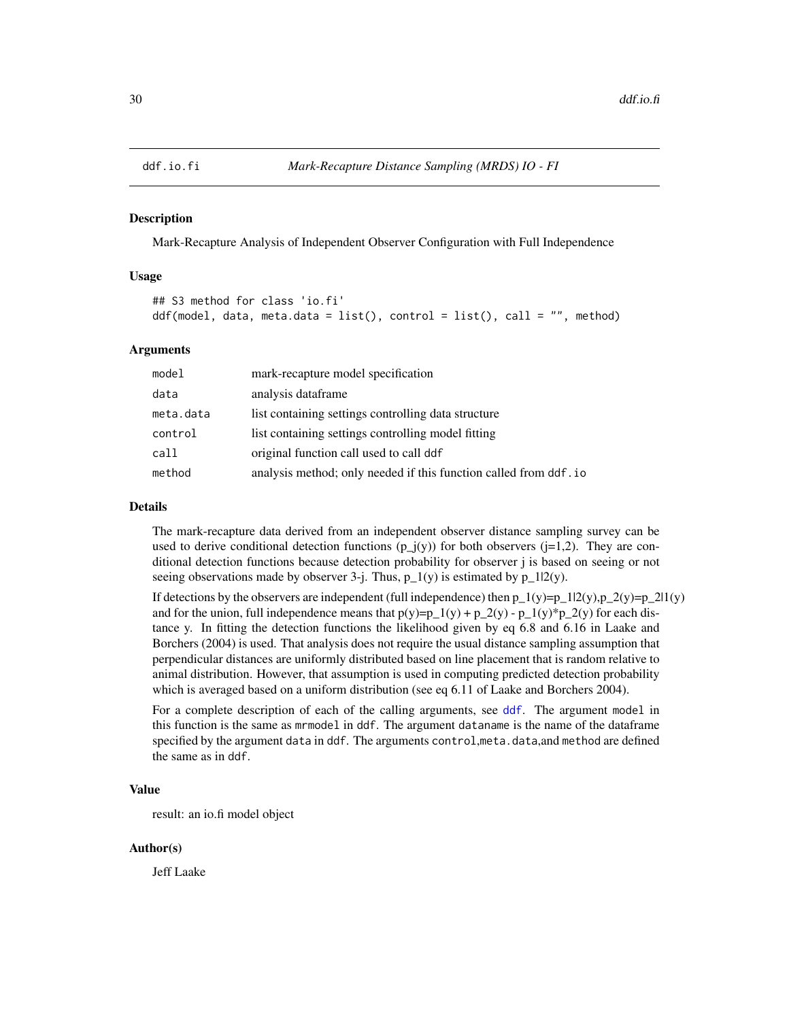<span id="page-29-1"></span><span id="page-29-0"></span>

Mark-Recapture Analysis of Independent Observer Configuration with Full Independence

# Usage

```
## S3 method for class 'io.fi'
ddf(model, data, meta.data = list(), control = list(), call = "", method)
```
#### Arguments

| model     | mark-recapture model specification                               |
|-----------|------------------------------------------------------------------|
| data      | analysis dataframe                                               |
| meta.data | list containing settings controlling data structure              |
| control   | list containing settings controlling model fitting               |
| call      | original function call used to call ddf                          |
| method    | analysis method; only needed if this function called from ddf.io |

#### Details

The mark-recapture data derived from an independent observer distance sampling survey can be used to derive conditional detection functions  $(p_j(y))$  for both observers ( $j=1,2$ ). They are conditional detection functions because detection probability for observer j is based on seeing or not seeing observations made by observer 3-j. Thus,  $p_1(y)$  is estimated by  $p_1(2(y))$ .

If detections by the observers are independent (full independence) then  $p_1(y)=p_1l(2(y),p_2( y)=p_2l( y)$ and for the union, full independence means that  $p(y)=p_1(y) + p_2(y) - p_1(y) * p_2(y)$  for each distance y. In fitting the detection functions the likelihood given by eq 6.8 and 6.16 in Laake and Borchers (2004) is used. That analysis does not require the usual distance sampling assumption that perpendicular distances are uniformly distributed based on line placement that is random relative to animal distribution. However, that assumption is used in computing predicted detection probability which is averaged based on a uniform distribution (see eq 6.11 of Laake and Borchers 2004).

For a complete description of each of the calling arguments, see [ddf](#page-19-1). The argument model in this function is the same as mrmodel in ddf. The argument dataname is the name of the dataframe specified by the argument data in ddf. The arguments control,meta.data,and method are defined the same as in ddf.

# Value

result: an io.fi model object

#### Author(s)

Jeff Laake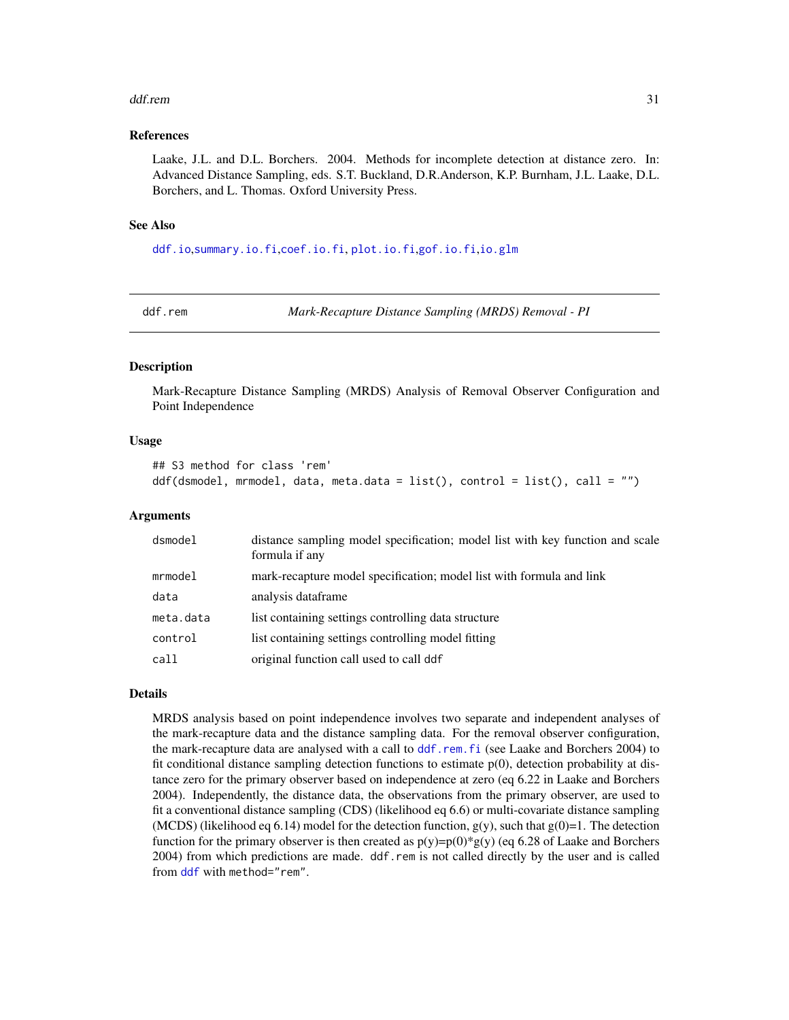#### <span id="page-30-0"></span>ddf.rem 31

#### References

Laake, J.L. and D.L. Borchers. 2004. Methods for incomplete detection at distance zero. In: Advanced Distance Sampling, eds. S.T. Buckland, D.R.Anderson, K.P. Burnham, J.L. Laake, D.L. Borchers, and L. Thomas. Oxford University Press.

#### See Also

[ddf.io](#page-27-1),[summary.io.fi](#page-134-1),[coef.io.fi](#page-14-2), [plot.io.fi](#page-90-1),[gof.io.fi](#page-26-1),[io.glm](#page-57-1)

<span id="page-30-1"></span>

ddf.rem *Mark-Recapture Distance Sampling (MRDS) Removal - PI*

# Description

Mark-Recapture Distance Sampling (MRDS) Analysis of Removal Observer Configuration and Point Independence

#### Usage

```
## S3 method for class 'rem'
ddf(dsmodel, mrmodel, data, meta.data = list(), control = list(), call = "")
```
#### Arguments

| distance sampling model specification; model list with key function and scale<br>formula if any |
|-------------------------------------------------------------------------------------------------|
| mark-recapture model specification; model list with formula and link                            |
| analysis dataframe                                                                              |
| list containing settings controlling data structure                                             |
| list containing settings controlling model fitting                                              |
| original function call used to call ddf                                                         |
|                                                                                                 |

# Details

MRDS analysis based on point independence involves two separate and independent analyses of the mark-recapture data and the distance sampling data. For the removal observer configuration, the mark-recapture data are analysed with a call to [ddf.rem.fi](#page-31-1) (see Laake and Borchers 2004) to fit conditional distance sampling detection functions to estimate  $p(0)$ , detection probability at distance zero for the primary observer based on independence at zero (eq 6.22 in Laake and Borchers 2004). Independently, the distance data, the observations from the primary observer, are used to fit a conventional distance sampling (CDS) (likelihood eq 6.6) or multi-covariate distance sampling (MCDS) (likelihood eq 6.14) model for the detection function,  $g(y)$ , such that  $g(0)=1$ . The detection function for the primary observer is then created as  $p(y)=p(0)*g(y)$  (eq 6.28 of Laake and Borchers 2004) from which predictions are made. ddf.rem is not called directly by the user and is called from [ddf](#page-19-1) with method="rem".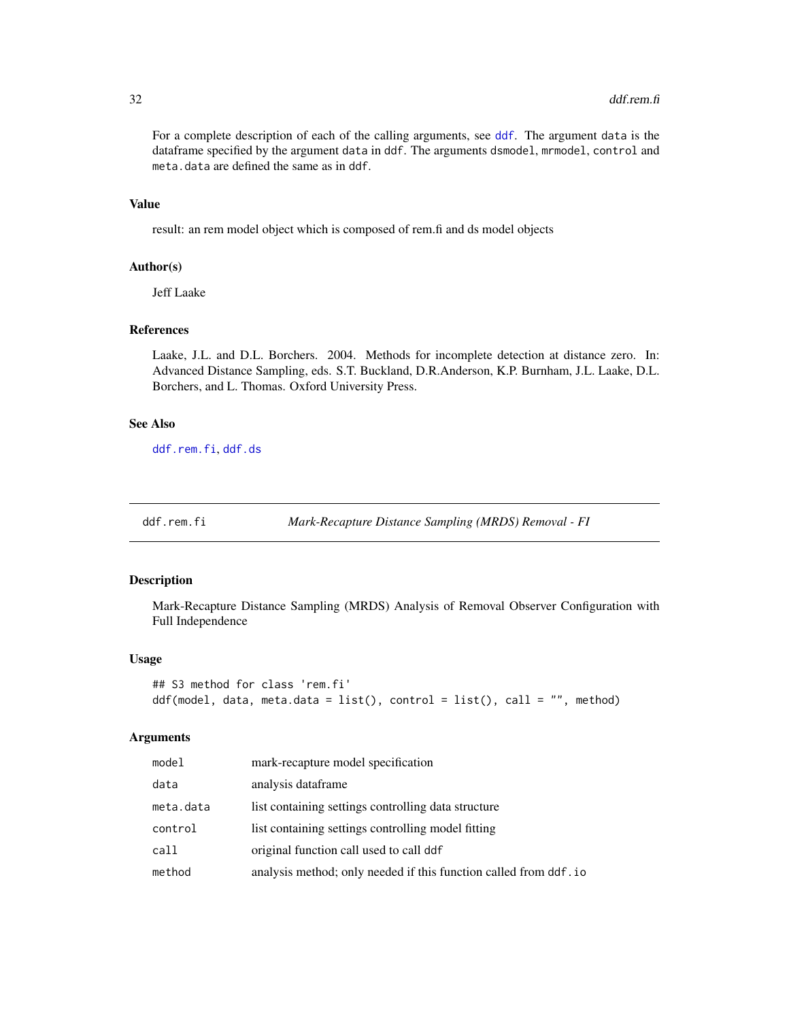For a complete description of each of the calling arguments, see [ddf](#page-19-1). The argument data is the dataframe specified by the argument data in ddf. The arguments dsmodel, mrmodel, control and meta.data are defined the same as in ddf.

#### Value

result: an rem model object which is composed of rem.fi and ds model objects

#### Author(s)

Jeff Laake

#### References

Laake, J.L. and D.L. Borchers. 2004. Methods for incomplete detection at distance zero. In: Advanced Distance Sampling, eds. S.T. Buckland, D.R.Anderson, K.P. Burnham, J.L. Laake, D.L. Borchers, and L. Thomas. Oxford University Press.

# See Also

[ddf.rem.fi](#page-31-1), [ddf.ds](#page-24-1)

<span id="page-31-1"></span>ddf.rem.fi *Mark-Recapture Distance Sampling (MRDS) Removal - FI*

# Description

Mark-Recapture Distance Sampling (MRDS) Analysis of Removal Observer Configuration with Full Independence

#### Usage

```
## S3 method for class 'rem.fi'
ddf(model, data, meta.data = list(), control = list(), call = "", method)
```
#### Arguments

| model     | mark-recapture model specification                               |
|-----------|------------------------------------------------------------------|
| data      | analysis dataframe                                               |
| meta.data | list containing settings controlling data structure              |
| control   | list containing settings controlling model fitting               |
| call      | original function call used to call ddf                          |
| method    | analysis method; only needed if this function called from ddf.io |

<span id="page-31-0"></span>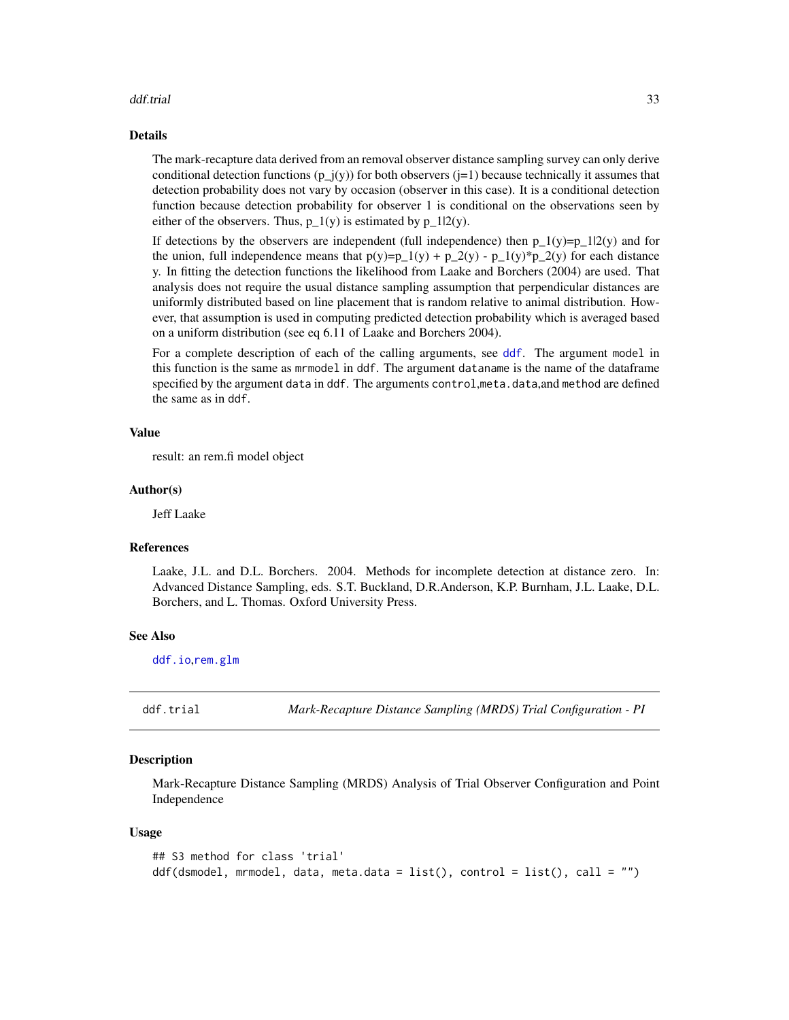#### <span id="page-32-0"></span>ddf.trial 33

#### Details

The mark-recapture data derived from an removal observer distance sampling survey can only derive conditional detection functions  $(p_i(y))$  for both observers ( $i=1$ ) because technically it assumes that detection probability does not vary by occasion (observer in this case). It is a conditional detection function because detection probability for observer 1 is conditional on the observations seen by either of the observers. Thus,  $p_1(y)$  is estimated by p\_1|2(y).

If detections by the observers are independent (full independence) then  $p_1(y)=p_1(2(y))$  and for the union, full independence means that  $p(y)=p_1(y) + p_2(y) - p_1(y)*p_2(y)$  for each distance y. In fitting the detection functions the likelihood from Laake and Borchers (2004) are used. That analysis does not require the usual distance sampling assumption that perpendicular distances are uniformly distributed based on line placement that is random relative to animal distribution. However, that assumption is used in computing predicted detection probability which is averaged based on a uniform distribution (see eq 6.11 of Laake and Borchers 2004).

For a complete description of each of the calling arguments, see [ddf](#page-19-1). The argument model in this function is the same as mrmodel in ddf. The argument dataname is the name of the dataframe specified by the argument data in ddf. The arguments control,meta.data,and method are defined the same as in ddf.

# Value

result: an rem.fi model object

#### Author(s)

Jeff Laake

#### References

Laake, J.L. and D.L. Borchers. 2004. Methods for incomplete detection at distance zero. In: Advanced Distance Sampling, eds. S.T. Buckland, D.R.Anderson, K.P. Burnham, J.L. Laake, D.L. Borchers, and L. Thomas. Oxford University Press.

# See Also

[ddf.io](#page-27-1),[rem.glm](#page-122-1)

<span id="page-32-1"></span>ddf.trial *Mark-Recapture Distance Sampling (MRDS) Trial Configuration - PI*

#### **Description**

Mark-Recapture Distance Sampling (MRDS) Analysis of Trial Observer Configuration and Point Independence

#### Usage

```
## S3 method for class 'trial'
ddf(dsmodel, mrmodel, data, meta.data = list(), control = list(), call = "")
```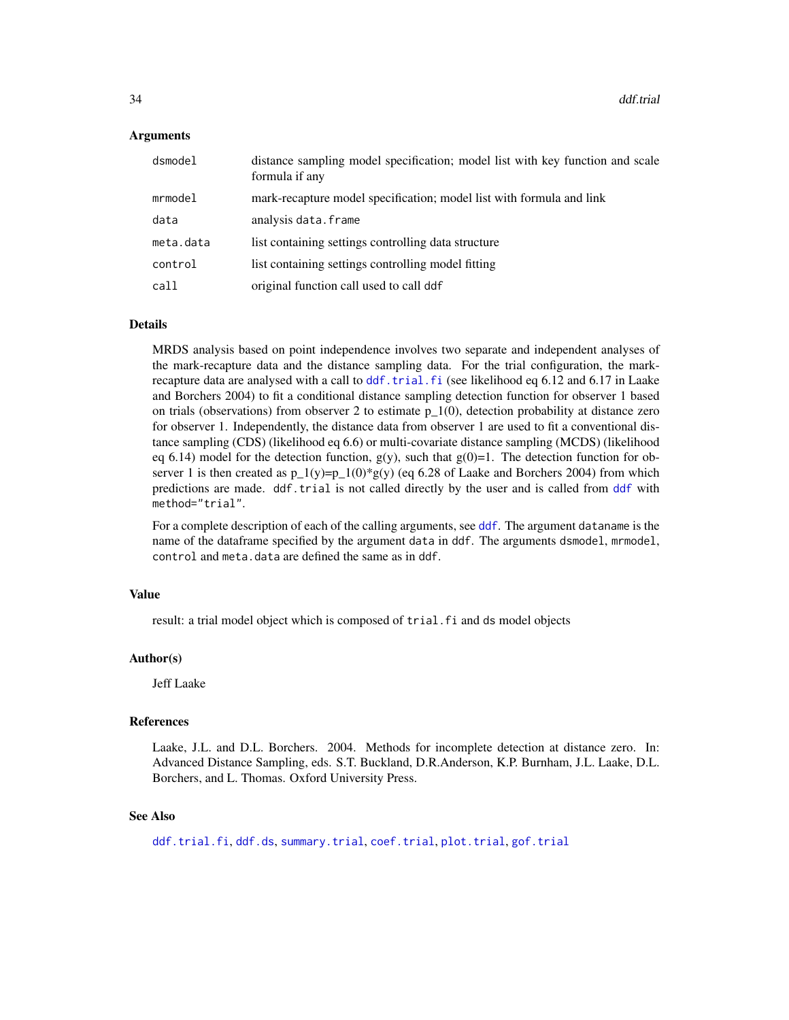#### Arguments

| dsmodel   | distance sampling model specification; model list with key function and scale<br>formula if any |
|-----------|-------------------------------------------------------------------------------------------------|
| mrmodel   | mark-recapture model specification; model list with formula and link                            |
| data      | analysis data.frame                                                                             |
| meta.data | list containing settings controlling data structure                                             |
| control   | list containing settings controlling model fitting                                              |
| call      | original function call used to call ddf                                                         |

#### Details

MRDS analysis based on point independence involves two separate and independent analyses of the mark-recapture data and the distance sampling data. For the trial configuration, the markrecapture data are analysed with a call to [ddf.trial.fi](#page-34-1) (see likelihood eq 6.12 and 6.17 in Laake and Borchers 2004) to fit a conditional distance sampling detection function for observer 1 based on trials (observations) from observer 2 to estimate  $p_1(0)$ , detection probability at distance zero for observer 1. Independently, the distance data from observer 1 are used to fit a conventional distance sampling (CDS) (likelihood eq 6.6) or multi-covariate distance sampling (MCDS) (likelihood eq 6.14) model for the detection function,  $g(y)$ , such that  $g(0)=1$ . The detection function for observer 1 is then created as  $p_1(y)=p_1(0)*g(y)$  (eq 6.28 of Laake and Borchers 2004) from which predictions are made. ddf.trial is not called directly by the user and is called from [ddf](#page-19-1) with method="trial".

For a complete description of each of the calling arguments, see [ddf](#page-19-1). The argument dataname is the name of the dataframe specified by the argument data in ddf. The arguments dsmodel, mrmodel, control and meta.data are defined the same as in ddf.

#### Value

result: a trial model object which is composed of trial. fi and ds model objects

#### Author(s)

Jeff Laake

#### References

Laake, J.L. and D.L. Borchers. 2004. Methods for incomplete detection at distance zero. In: Advanced Distance Sampling, eds. S.T. Buckland, D.R.Anderson, K.P. Burnham, J.L. Laake, D.L. Borchers, and L. Thomas. Oxford University Press.

#### See Also

[ddf.trial.fi](#page-34-1), [ddf.ds](#page-24-1), [summary.trial](#page-137-1), [coef.trial](#page-14-2), [plot.trial](#page-96-1), [gof.trial](#page-26-1)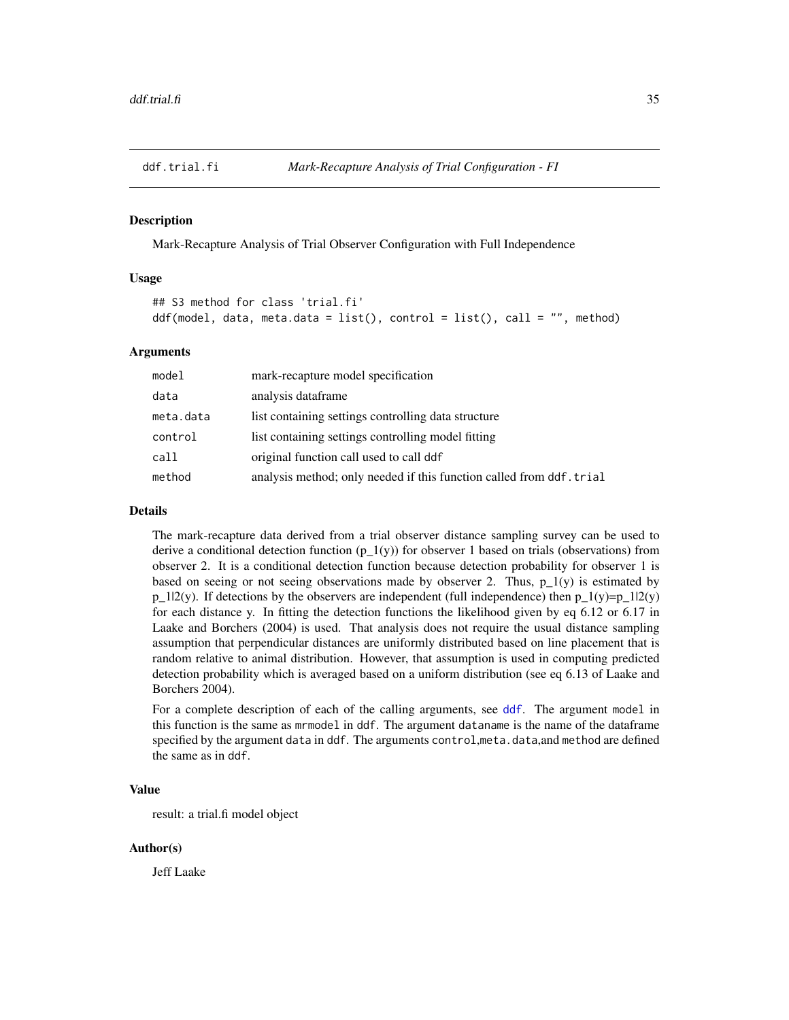<span id="page-34-1"></span><span id="page-34-0"></span>

Mark-Recapture Analysis of Trial Observer Configuration with Full Independence

#### Usage

```
## S3 method for class 'trial.fi'
ddf(model, data, meta.data = list(), control = list(), call = "", method)
```
#### Arguments

| model     | mark-recapture model specification                                  |
|-----------|---------------------------------------------------------------------|
| data      | analysis dataframe                                                  |
| meta.data | list containing settings controlling data structure                 |
| control   | list containing settings controlling model fitting                  |
| call      | original function call used to call ddf                             |
| method    | analysis method; only needed if this function called from ddf.trial |

# Details

The mark-recapture data derived from a trial observer distance sampling survey can be used to derive a conditional detection function (p\_1(y)) for observer 1 based on trials (observations) from observer 2. It is a conditional detection function because detection probability for observer 1 is based on seeing or not seeing observations made by observer 2. Thus,  $p_1(y)$  is estimated by  $p_1/2(y)$ . If detections by the observers are independent (full independence) then  $p_1(y)=p_1/2(y)$ for each distance y. In fitting the detection functions the likelihood given by eq 6.12 or 6.17 in Laake and Borchers (2004) is used. That analysis does not require the usual distance sampling assumption that perpendicular distances are uniformly distributed based on line placement that is random relative to animal distribution. However, that assumption is used in computing predicted detection probability which is averaged based on a uniform distribution (see eq 6.13 of Laake and Borchers 2004).

For a complete description of each of the calling arguments, see [ddf](#page-19-1). The argument model in this function is the same as mrmodel in ddf. The argument dataname is the name of the dataframe specified by the argument data in ddf. The arguments control,meta.data,and method are defined the same as in ddf.

# Value

result: a trial.fi model object

#### Author(s)

Jeff Laake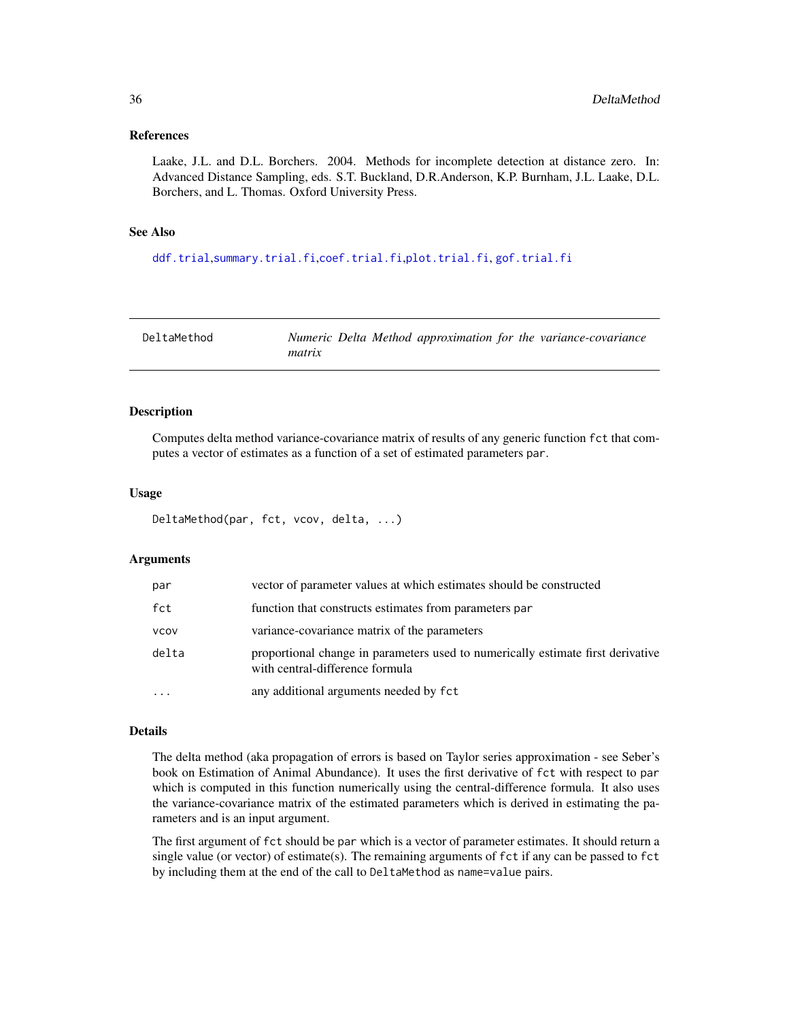#### <span id="page-35-0"></span>References

Laake, J.L. and D.L. Borchers. 2004. Methods for incomplete detection at distance zero. In: Advanced Distance Sampling, eds. S.T. Buckland, D.R.Anderson, K.P. Burnham, J.L. Laake, D.L. Borchers, and L. Thomas. Oxford University Press.

# See Also

[ddf.trial](#page-32-1),[summary.trial.fi](#page-138-1),[coef.trial.fi](#page-14-2),[plot.trial.fi](#page-98-1), [gof.trial.fi](#page-26-1)

| DeltaMethod | Numeric Delta Method approximation for the variance-covariance |
|-------------|----------------------------------------------------------------|
|             | matrix                                                         |

#### Description

Computes delta method variance-covariance matrix of results of any generic function fct that computes a vector of estimates as a function of a set of estimated parameters par.

#### Usage

```
DeltaMethod(par, fct, vcov, delta, ...)
```
# Arguments

| par         | vector of parameter values at which estimates should be constructed                                                |
|-------------|--------------------------------------------------------------------------------------------------------------------|
| fct         | function that constructs estimates from parameters par                                                             |
| <b>VCOV</b> | variance-covariance matrix of the parameters                                                                       |
| delta       | proportional change in parameters used to numerically estimate first derivative<br>with central-difference formula |
| $\ddotsc$   | any additional arguments needed by fct                                                                             |

#### Details

The delta method (aka propagation of errors is based on Taylor series approximation - see Seber's book on Estimation of Animal Abundance). It uses the first derivative of fct with respect to par which is computed in this function numerically using the central-difference formula. It also uses the variance-covariance matrix of the estimated parameters which is derived in estimating the parameters and is an input argument.

The first argument of fct should be par which is a vector of parameter estimates. It should return a single value (or vector) of estimate(s). The remaining arguments of fct if any can be passed to fct by including them at the end of the call to DeltaMethod as name=value pairs.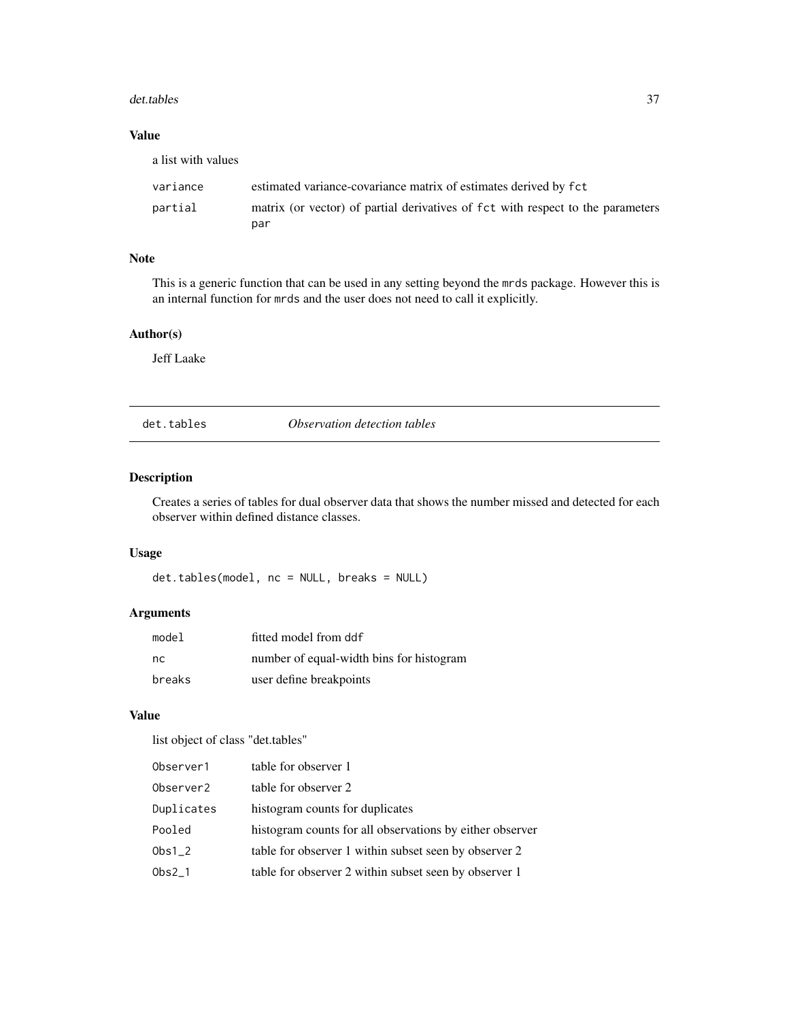### det.tables 37

# Value

| a list with values |                                                                                 |
|--------------------|---------------------------------------------------------------------------------|
| variance           | estimated variance-covariance matrix of estimates derived by fct                |
| partial            | matrix (or vector) of partial derivatives of fct with respect to the parameters |
|                    | par                                                                             |

## Note

This is a generic function that can be used in any setting beyond the mrds package. However this is an internal function for mrds and the user does not need to call it explicitly.

# Author(s)

Jeff Laake

det.tables *Observation detection tables*

# Description

Creates a series of tables for dual observer data that shows the number missed and detected for each observer within defined distance classes.

# Usage

det.tables(model, nc = NULL, breaks = NULL)

# Arguments

| model  | fitted model from ddf                    |
|--------|------------------------------------------|
| nc.    | number of equal-width bins for histogram |
| breaks | user define breakpoints                  |

# Value

list object of class "det.tables"

| Observer1  | table for observer 1                                     |
|------------|----------------------------------------------------------|
| Observer2  | table for observer 2                                     |
| Duplicates | histogram counts for duplicates                          |
| Pooled     | histogram counts for all observations by either observer |
| $Obs1_2$   | table for observer 1 within subset seen by observer 2    |
| $Obs2_1$   | table for observer 2 within subset seen by observer 1    |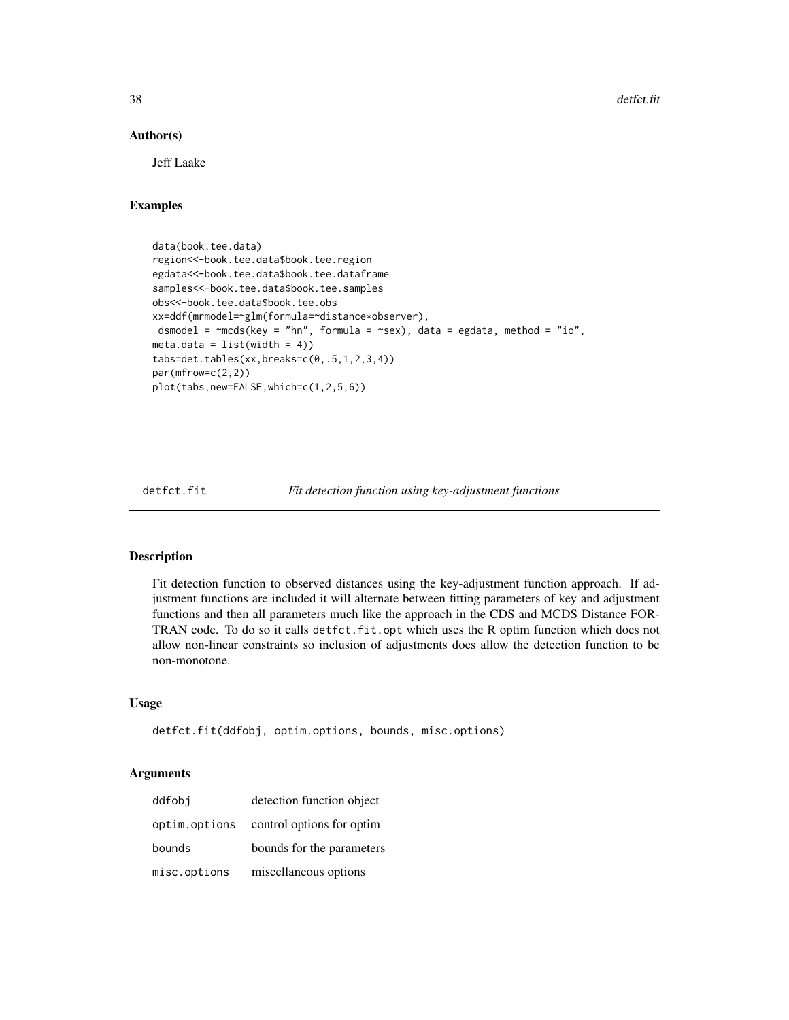### Author(s)

Jeff Laake

# Examples

data(book.tee.data) region<<-book.tee.data\$book.tee.region egdata<<-book.tee.data\$book.tee.dataframe samples<<-book.tee.data\$book.tee.samples obs<<-book.tee.data\$book.tee.obs xx=ddf(mrmodel=~glm(formula=~distance\*observer), dsmodel =  $\negthinspace$ mcds(key = "hn", formula =  $\negthinspace$ sex), data = egdata, method = "io",  $meta.data = list(width = 4)$ tabs=det.tables(xx,breaks=c(0,.5,1,2,3,4)) par(mfrow=c(2,2)) plot(tabs,new=FALSE,which=c(1,2,5,6))

detfct.fit *Fit detection function using key-adjustment functions*

#### Description

Fit detection function to observed distances using the key-adjustment function approach. If adjustment functions are included it will alternate between fitting parameters of key and adjustment functions and then all parameters much like the approach in the CDS and MCDS Distance FOR-TRAN code. To do so it calls detfct.fit.opt which uses the R optim function which does not allow non-linear constraints so inclusion of adjustments does allow the detection function to be non-monotone.

### Usage

```
detfct.fit(ddfobj, optim.options, bounds, misc.options)
```

| ddfobi        | detection function object |
|---------------|---------------------------|
| optim.options | control options for optim |
| bounds        | bounds for the parameters |
| misc.options  | miscellaneous options     |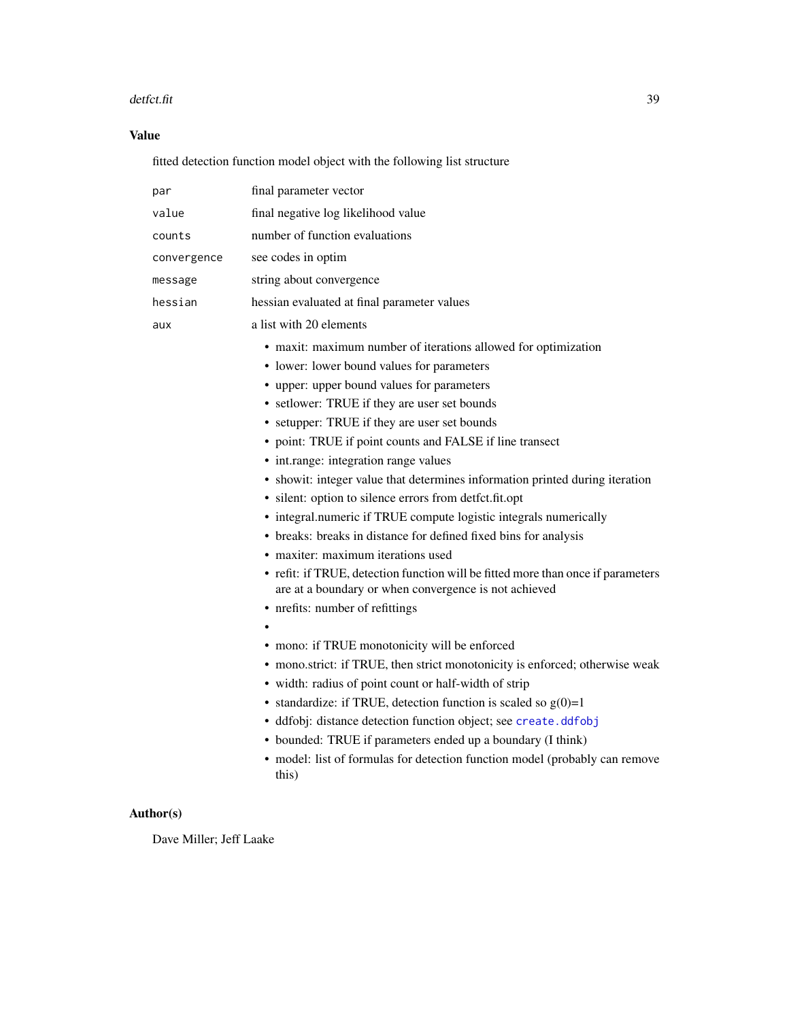### detfct.fit 39

# Value

fitted detection function model object with the following list structure

| par         | final parameter vector                                                                                                                                                                                                                                                                                                                                                                                                                                                                                                                                                                                                                                                                                                                                                                                                                                                                                                                                                                                                                                                                                                                                                                                                                                                                                                                                           |  |
|-------------|------------------------------------------------------------------------------------------------------------------------------------------------------------------------------------------------------------------------------------------------------------------------------------------------------------------------------------------------------------------------------------------------------------------------------------------------------------------------------------------------------------------------------------------------------------------------------------------------------------------------------------------------------------------------------------------------------------------------------------------------------------------------------------------------------------------------------------------------------------------------------------------------------------------------------------------------------------------------------------------------------------------------------------------------------------------------------------------------------------------------------------------------------------------------------------------------------------------------------------------------------------------------------------------------------------------------------------------------------------------|--|
| value       | final negative log likelihood value                                                                                                                                                                                                                                                                                                                                                                                                                                                                                                                                                                                                                                                                                                                                                                                                                                                                                                                                                                                                                                                                                                                                                                                                                                                                                                                              |  |
| counts      | number of function evaluations                                                                                                                                                                                                                                                                                                                                                                                                                                                                                                                                                                                                                                                                                                                                                                                                                                                                                                                                                                                                                                                                                                                                                                                                                                                                                                                                   |  |
| convergence | see codes in optim                                                                                                                                                                                                                                                                                                                                                                                                                                                                                                                                                                                                                                                                                                                                                                                                                                                                                                                                                                                                                                                                                                                                                                                                                                                                                                                                               |  |
| message     | string about convergence                                                                                                                                                                                                                                                                                                                                                                                                                                                                                                                                                                                                                                                                                                                                                                                                                                                                                                                                                                                                                                                                                                                                                                                                                                                                                                                                         |  |
| hessian     | hessian evaluated at final parameter values                                                                                                                                                                                                                                                                                                                                                                                                                                                                                                                                                                                                                                                                                                                                                                                                                                                                                                                                                                                                                                                                                                                                                                                                                                                                                                                      |  |
| aux         | a list with 20 elements                                                                                                                                                                                                                                                                                                                                                                                                                                                                                                                                                                                                                                                                                                                                                                                                                                                                                                                                                                                                                                                                                                                                                                                                                                                                                                                                          |  |
|             | • maxit: maximum number of iterations allowed for optimization<br>• lower: lower bound values for parameters<br>• upper: upper bound values for parameters<br>• setlower: TRUE if they are user set bounds<br>• setupper: TRUE if they are user set bounds<br>• point: TRUE if point counts and FALSE if line transect<br>• int.range: integration range values<br>• showit: integer value that determines information printed during iteration<br>· silent: option to silence errors from detfct.fit.opt<br>• integral.numeric if TRUE compute logistic integrals numerically<br>• breaks: breaks in distance for defined fixed bins for analysis<br>• maxiter: maximum iterations used<br>• refit: if TRUE, detection function will be fitted more than once if parameters<br>are at a boundary or when convergence is not achieved<br>• nrefits: number of refittings<br>• mono: if TRUE monotonicity will be enforced<br>• mono.strict: if TRUE, then strict monotonicity is enforced; otherwise weak<br>· width: radius of point count or half-width of strip<br>• standardize: if TRUE, detection function is scaled so $g(0)=1$<br>· ddfobj: distance detection function object; see create.ddfobj<br>• bounded: TRUE if parameters ended up a boundary (I think)<br>• model: list of formulas for detection function model (probably can remove<br>this) |  |

# Author(s)

Dave Miller; Jeff Laake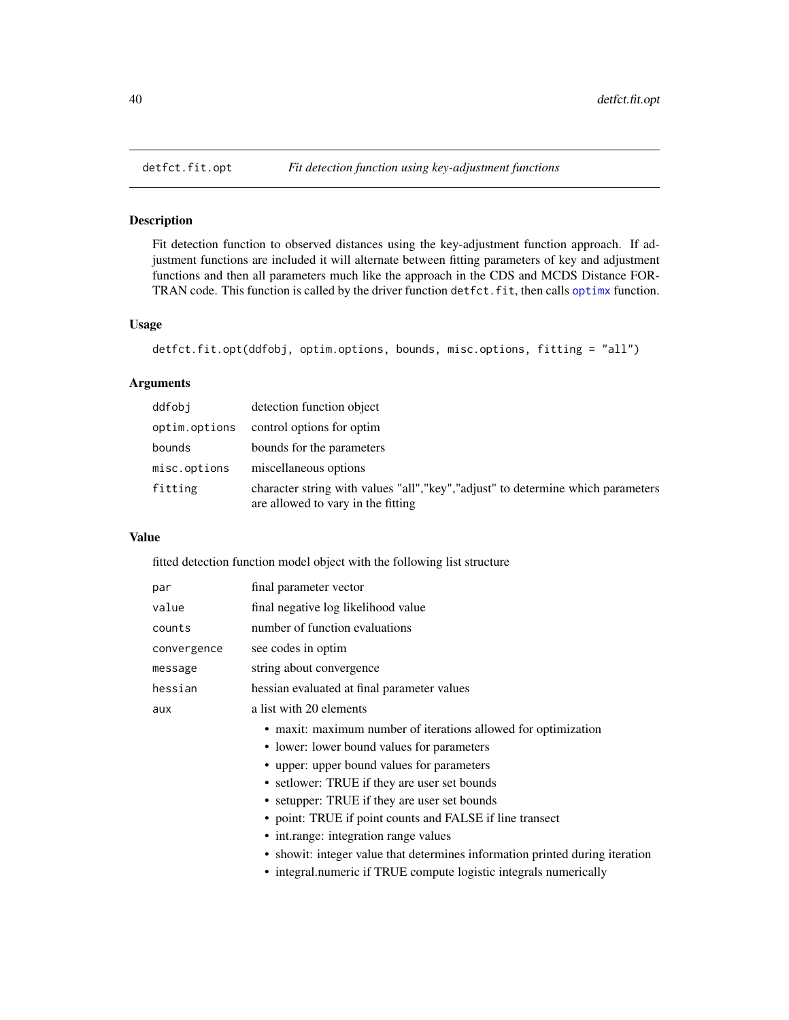# Description

Fit detection function to observed distances using the key-adjustment function approach. If adjustment functions are included it will alternate between fitting parameters of key and adjustment functions and then all parameters much like the approach in the CDS and MCDS Distance FORTRAN code. This function is called by the driver function detfct.fit, then calls [optimx](#page-0-0) function.

## Usage

```
detfct.fit.opt(ddfobj, optim.options, bounds, misc.options, fitting = "all")
```
# Arguments

| ddfobi        | detection function object                                                                                               |
|---------------|-------------------------------------------------------------------------------------------------------------------------|
| optim.options | control options for optim                                                                                               |
| bounds        | bounds for the parameters                                                                                               |
| misc.options  | miscellaneous options                                                                                                   |
| fitting       | character string with values "all", "key", "adjust" to determine which parameters<br>are allowed to vary in the fitting |

## Value

fitted detection function model object with the following list structure

| par         | final parameter vector                                                       |
|-------------|------------------------------------------------------------------------------|
| value       | final negative log likelihood value                                          |
| counts      | number of function evaluations                                               |
| convergence | see codes in optim                                                           |
| message     | string about convergence                                                     |
| hessian     | hessian evaluated at final parameter values                                  |
| aux         | a list with 20 elements                                                      |
|             | • maxit: maximum number of iterations allowed for optimization               |
|             | • lower: lower bound values for parameters                                   |
|             | • upper: upper bound values for parameters                                   |
|             | • set lower: TRUE if they are user set bounds                                |
|             | • setupper: TRUE if they are user set bounds                                 |
|             | • point: TRUE if point counts and FALSE if line transect                     |
|             | • int.range: integration range values                                        |
|             | • showit: integer value that determines information printed during iteration |
|             | • integral.numeric if TRUE compute logistic integrals numerically            |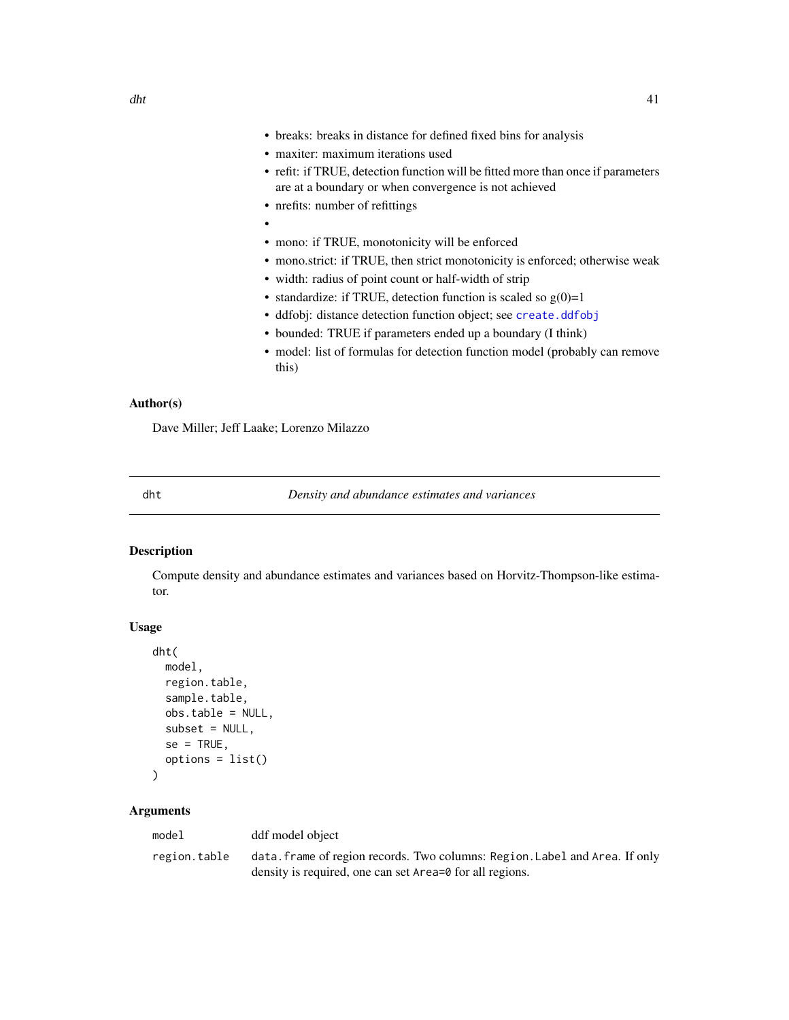- breaks: breaks in distance for defined fixed bins for analysis
- maxiter: maximum iterations used
- refit: if TRUE, detection function will be fitted more than once if parameters are at a boundary or when convergence is not achieved
- nrefits: number of refittings
- •
- mono: if TRUE, monotonicity will be enforced
- mono.strict: if TRUE, then strict monotonicity is enforced; otherwise weak
- width: radius of point count or half-width of strip
- standardize: if TRUE, detection function is scaled so  $g(0)=1$
- ddfobj: distance detection function object; see [create.ddfobj](#page-0-0)
- bounded: TRUE if parameters ended up a boundary (I think)
- model: list of formulas for detection function model (probably can remove this)

## Author(s)

Dave Miller; Jeff Laake; Lorenzo Milazzo

<span id="page-40-0"></span>

dht *Density and abundance estimates and variances*

# Description

Compute density and abundance estimates and variances based on Horvitz-Thompson-like estimator.

## Usage

```
dht(
 model,
  region.table,
  sample.table,
  obs.table = NULL,
  subset = NULL,se = TRUE,options = list())
```

| model        | ddf model object                                                            |
|--------------|-----------------------------------------------------------------------------|
| region.table | data. frame of region records. Two columns: Region. Label and Area. If only |
|              | density is required, one can set Area=0 for all regions.                    |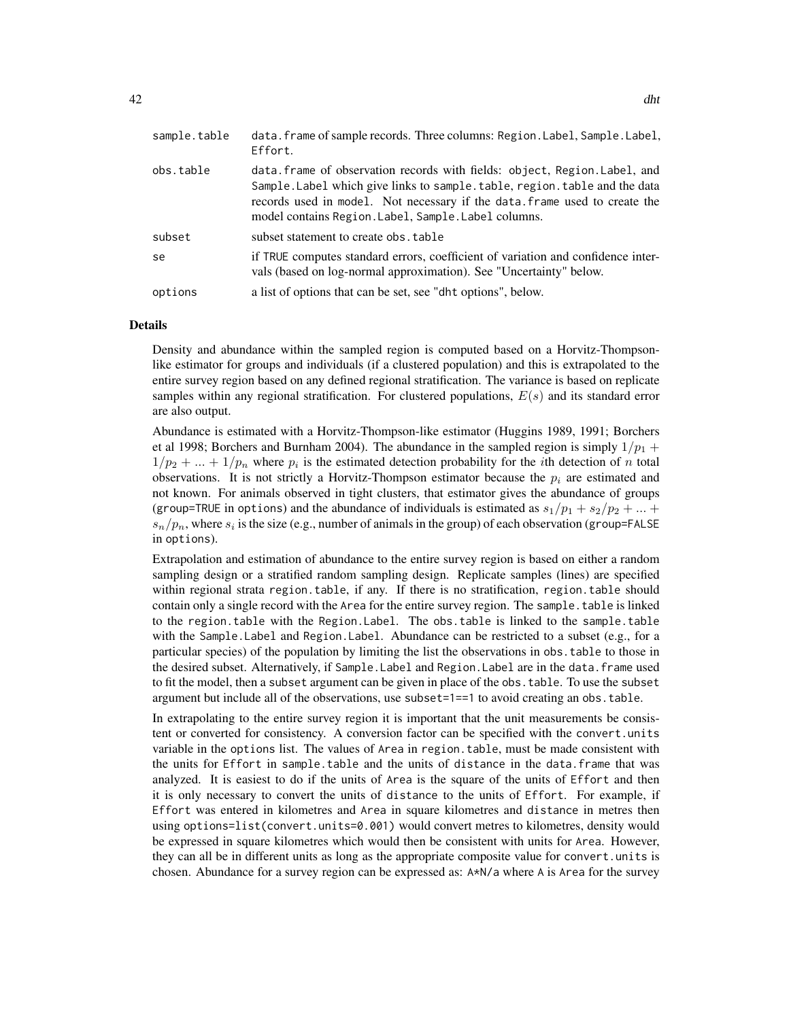| sample.table | data.frame of sample records. Three columns: Region.Label, Sample.Label,<br>Effort.                                                                                                                                                                                                            |
|--------------|------------------------------------------------------------------------------------------------------------------------------------------------------------------------------------------------------------------------------------------------------------------------------------------------|
| obs.table    | data. frame of observation records with fields: object, Region. Label, and<br>Sample. Label which give links to sample. table, region. table and the data<br>records used in model. Not necessary if the data frame used to create the<br>model contains Region. Label, Sample. Label columns. |
| subset       | subset statement to create obs. table                                                                                                                                                                                                                                                          |
| se           | if TRUE computes standard errors, coefficient of variation and confidence inter-<br>vals (based on log-normal approximation). See "Uncertainty" below.                                                                                                                                         |
| options      | a list of options that can be set, see "dht options", below.                                                                                                                                                                                                                                   |

### Details

Density and abundance within the sampled region is computed based on a Horvitz-Thompsonlike estimator for groups and individuals (if a clustered population) and this is extrapolated to the entire survey region based on any defined regional stratification. The variance is based on replicate samples within any regional stratification. For clustered populations,  $E(s)$  and its standard error are also output.

Abundance is estimated with a Horvitz-Thompson-like estimator (Huggins 1989, 1991; Borchers et al 1998; Borchers and Burnham 2004). The abundance in the sampled region is simply  $1/p_1 +$  $1/p_2 + ... + 1/p_n$  where  $p_i$  is the estimated detection probability for the *i*th detection of *n* total observations. It is not strictly a Horvitz-Thompson estimator because the  $p_i$  are estimated and not known. For animals observed in tight clusters, that estimator gives the abundance of groups (group=TRUE in options) and the abundance of individuals is estimated as  $s_1/p_1 + s_2/p_2 + ...$  $s_n/p_n$ , where  $s_i$  is the size (e.g., number of animals in the group) of each observation (group=FALSE) in options).

Extrapolation and estimation of abundance to the entire survey region is based on either a random sampling design or a stratified random sampling design. Replicate samples (lines) are specified within regional strata region.table, if any. If there is no stratification, region.table should contain only a single record with the Area for the entire survey region. The sample.table is linked to the region.table with the Region.Label. The obs.table is linked to the sample.table with the Sample.Label and Region.Label. Abundance can be restricted to a subset (e.g., for a particular species) of the population by limiting the list the observations in obs.table to those in the desired subset. Alternatively, if Sample.Label and Region.Label are in the data.frame used to fit the model, then a subset argument can be given in place of the obs.table. To use the subset argument but include all of the observations, use subset=1==1 to avoid creating an obs.table.

In extrapolating to the entire survey region it is important that the unit measurements be consistent or converted for consistency. A conversion factor can be specified with the convert.units variable in the options list. The values of Area in region.table, must be made consistent with the units for Effort in sample.table and the units of distance in the data.frame that was analyzed. It is easiest to do if the units of Area is the square of the units of Effort and then it is only necessary to convert the units of distance to the units of Effort. For example, if Effort was entered in kilometres and Area in square kilometres and distance in metres then using options=list(convert.units=0.001) would convert metres to kilometres, density would be expressed in square kilometres which would then be consistent with units for Area. However, they can all be in different units as long as the appropriate composite value for convert.units is chosen. Abundance for a survey region can be expressed as: A\*N/a where A is Area for the survey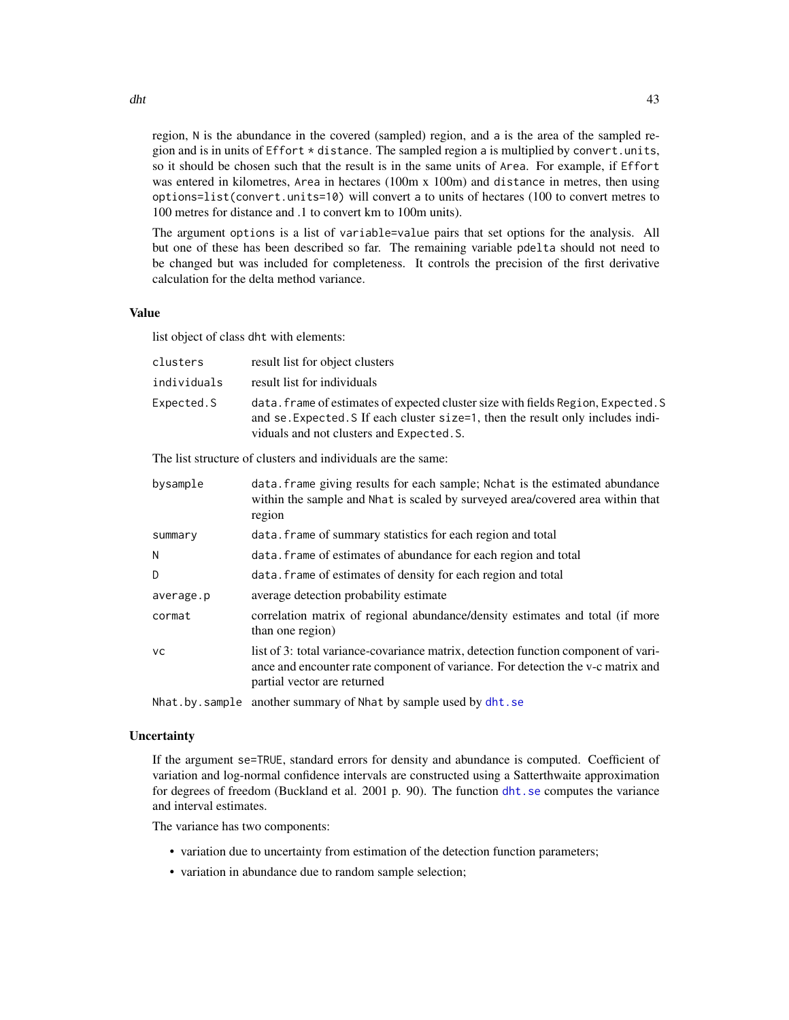region, N is the abundance in the covered (sampled) region, and a is the area of the sampled region and is in units of  $E$ ffort  $*$  distance. The sampled region a is multiplied by convert.units, so it should be chosen such that the result is in the same units of Area. For example, if Effort was entered in kilometres, Area in hectares (100m x 100m) and distance in metres, then using options=list(convert.units=10) will convert a to units of hectares (100 to convert metres to 100 metres for distance and .1 to convert km to 100m units).

The argument options is a list of variable=value pairs that set options for the analysis. All but one of these has been described so far. The remaining variable pdelta should not need to be changed but was included for completeness. It controls the precision of the first derivative calculation for the delta method variance.

### Value

list object of class dht with elements:

| clusters    | result list for object clusters                                                                                                                                                                                   |
|-------------|-------------------------------------------------------------------------------------------------------------------------------------------------------------------------------------------------------------------|
| individuals | result list for individuals                                                                                                                                                                                       |
| Expected.S  | data. frame of estimates of expected cluster size with fields Region, Expected. S<br>and se. Expected. S If each cluster size=1, then the result only includes indi-<br>viduals and not clusters and Expected. S. |

The list structure of clusters and individuals are the same:

| bysample  | data. frame giving results for each sample; Nchat is the estimated abundance<br>within the sample and Nhat is scaled by surveyed area/covered area within that<br>region                             |
|-----------|------------------------------------------------------------------------------------------------------------------------------------------------------------------------------------------------------|
| summary   | data. Frame of summary statistics for each region and total                                                                                                                                          |
| N         | data. Frame of estimates of abundance for each region and total                                                                                                                                      |
| D.        | data. Frame of estimates of density for each region and total                                                                                                                                        |
| average.p | average detection probability estimate                                                                                                                                                               |
| cormat    | correlation matrix of regional abundance/density estimates and total (if more<br>than one region)                                                                                                    |
| <b>VC</b> | list of 3: total variance-covariance matrix, detection function component of vari-<br>ance and encounter rate component of variance. For detection the v-c matrix and<br>partial vector are returned |
|           |                                                                                                                                                                                                      |

Nhat.by.sample another summary of Nhat by sample used by [dht.se](#page-45-0)

## **Uncertainty**

If the argument se=TRUE, standard errors for density and abundance is computed. Coefficient of variation and log-normal confidence intervals are constructed using a Satterthwaite approximation for degrees of freedom (Buckland et al. 2001 p. 90). The function [dht.se](#page-45-0) computes the variance and interval estimates.

The variance has two components:

- variation due to uncertainty from estimation of the detection function parameters;
- variation in abundance due to random sample selection;

dht and the contract of the contract of the contract of the contract of the contract of the contract of the contract of the contract of the contract of the contract of the contract of the contract of the contract of the co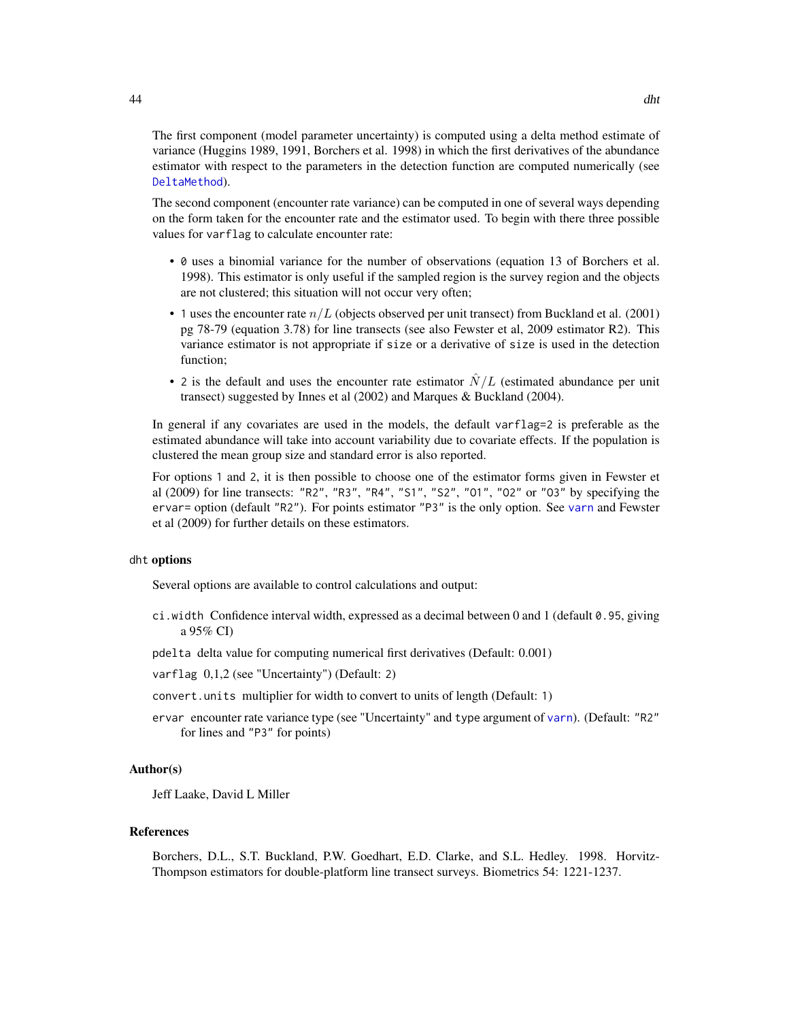The first component (model parameter uncertainty) is computed using a delta method estimate of variance (Huggins 1989, 1991, Borchers et al. 1998) in which the first derivatives of the abundance estimator with respect to the parameters in the detection function are computed numerically (see [DeltaMethod](#page-35-0)).

The second component (encounter rate variance) can be computed in one of several ways depending on the form taken for the encounter rate and the estimator used. To begin with there three possible values for varflag to calculate encounter rate:

- 0 uses a binomial variance for the number of observations (equation 13 of Borchers et al. 1998). This estimator is only useful if the sampled region is the survey region and the objects are not clustered; this situation will not occur very often;
- 1 uses the encounter rate  $n/L$  (objects observed per unit transect) from Buckland et al. (2001) pg 78-79 (equation 3.78) for line transects (see also Fewster et al, 2009 estimator R2). This variance estimator is not appropriate if size or a derivative of size is used in the detection function;
- 2 is the default and uses the encounter rate estimator  $\hat{N}/L$  (estimated abundance per unit transect) suggested by Innes et al (2002) and Marques & Buckland (2004).

In general if any covariates are used in the models, the default varflag=2 is preferable as the estimated abundance will take into account variability due to covariate effects. If the population is clustered the mean group size and standard error is also reported.

For options 1 and 2, it is then possible to choose one of the estimator forms given in Fewster et al (2009) for line transects: "R2", "R3", "R4", "S1", "S2", "O1", "O2" or "O3" by specifying the ervar= option (default "R2"). For points estimator "P3" is the only option. See [varn](#page-140-0) and Fewster et al (2009) for further details on these estimators.

### dht options

Several options are available to control calculations and output:

- ci.width Confidence interval width, expressed as a decimal between 0 and 1 (default 0.95, giving a 95% CI)
- pdelta delta value for computing numerical first derivatives (Default: 0.001)
- varflag 0,1,2 (see "Uncertainty") (Default: 2)
- convert.units multiplier for width to convert to units of length (Default: 1)
- ervar encounter rate variance type (see "Uncertainty" and type argument of [varn](#page-140-0)). (Default: "R2" for lines and "P3" for points)

## Author(s)

Jeff Laake, David L Miller

### References

Borchers, D.L., S.T. Buckland, P.W. Goedhart, E.D. Clarke, and S.L. Hedley. 1998. Horvitz-Thompson estimators for double-platform line transect surveys. Biometrics 54: 1221-1237.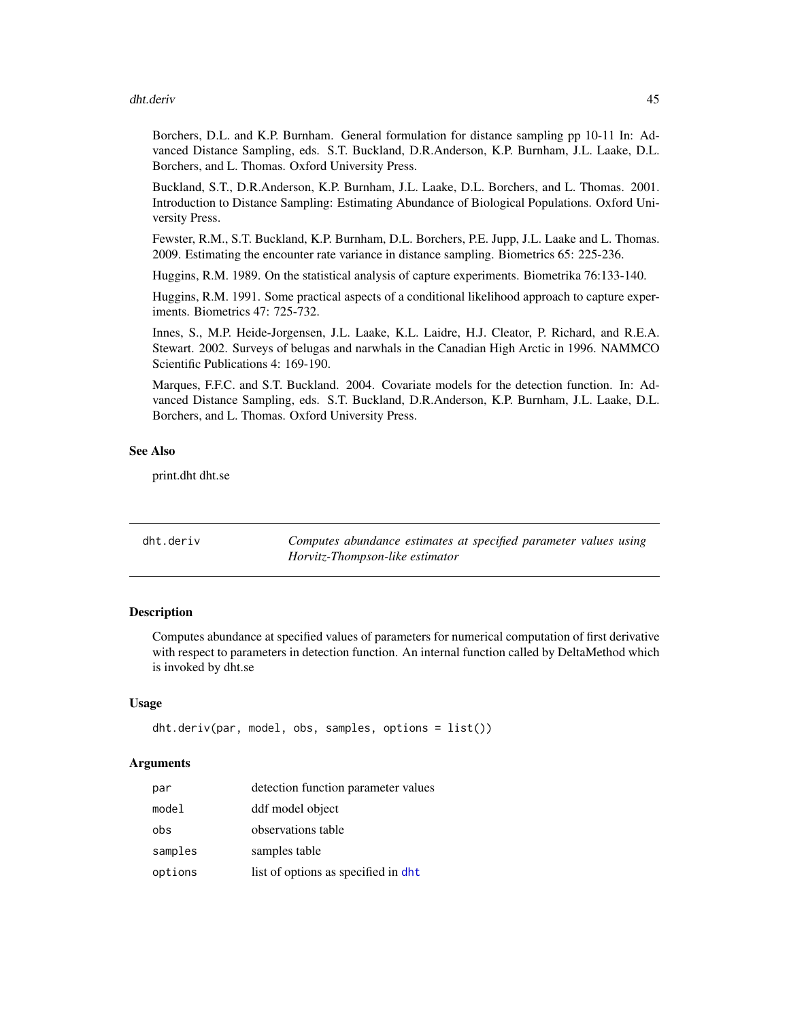### dht.deriv 45

Borchers, D.L. and K.P. Burnham. General formulation for distance sampling pp 10-11 In: Advanced Distance Sampling, eds. S.T. Buckland, D.R.Anderson, K.P. Burnham, J.L. Laake, D.L. Borchers, and L. Thomas. Oxford University Press.

Buckland, S.T., D.R.Anderson, K.P. Burnham, J.L. Laake, D.L. Borchers, and L. Thomas. 2001. Introduction to Distance Sampling: Estimating Abundance of Biological Populations. Oxford University Press.

Fewster, R.M., S.T. Buckland, K.P. Burnham, D.L. Borchers, P.E. Jupp, J.L. Laake and L. Thomas. 2009. Estimating the encounter rate variance in distance sampling. Biometrics 65: 225-236.

Huggins, R.M. 1989. On the statistical analysis of capture experiments. Biometrika 76:133-140.

Huggins, R.M. 1991. Some practical aspects of a conditional likelihood approach to capture experiments. Biometrics 47: 725-732.

Innes, S., M.P. Heide-Jorgensen, J.L. Laake, K.L. Laidre, H.J. Cleator, P. Richard, and R.E.A. Stewart. 2002. Surveys of belugas and narwhals in the Canadian High Arctic in 1996. NAMMCO Scientific Publications 4: 169-190.

Marques, F.F.C. and S.T. Buckland. 2004. Covariate models for the detection function. In: Advanced Distance Sampling, eds. S.T. Buckland, D.R.Anderson, K.P. Burnham, J.L. Laake, D.L. Borchers, and L. Thomas. Oxford University Press.

#### See Also

print.dht dht.se

| dht.deriv | Computes abundance estimates at specified parameter values using |
|-----------|------------------------------------------------------------------|
|           | Horvitz-Thompson-like estimator                                  |

### **Description**

Computes abundance at specified values of parameters for numerical computation of first derivative with respect to parameters in detection function. An internal function called by DeltaMethod which is invoked by dht.se

#### Usage

```
dht.deriv(par, model, obs, samples, options = list())
```

| par     | detection function parameter values  |
|---------|--------------------------------------|
| model   | ddf model object                     |
| obs     | observations table                   |
| samples | samples table                        |
| options | list of options as specified in dht. |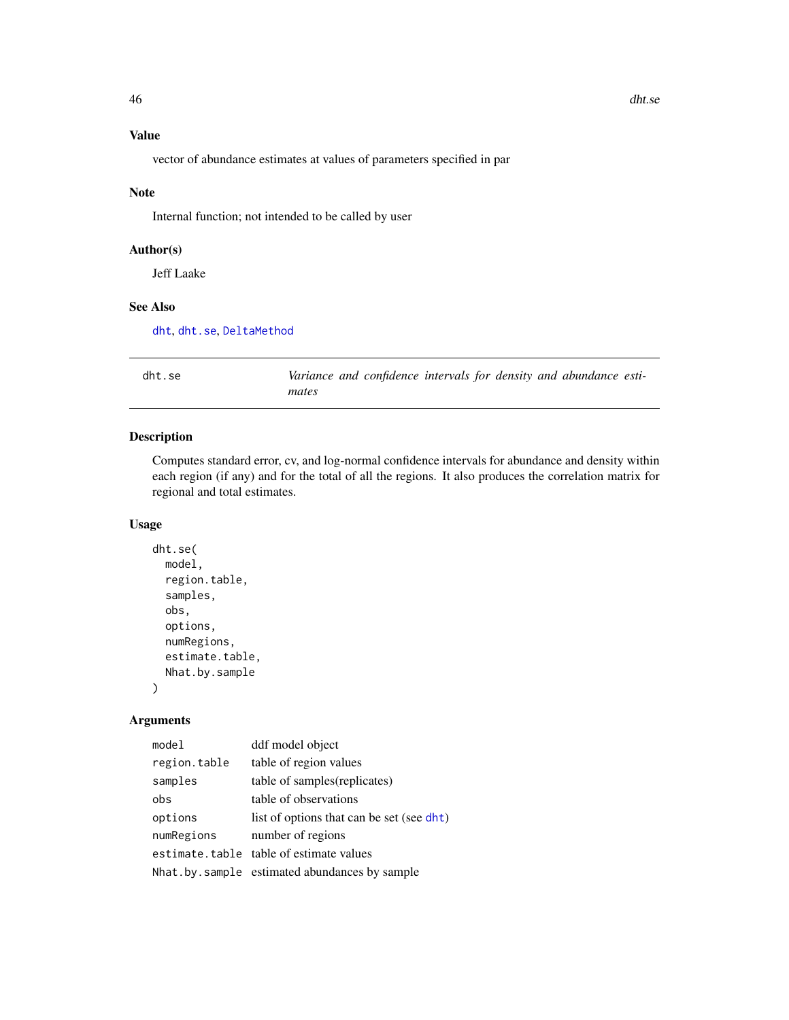# Value

vector of abundance estimates at values of parameters specified in par

## Note

Internal function; not intended to be called by user

# Author(s)

Jeff Laake

## See Also

[dht](#page-40-0), [dht.se](#page-45-0), [DeltaMethod](#page-35-0)

<span id="page-45-0"></span>

| dht.se | Variance and confidence intervals for density and abundance esti- |
|--------|-------------------------------------------------------------------|
|        | mates                                                             |

# Description

Computes standard error, cv, and log-normal confidence intervals for abundance and density within each region (if any) and for the total of all the regions. It also produces the correlation matrix for regional and total estimates.

## Usage

```
dht.se(
 model,
  region.table,
  samples,
  obs,
  options,
  numRegions,
  estimate.table,
  Nhat.by.sample
\mathcal{E}
```

| model        | ddf model object                              |
|--------------|-----------------------------------------------|
| region.table | table of region values                        |
| samples      | table of samples (replicates)                 |
| obs          | table of observations                         |
| options      | list of options that can be set (see dht)     |
| numRegions   | number of regions                             |
|              | estimate.table table of estimate values       |
|              | Nhat by sample estimated abundances by sample |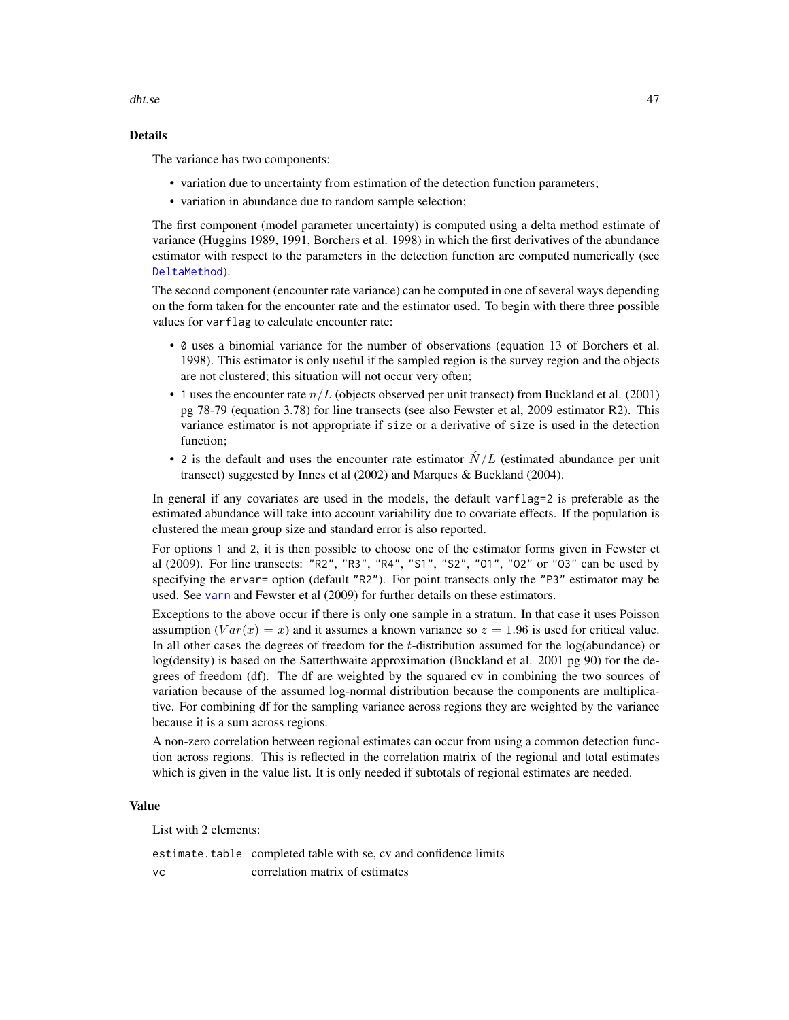dht.se 47

# Details

The variance has two components:

- variation due to uncertainty from estimation of the detection function parameters;
- variation in abundance due to random sample selection;

The first component (model parameter uncertainty) is computed using a delta method estimate of variance (Huggins 1989, 1991, Borchers et al. 1998) in which the first derivatives of the abundance estimator with respect to the parameters in the detection function are computed numerically (see [DeltaMethod](#page-35-0)).

The second component (encounter rate variance) can be computed in one of several ways depending on the form taken for the encounter rate and the estimator used. To begin with there three possible values for varflag to calculate encounter rate:

- 0 uses a binomial variance for the number of observations (equation 13 of Borchers et al. 1998). This estimator is only useful if the sampled region is the survey region and the objects are not clustered; this situation will not occur very often;
- 1 uses the encounter rate  $n/L$  (objects observed per unit transect) from Buckland et al. (2001) pg 78-79 (equation 3.78) for line transects (see also Fewster et al, 2009 estimator R2). This variance estimator is not appropriate if size or a derivative of size is used in the detection function;
- 2 is the default and uses the encounter rate estimator  $\hat{N}/L$  (estimated abundance per unit transect) suggested by Innes et al (2002) and Marques & Buckland (2004).

In general if any covariates are used in the models, the default varflag=2 is preferable as the estimated abundance will take into account variability due to covariate effects. If the population is clustered the mean group size and standard error is also reported.

For options 1 and 2, it is then possible to choose one of the estimator forms given in Fewster et al (2009). For line transects: "R2", "R3", "R4", "S1", "S2", "O1", "O2" or "O3" can be used by specifying the ervar= option (default "R2"). For point transects only the "P3" estimator may be used. See [varn](#page-140-0) and Fewster et al (2009) for further details on these estimators.

Exceptions to the above occur if there is only one sample in a stratum. In that case it uses Poisson assumption  $(Var(x) = x)$  and it assumes a known variance so  $z = 1.96$  is used for critical value. In all other cases the degrees of freedom for the  $t$ -distribution assumed for the log(abundance) or log(density) is based on the Satterthwaite approximation (Buckland et al. 2001 pg 90) for the degrees of freedom (df). The df are weighted by the squared cv in combining the two sources of variation because of the assumed log-normal distribution because the components are multiplicative. For combining df for the sampling variance across regions they are weighted by the variance because it is a sum across regions.

A non-zero correlation between regional estimates can occur from using a common detection function across regions. This is reflected in the correlation matrix of the regional and total estimates which is given in the value list. It is only needed if subtotals of regional estimates are needed.

## Value

List with 2 elements:

estimate.table completed table with se, cv and confidence limits vc correlation matrix of estimates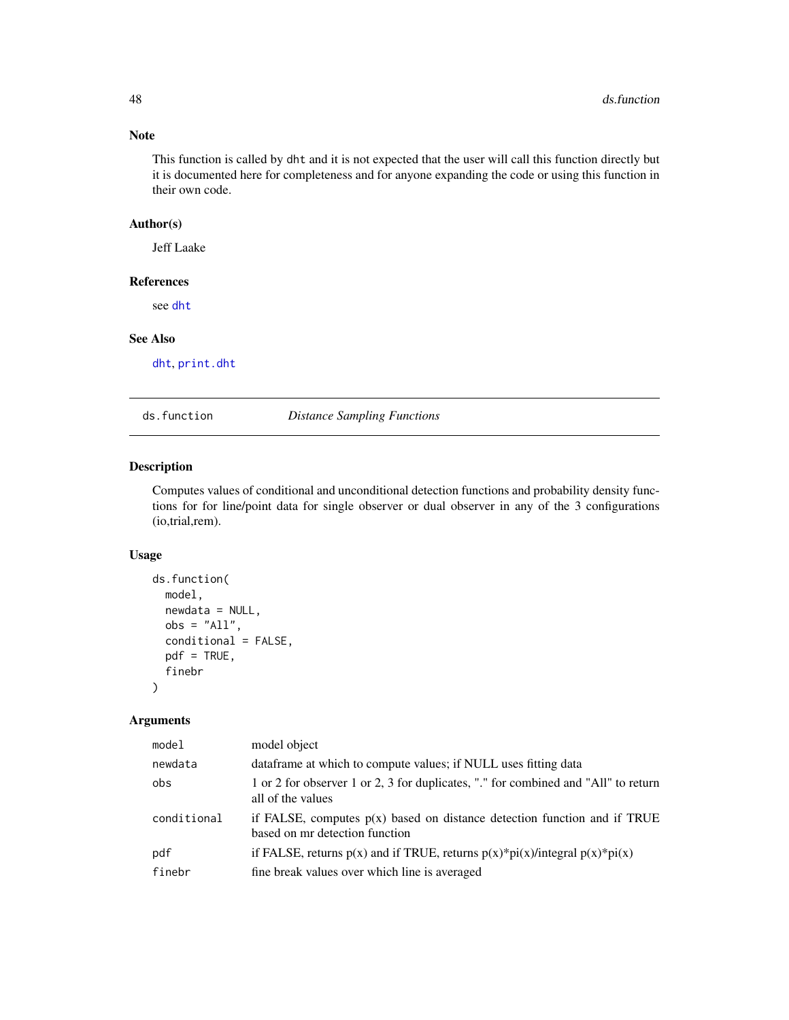# Note

This function is called by dht and it is not expected that the user will call this function directly but it is documented here for completeness and for anyone expanding the code or using this function in their own code.

### Author(s)

Jeff Laake

### References

see [dht](#page-40-0)

## See Also

[dht](#page-40-0), [print.dht](#page-107-0)

ds.function *Distance Sampling Functions*

# Description

Computes values of conditional and unconditional detection functions and probability density functions for for line/point data for single observer or dual observer in any of the 3 configurations (io,trial,rem).

## Usage

```
ds.function(
  model,
  newdata = NULL,
  obs = "All",conditional = FALSE,
  pdf = TRUE,finebr
\mathcal{L}
```

| model       | model object                                                                                                 |
|-------------|--------------------------------------------------------------------------------------------------------------|
| newdata     | data frame at which to compute values; if NULL uses fitting data                                             |
| obs         | 1 or 2 for observer 1 or 2, 3 for duplicates, "." for combined and "All" to return<br>all of the values      |
| conditional | if FALSE, computes $p(x)$ based on distance detection function and if TRUE<br>based on mr detection function |
| pdf         | if FALSE, returns $p(x)$ and if TRUE, returns $p(x)*pi(x)/integral p(x)*pi(x)$                               |
| finebr      | fine break values over which line is averaged                                                                |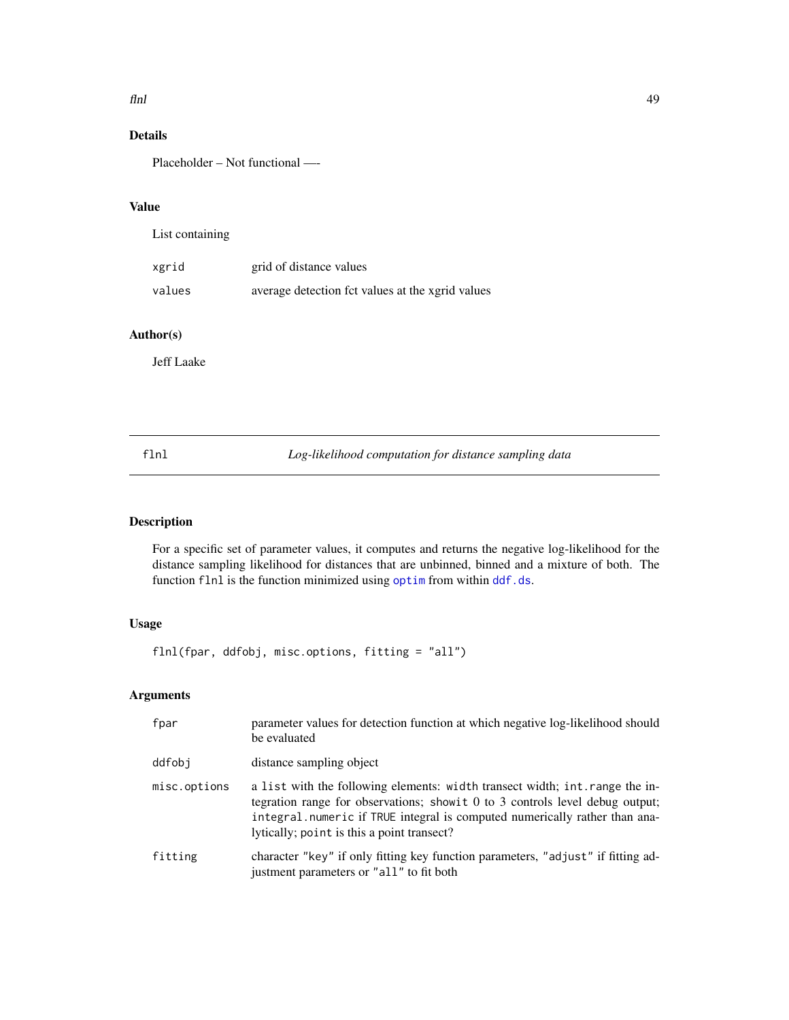### $flnl$  49

# Details

Placeholder – Not functional —-

# Value

| List containing |                                                  |
|-----------------|--------------------------------------------------|
| xgrid           | grid of distance values                          |
| values          | average detection fct values at the xgrid values |

# Author(s)

Jeff Laake

<span id="page-48-0"></span>flnl *Log-likelihood computation for distance sampling data*

# <span id="page-48-1"></span>Description

For a specific set of parameter values, it computes and returns the negative log-likelihood for the distance sampling likelihood for distances that are unbinned, binned and a mixture of both. The function flnl is the function minimized using [optim](#page-0-0) from within [ddf.ds](#page-24-0).

# Usage

flnl(fpar, ddfobj, misc.options, fitting = "all")

| fpar         | parameter values for detection function at which negative log-likelihood should<br>be evaluated                                                                                                                                                                                           |
|--------------|-------------------------------------------------------------------------------------------------------------------------------------------------------------------------------------------------------------------------------------------------------------------------------------------|
| ddfobj       | distance sampling object                                                                                                                                                                                                                                                                  |
| misc.options | a list with the following elements: width transect width; int. range the in-<br>tegration range for observations; show it 0 to 3 controls level debug output;<br>integral.numeric if TRUE integral is computed numerically rather than ana-<br>lytically; point is this a point transect? |
| fitting      | character "key" if only fitting key function parameters, "adjust" if fitting ad-<br>justment parameters or "all" to fit both                                                                                                                                                              |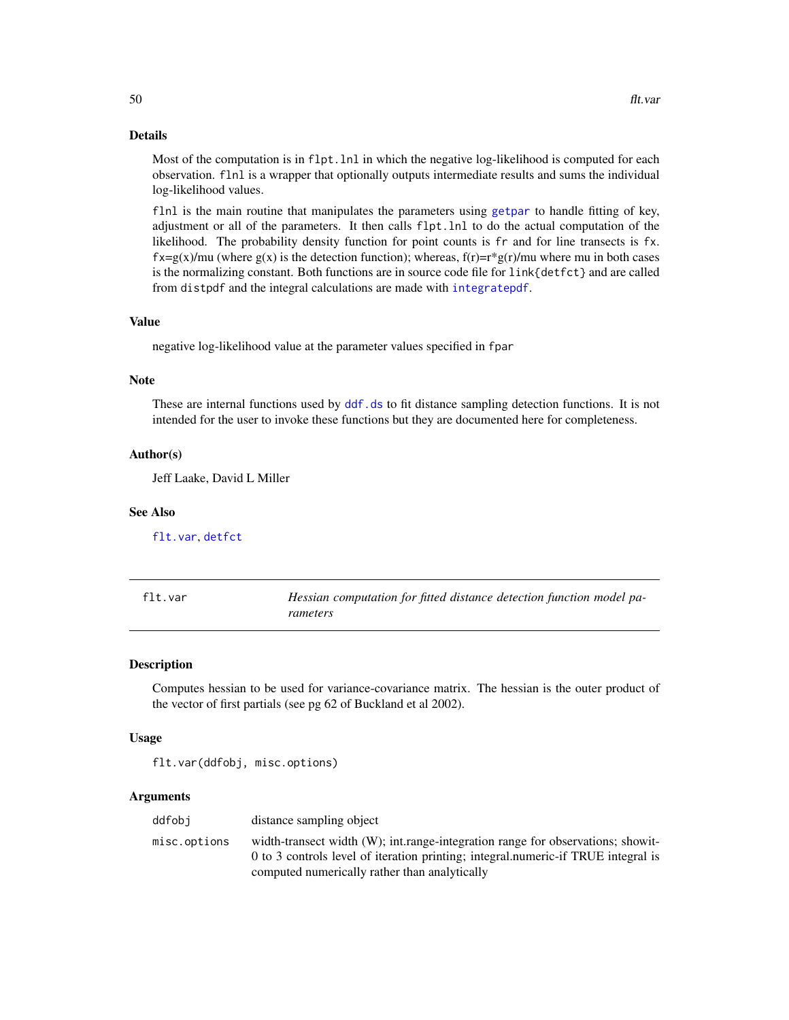### Details

Most of the computation is in flpt. lnl in which the negative log-likelihood is computed for each observation. flnl is a wrapper that optionally outputs intermediate results and sums the individual log-likelihood values.

flnl is the main routine that manipulates the parameters using [getpar](#page-51-0) to handle fitting of key, adjustment or all of the parameters. It then calls flpt.lnl to do the actual computation of the likelihood. The probability density function for point counts is fr and for line transects is fx.  $f\mathbf{x}=\mathbf{g}(\mathbf{x})/m\mathbf{u}$  (where  $g(\mathbf{x})$  is the detection function); whereas,  $f(\mathbf{r})=\mathbf{r}*\mathbf{g}(\mathbf{r})/m\mathbf{u}$  where mu in both cases is the normalizing constant. Both functions are in source code file for link{detfct} and are called from distpdf and the integral calculations are made with [integratepdf](#page-56-0).

#### Value

negative log-likelihood value at the parameter values specified in fpar

#### **Note**

These are internal functions used by  $\text{d}d\text{f}$ . ds to fit distance sampling detection functions. It is not intended for the user to invoke these functions but they are documented here for completeness.

#### Author(s)

Jeff Laake, David L Miller

#### See Also

[flt.var](#page-49-0), [detfct](#page-0-0)

<span id="page-49-0"></span>

| flt.var | Hessian computation for fitted distance detection function model pa- |
|---------|----------------------------------------------------------------------|
|         | rameters                                                             |

#### Description

Computes hessian to be used for variance-covariance matrix. The hessian is the outer product of the vector of first partials (see pg 62 of Buckland et al 2002).

#### Usage

```
flt.var(ddfobj, misc.options)
```

| ddfobi       | distance sampling object                                                          |
|--------------|-----------------------------------------------------------------------------------|
| misc.options | width-transect width (W); int.range-integration range for observations; show it-  |
|              | 0 to 3 controls level of iteration printing; integral.numeric-if TRUE integral is |
|              | computed numerically rather than analytically                                     |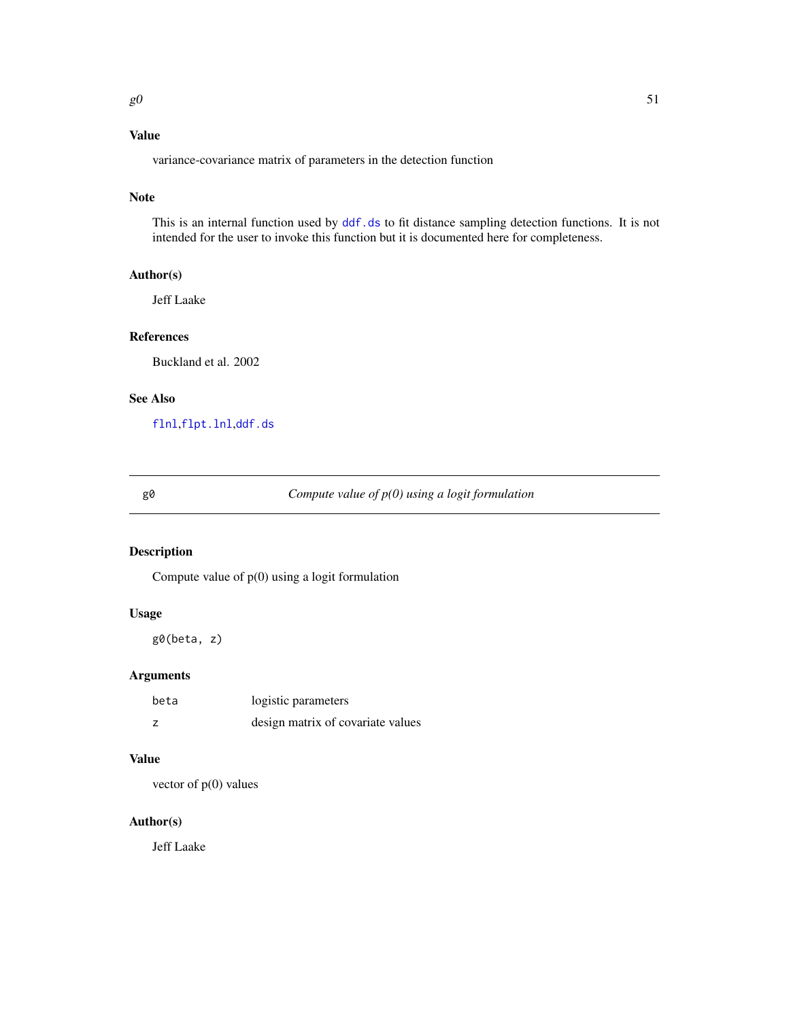# Value

variance-covariance matrix of parameters in the detection function

## Note

This is an internal function used by [ddf.ds](#page-24-0) to fit distance sampling detection functions. It is not intended for the user to invoke this function but it is documented here for completeness.

## Author(s)

Jeff Laake

# References

Buckland et al. 2002

## See Also

[flnl](#page-48-0),[flpt.lnl](#page-48-1),[ddf.ds](#page-24-0)

g0 *Compute value of p(0) using a logit formulation*

# Description

Compute value of p(0) using a logit formulation

## Usage

g0(beta, z)

# Arguments

| beta | logistic parameters               |
|------|-----------------------------------|
|      | design matrix of covariate values |

# Value

vector of  $p(0)$  values

## Author(s)

Jeff Laake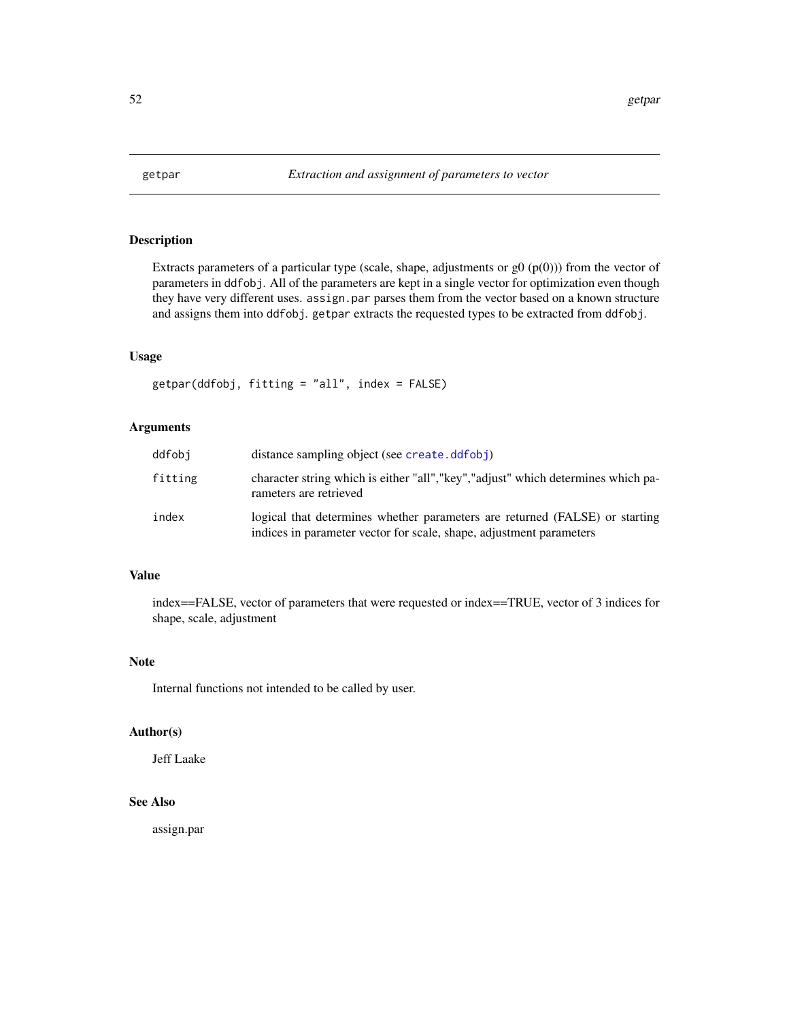<span id="page-51-0"></span>

# Description

Extracts parameters of a particular type (scale, shape, adjustments or  $g($   $p(0))$ ) from the vector of parameters in ddfobj. All of the parameters are kept in a single vector for optimization even though they have very different uses. assign.par parses them from the vector based on a known structure and assigns them into ddfobj. getpar extracts the requested types to be extracted from ddfobj.

### Usage

getpar(ddfobj, fitting = "all", index = FALSE)

### Arguments

| ddfobi  | distance sampling object (see create.ddfobj)                                                                                                       |
|---------|----------------------------------------------------------------------------------------------------------------------------------------------------|
| fitting | character string which is either "all", "key", "adjust" which determines which pa-<br>rameters are retrieved                                       |
| index   | logical that determines whether parameters are returned (FALSE) or starting<br>indices in parameter vector for scale, shape, adjustment parameters |

## Value

index==FALSE, vector of parameters that were requested or index==TRUE, vector of 3 indices for shape, scale, adjustment

## Note

Internal functions not intended to be called by user.

## Author(s)

Jeff Laake

# See Also

assign.par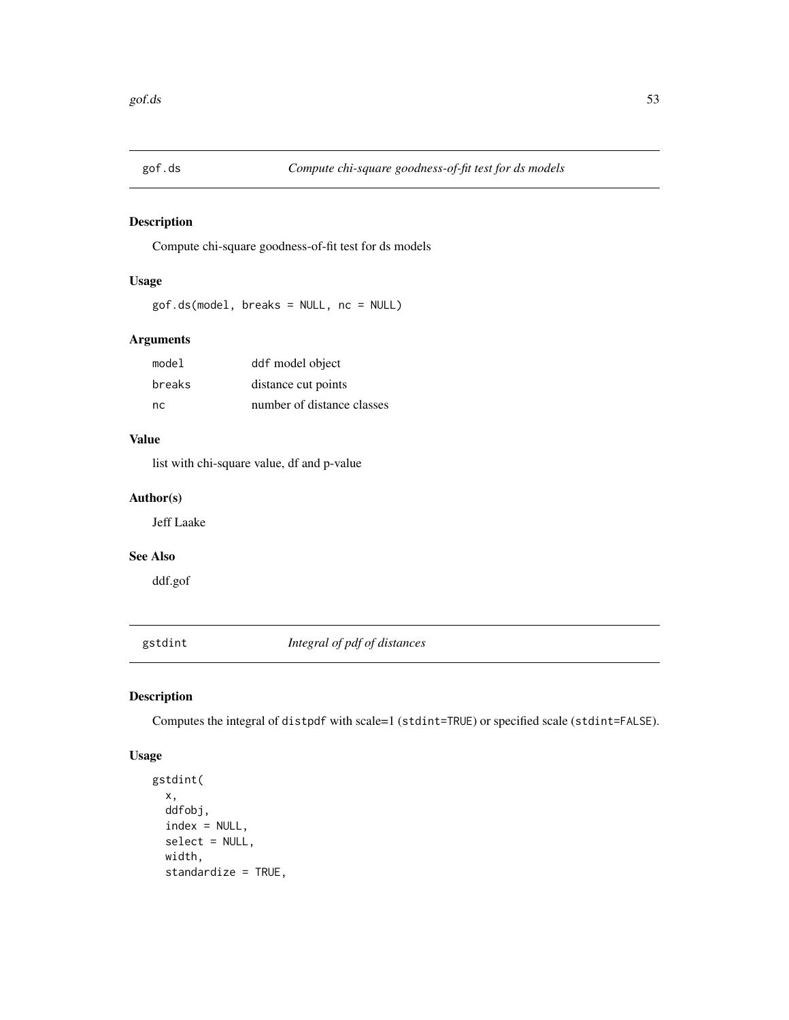# Description

Compute chi-square goodness-of-fit test for ds models

# Usage

gof.ds(model, breaks = NULL, nc = NULL)

# Arguments

| model  | ddf model object           |
|--------|----------------------------|
| breaks | distance cut points        |
| nc.    | number of distance classes |

# Value

list with chi-square value, df and p-value

# Author(s)

Jeff Laake

## See Also

ddf.gof

gstdint *Integral of pdf of distances*

# Description

Computes the integral of distpdf with scale=1 (stdint=TRUE) or specified scale (stdint=FALSE).

## Usage

```
gstdint(
  x,
 ddfobj,
  index = NULL,select = NULL,
  width,
  standardize = TRUE,
```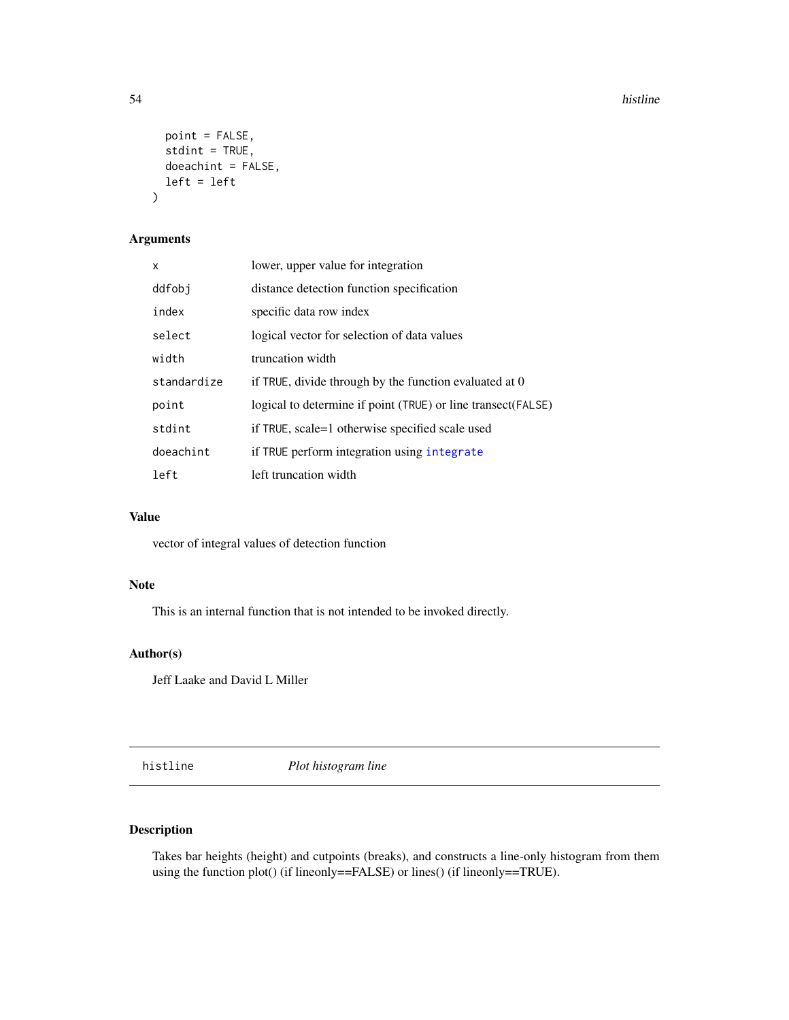### 54 histline

```
point = FALSE,
  stdint = TRUE,
 doeachint = FALSE,
  left = left
)
```
# Arguments

| x           | lower, upper value for integration                           |
|-------------|--------------------------------------------------------------|
| ddfobj      | distance detection function specification                    |
| index       | specific data row index                                      |
| select      | logical vector for selection of data values                  |
| width       | truncation width                                             |
| standardize | if TRUE, divide through by the function evaluated at 0       |
| point       | logical to determine if point (TRUE) or line transect(FALSE) |
| stdint      | if TRUE, scale=1 otherwise specified scale used              |
| doeachint   | if TRUE perform integration using integrate                  |
| left        | left truncation width                                        |

# Value

vector of integral values of detection function

## Note

This is an internal function that is not intended to be invoked directly.

# Author(s)

Jeff Laake and David L Miller

histline *Plot histogram line*

# Description

Takes bar heights (height) and cutpoints (breaks), and constructs a line-only histogram from them using the function plot() (if lineonly==FALSE) or lines() (if lineonly==TRUE).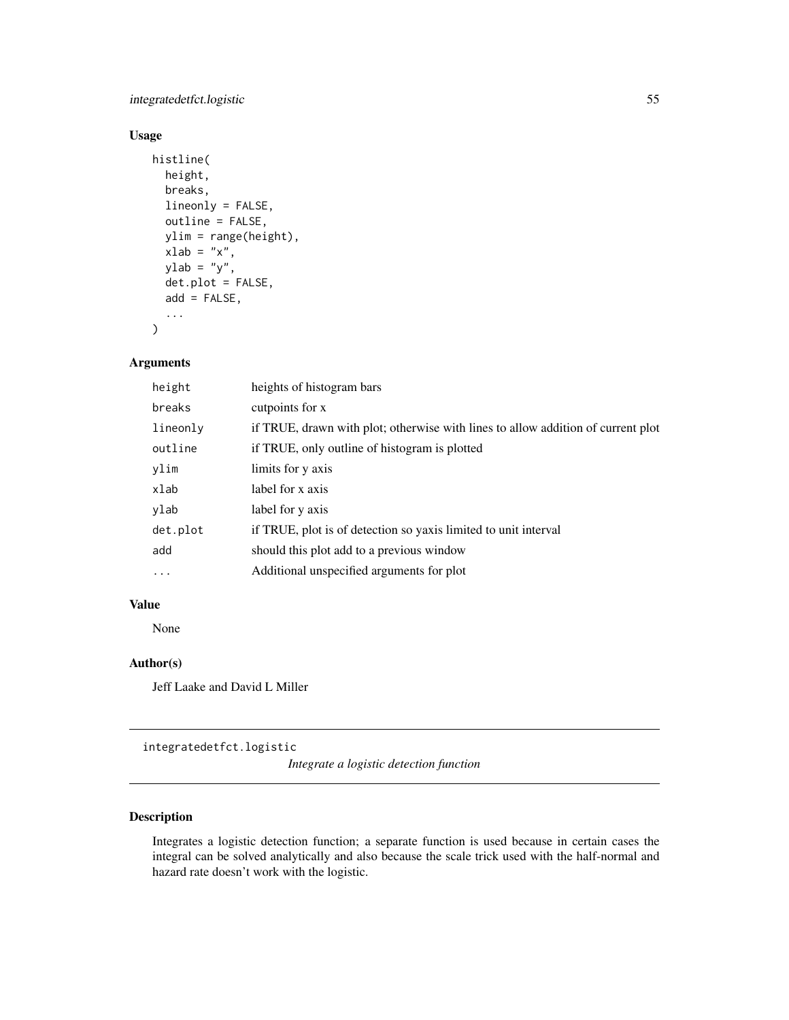integratedetfct.logistic 55

## Usage

```
histline(
 height,
 breaks,
  lineonly = FALSE,
  outline = FALSE,
 ylim = range(height),
  xlab = "x",
  ylab = "y",
  det.plot = FALSE,
  add = FALSE,...
)
```
# Arguments

| height   | heights of histogram bars                                                        |
|----------|----------------------------------------------------------------------------------|
| breaks   | cutpoints for x                                                                  |
| lineonly | if TRUE, drawn with plot; otherwise with lines to allow addition of current plot |
| outline  | if TRUE, only outline of histogram is plotted                                    |
| ylim     | limits for y axis                                                                |
| xlab     | label for x axis                                                                 |
| ylab     | label for y axis                                                                 |
| det.plot | if TRUE, plot is of detection so yaxis limited to unit interval                  |
| add      | should this plot add to a previous window                                        |
| $\cdots$ | Additional unspecified arguments for plot                                        |

# Value

None

# Author(s)

Jeff Laake and David L Miller

integratedetfct.logistic

*Integrate a logistic detection function*

# Description

Integrates a logistic detection function; a separate function is used because in certain cases the integral can be solved analytically and also because the scale trick used with the half-normal and hazard rate doesn't work with the logistic.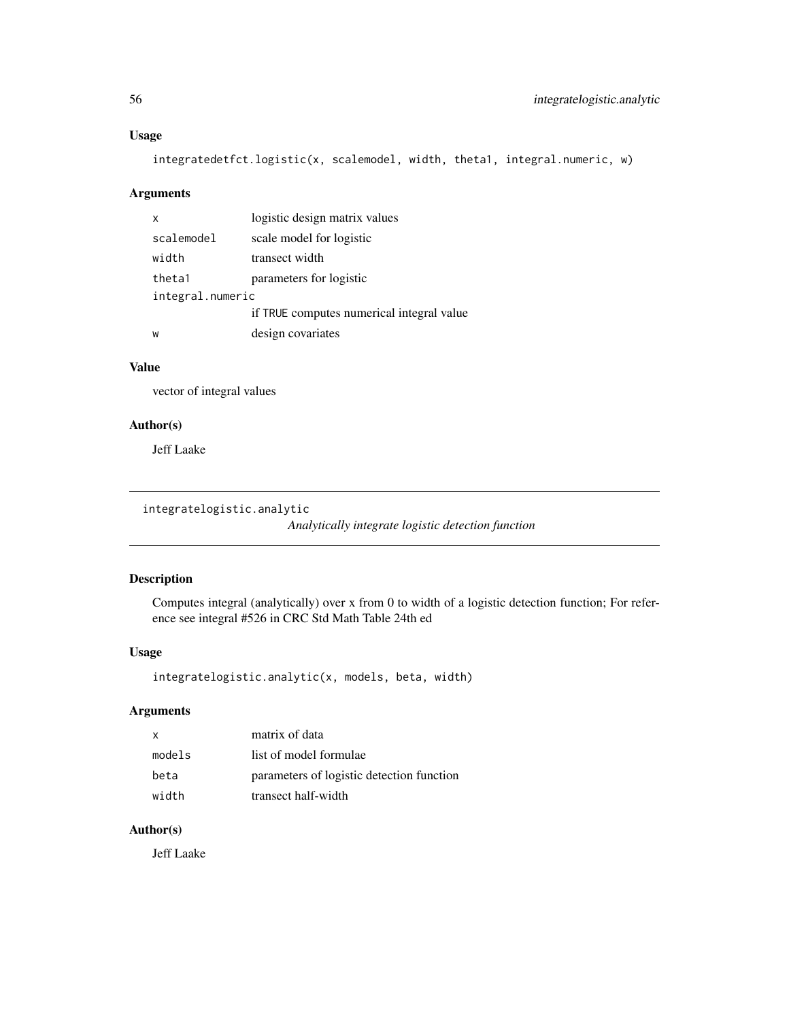## Usage

```
integratedetfct.logistic(x, scalemodel, width, theta1, integral.numeric, w)
```
# Arguments

| $\mathsf{x}$     | logistic design matrix values             |
|------------------|-------------------------------------------|
| scalemodel       | scale model for logistic                  |
| width            | transect width                            |
| theta1           | parameters for logistic                   |
| integral.numeric |                                           |
|                  | if TRUE computes numerical integral value |
| W                | design covariates                         |

## Value

vector of integral values

## Author(s)

Jeff Laake

```
integratelogistic.analytic
```
*Analytically integrate logistic detection function*

# Description

Computes integral (analytically) over x from 0 to width of a logistic detection function; For reference see integral #526 in CRC Std Math Table 24th ed

# Usage

```
integratelogistic.analytic(x, models, beta, width)
```
# Arguments

| x      | matrix of data                            |
|--------|-------------------------------------------|
| models | list of model formulae                    |
| beta   | parameters of logistic detection function |
| width  | transect half-width                       |

## Author(s)

Jeff Laake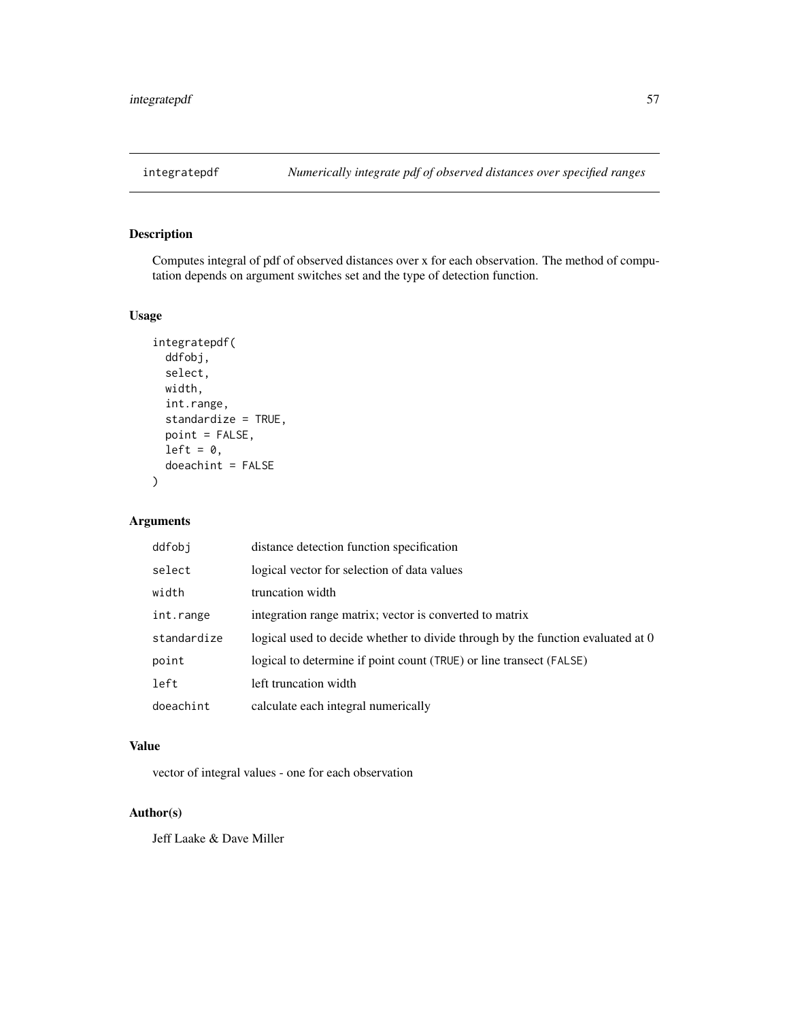<span id="page-56-0"></span>

# Description

Computes integral of pdf of observed distances over x for each observation. The method of computation depends on argument switches set and the type of detection function.

## Usage

```
integratepdf(
 ddfobj,
 select,
 width,
  int.range,
  standardize = TRUE,
 point = FALSE,
 left = 0,doeachint = FALSE
)
```
# Arguments

| ddfobi      | distance detection function specification                                       |
|-------------|---------------------------------------------------------------------------------|
| select      | logical vector for selection of data values                                     |
| width       | truncation width                                                                |
| int.range   | integration range matrix; vector is converted to matrix                         |
| standardize | logical used to decide whether to divide through by the function evaluated at 0 |
| point       | logical to determine if point count (TRUE) or line transect (FALSE)             |
| left        | left truncation width                                                           |
| doeachint   | calculate each integral numerically                                             |

# Value

vector of integral values - one for each observation

# Author(s)

Jeff Laake & Dave Miller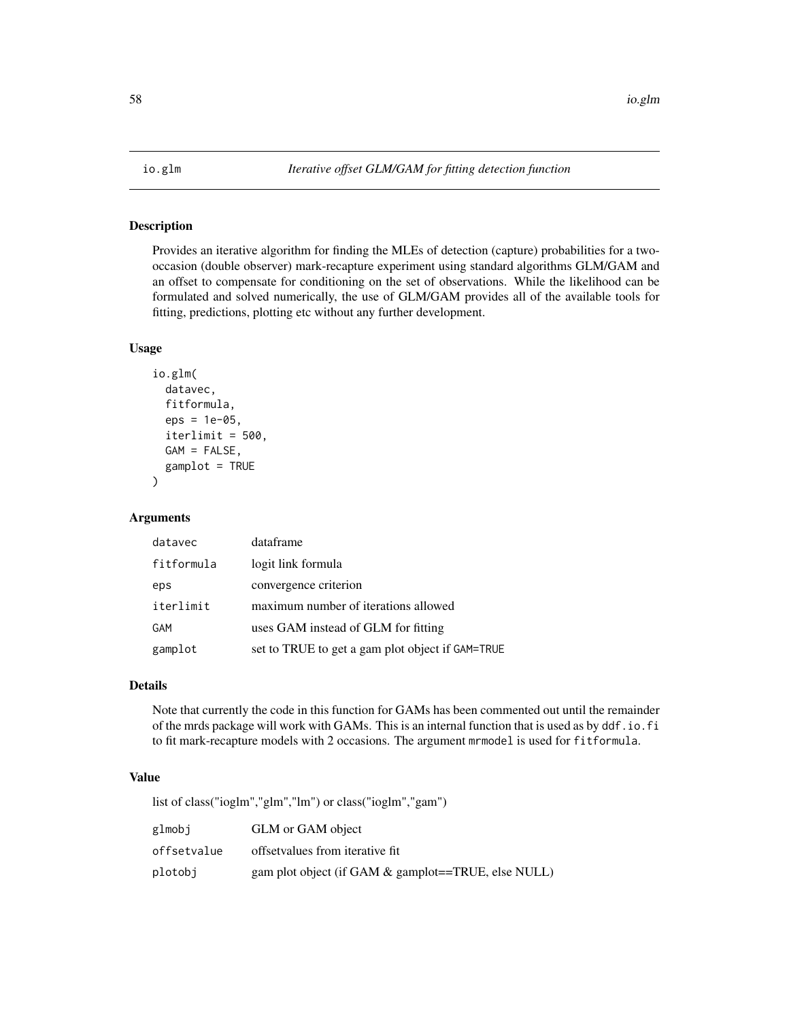# Description

Provides an iterative algorithm for finding the MLEs of detection (capture) probabilities for a twooccasion (double observer) mark-recapture experiment using standard algorithms GLM/GAM and an offset to compensate for conditioning on the set of observations. While the likelihood can be formulated and solved numerically, the use of GLM/GAM provides all of the available tools for fitting, predictions, plotting etc without any further development.

### Usage

```
io.glm(
  datavec,
  fitformula,
  eps = 1e-05,
  iterlimit = 500,
 GAM = FALSE,
  gamplot = TRUE
)
```
# Arguments

| datavec    | dataframe                                        |
|------------|--------------------------------------------------|
| fitformula | logit link formula                               |
| eps        | convergence criterion                            |
| iterlimit  | maximum number of iterations allowed             |
| GAM        | uses GAM instead of GLM for fitting              |
| gamplot    | set to TRUE to get a gam plot object if GAM=TRUE |

## Details

Note that currently the code in this function for GAMs has been commented out until the remainder of the mrds package will work with GAMs. This is an internal function that is used as by ddf.io.fi to fit mark-recapture models with 2 occasions. The argument mrmodel is used for fitformula.

#### Value

list of class("ioglm","glm","lm") or class("ioglm","gam")

| glmobi      | GLM or GAM object                                      |
|-------------|--------------------------------------------------------|
| offsetvalue | offset values from iterative fit.                      |
| plotobi     | gam plot object (if GAM $\&$ gamplot==TRUE, else NULL) |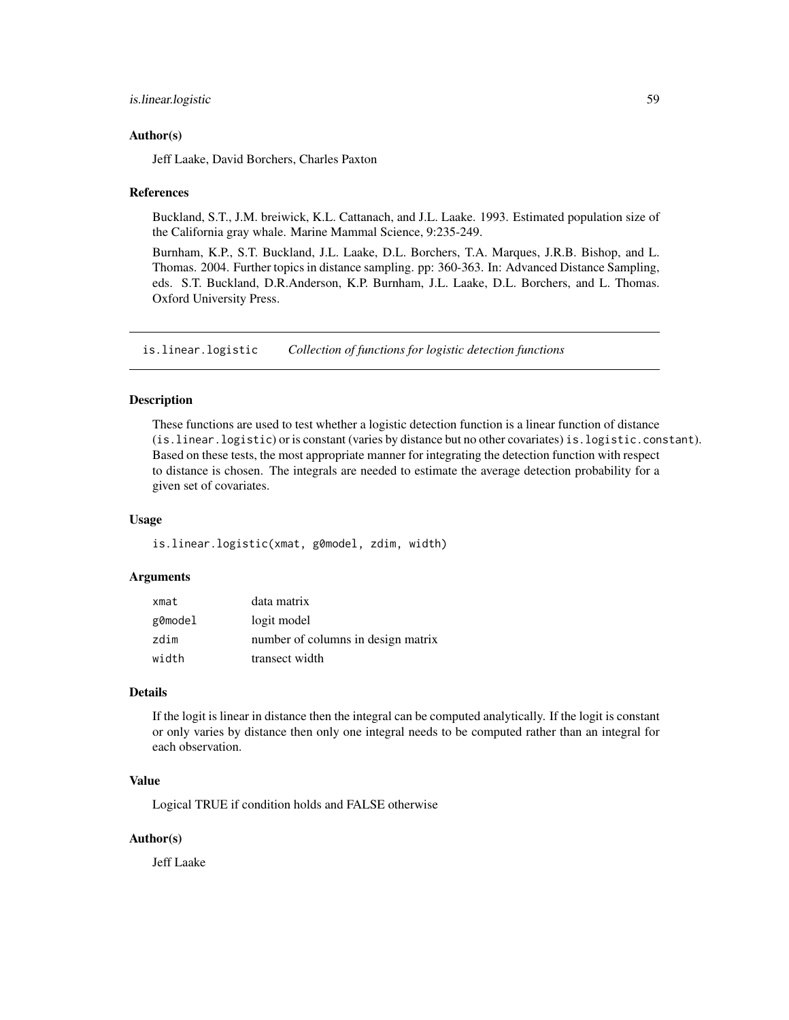## is.linear.logistic 59

### Author(s)

Jeff Laake, David Borchers, Charles Paxton

### References

Buckland, S.T., J.M. breiwick, K.L. Cattanach, and J.L. Laake. 1993. Estimated population size of the California gray whale. Marine Mammal Science, 9:235-249.

Burnham, K.P., S.T. Buckland, J.L. Laake, D.L. Borchers, T.A. Marques, J.R.B. Bishop, and L. Thomas. 2004. Further topics in distance sampling. pp: 360-363. In: Advanced Distance Sampling, eds. S.T. Buckland, D.R.Anderson, K.P. Burnham, J.L. Laake, D.L. Borchers, and L. Thomas. Oxford University Press.

is.linear.logistic *Collection of functions for logistic detection functions*

### **Description**

These functions are used to test whether a logistic detection function is a linear function of distance (is.linear.logistic) or is constant (varies by distance but no other covariates) is.logistic.constant). Based on these tests, the most appropriate manner for integrating the detection function with respect to distance is chosen. The integrals are needed to estimate the average detection probability for a given set of covariates.

#### Usage

is.linear.logistic(xmat, g0model, zdim, width)

#### Arguments

| xmat    | data matrix                        |
|---------|------------------------------------|
| g0model | logit model                        |
| zdim    | number of columns in design matrix |
| width   | transect width                     |

### Details

If the logit is linear in distance then the integral can be computed analytically. If the logit is constant or only varies by distance then only one integral needs to be computed rather than an integral for each observation.

### Value

Logical TRUE if condition holds and FALSE otherwise

### Author(s)

Jeff Laake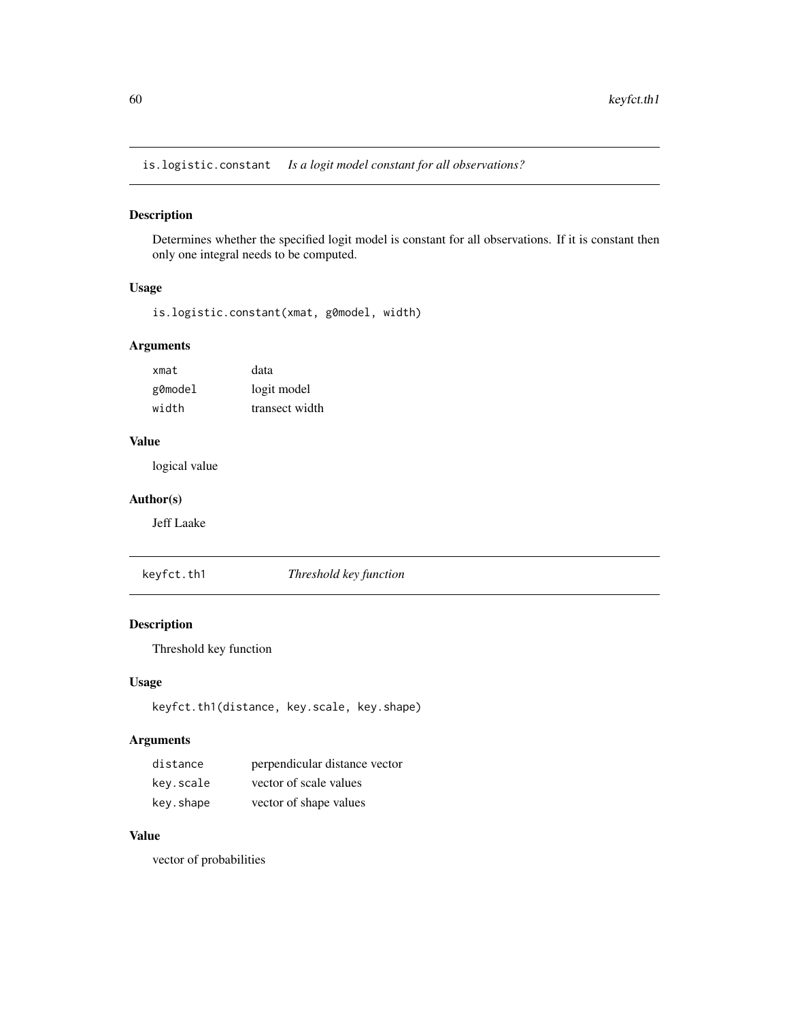is.logistic.constant *Is a logit model constant for all observations?*

## Description

Determines whether the specified logit model is constant for all observations. If it is constant then only one integral needs to be computed.

### Usage

is.logistic.constant(xmat, g0model, width)

# Arguments

| xmat    | data           |
|---------|----------------|
| g0model | logit model    |
| width   | transect width |

## Value

logical value

## Author(s)

Jeff Laake

keyfct.th1 *Threshold key function*

# Description

Threshold key function

#### Usage

keyfct.th1(distance, key.scale, key.shape)

# Arguments

| distance  | perpendicular distance vector |
|-----------|-------------------------------|
| key.scale | vector of scale values        |
| key.shape | vector of shape values        |

# Value

vector of probabilities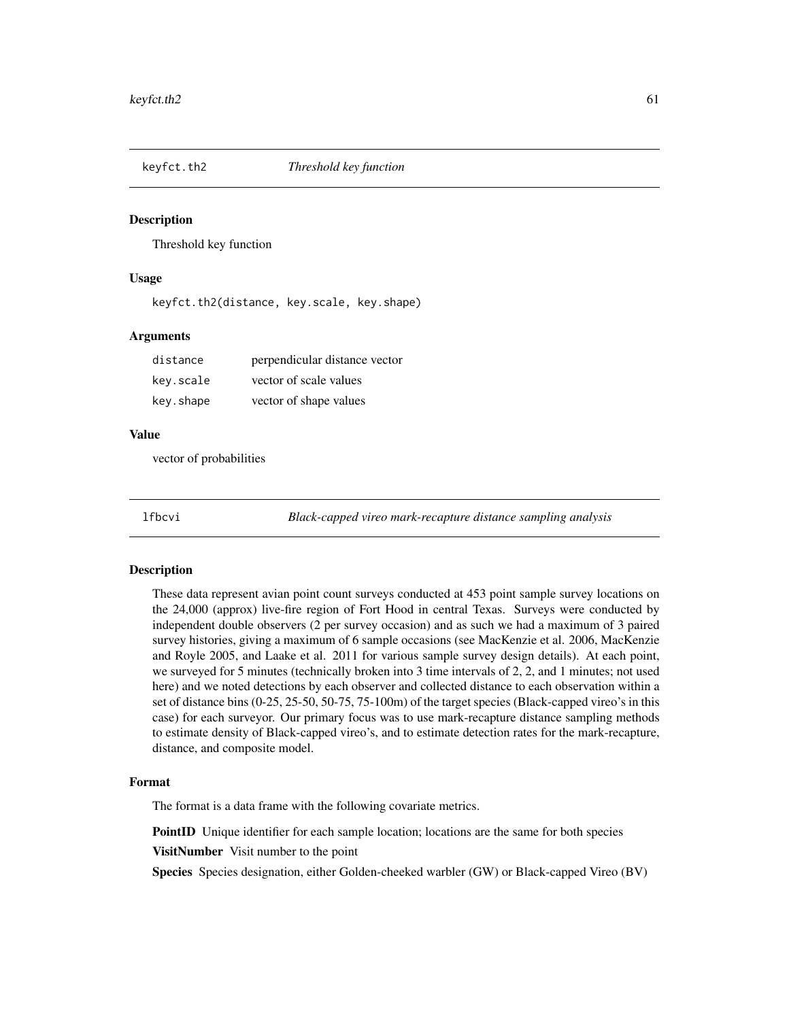## Description

Threshold key function

### Usage

keyfct.th2(distance, key.scale, key.shape)

## Arguments

| distance  | perpendicular distance vector |
|-----------|-------------------------------|
| key.scale | vector of scale values        |
| key.shape | vector of shape values        |

#### Value

vector of probabilities

lfbcvi *Black-capped vireo mark-recapture distance sampling analysis*

#### Description

These data represent avian point count surveys conducted at 453 point sample survey locations on the 24,000 (approx) live-fire region of Fort Hood in central Texas. Surveys were conducted by independent double observers (2 per survey occasion) and as such we had a maximum of 3 paired survey histories, giving a maximum of 6 sample occasions (see MacKenzie et al. 2006, MacKenzie and Royle 2005, and Laake et al. 2011 for various sample survey design details). At each point, we surveyed for 5 minutes (technically broken into 3 time intervals of 2, 2, and 1 minutes; not used here) and we noted detections by each observer and collected distance to each observation within a set of distance bins (0-25, 25-50, 50-75, 75-100m) of the target species (Black-capped vireo's in this case) for each surveyor. Our primary focus was to use mark-recapture distance sampling methods to estimate density of Black-capped vireo's, and to estimate detection rates for the mark-recapture, distance, and composite model.

### Format

The format is a data frame with the following covariate metrics.

**PointID** Unique identifier for each sample location; locations are the same for both species

**VisitNumber** Visit number to the point

Species Species designation, either Golden-cheeked warbler (GW) or Black-capped Vireo (BV)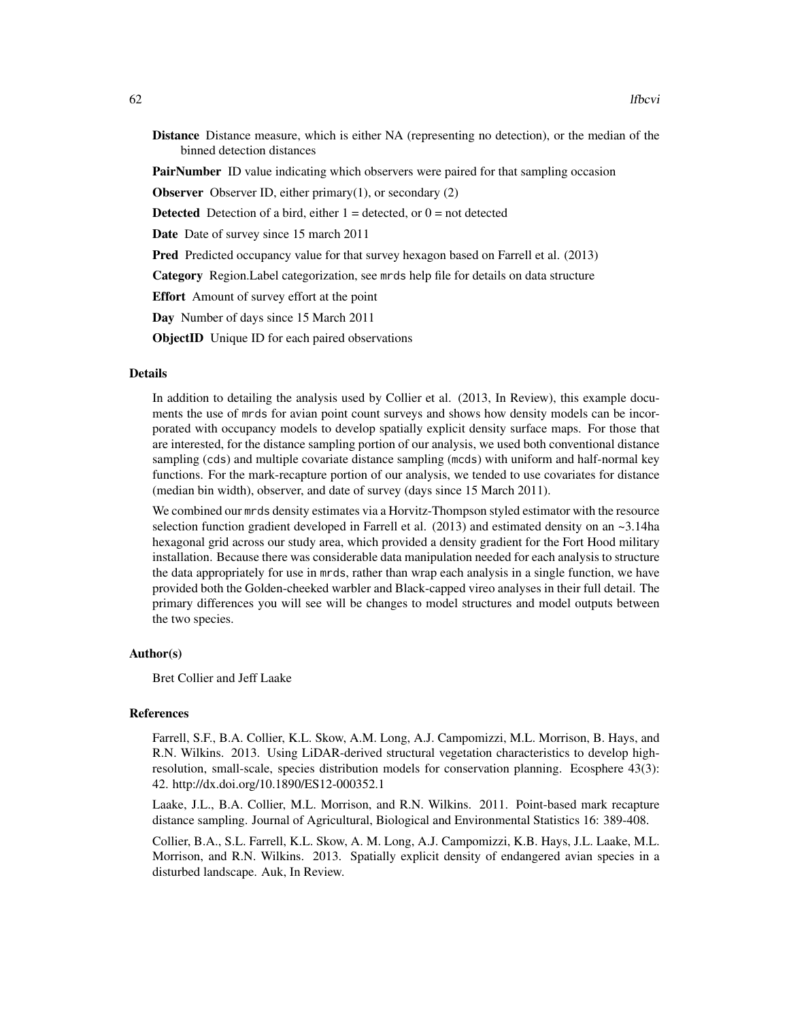Distance Distance measure, which is either NA (representing no detection), or the median of the binned detection distances

**PairNumber** ID value indicating which observers were paired for that sampling occasion

**Observer** Observer ID, either primary $(1)$ , or secondary  $(2)$ 

**Detected** Detection of a bird, either  $1 =$  detected, or  $0 =$  not detected

Date Date of survey since 15 march 2011

Pred Predicted occupancy value for that survey hexagon based on Farrell et al. (2013)

Category Region.Label categorization, see mrds help file for details on data structure

Effort Amount of survey effort at the point

Day Number of days since 15 March 2011

ObjectID Unique ID for each paired observations

### Details

In addition to detailing the analysis used by Collier et al. (2013, In Review), this example documents the use of mrds for avian point count surveys and shows how density models can be incorporated with occupancy models to develop spatially explicit density surface maps. For those that are interested, for the distance sampling portion of our analysis, we used both conventional distance sampling (cds) and multiple covariate distance sampling (mcds) with uniform and half-normal key functions. For the mark-recapture portion of our analysis, we tended to use covariates for distance (median bin width), observer, and date of survey (days since 15 March 2011).

We combined our mrds density estimates via a Horvitz-Thompson styled estimator with the resource selection function gradient developed in Farrell et al. (2013) and estimated density on an  $\sim$ 3.14ha hexagonal grid across our study area, which provided a density gradient for the Fort Hood military installation. Because there was considerable data manipulation needed for each analysis to structure the data appropriately for use in mrds, rather than wrap each analysis in a single function, we have provided both the Golden-cheeked warbler and Black-capped vireo analyses in their full detail. The primary differences you will see will be changes to model structures and model outputs between the two species.

### Author(s)

Bret Collier and Jeff Laake

#### References

Farrell, S.F., B.A. Collier, K.L. Skow, A.M. Long, A.J. Campomizzi, M.L. Morrison, B. Hays, and R.N. Wilkins. 2013. Using LiDAR-derived structural vegetation characteristics to develop highresolution, small-scale, species distribution models for conservation planning. Ecosphere 43(3): 42. http://dx.doi.org/10.1890/ES12-000352.1

Laake, J.L., B.A. Collier, M.L. Morrison, and R.N. Wilkins. 2011. Point-based mark recapture distance sampling. Journal of Agricultural, Biological and Environmental Statistics 16: 389-408.

Collier, B.A., S.L. Farrell, K.L. Skow, A. M. Long, A.J. Campomizzi, K.B. Hays, J.L. Laake, M.L. Morrison, and R.N. Wilkins. 2013. Spatially explicit density of endangered avian species in a disturbed landscape. Auk, In Review.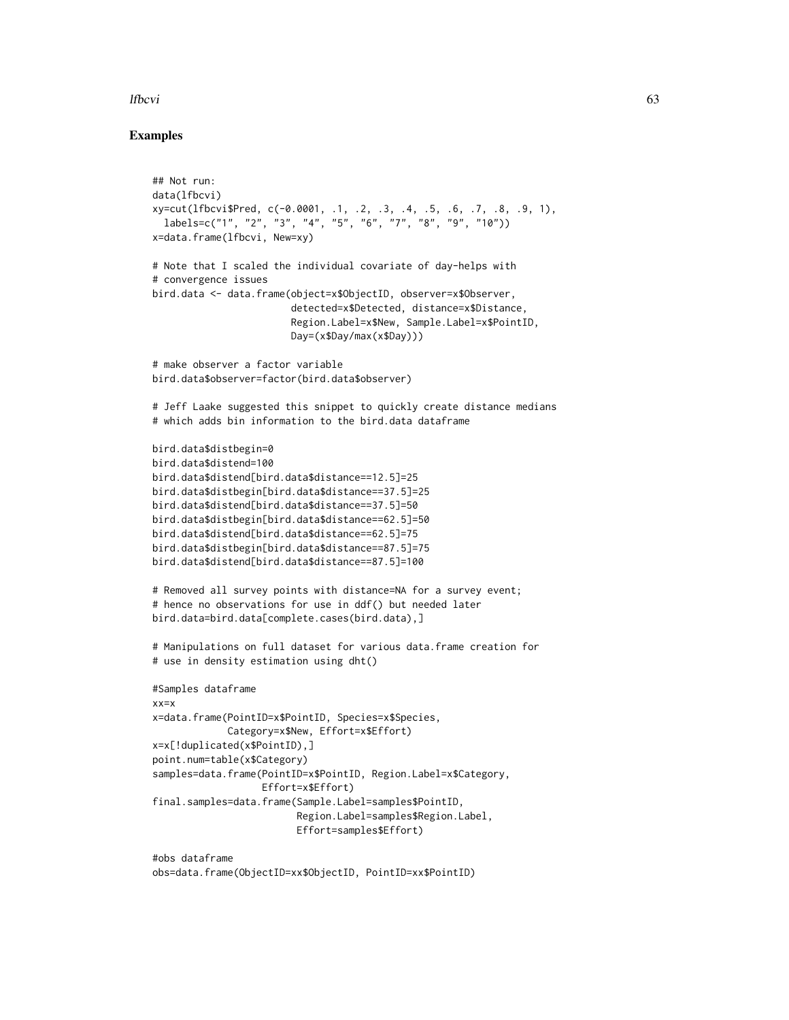## lfbcvi 63

## Examples

```
## Not run:
data(lfbcvi)
xy=cut(lfbcvi$Pred, c(-0.0001, .1, .2, .3, .4, .5, .6, .7, .8, .9, 1),
  labels=c("1", "2", "3", "4", "5", "6", "7", "8", "9", "10"))
x=data.frame(lfbcvi, New=xy)
# Note that I scaled the individual covariate of day-helps with
# convergence issues
bird.data <- data.frame(object=x$ObjectID, observer=x$Observer,
                        detected=x$Detected, distance=x$Distance,
                        Region.Label=x$New, Sample.Label=x$PointID,
                        Day=(x$Day/max(x$Day)))
# make observer a factor variable
bird.data$observer=factor(bird.data$observer)
# Jeff Laake suggested this snippet to quickly create distance medians
# which adds bin information to the bird.data dataframe
bird.data$distbegin=0
bird.data$distend=100
bird.data$distend[bird.data$distance==12.5]=25
bird.data$distbegin[bird.data$distance==37.5]=25
bird.data$distend[bird.data$distance==37.5]=50
bird.data$distbegin[bird.data$distance==62.5]=50
bird.data$distend[bird.data$distance==62.5]=75
bird.data$distbegin[bird.data$distance==87.5]=75
bird.data$distend[bird.data$distance==87.5]=100
# Removed all survey points with distance=NA for a survey event;
# hence no observations for use in ddf() but needed later
bird.data=bird.data[complete.cases(bird.data),]
# Manipulations on full dataset for various data.frame creation for
# use in density estimation using dht()
#Samples dataframe
xx=x
x=data.frame(PointID=x$PointID, Species=x$Species,
             Category=x$New, Effort=x$Effort)
x=x[!duplicated(x$PointID),]
point.num=table(x$Category)
samples=data.frame(PointID=x$PointID, Region.Label=x$Category,
                   Effort=x$Effort)
final.samples=data.frame(Sample.Label=samples$PointID,
                         Region.Label=samples$Region.Label,
                         Effort=samples$Effort)
```
#obs dataframe obs=data.frame(ObjectID=xx\$ObjectID, PointID=xx\$PointID)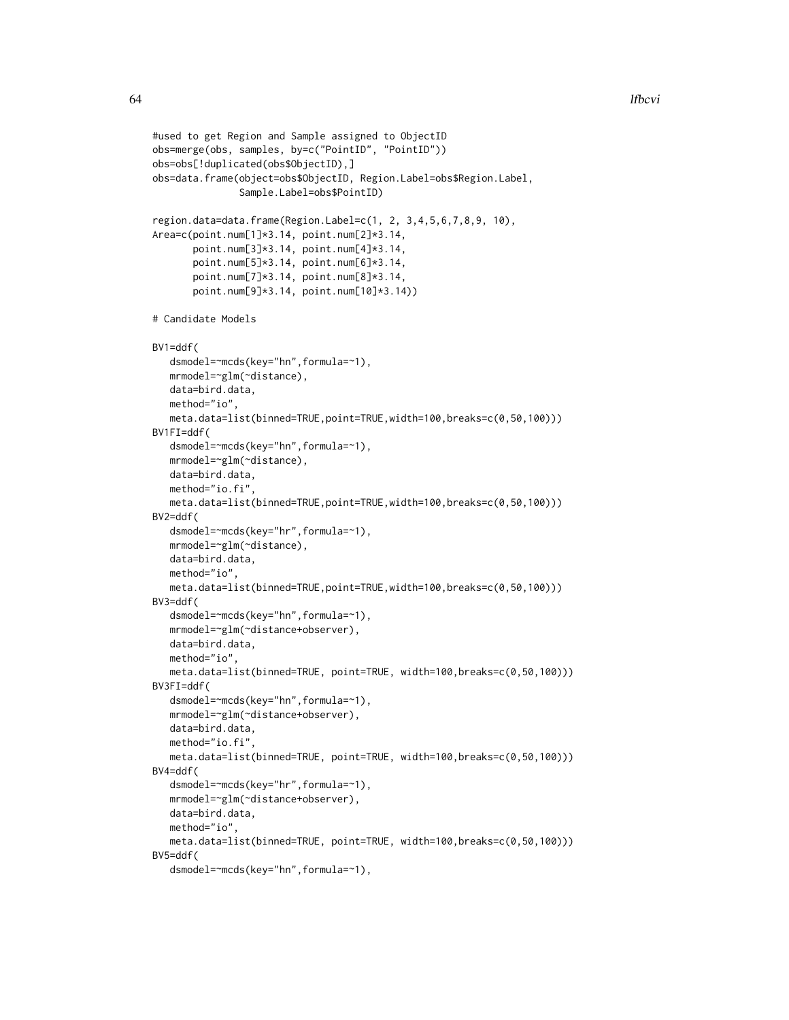```
#used to get Region and Sample assigned to ObjectID
obs=merge(obs, samples, by=c("PointID", "PointID"))
obs=obs[!duplicated(obs$ObjectID),]
obs=data.frame(object=obs$ObjectID, Region.Label=obs$Region.Label,
               Sample.Label=obs$PointID)
region.data=data.frame(Region.Label=c(1, 2, 3,4,5,6,7,8,9, 10),
Area=c(point.num[1]*3.14, point.num[2]*3.14,
      point.num[3]*3.14, point.num[4]*3.14,
      point.num[5]*3.14, point.num[6]*3.14,
      point.num[7]*3.14, point.num[8]*3.14,
      point.num[9]*3.14, point.num[10]*3.14))
# Candidate Models
BV1=ddf(
  dsmodel=~mcds(key="hn",formula=~1),
  mrmodel=~glm(~distance),
  data=bird.data,
  method="io",
  meta.data=list(binned=TRUE,point=TRUE,width=100,breaks=c(0,50,100)))
BV1FI=ddf(
  dsmodel=~mcds(key="hn",formula=~1),
  mrmodel=~glm(~distance),
  data=bird.data,
  method="io.fi"
  meta.data=list(binned=TRUE,point=TRUE,width=100,breaks=c(0,50,100)))
BV2=ddf(
  dsmodel=~mcds(key="hr",formula=~1),
  mrmodel=~glm(~distance),
  data=bird.data,
  method="io",
  meta.data=list(binned=TRUE,point=TRUE,width=100,breaks=c(0,50,100)))
BV3=ddf(
  dsmodel=~mcds(key="hn",formula=~1),
  mrmodel=~glm(~distance+observer),
  data=bird.data,
  method="io",
  meta.data=list(binned=TRUE, point=TRUE, width=100,breaks=c(0,50,100)))
BV3FI=ddf(
   dsmodel=~mcds(key="hn",formula=~1),
  mrmodel=~glm(~distance+observer),
  data=bird.data,
  method="io.fi",
  meta.data=list(binned=TRUE, point=TRUE, width=100,breaks=c(0,50,100)))
BV4=ddf(
   dsmodel=~mcds(key="hr",formula=~1),
  mrmodel=~glm(~distance+observer),
  data=bird.data,
  method="io",
  meta.data=list(binned=TRUE, point=TRUE, width=100,breaks=c(0,50,100)))
BV5=ddf(
  dsmodel=~mcds(key="hn",formula=~1),
```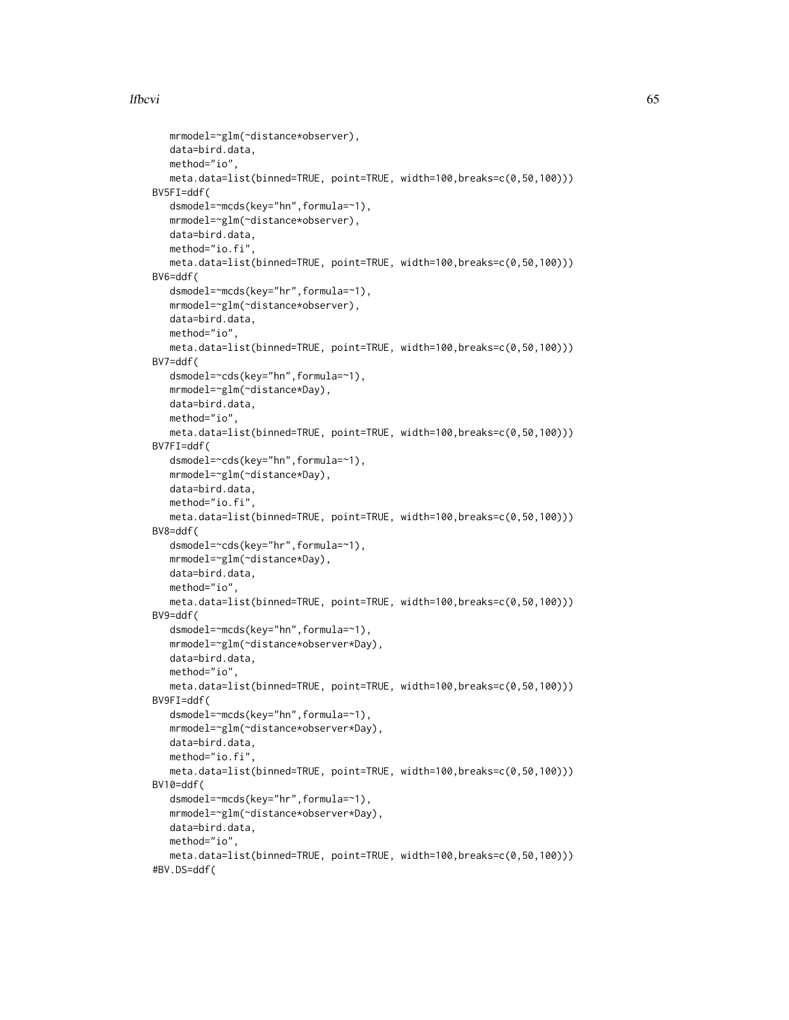## lfbcvi 65

```
mrmodel=~glm(~distance*observer),
  data=bird.data,
  method="io",
  meta.data=list(binned=TRUE, point=TRUE, width=100,breaks=c(0,50,100)))
BV5FI=ddf(
  dsmodel=~mcds(key="hn",formula=~1),
  mrmodel=~glm(~distance*observer),
  data=bird.data,
  method="io.fi",
  meta.data=list(binned=TRUE, point=TRUE, width=100,breaks=c(0,50,100)))
BV6=ddf(
  dsmodel=~mcds(key="hr",formula=~1),
  mrmodel=~glm(~distance*observer),
  data=bird.data,
  method="io",
  meta.data=list(binned=TRUE, point=TRUE, width=100,breaks=c(0,50,100)))
BV7=ddf(
  dsmodel=~cds(key="hn",formula=~1),
  mrmodel=~glm(~distance*Day),
  data=bird.data,
  method="io",
  meta.data=list(binned=TRUE, point=TRUE, width=100,breaks=c(0,50,100)))
BV7FI=ddf(
  dsmodel=~cds(key="hn",formula=~1),
  mrmodel=~glm(~distance*Day),
  data=bird.data,
  method="io.fi"
  meta.data=list(binned=TRUE, point=TRUE, width=100,breaks=c(0,50,100)))
BV8=ddf(
  dsmodel=~cds(key="hr",formula=~1),
  mrmodel=~glm(~distance*Day),
  data=bird.data,
  method="io",
  meta.data=list(binned=TRUE, point=TRUE, width=100,breaks=c(0,50,100)))
BV9=ddf(
  dsmodel=~mcds(key="hn",formula=~1),
  mrmodel=~glm(~distance*observer*Day),
  data=bird.data,
  method="io",
  meta.data=list(binned=TRUE, point=TRUE, width=100,breaks=c(0,50,100)))
BV9FI=ddf(
  dsmodel=~mcds(key="hn",formula=~1),
  mrmodel=~glm(~distance*observer*Day),
  data=bird.data,
  method="io.fi",
  meta.data=list(binned=TRUE, point=TRUE, width=100,breaks=c(0,50,100)))
BV10=ddf(
  dsmodel=~mcds(key="hr",formula=~1),
  mrmodel=~glm(~distance*observer*Day),
  data=bird.data,
  method="io",
  meta.data=list(binned=TRUE, point=TRUE, width=100,breaks=c(0,50,100)))
#BV.DS=ddf(
```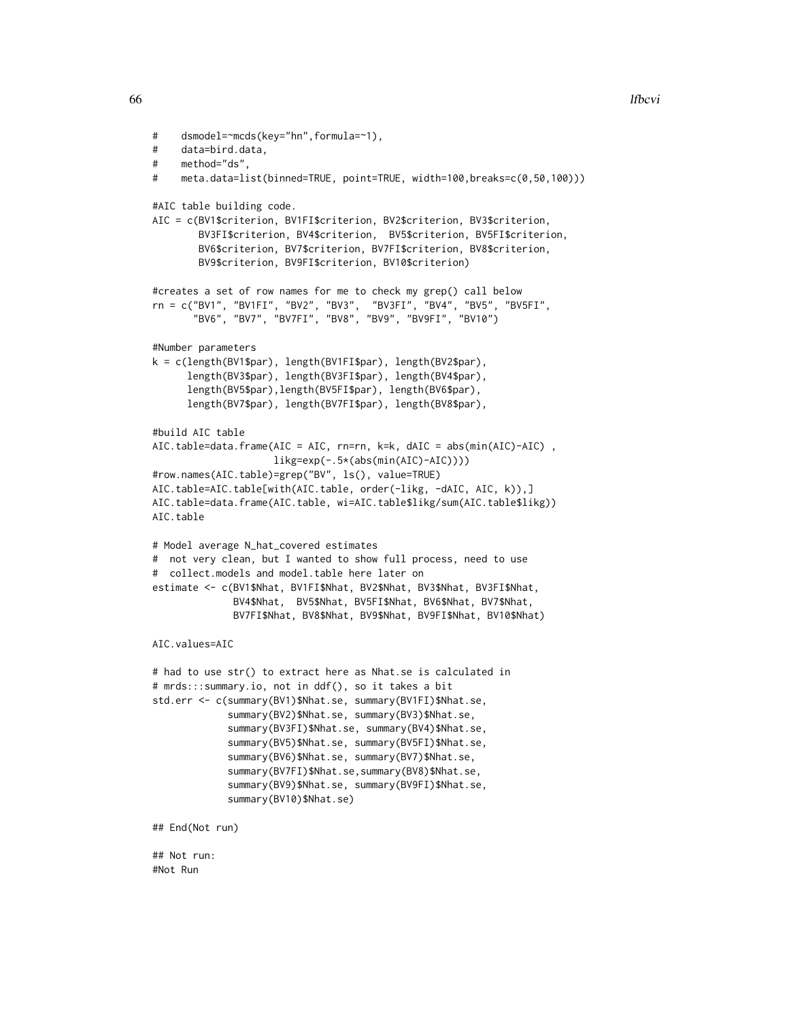```
# dsmodel=~mcds(key="hn",formula=~1),
# data=bird.data,
# method="ds",
# meta.data=list(binned=TRUE, point=TRUE, width=100,breaks=c(0,50,100)))
#AIC table building code.
AIC = c(BV1$criterion, BV1FI$criterion, BV2$criterion, BV3$criterion,
        BV3FI$criterion, BV4$criterion, BV5$criterion, BV5FI$criterion,
        BV6$criterion, BV7$criterion, BV7FI$criterion, BV8$criterion,
        BV9$criterion, BV9FI$criterion, BV10$criterion)
#creates a set of row names for me to check my grep() call below
rn = c("BV1", "BV1FI", "BV2", "BV3", "BV3FI", "BV4", "BV5", "BV5FI",
       "BV6", "BV7", "BV7FI", "BV8", "BV9", "BV9FI", "BV10")
#Number parameters
k = c(length(BV1$par), length(BV1FI$par), length(BV2$par),
      length(BV3$par), length(BV3FI$par), length(BV4$par),
      length(BV5$par),length(BV5FI$par), length(BV6$par),
      length(BV7$par), length(BV7FI$par), length(BV8$par),
#build AIC table
AIC.table=data.frame(AIC = AIC, rn=rn, k=k, dAIC = abs(min(AIC)-AIC) ,
                     likg=exp(-.5*(abs(min(AIC)-AIC))))
#row.names(AIC.table)=grep("BV", ls(), value=TRUE)
AIC.table=AIC.table[with(AIC.table, order(-likg, -dAIC, AIC, k)),]
AIC.table=data.frame(AIC.table, wi=AIC.table$likg/sum(AIC.table$likg))
AIC.table
# Model average N_hat_covered estimates
# not very clean, but I wanted to show full process, need to use
# collect.models and model.table here later on
estimate <- c(BV1$Nhat, BV1FI$Nhat, BV2$Nhat, BV3$Nhat, BV3FI$Nhat,
              BV4$Nhat, BV5$Nhat, BV5FI$Nhat, BV6$Nhat, BV7$Nhat,
              BV7FI$Nhat, BV8$Nhat, BV9$Nhat, BV9FI$Nhat, BV10$Nhat)
AIC.values=AIC
# had to use str() to extract here as Nhat.se is calculated in
# mrds:::summary.io, not in ddf(), so it takes a bit
std.err <- c(summary(BV1)$Nhat.se, summary(BV1FI)$Nhat.se,
             summary(BV2)$Nhat.se, summary(BV3)$Nhat.se,
             summary(BV3FI)$Nhat.se, summary(BV4)$Nhat.se,
             summary(BV5)$Nhat.se, summary(BV5FI)$Nhat.se,
             summary(BV6)$Nhat.se, summary(BV7)$Nhat.se,
             summary(BV7FI)$Nhat.se,summary(BV8)$Nhat.se,
             summary(BV9)$Nhat.se, summary(BV9FI)$Nhat.se,
             summary(BV10)$Nhat.se)
## End(Not run)
## Not run:
#Not Run
```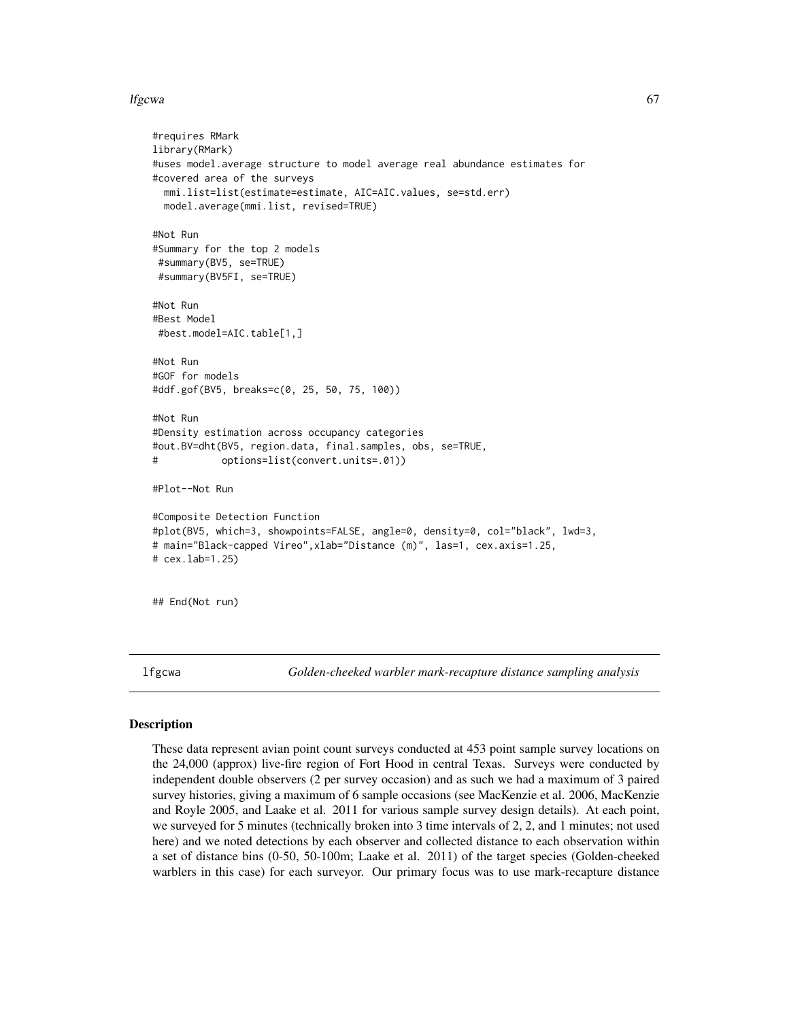### lfgcwa 67

```
#requires RMark
library(RMark)
#uses model.average structure to model average real abundance estimates for
#covered area of the surveys
 mmi.list=list(estimate=estimate, AIC=AIC.values, se=std.err)
 model.average(mmi.list, revised=TRUE)
#Not Run
#Summary for the top 2 models
#summary(BV5, se=TRUE)
 #summary(BV5FI, se=TRUE)
#Not Run
#Best Model
#best.model=AIC.table[1,]
#Not Run
#GOF for models
#ddf.gof(BV5, breaks=c(0, 25, 50, 75, 100))
#Not Run
#Density estimation across occupancy categories
#out.BV=dht(BV5, region.data, final.samples, obs, se=TRUE,
# options=list(convert.units=.01))
#Plot--Not Run
#Composite Detection Function
#plot(BV5, which=3, showpoints=FALSE, angle=0, density=0, col="black", lwd=3,
# main="Black-capped Vireo",xlab="Distance (m)", las=1, cex.axis=1.25,
# cex.lab=1.25)
## End(Not run)
```
lfgcwa *Golden-cheeked warbler mark-recapture distance sampling analysis*

### Description

These data represent avian point count surveys conducted at 453 point sample survey locations on the 24,000 (approx) live-fire region of Fort Hood in central Texas. Surveys were conducted by independent double observers (2 per survey occasion) and as such we had a maximum of 3 paired survey histories, giving a maximum of 6 sample occasions (see MacKenzie et al. 2006, MacKenzie and Royle 2005, and Laake et al. 2011 for various sample survey design details). At each point, we surveyed for 5 minutes (technically broken into 3 time intervals of 2, 2, and 1 minutes; not used here) and we noted detections by each observer and collected distance to each observation within a set of distance bins (0-50, 50-100m; Laake et al. 2011) of the target species (Golden-cheeked warblers in this case) for each surveyor. Our primary focus was to use mark-recapture distance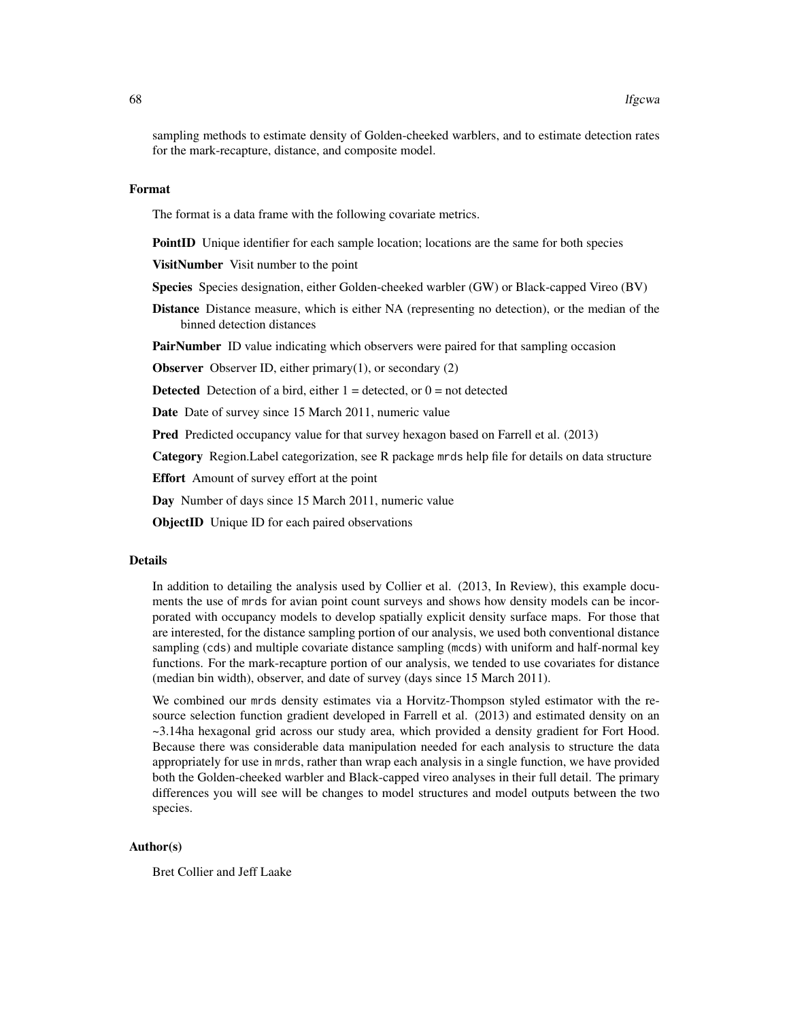sampling methods to estimate density of Golden-cheeked warblers, and to estimate detection rates for the mark-recapture, distance, and composite model.

#### Format

The format is a data frame with the following covariate metrics.

**PointID** Unique identifier for each sample location; locations are the same for both species

VisitNumber Visit number to the point

Species Species designation, either Golden-cheeked warbler (GW) or Black-capped Vireo (BV)

Distance Distance measure, which is either NA (representing no detection), or the median of the binned detection distances

**PairNumber** ID value indicating which observers were paired for that sampling occasion

**Observer** Observer ID, either primary $(1)$ , or secondary  $(2)$ 

**Detected** Detection of a bird, either  $1 =$  detected, or  $0 =$  not detected

Date Date of survey since 15 March 2011, numeric value

**Pred** Predicted occupancy value for that survey hexagon based on Farrell et al. (2013)

Category Region.Label categorization, see R package mrds help file for details on data structure

Effort Amount of survey effort at the point

Day Number of days since 15 March 2011, numeric value

ObjectID Unique ID for each paired observations

### Details

In addition to detailing the analysis used by Collier et al. (2013, In Review), this example documents the use of mrds for avian point count surveys and shows how density models can be incorporated with occupancy models to develop spatially explicit density surface maps. For those that are interested, for the distance sampling portion of our analysis, we used both conventional distance sampling (cds) and multiple covariate distance sampling (mcds) with uniform and half-normal key functions. For the mark-recapture portion of our analysis, we tended to use covariates for distance (median bin width), observer, and date of survey (days since 15 March 2011).

We combined our mrds density estimates via a Horvitz-Thompson styled estimator with the resource selection function gradient developed in Farrell et al. (2013) and estimated density on an ~3.14ha hexagonal grid across our study area, which provided a density gradient for Fort Hood. Because there was considerable data manipulation needed for each analysis to structure the data appropriately for use in mrds, rather than wrap each analysis in a single function, we have provided both the Golden-cheeked warbler and Black-capped vireo analyses in their full detail. The primary differences you will see will be changes to model structures and model outputs between the two species.

### Author(s)

Bret Collier and Jeff Laake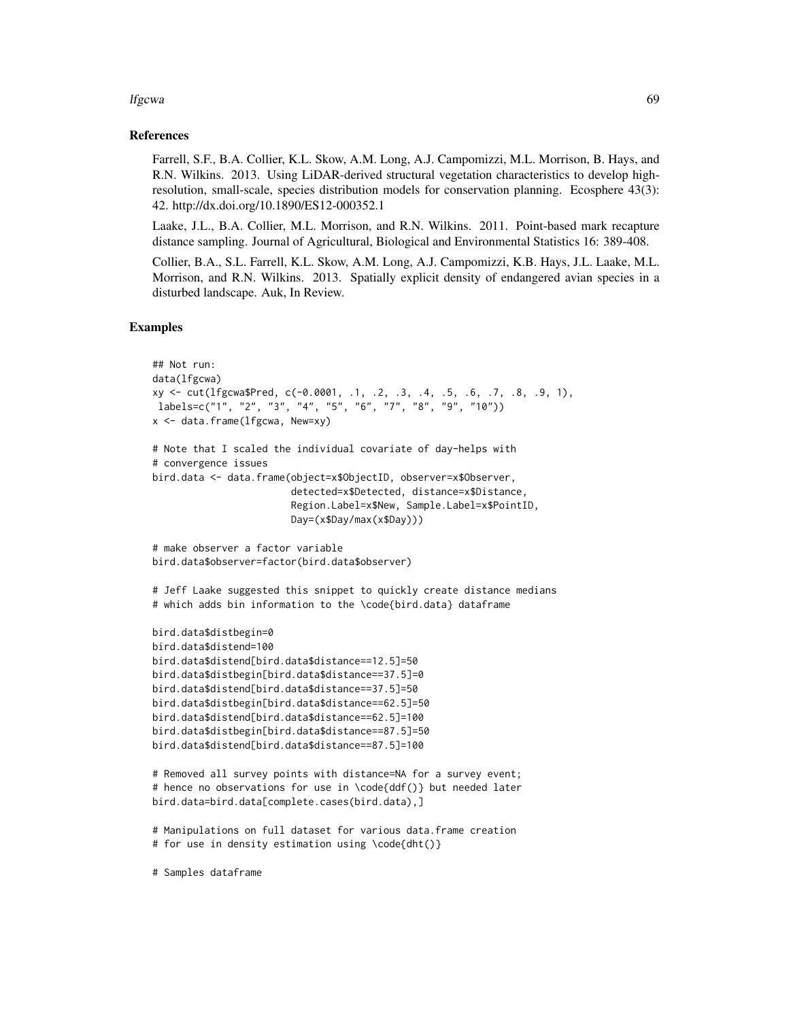### lfgcwa 69

### References

Farrell, S.F., B.A. Collier, K.L. Skow, A.M. Long, A.J. Campomizzi, M.L. Morrison, B. Hays, and R.N. Wilkins. 2013. Using LiDAR-derived structural vegetation characteristics to develop highresolution, small-scale, species distribution models for conservation planning. Ecosphere 43(3): 42. http://dx.doi.org/10.1890/ES12-000352.1

Laake, J.L., B.A. Collier, M.L. Morrison, and R.N. Wilkins. 2011. Point-based mark recapture distance sampling. Journal of Agricultural, Biological and Environmental Statistics 16: 389-408.

Collier, B.A., S.L. Farrell, K.L. Skow, A.M. Long, A.J. Campomizzi, K.B. Hays, J.L. Laake, M.L. Morrison, and R.N. Wilkins. 2013. Spatially explicit density of endangered avian species in a disturbed landscape. Auk, In Review.

## Examples

```
## Not run:
data(lfgcwa)
xy <- cut(lfgcwa$Pred, c(-0.0001, .1, .2, .3, .4, .5, .6, .7, .8, .9, 1),
labels=c("1", "2", "3", "4", "5", "6", "7", "8", "9", "10"))
x <- data.frame(lfgcwa, New=xy)
# Note that I scaled the individual covariate of day-helps with
# convergence issues
bird.data <- data.frame(object=x$ObjectID, observer=x$Observer,
                        detected=x$Detected, distance=x$Distance,
                        Region.Label=x$New, Sample.Label=x$PointID,
                        Day=(x$Day/max(x$Day)))
# make observer a factor variable
bird.data$observer=factor(bird.data$observer)
# Jeff Laake suggested this snippet to quickly create distance medians
# which adds bin information to the \code{bird.data} dataframe
bird.data$distbegin=0
bird.data$distend=100
bird.data$distend[bird.data$distance==12.5]=50
bird.data$distbegin[bird.data$distance==37.5]=0
bird.data$distend[bird.data$distance==37.5]=50
bird.data$distbegin[bird.data$distance==62.5]=50
bird.data$distend[bird.data$distance==62.5]=100
bird.data$distbegin[bird.data$distance==87.5]=50
bird.data$distend[bird.data$distance==87.5]=100
# Removed all survey points with distance=NA for a survey event;
# hence no observations for use in \code{ddf()} but needed later
bird.data=bird.data[complete.cases(bird.data),]
# Manipulations on full dataset for various data.frame creation
# for use in density estimation using \code{dht()}
```
# Samples dataframe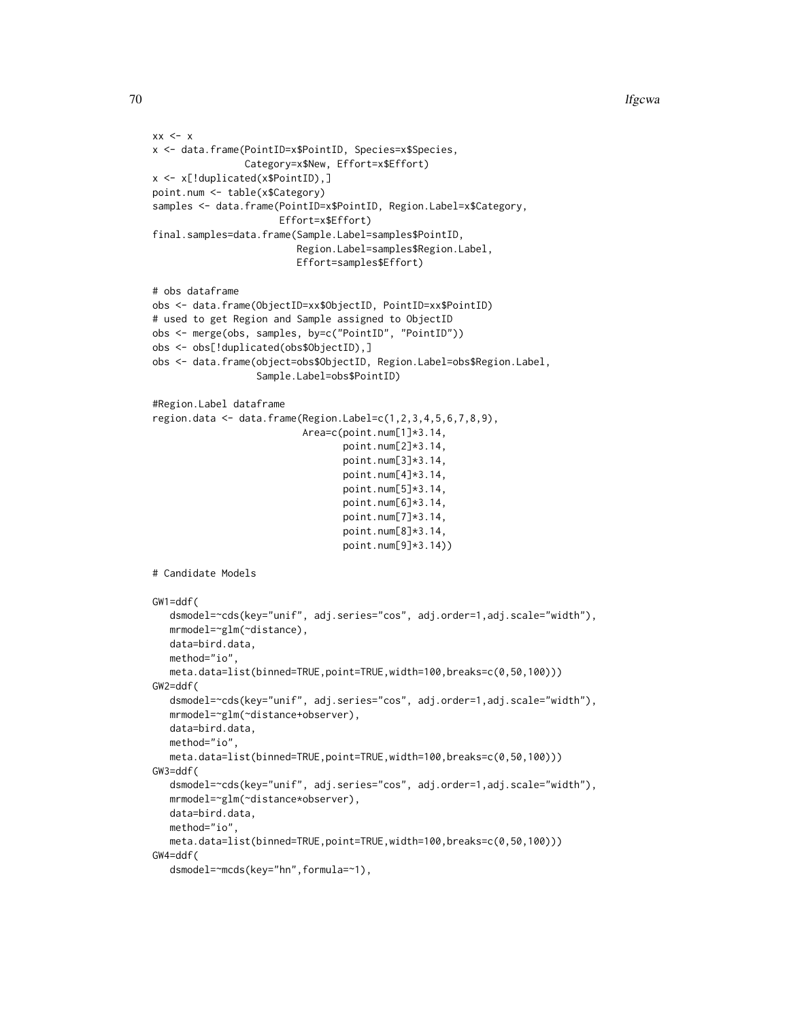```
xx < - xx <- data.frame(PointID=x$PointID, Species=x$Species,
                Category=x$New, Effort=x$Effort)
x <- x[!duplicated(x$PointID),]
point.num <- table(x$Category)
samples <- data.frame(PointID=x$PointID, Region.Label=x$Category,
                      Effort=x$Effort)
final.samples=data.frame(Sample.Label=samples$PointID,
                         Region.Label=samples$Region.Label,
                         Effort=samples$Effort)
# obs dataframe
obs <- data.frame(ObjectID=xx$ObjectID, PointID=xx$PointID)
# used to get Region and Sample assigned to ObjectID
obs <- merge(obs, samples, by=c("PointID", "PointID"))
obs <- obs[!duplicated(obs$ObjectID),]
obs <- data.frame(object=obs$ObjectID, Region.Label=obs$Region.Label,
                  Sample.Label=obs$PointID)
#Region.Label dataframe
region.data <- data.frame(Region.Label=c(1,2,3,4,5,6,7,8,9),
                          Area=c(point.num[1]*3.14,
                                 point.num[2]*3.14,
                                 point.num[3]*3.14,
                                 point.num[4]*3.14,
                                 point.num[5]*3.14,
                                 point.num[6]*3.14,
                                 point.num[7]*3.14,
                                 point.num[8]*3.14,
                                 point.num[9]*3.14))
# Candidate Models
GW1=ddf(
  dsmodel=~cds(key="unif", adj.series="cos", adj.order=1,adj.scale="width"),
  mrmodel=~glm(~distance),
  data=bird.data,
  method="io",
  meta.data=list(binned=TRUE,point=TRUE,width=100,breaks=c(0,50,100)))
GW2=ddf(
   dsmodel=~cds(key="unif", adj.series="cos", adj.order=1,adj.scale="width"),
  mrmodel=~glm(~distance+observer),
  data=bird.data,
  method="io",
  meta.data=list(binned=TRUE,point=TRUE,width=100,breaks=c(0,50,100)))
GW3=ddf(
   dsmodel=~cds(key="unif", adj.series="cos", adj.order=1,adj.scale="width"),
  mrmodel=~glm(~distance*observer),
  data=bird.data,
  method="io",
  meta.data=list(binned=TRUE,point=TRUE,width=100,breaks=c(0,50,100)))
GW4=ddf(
```

```
dsmodel=~mcds(key="hn",formula=~1),
```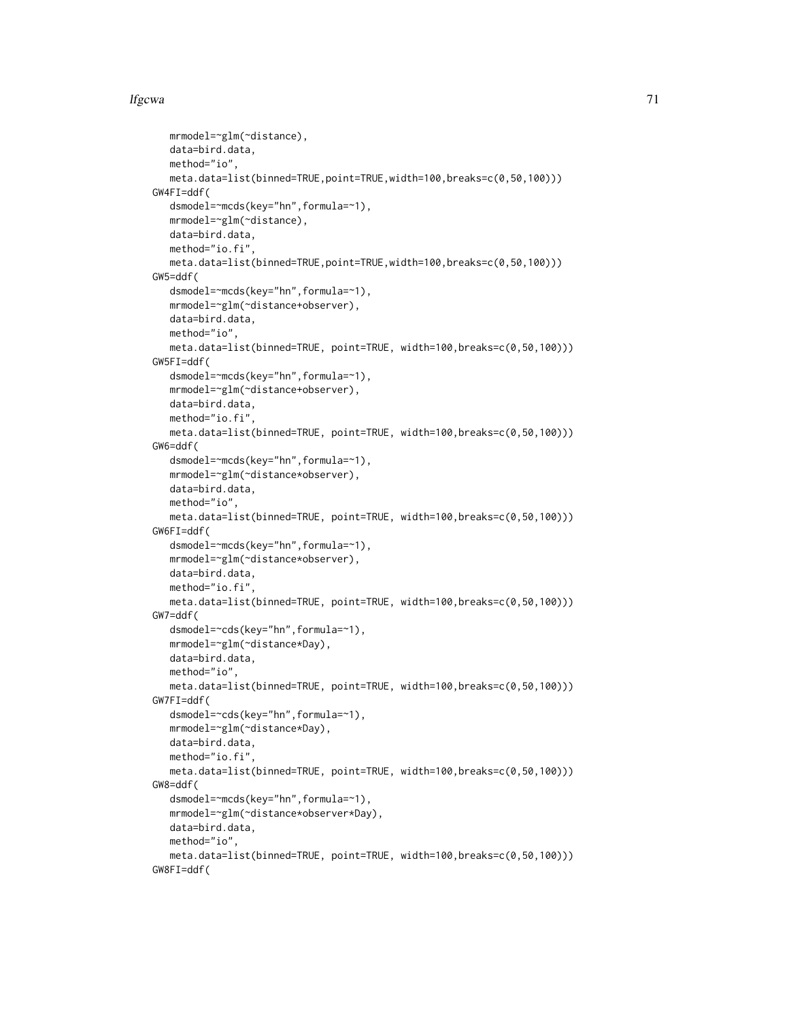## lfgcwa 71

```
mrmodel=~glm(~distance),
  data=bird.data,
  method="io",
  meta.data=list(binned=TRUE,point=TRUE,width=100,breaks=c(0,50,100)))
GW4FI=ddf(
  dsmodel=~mcds(key="hn",formula=~1),
  mrmodel=~glm(~distance),
  data=bird.data,
  method="io.fi",
  meta.data=list(binned=TRUE,point=TRUE,width=100,breaks=c(0,50,100)))
GW5=ddf(
  dsmodel=~mcds(key="hn",formula=~1),
  mrmodel=~glm(~distance+observer),
  data=bird.data,
  method="io",
  meta.data=list(binned=TRUE, point=TRUE, width=100,breaks=c(0,50,100)))
GW5FI=ddf(
  dsmodel=~mcds(key="hn",formula=~1),
  mrmodel=~glm(~distance+observer),
  data=bird.data,
  method="io.fi",
  meta.data=list(binned=TRUE, point=TRUE, width=100,breaks=c(0,50,100)))
GW6=ddf(
  dsmodel=~mcds(key="hn",formula=~1),
  mrmodel=~glm(~distance*observer),
  data=bird.data,
  method="io",
  meta.data=list(binned=TRUE, point=TRUE, width=100,breaks=c(0,50,100)))
GW6FI=ddf(
  dsmodel=~mcds(key="hn",formula=~1),
  mrmodel=~glm(~distance*observer),
  data=bird.data,
  method="io.fi",
  meta.data=list(binned=TRUE, point=TRUE, width=100,breaks=c(0,50,100)))
GW7=ddf(
  dsmodel=~cds(key="hn",formula=~1),
  mrmodel=~glm(~distance*Day),
  data=bird.data,
  method="io",
  meta.data=list(binned=TRUE, point=TRUE, width=100,breaks=c(0,50,100)))
GW7FI=ddf(
  dsmodel=~cds(key="hn",formula=~1),
  mrmodel=~glm(~distance*Day),
  data=bird.data,
  method="io.fi",
  meta.data=list(binned=TRUE, point=TRUE, width=100,breaks=c(0,50,100)))
GW8=ddf(
  dsmodel=~mcds(key="hn",formula=~1),
  mrmodel=~glm(~distance*observer*Day),
  data=bird.data,
  method="io",
  meta.data=list(binned=TRUE, point=TRUE, width=100,breaks=c(0,50,100)))
GW8FI=ddf(
```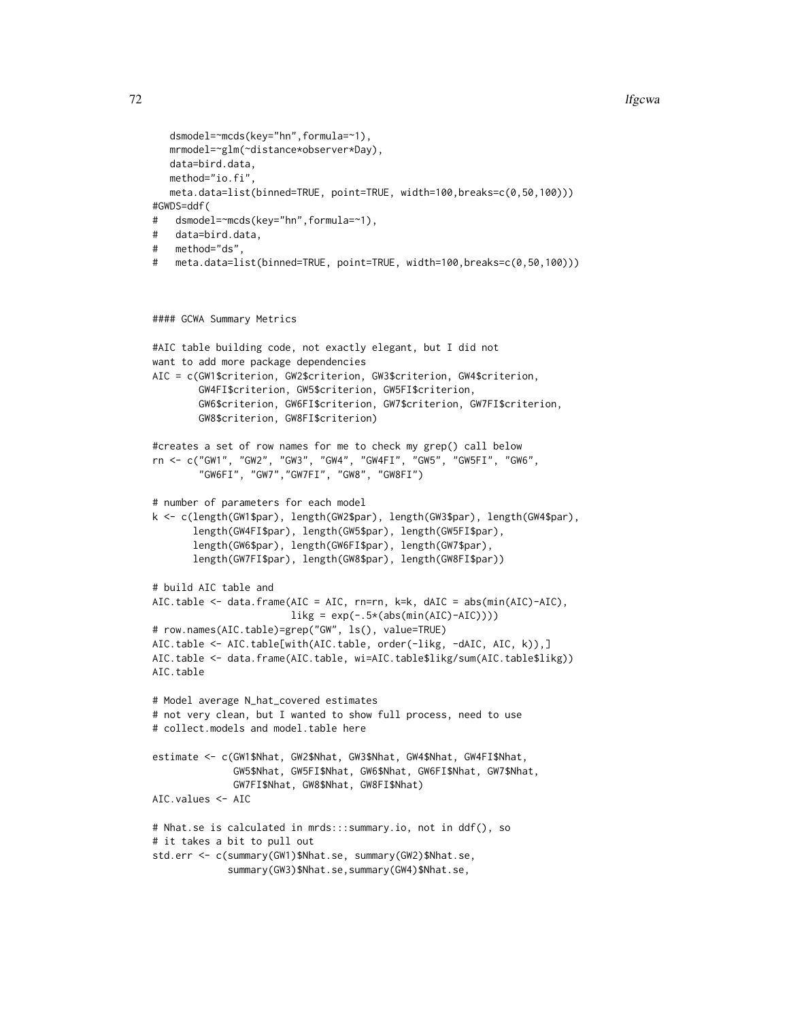### 72 lfgcwa a that is the set of the set of the set of the set of the set of the set of the set of the set of the set of the set of the set of the set of the set of the set of the set of the set of the set of the set of the

```
dsmodel=~mcds(key="hn",formula=~1),
  mrmodel=~glm(~distance*observer*Day),
  data=bird.data,
  method="io.fi",
  meta.data=list(binned=TRUE, point=TRUE, width=100,breaks=c(0,50,100)))
#GWDS=ddf(
# dsmodel=~mcds(key="hn",formula=~1),
# data=bird.data,
# method="ds",
# meta.data=list(binned=TRUE, point=TRUE, width=100,breaks=c(0,50,100)))
```

```
#### GCWA Summary Metrics
```

```
#AIC table building code, not exactly elegant, but I did not
want to add more package dependencies
AIC = c(GW1$criterion, GW2$criterion, GW3$criterion, GW4$criterion,
        GW4FI$criterion, GW5$criterion, GW5FI$criterion,
       GW6$criterion, GW6FI$criterion, GW7$criterion, GW7FI$criterion,
       GW8$criterion, GW8FI$criterion)
#creates a set of row names for me to check my grep() call below
rn <- c("GW1", "GW2", "GW3", "GW4", "GW4FI", "GW5", "GW5FI", "GW6",
        "GW6FI", "GW7","GW7FI", "GW8", "GW8FI")
# number of parameters for each model
k <- c(length(GW1$par), length(GW2$par), length(GW3$par), length(GW4$par),
      length(GW4FI$par), length(GW5$par), length(GW5FI$par),
      length(GW6$par), length(GW6FI$par), length(GW7$par),
      length(GW7FI$par), length(GW8$par), length(GW8FI$par))
# build AIC table and
AIC.table <- data.frame(AIC = AIC, rn=rn, k=k, dAIC = abs(min(AIC)-AIC),
                        likg = exp(-.5*(abs(min(AIC)-AIC))))# row.names(AIC.table)=grep("GW", ls(), value=TRUE)
AIC.table <- AIC.table[with(AIC.table, order(-likg, -dAIC, AIC, k)),]
AIC.table <- data.frame(AIC.table, wi=AIC.table$likg/sum(AIC.table$likg))
AIC.table
# Model average N_hat_covered estimates
# not very clean, but I wanted to show full process, need to use
# collect.models and model.table here
estimate <- c(GW1$Nhat, GW2$Nhat, GW3$Nhat, GW4$Nhat, GW4FI$Nhat,
              GW5$Nhat, GW5FI$Nhat, GW6$Nhat, GW6FI$Nhat, GW7$Nhat,
              GW7FI$Nhat, GW8$Nhat, GW8FI$Nhat)
AIC.values <- AIC
# Nhat.se is calculated in mrds:::summary.io, not in ddf(), so
# it takes a bit to pull out
std.err <- c(summary(GW1)$Nhat.se, summary(GW2)$Nhat.se,
             summary(GW3)$Nhat.se,summary(GW4)$Nhat.se,
```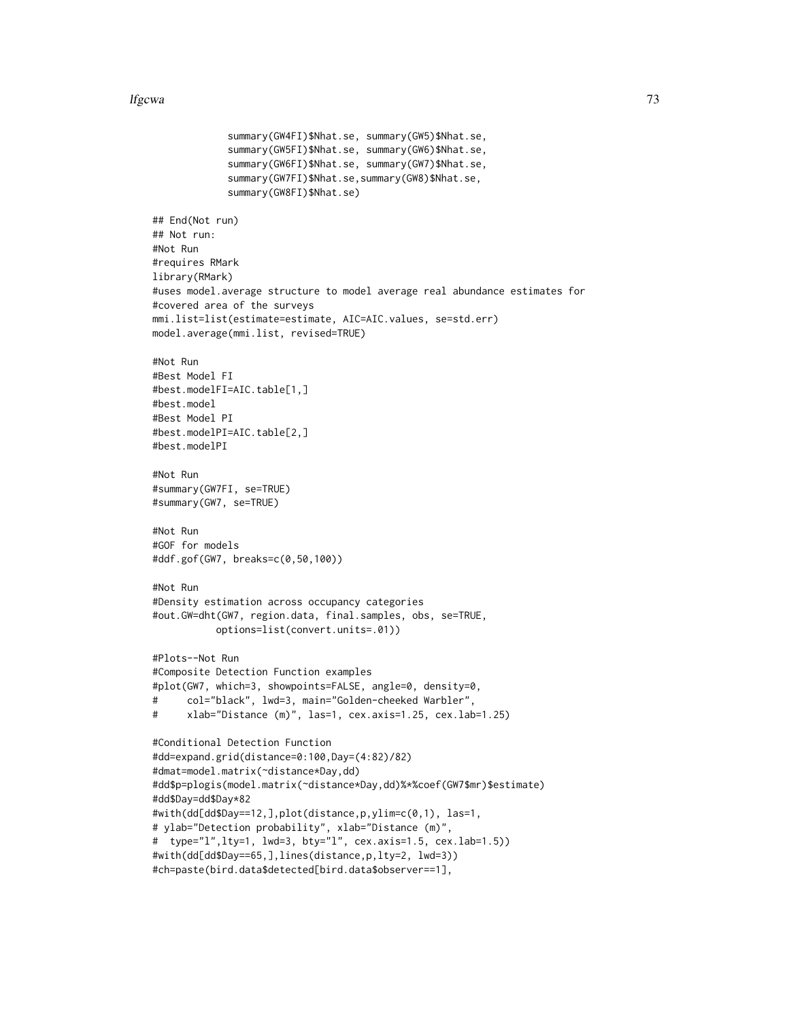#### lfgcwa 23

```
summary(GW4FI)$Nhat.se, summary(GW5)$Nhat.se,
             summary(GW5FI)$Nhat.se, summary(GW6)$Nhat.se,
             summary(GW6FI)$Nhat.se, summary(GW7)$Nhat.se,
             summary(GW7FI)$Nhat.se,summary(GW8)$Nhat.se,
             summary(GW8FI)$Nhat.se)
## End(Not run)
## Not run:
#Not Run
#requires RMark
library(RMark)
#uses model.average structure to model average real abundance estimates for
#covered area of the surveys
mmi.list=list(estimate=estimate, AIC=AIC.values, se=std.err)
model.average(mmi.list, revised=TRUE)
#Not Run
#Best Model FI
#best.modelFI=AIC.table[1,]
#best.model
#Best Model PI
#best.modelPI=AIC.table[2,]
#best.modelPI
#Not Run
#summary(GW7FI, se=TRUE)
#summary(GW7, se=TRUE)
#Not Run
#GOF for models
#ddf.gof(GW7, breaks=c(0,50,100))
#Not Run
#Density estimation across occupancy categories
#out.GW=dht(GW7, region.data, final.samples, obs, se=TRUE,
           options=list(convert.units=.01))
#Plots--Not Run
#Composite Detection Function examples
#plot(GW7, which=3, showpoints=FALSE, angle=0, density=0,
# col="black", lwd=3, main="Golden-cheeked Warbler",
# xlab="Distance (m)", las=1, cex.axis=1.25, cex.lab=1.25)
#Conditional Detection Function
#dd=expand.grid(distance=0:100,Day=(4:82)/82)
#dmat=model.matrix(~distance*Day,dd)
#dd$p=plogis(model.matrix(~distance*Day,dd)%*%coef(GW7$mr)$estimate)
#dd$Day=dd$Day*82
#with(dd[dd$Day==12,],plot(distance,p,ylim=c(0,1), las=1,
# ylab="Detection probability", xlab="Distance (m)",
# type="l",lty=1, lwd=3, bty="l", cex.axis=1.5, cex.lab=1.5))
#with(dd[dd$Day==65,],lines(distance,p,lty=2, lwd=3))
#ch=paste(bird.data$detected[bird.data$observer==1],
```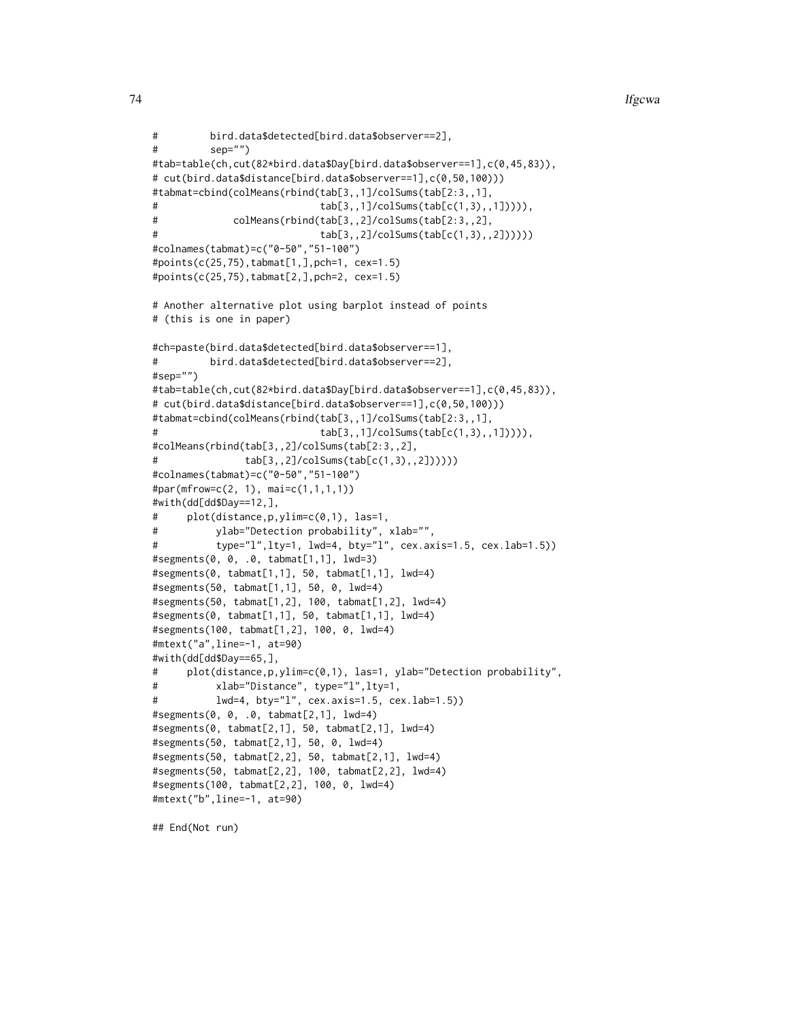```
# bird.data$detected[bird.data$observer==2],
# sep="")
#tab=table(ch,cut(82*bird.data$Day[bird.data$observer==1],c(0,45,83)),
# cut(bird.data$distance[bird.data$observer==1],c(0,50,100)))
#tabmat=cbind(colMeans(rbind(tab[3,,1]/colSums(tab[2:3,,1],
# tab[3,,1]/colSums(tab[c(1,3),,1])))),
# colMeans(rbind(tab[3,,2]/colSums(tab[2:3,,2],
# tab[3,,2]/colSums(tab[c(1,3),,2])))))
#colnames(tabmat)=c("0-50","51-100")
#points(c(25,75),tabmat[1,],pch=1, cex=1.5)
#points(c(25,75),tabmat[2,],pch=2, cex=1.5)
# Another alternative plot using barplot instead of points
# (this is one in paper)
#ch=paste(bird.data$detected[bird.data$observer==1],
# bird.data$detected[bird.data$observer==2],
#sep="")
#tab=table(ch,cut(82*bird.data$Day[bird.data$observer==1],c(0,45,83)),
# cut(bird.data$distance[bird.data$observer==1],c(0,50,100)))
#tabmat=cbind(colMeans(rbind(tab[3,,1]/colSums(tab[2:3,,1],
# tab[3,,1]/colSums(tab[c(1,3),,1])))),
#colMeans(rbind(tab[3,,2]/colSums(tab[2:3,,2],
# tab[3,,2]/colSums(tab[c(1,3),,2])))))
#colnames(tabmat)=c("0-50","51-100")
#par(mfrow=c(2, 1), mai=c(1,1,1,1))
#with(dd[dd$Day==12,],
# plot(distance,p,ylim=c(0,1), las=1,
# ylab="Detection probability", xlab="",
# type="l",lty=1, lwd=4, bty="l", cex.axis=1.5, cex.lab=1.5))
#segments(0, 0, .0, tabmat[1,1], lwd=3)
#segments(0, tabmat[1,1], 50, tabmat[1,1], lwd=4)
#segments(50, tabmat[1,1], 50, 0, lwd=4)
#segments(50, tabmat[1,2], 100, tabmat[1,2], lwd=4)
#segments(0, tabmat[1,1], 50, tabmat[1,1], lwd=4)
#segments(100, tabmat[1,2], 100, 0, lwd=4)
#mtext("a",line=-1, at=90)
#with(dd[dd$Day==65,],
# plot(distance,p,ylim=c(0,1), las=1, ylab="Detection probability",
# xlab="Distance", type="l",lty=1,
# lwd=4, bty="l", cex.axis=1.5, cex.lab=1.5))
#segments(0, 0, .0, tabmat[2,1], lwd=4)
#segments(0, tabmat[2,1], 50, tabmat[2,1], lwd=4)
#segments(50, tabmat[2,1], 50, 0, lwd=4)
#segments(50, tabmat[2,2], 50, tabmat[2,1], lwd=4)
#segments(50, tabmat[2,2], 100, tabmat[2,2], lwd=4)
#segments(100, tabmat[2,2], 100, 0, lwd=4)
#mtext("b",line=-1, at=90)
```
## End(Not run)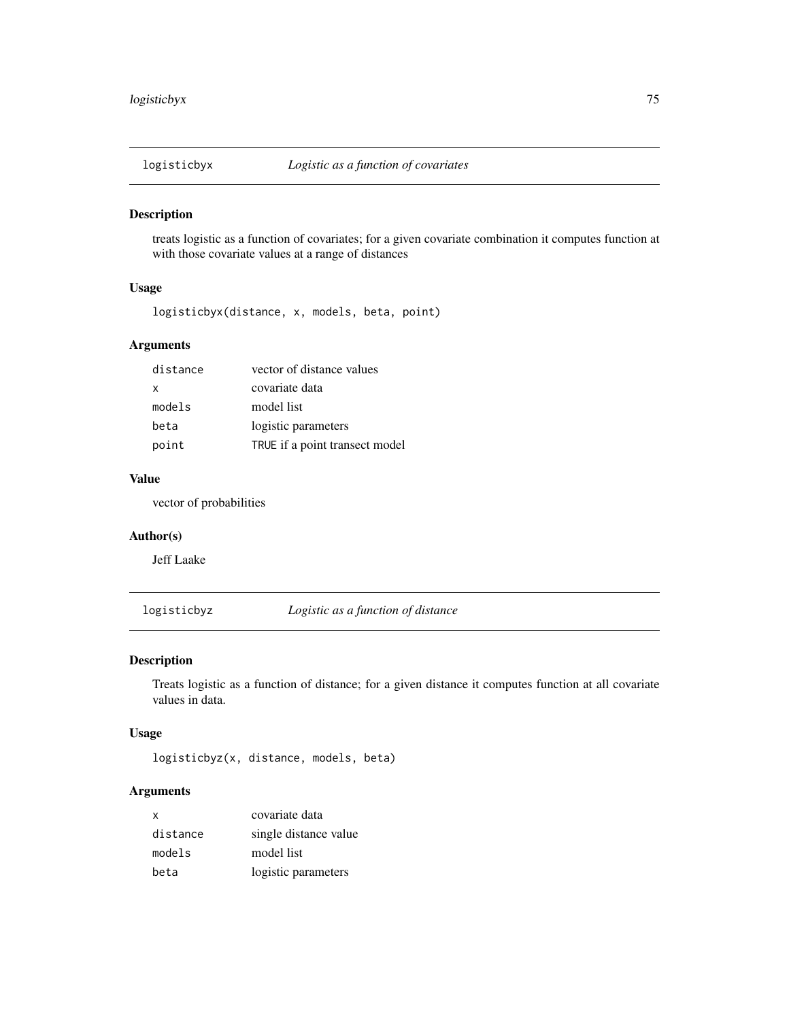treats logistic as a function of covariates; for a given covariate combination it computes function at with those covariate values at a range of distances

### Usage

logisticbyx(distance, x, models, beta, point)

## Arguments

| distance | vector of distance values      |
|----------|--------------------------------|
| x        | covariate data                 |
| models   | model list                     |
| beta     | logistic parameters            |
| point    | TRUE if a point transect model |

#### Value

vector of probabilities

### Author(s)

Jeff Laake

logisticbyz *Logistic as a function of distance*

#### Description

Treats logistic as a function of distance; for a given distance it computes function at all covariate values in data.

#### Usage

logisticbyz(x, distance, models, beta)

## Arguments

| $\mathsf{x}$ | covariate data        |
|--------------|-----------------------|
| distance     | single distance value |
| models       | model list            |
| beta         | logistic parameters   |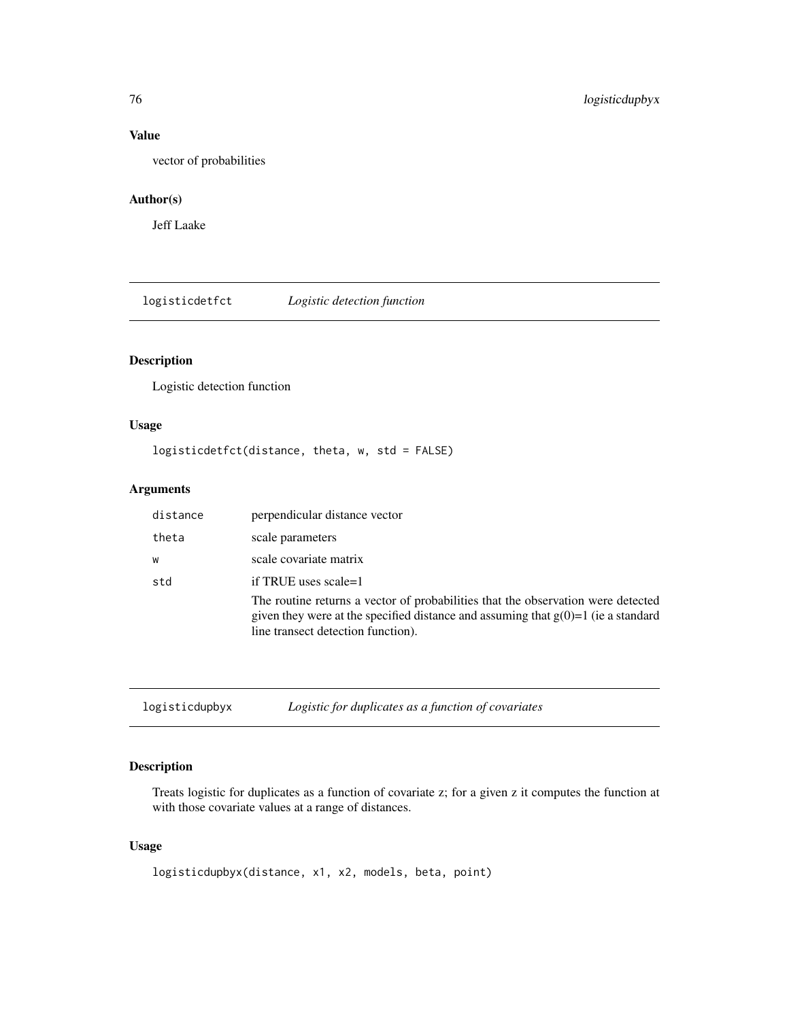## Value

vector of probabilities

### Author(s)

Jeff Laake

logisticdetfct *Logistic detection function*

## Description

Logistic detection function

## Usage

logisticdetfct(distance, theta, w, std = FALSE)

### Arguments

| distance | perpendicular distance vector                                                                                                                                                                                 |
|----------|---------------------------------------------------------------------------------------------------------------------------------------------------------------------------------------------------------------|
| theta    | scale parameters                                                                                                                                                                                              |
| W        | scale covariate matrix                                                                                                                                                                                        |
| std      | if TRUE uses scale=1                                                                                                                                                                                          |
|          | The routine returns a vector of probabilities that the observation were detected<br>given they were at the specified distance and assuming that $g(0)=1$ (ie a standard<br>line transect detection function). |

<span id="page-75-0"></span>logisticdupbyx *Logistic for duplicates as a function of covariates*

## Description

Treats logistic for duplicates as a function of covariate z; for a given z it computes the function at with those covariate values at a range of distances.

#### Usage

```
logisticdupbyx(distance, x1, x2, models, beta, point)
```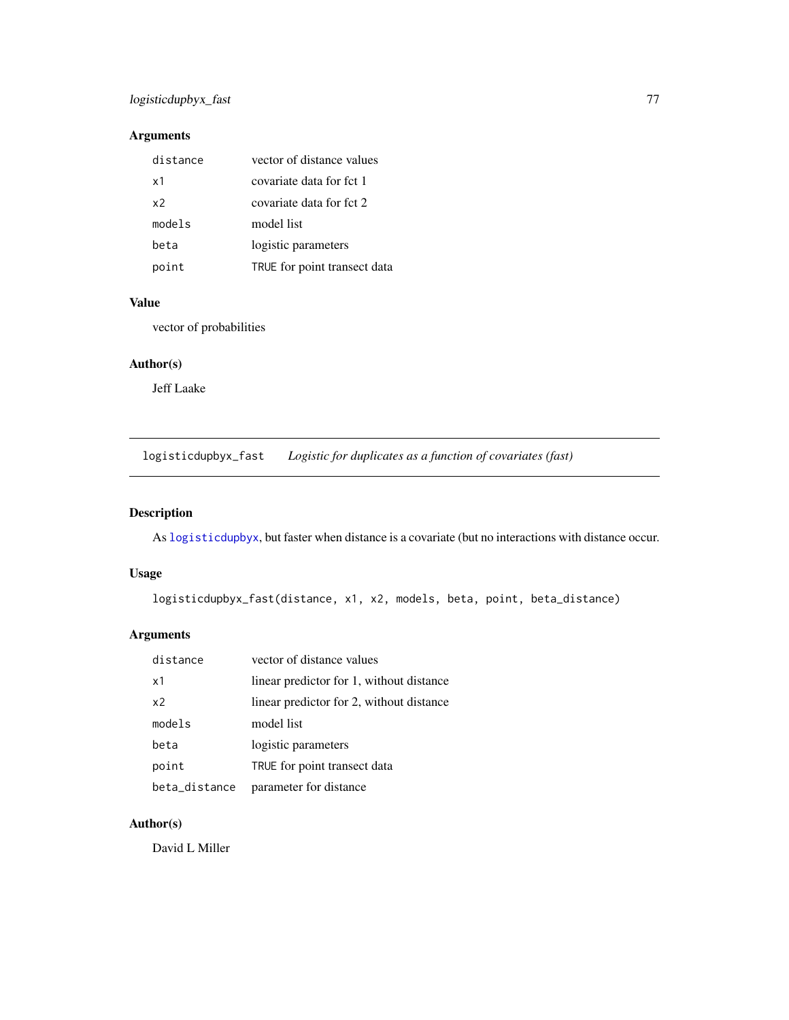## logisticdupbyx\_fast 77

## Arguments

| distance | vector of distance values    |
|----------|------------------------------|
| x1       | covariate data for fct 1     |
| x2       | covariate data for fct 2     |
| models   | model list                   |
| beta     | logistic parameters          |
| point    | TRUE for point transect data |

#### Value

vector of probabilities

#### Author(s)

Jeff Laake

logisticdupbyx\_fast *Logistic for duplicates as a function of covariates (fast)*

## Description

As [logisticdupbyx](#page-75-0), but faster when distance is a covariate (but no interactions with distance occur.

## Usage

logisticdupbyx\_fast(distance, x1, x2, models, beta, point, beta\_distance)

## Arguments

| distance       | vector of distance values                |
|----------------|------------------------------------------|
| x1             | linear predictor for 1, without distance |
| x <sub>2</sub> | linear predictor for 2, without distance |
| models         | model list                               |
| beta           | logistic parameters                      |
| point          | TRUE for point transect data             |
| beta_distance  | parameter for distance                   |

## Author(s)

David L Miller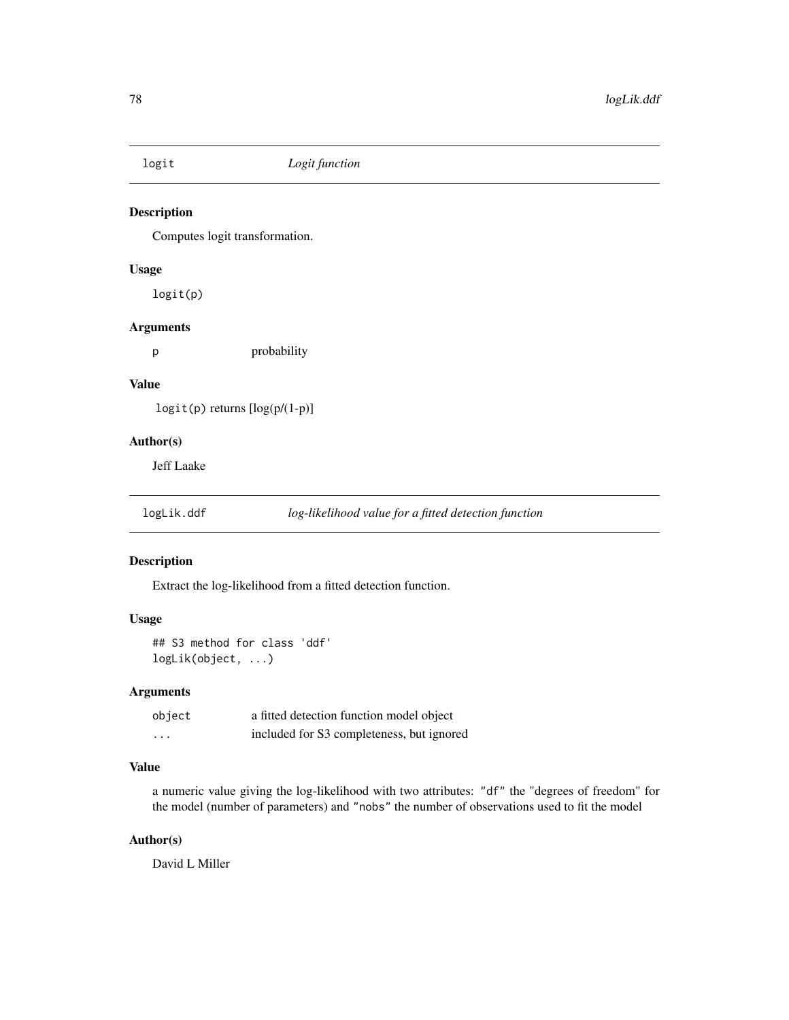Computes logit transformation.

## Usage

logit(p)

## Arguments

p probability

#### Value

logit(p) returns [log(p/(1-p)]

### Author(s)

Jeff Laake

logLik.ddf *log-likelihood value for a fitted detection function*

#### Description

Extract the log-likelihood from a fitted detection function.

#### Usage

## S3 method for class 'ddf' logLik(object, ...)

## Arguments

| object                  | a fitted detection function model object  |
|-------------------------|-------------------------------------------|
| $\cdot$ $\cdot$ $\cdot$ | included for S3 completeness, but ignored |

## Value

a numeric value giving the log-likelihood with two attributes: "df" the "degrees of freedom" for the model (number of parameters) and "nobs" the number of observations used to fit the model

## Author(s)

David L Miller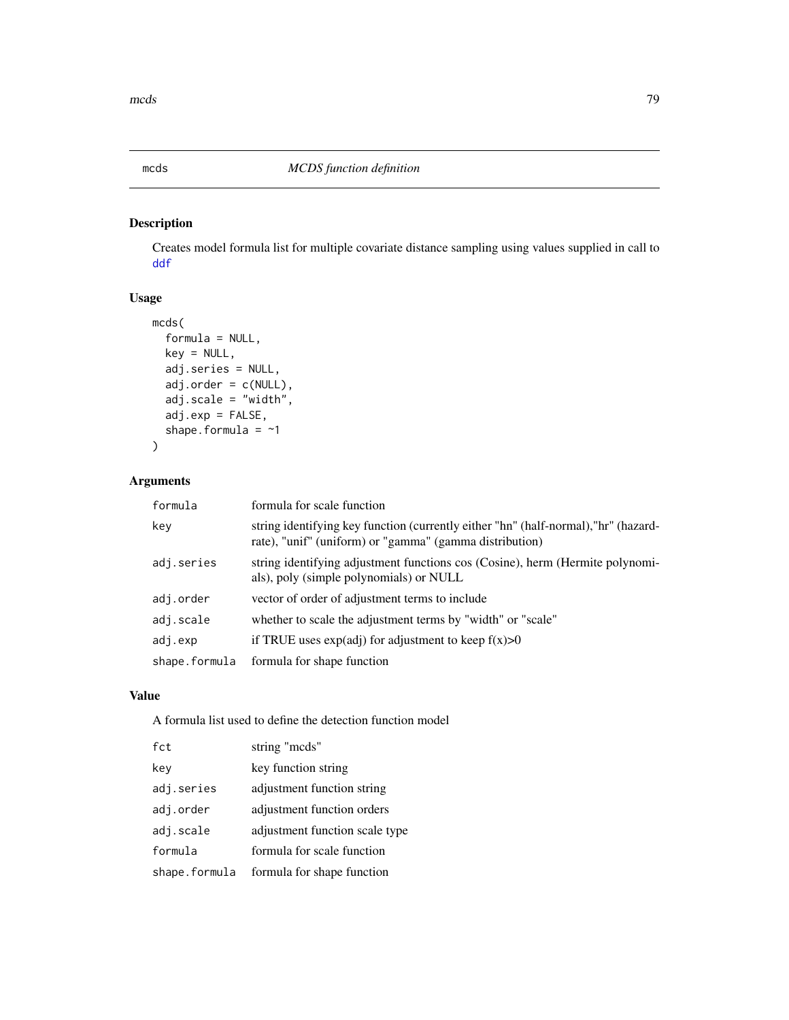Creates model formula list for multiple covariate distance sampling using values supplied in call to [ddf](#page-19-0)

## Usage

```
mcds(
  formula = NULL,
  key = NULL,
  adj.series = NULL,
  adj.order = c(NULL),
  adj.scale = "width",
  adj.exp = FALSE,
  shape.formula = ~1)
```
## Arguments

| formula       | formula for scale function                                                                                                                     |
|---------------|------------------------------------------------------------------------------------------------------------------------------------------------|
| key           | string identifying key function (currently either "hn" (half-normal), "hr" (hazard-<br>rate), "unif" (uniform) or "gamma" (gamma distribution) |
| adj.series    | string identifying adjustment functions cos (Cosine), herm (Hermite polynomi-<br>als), poly (simple polynomials) or NULL                       |
| adj.order     | vector of order of adjustment terms to include                                                                                                 |
| adj.scale     | whether to scale the adjustment terms by "width" or "scale"                                                                                    |
| adj.exp       | if TRUE uses $exp(adj)$ for adjustment to keep $f(x) > 0$                                                                                      |
| shape.formula | formula for shape function                                                                                                                     |

## Value

A formula list used to define the detection function model

| fct           | string "mcds"                  |
|---------------|--------------------------------|
| key           | key function string            |
| adj.series    | adjustment function string     |
| adj.order     | adjustment function orders     |
| adj.scale     | adjustment function scale type |
| formula       | formula for scale function     |
| shape.formula | formula for shape function     |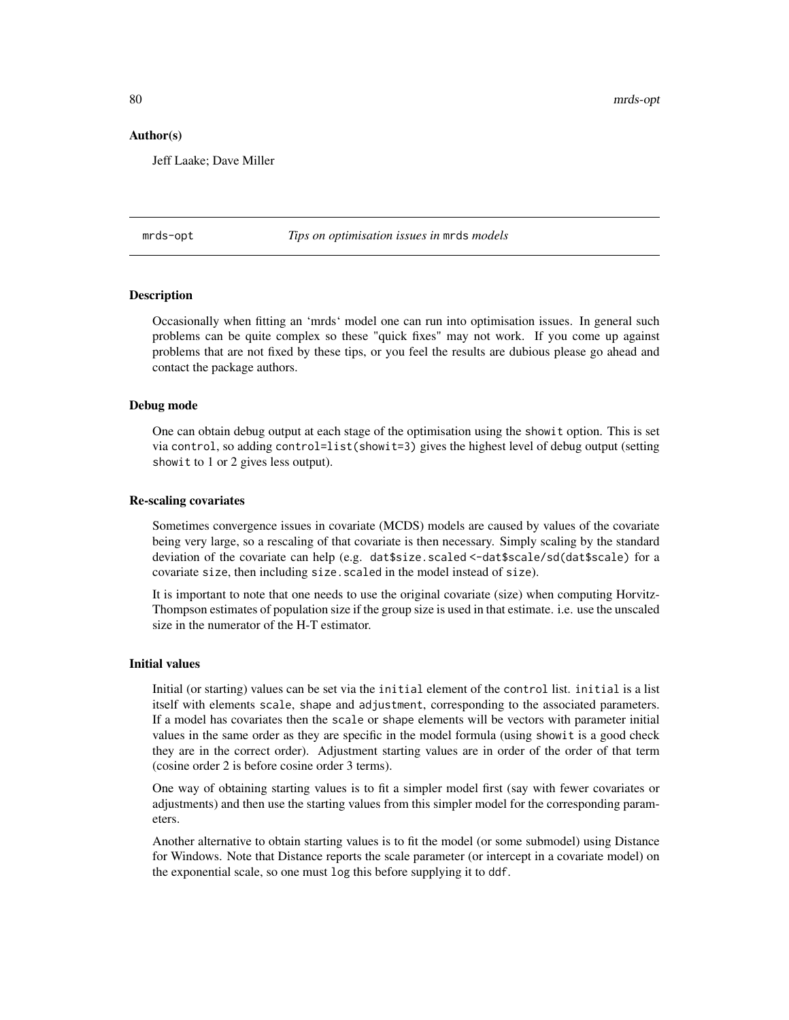80 mrds-opt

#### Author(s)

Jeff Laake; Dave Miller

mrds-opt *Tips on optimisation issues in* mrds *models*

#### **Description**

Occasionally when fitting an 'mrds' model one can run into optimisation issues. In general such problems can be quite complex so these "quick fixes" may not work. If you come up against problems that are not fixed by these tips, or you feel the results are dubious please go ahead and contact the package authors.

#### Debug mode

One can obtain debug output at each stage of the optimisation using the showit option. This is set via control, so adding control=list(showit=3) gives the highest level of debug output (setting showit to 1 or 2 gives less output).

#### Re-scaling covariates

Sometimes convergence issues in covariate (MCDS) models are caused by values of the covariate being very large, so a rescaling of that covariate is then necessary. Simply scaling by the standard deviation of the covariate can help (e.g. dat\$size.scaled <-dat\$scale/sd(dat\$scale) for a covariate size, then including size. scaled in the model instead of size).

It is important to note that one needs to use the original covariate (size) when computing Horvitz-Thompson estimates of population size if the group size is used in that estimate. i.e. use the unscaled size in the numerator of the H-T estimator.

#### Initial values

Initial (or starting) values can be set via the initial element of the control list. initial is a list itself with elements scale, shape and adjustment, corresponding to the associated parameters. If a model has covariates then the scale or shape elements will be vectors with parameter initial values in the same order as they are specific in the model formula (using showit is a good check they are in the correct order). Adjustment starting values are in order of the order of that term (cosine order 2 is before cosine order 3 terms).

One way of obtaining starting values is to fit a simpler model first (say with fewer covariates or adjustments) and then use the starting values from this simpler model for the corresponding parameters.

Another alternative to obtain starting values is to fit the model (or some submodel) using Distance for Windows. Note that Distance reports the scale parameter (or intercept in a covariate model) on the exponential scale, so one must log this before supplying it to ddf.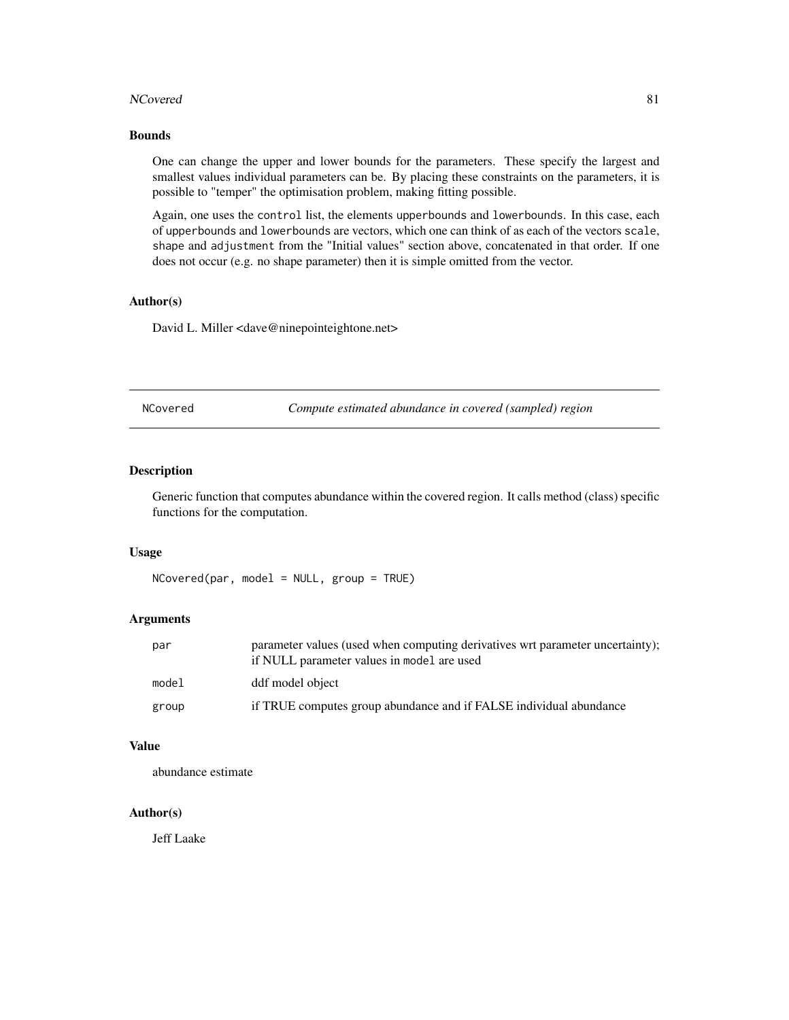#### NCovered 81

#### Bounds

One can change the upper and lower bounds for the parameters. These specify the largest and smallest values individual parameters can be. By placing these constraints on the parameters, it is possible to "temper" the optimisation problem, making fitting possible.

Again, one uses the control list, the elements upperbounds and lowerbounds. In this case, each of upperbounds and lowerbounds are vectors, which one can think of as each of the vectors scale, shape and adjustment from the "Initial values" section above, concatenated in that order. If one does not occur (e.g. no shape parameter) then it is simple omitted from the vector.

#### Author(s)

David L. Miller <dave@ninepointeightone.net>

| NCovered |  |
|----------|--|
|----------|--|

Compute estimated abundance in covered (sampled) region

#### Description

Generic function that computes abundance within the covered region. It calls method (class) specific functions for the computation.

#### Usage

 $NCovered(par, model = NULL, group = TRUE)$ 

#### Arguments

| par   | parameter values (used when computing derivatives wrt parameter uncertainty);<br>if NULL parameter values in model are used |
|-------|-----------------------------------------------------------------------------------------------------------------------------|
| model | ddf model object                                                                                                            |
| group | if TRUE computes group abundance and if FALSE individual abundance                                                          |

### Value

abundance estimate

#### Author(s)

Jeff Laake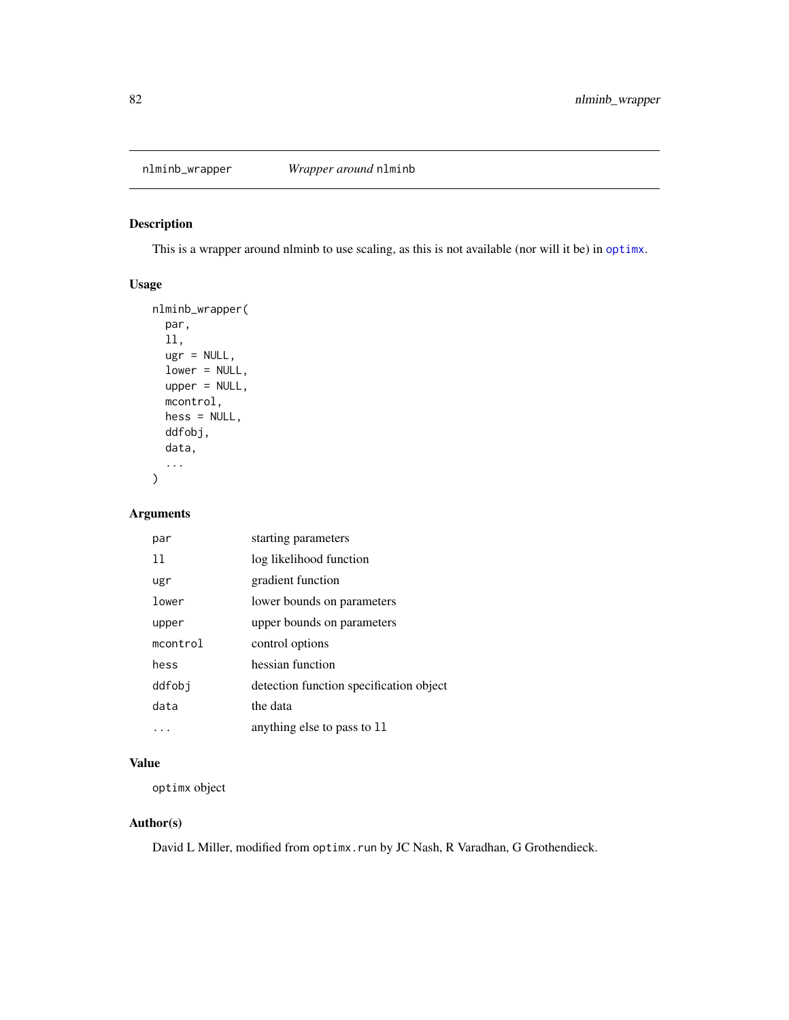This is a wrapper around nlminb to use scaling, as this is not available (nor will it be) in [optimx](#page-0-0).

## Usage

```
nlminb_wrapper(
  par,
  ll,
  ugr = NULL,lower = NULL,
  upper = NULL,
  mcontrol,
  hess = NULL,
  ddfobj,
  data,
  ...
\mathcal{L}
```
## Arguments

| par      | starting parameters                     |
|----------|-----------------------------------------|
| 11       | log likelihood function                 |
| ugr      | gradient function                       |
| lower    | lower bounds on parameters              |
| upper    | upper bounds on parameters              |
| mcontrol | control options                         |
| hess     | hessian function                        |
| ddfobi   | detection function specification object |
| data     | the data                                |
|          | anything else to pass to 11             |

## Value

optimx object

## Author(s)

David L Miller, modified from optimx.run by JC Nash, R Varadhan, G Grothendieck.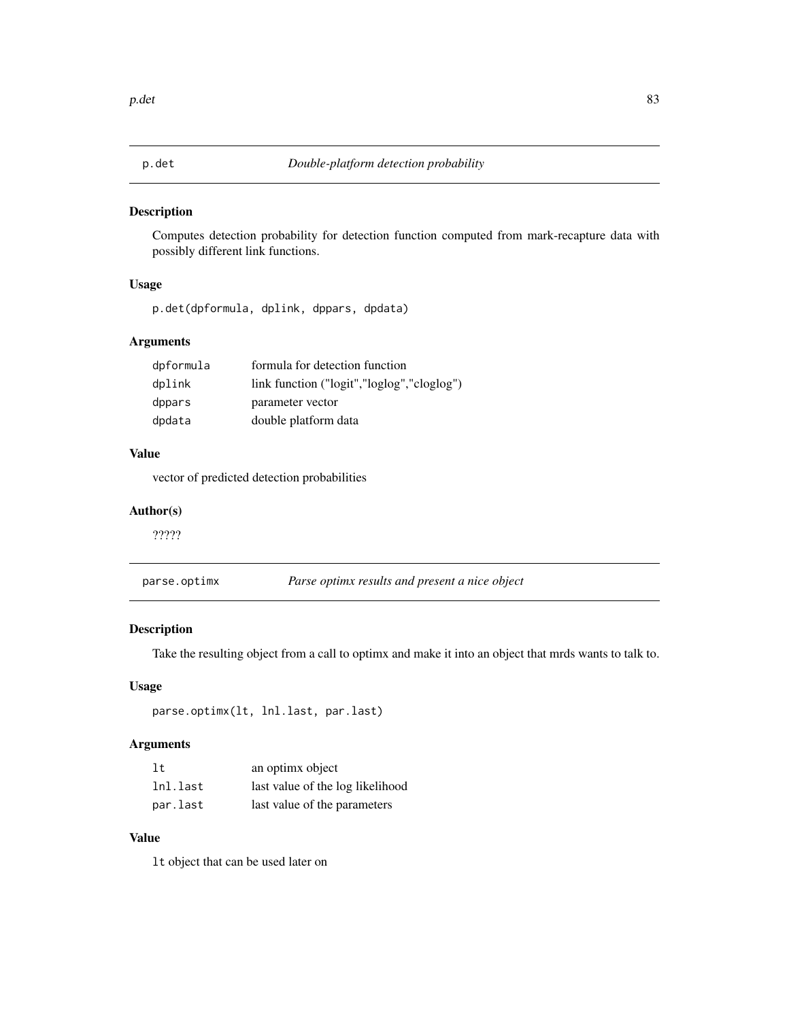Computes detection probability for detection function computed from mark-recapture data with possibly different link functions.

## Usage

p.det(dpformula, dplink, dppars, dpdata)

## Arguments

| dpformula | formula for detection function             |
|-----------|--------------------------------------------|
| dplink    | link function ("logit","loglog","cloglog") |
| dppars    | parameter vector                           |
| dpdata    | double platform data                       |

## Value

vector of predicted detection probabilities

### Author(s)

?????

| parse.optimx | Parse optimx results and present a nice object |  |
|--------------|------------------------------------------------|--|
|              |                                                |  |

## Description

Take the resulting object from a call to optimx and make it into an object that mrds wants to talk to.

## Usage

```
parse.optimx(lt, lnl.last, par.last)
```
## Arguments

| 1t       | an optimx object                 |
|----------|----------------------------------|
| lnl.last | last value of the log likelihood |
| par.last | last value of the parameters     |

## Value

lt object that can be used later on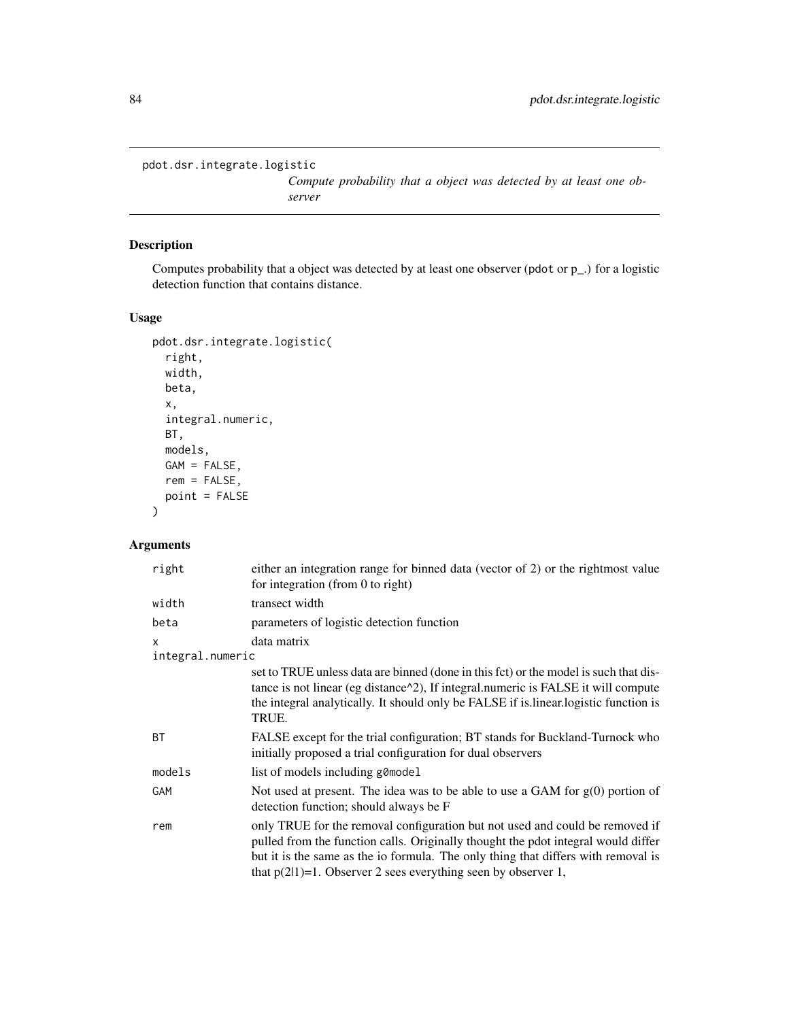```
pdot.dsr.integrate.logistic
```
*Compute probability that a object was detected by at least one observer*

## Description

Computes probability that a object was detected by at least one observer (pdot or p\_.) for a logistic detection function that contains distance.

## Usage

```
pdot.dsr.integrate.logistic(
  right,
 width,
 beta,
 x,
  integral.numeric,
 BT,
 models,
 GAM = FALSE,
 rem = FALSE,
 point = FALSE
)
```
## Arguments

| right                        | either an integration range for binned data (vector of 2) or the rightmost value<br>for integration (from 0 to right)                                                                                                                                                                                                      |
|------------------------------|----------------------------------------------------------------------------------------------------------------------------------------------------------------------------------------------------------------------------------------------------------------------------------------------------------------------------|
| width                        | transect width                                                                                                                                                                                                                                                                                                             |
| beta                         | parameters of logistic detection function                                                                                                                                                                                                                                                                                  |
| $\times$<br>integral.numeric | data matrix                                                                                                                                                                                                                                                                                                                |
|                              | set to TRUE unless data are binned (done in this fct) or the model is such that dis-<br>tance is not linear (eg distance $\alpha$ 2), If integral numeric is FALSE it will compute<br>the integral analytically. It should only be FALSE if is linear logistic function is<br>TRUE.                                        |
| <b>BT</b>                    | FALSE except for the trial configuration; BT stands for Buckland-Turnock who<br>initially proposed a trial configuration for dual observers                                                                                                                                                                                |
| models                       | list of models including g0 model                                                                                                                                                                                                                                                                                          |
| GAM                          | Not used at present. The idea was to be able to use a GAM for $g(0)$ portion of<br>detection function; should always be F                                                                                                                                                                                                  |
| rem                          | only TRUE for the removal configuration but not used and could be removed if<br>pulled from the function calls. Originally thought the pdot integral would differ<br>but it is the same as the io formula. The only thing that differs with removal is<br>that $p(2 1)=1$ . Observer 2 sees everything seen by observer 1, |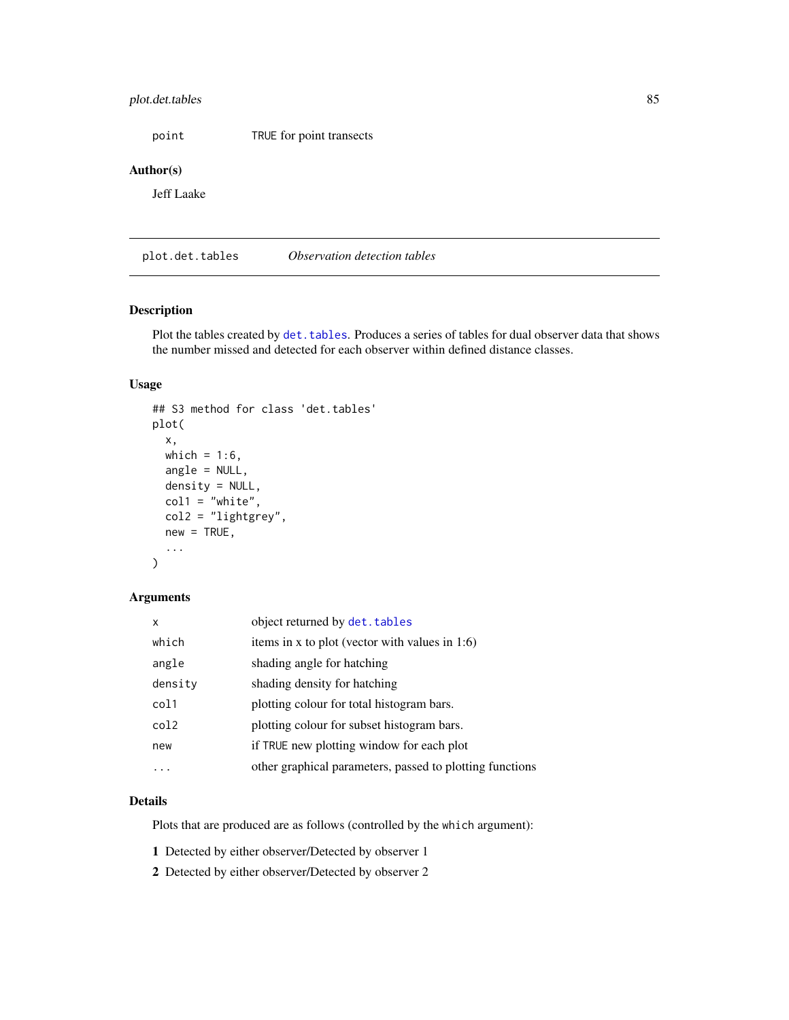## plot.det.tables 85

point TRUE for point transects

#### Author(s)

Jeff Laake

<span id="page-84-0"></span>plot.det.tables *Observation detection tables*

## Description

Plot the tables created by det. tables. Produces a series of tables for dual observer data that shows the number missed and detected for each observer within defined distance classes.

### Usage

```
## S3 method for class 'det.tables'
plot(
  x,
 which = 1:6,
  angle = NULL,
  density = NULL,coll = "white",col2 = "lightgrey",
  new = TRUE,...
\mathcal{L}
```
#### Arguments

| X       | object returned by det. tables                           |
|---------|----------------------------------------------------------|
| which   | items in x to plot (vector with values in 1:6)           |
| angle   | shading angle for hatching                               |
| density | shading density for hatching                             |
| col1    | plotting colour for total histogram bars.                |
| col2    | plotting colour for subset histogram bars.               |
| new     | if TRUE new plotting window for each plot                |
|         | other graphical parameters, passed to plotting functions |

## Details

Plots that are produced are as follows (controlled by the which argument):

1 Detected by either observer/Detected by observer 1

2 Detected by either observer/Detected by observer 2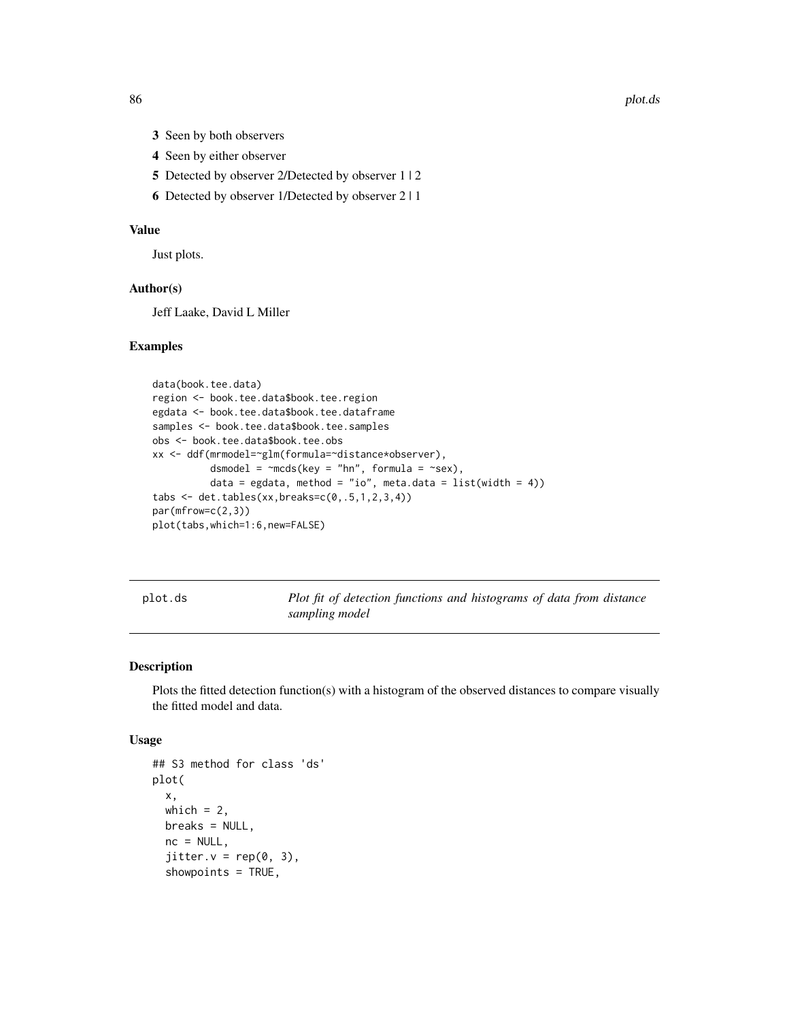86 plot.ds = plot.ds = plot.ds = plot.ds = plot.ds = plot.ds = plot.ds = plot.ds = plot.ds = plot.ds

- 3 Seen by both observers
- 4 Seen by either observer
- 5 Detected by observer 2/Detected by observer 1 | 2
- 6 Detected by observer 1/Detected by observer 2 | 1

#### Value

Just plots.

#### Author(s)

Jeff Laake, David L Miller

#### Examples

```
data(book.tee.data)
region <- book.tee.data$book.tee.region
egdata <- book.tee.data$book.tee.dataframe
samples <- book.tee.data$book.tee.samples
obs <- book.tee.data$book.tee.obs
xx <- ddf(mrmodel=~glm(formula=~distance*observer),
          dsmodel = \negmcds(key = "hn", formula = \negsex),
          data = egdata, method = "io", meta.data = list(width = 4))
tabs \leq det.tables(xx, breaks=c(0,.5,1,2,3,4))
par(mfrow=c(2,3))
plot(tabs,which=1:6,new=FALSE)
```
<span id="page-85-0"></span>plot.ds *Plot fit of detection functions and histograms of data from distance sampling model*

## Description

Plots the fitted detection function(s) with a histogram of the observed distances to compare visually the fitted model and data.

#### Usage

```
## S3 method for class 'ds'
plot(
  x,
 which = 2,
 breaks = NULL,
 nc = NULL,jitter.v = rep(0, 3),showpoints = TRUE,
```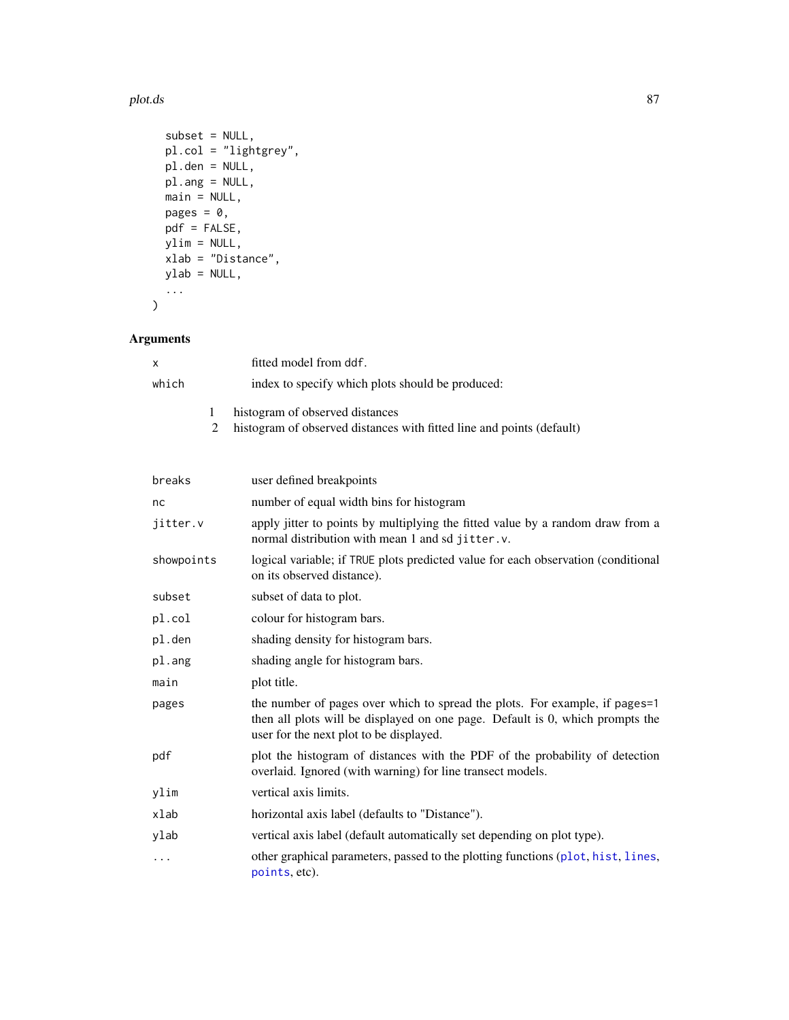#### plot.ds 87

```
subset = NULL,pl.col = "lightgrey",
 pl.den = NULL,
 pl.ang = NULL,
 main = NULL,
 pages = 0,
 pdf = FALSE,ylim = NULL,
 xlab = "Distance",
 ylab = NULL,
 ...
\mathcal{L}
```
# Arguments

| x     | fitted model from ddf.                                                                                   |
|-------|----------------------------------------------------------------------------------------------------------|
| which | index to specify which plots should be produced:                                                         |
|       | histogram of observed distances<br>histogram of observed distances with fitted line and points (default) |

| breaks     | user defined breakpoints                                                                                                                                                                                |
|------------|---------------------------------------------------------------------------------------------------------------------------------------------------------------------------------------------------------|
| nc         | number of equal width bins for histogram                                                                                                                                                                |
| jitter.v   | apply jitter to points by multiplying the fitted value by a random draw from a<br>normal distribution with mean 1 and sd jitter.v.                                                                      |
| showpoints | logical variable; if TRUE plots predicted value for each observation (conditional<br>on its observed distance).                                                                                         |
| subset     | subset of data to plot.                                                                                                                                                                                 |
| pl.col     | colour for histogram bars.                                                                                                                                                                              |
| pl.den     | shading density for histogram bars.                                                                                                                                                                     |
| pl.ang     | shading angle for histogram bars.                                                                                                                                                                       |
| main       | plot title.                                                                                                                                                                                             |
| pages      | the number of pages over which to spread the plots. For example, if pages=1<br>then all plots will be displayed on one page. Default is 0, which prompts the<br>user for the next plot to be displayed. |
| pdf        | plot the histogram of distances with the PDF of the probability of detection<br>overlaid. Ignored (with warning) for line transect models.                                                              |
| ylim       | vertical axis limits.                                                                                                                                                                                   |
| xlab       | horizontal axis label (defaults to "Distance").                                                                                                                                                         |
| ylab       | vertical axis label (default automatically set depending on plot type).                                                                                                                                 |
| $\cdots$   | other graphical parameters, passed to the plotting functions (plot, hist, lines,<br>points, etc).                                                                                                       |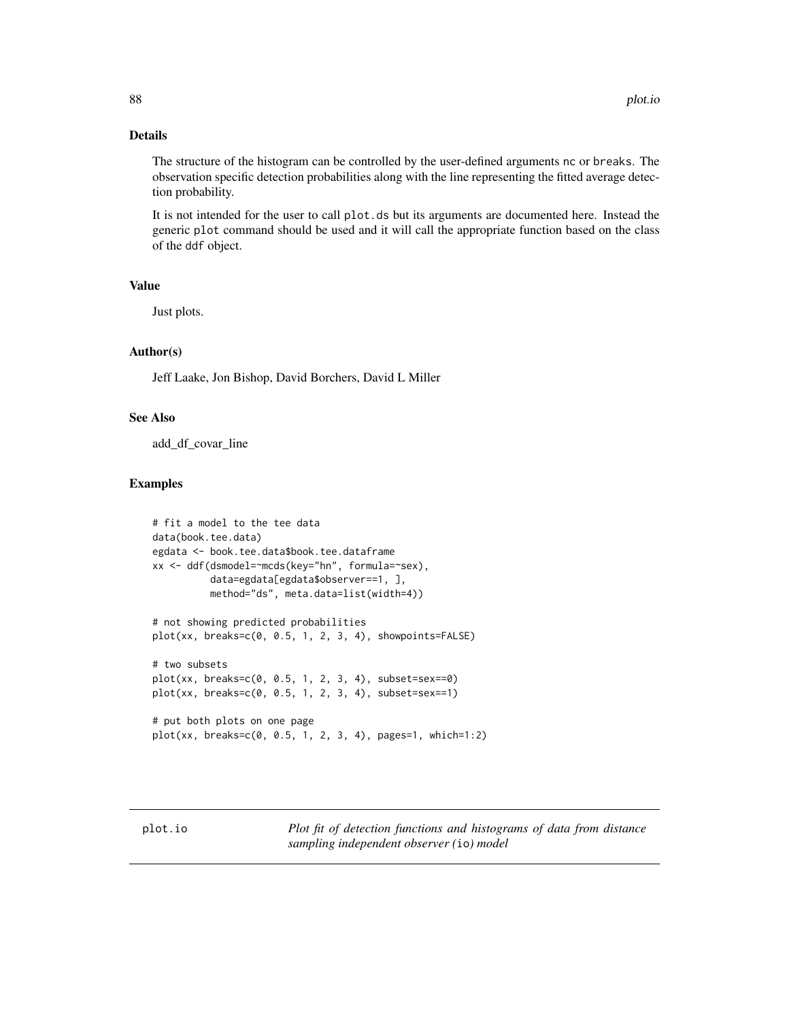#### Details

The structure of the histogram can be controlled by the user-defined arguments nc or breaks. The observation specific detection probabilities along with the line representing the fitted average detection probability.

It is not intended for the user to call plot.ds but its arguments are documented here. Instead the generic plot command should be used and it will call the appropriate function based on the class of the ddf object.

#### Value

Just plots.

#### Author(s)

Jeff Laake, Jon Bishop, David Borchers, David L Miller

## See Also

add\_df\_covar\_line

#### Examples

```
# fit a model to the tee data
data(book.tee.data)
egdata <- book.tee.data$book.tee.dataframe
xx <- ddf(dsmodel=~mcds(key="hn", formula=~sex),
          data=egdata[egdata$observer==1, ],
          method="ds", meta.data=list(width=4))
# not showing predicted probabilities
plot(xx, breaks=c(0, 0.5, 1, 2, 3, 4), showpoints=FALSE)
# two subsets
plot(xx, breaks=c(0, 0.5, 1, 2, 3, 4), subset=sex==0)
plot(xx, breaks=c(0, 0.5, 1, 2, 3, 4), subset=sex==1)
# put both plots on one page
plot(xx, breaks=c(0, 0.5, 1, 2, 3, 4), pages=1, which=1:2)
```
plot.io *Plot fit of detection functions and histograms of data from distance sampling independent observer (*io*) model*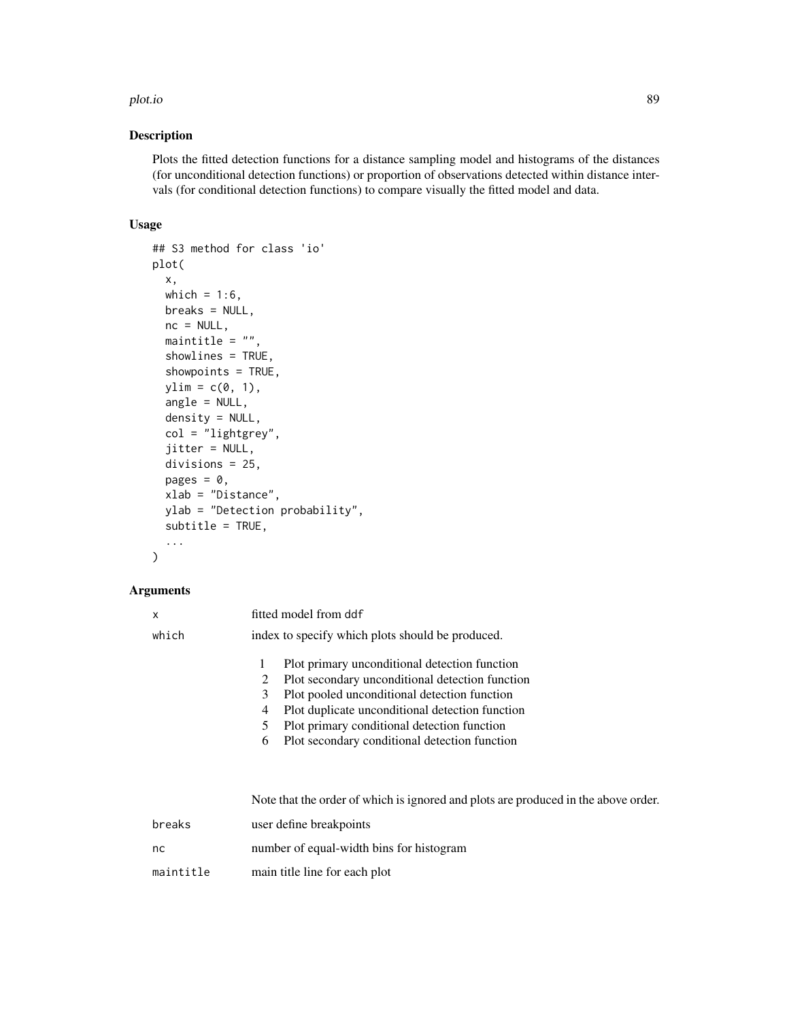#### plot.io and the set of the set of the set of the set of the set of the set of the set of the set of the set of

#### Description

Plots the fitted detection functions for a distance sampling model and histograms of the distances (for unconditional detection functions) or proportion of observations detected within distance intervals (for conditional detection functions) to compare visually the fitted model and data.

#### Usage

```
## S3 method for class 'io'
plot(
  x,
 which = 1:6,
 breaks = NULL,
  nc = NULL,maintitle = ",
  showlines = TRUE,
  showpoints = TRUE,
  ylim = c(0, 1),angle = NULL,
  density = NULL,
  col = "lightgrey",
  jitter = NULL,
  divisions = 25,
  pages = 0,
  xlab = "Distance",
  ylab = "Detection probability",
  subtitle = TRUE,
  ...
)
```
#### Arguments

| x     |             | fitted model from ddf                                                                                                                                                                                                                              |
|-------|-------------|----------------------------------------------------------------------------------------------------------------------------------------------------------------------------------------------------------------------------------------------------|
| which |             | index to specify which plots should be produced.                                                                                                                                                                                                   |
|       | 2<br>3<br>4 | Plot primary unconditional detection function<br>Plot secondary unconditional detection function<br>Plot pooled unconditional detection function<br>Plot duplicate unconditional detection function<br>Plot primary conditional detection function |
|       | 6           | Plot secondary conditional detection function                                                                                                                                                                                                      |
|       |             |                                                                                                                                                                                                                                                    |

Note that the order of which is ignored and plots are produced in the above order.

| breaks    | user define breakpoints                  |
|-----------|------------------------------------------|
| nc        | number of equal-width bins for histogram |
| maintitle | main title line for each plot            |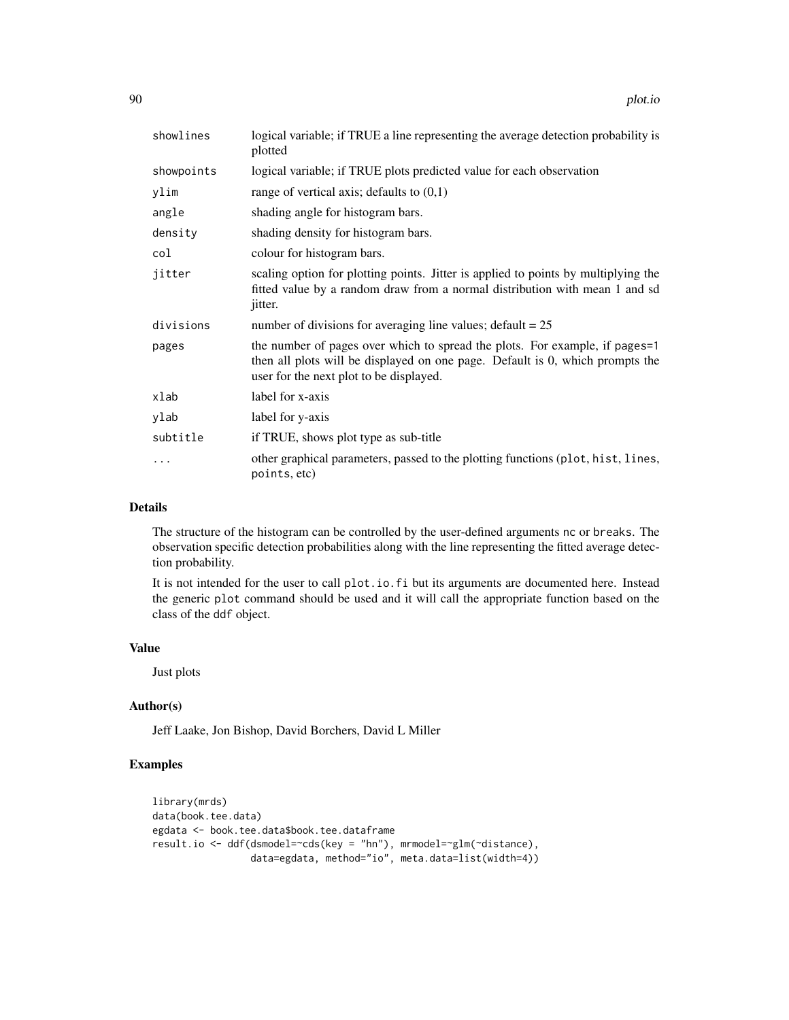| showlines  | logical variable; if TRUE a line representing the average detection probability is<br>plotted                                                                                                           |
|------------|---------------------------------------------------------------------------------------------------------------------------------------------------------------------------------------------------------|
| showpoints | logical variable; if TRUE plots predicted value for each observation                                                                                                                                    |
| ylim       | range of vertical axis; defaults to $(0,1)$                                                                                                                                                             |
| angle      | shading angle for histogram bars.                                                                                                                                                                       |
| density    | shading density for histogram bars.                                                                                                                                                                     |
| col        | colour for histogram bars.                                                                                                                                                                              |
| jitter     | scaling option for plotting points. Jitter is applied to points by multiplying the<br>fitted value by a random draw from a normal distribution with mean 1 and sd<br><i>jitter.</i>                     |
| divisions  | number of divisions for averaging line values; $\text{default} = 25$                                                                                                                                    |
| pages      | the number of pages over which to spread the plots. For example, if pages=1<br>then all plots will be displayed on one page. Default is 0, which prompts the<br>user for the next plot to be displayed. |
| xlab       | label for x-axis                                                                                                                                                                                        |
| ylab       | label for y-axis                                                                                                                                                                                        |
| subtitle   | if TRUE, shows plot type as sub-title                                                                                                                                                                   |
| .          | other graphical parameters, passed to the plotting functions (plot, hist, lines,<br>points, etc)                                                                                                        |

#### Details

The structure of the histogram can be controlled by the user-defined arguments nc or breaks. The observation specific detection probabilities along with the line representing the fitted average detection probability.

It is not intended for the user to call plot.io.fi but its arguments are documented here. Instead the generic plot command should be used and it will call the appropriate function based on the class of the ddf object.

#### Value

Just plots

#### Author(s)

Jeff Laake, Jon Bishop, David Borchers, David L Miller

## Examples

```
library(mrds)
data(book.tee.data)
egdata <- book.tee.data$book.tee.dataframe
result.io <- ddf(dsmodel=~cds(key = "hn"), mrmodel=~glm(~distance),
                 data=egdata, method="io", meta.data=list(width=4))
```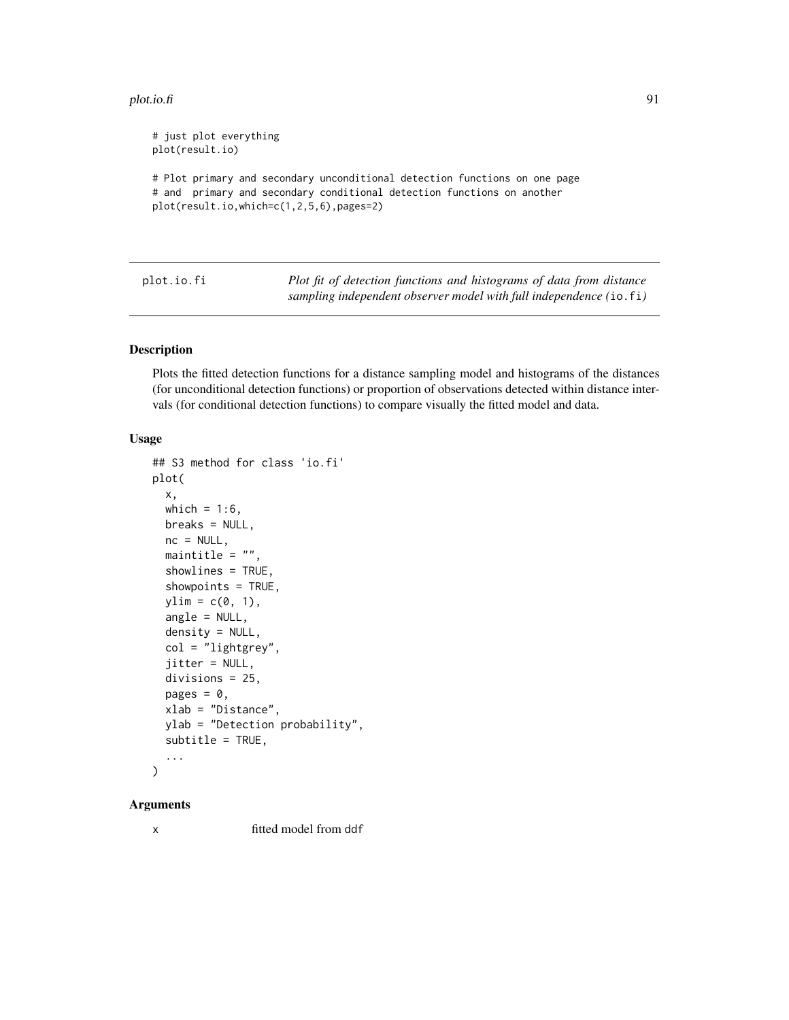#### plot.io.fi 91

```
# just plot everything
plot(result.io)
# Plot primary and secondary unconditional detection functions on one page
# and primary and secondary conditional detection functions on another
plot(result.io,which=c(1,2,5,6),pages=2)
```

| plot.io.fi | Plot fit of detection functions and histograms of data from distance |
|------------|----------------------------------------------------------------------|
|            | sampling independent observer model with full independence (io.fi)   |

#### Description

Plots the fitted detection functions for a distance sampling model and histograms of the distances (for unconditional detection functions) or proportion of observations detected within distance intervals (for conditional detection functions) to compare visually the fitted model and data.

### Usage

```
## S3 method for class 'io.fi'
plot(
 x,
 which = 1:6,
 breaks = NULL,
 nc = NULL,maintitle = ",
  showlines = TRUE,
  showpoints = TRUE,
 ylim = c(0, 1),angle = NULL,
  density = NULL,
  col = "lightgrey",
  jitter = NULL,
  divisions = 25,
 pages = \theta,
 xlab = "Distance",
 ylab = "Detection probability",
  subtitle = TRUE,
  ...
)
```
#### Arguments

x fitted model from ddf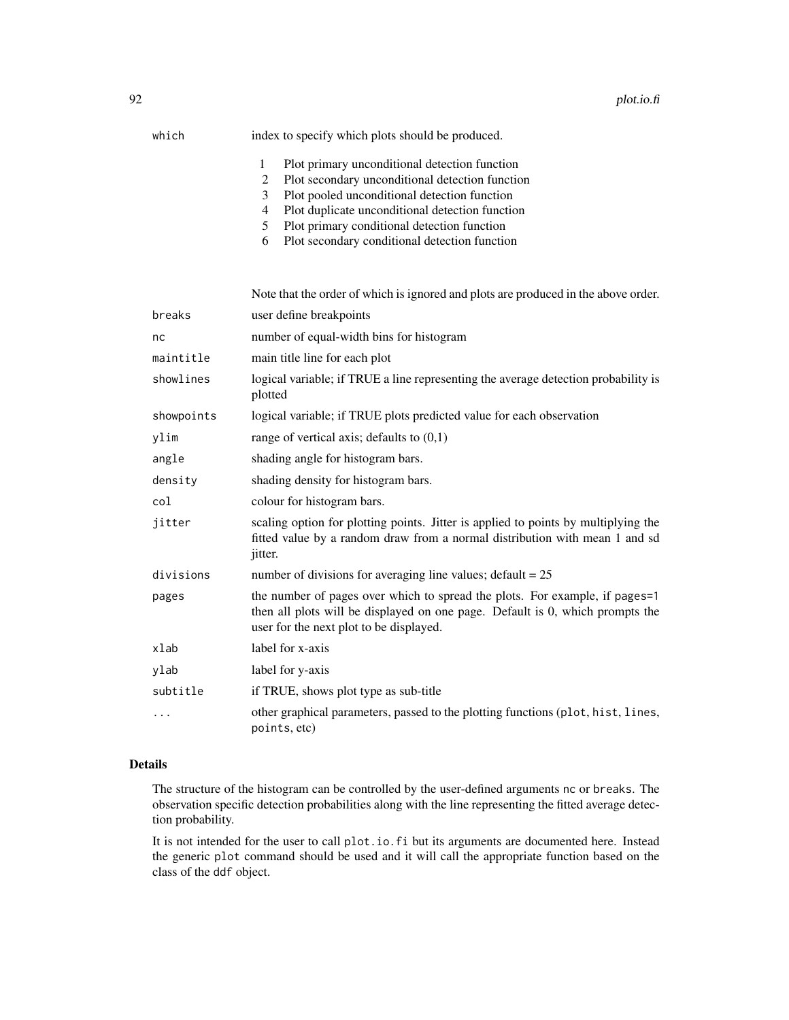| which<br>index to specify which plots should be produced. |  |
|-----------------------------------------------------------|--|
|-----------------------------------------------------------|--|

- 1 Plot primary unconditional detection function
- 2 Plot secondary unconditional detection function
- 3 Plot pooled unconditional detection function
- 4 Plot duplicate unconditional detection function
- 5 Plot primary conditional detection function
- 6 Plot secondary conditional detection function

|            | Note that the order of which is ignored and plots are produced in the above order.                                                                                                                      |
|------------|---------------------------------------------------------------------------------------------------------------------------------------------------------------------------------------------------------|
| breaks     | user define breakpoints                                                                                                                                                                                 |
| nc         | number of equal-width bins for histogram                                                                                                                                                                |
| maintitle  | main title line for each plot                                                                                                                                                                           |
| showlines  | logical variable; if TRUE a line representing the average detection probability is<br>plotted                                                                                                           |
| showpoints | logical variable; if TRUE plots predicted value for each observation                                                                                                                                    |
| ylim       | range of vertical axis; defaults to $(0,1)$                                                                                                                                                             |
| angle      | shading angle for histogram bars.                                                                                                                                                                       |
| density    | shading density for histogram bars.                                                                                                                                                                     |
| col        | colour for histogram bars.                                                                                                                                                                              |
| jitter     | scaling option for plotting points. Jitter is applied to points by multiplying the<br>fitted value by a random draw from a normal distribution with mean 1 and sd<br>jitter.                            |
| divisions  | number of divisions for averaging line values; default = $25$                                                                                                                                           |
| pages      | the number of pages over which to spread the plots. For example, if pages=1<br>then all plots will be displayed on one page. Default is 0, which prompts the<br>user for the next plot to be displayed. |
| xlab       | label for x-axis                                                                                                                                                                                        |
| ylab       | label for y-axis                                                                                                                                                                                        |
| subtitle   | if TRUE, shows plot type as sub-title                                                                                                                                                                   |
| .          | other graphical parameters, passed to the plotting functions (plot, hist, lines,<br>points, etc)                                                                                                        |

### Details

The structure of the histogram can be controlled by the user-defined arguments nc or breaks. The observation specific detection probabilities along with the line representing the fitted average detection probability.

It is not intended for the user to call plot.io.fi but its arguments are documented here. Instead the generic plot command should be used and it will call the appropriate function based on the class of the ddf object.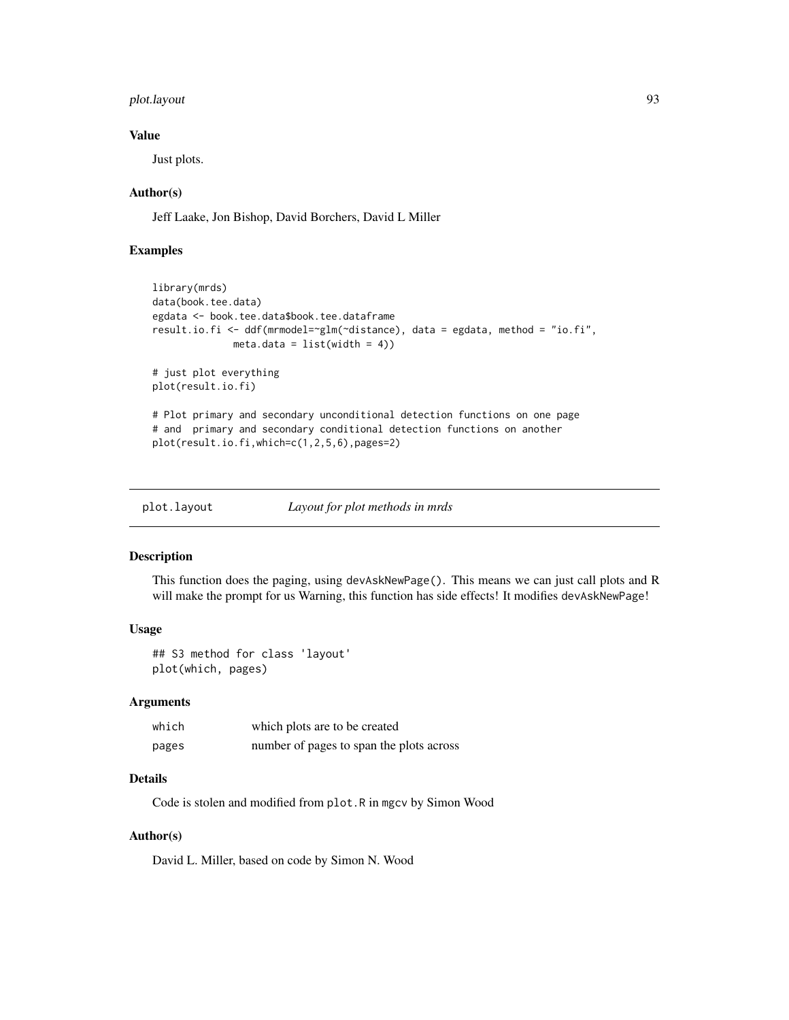## plot.layout 93

#### Value

Just plots.

### Author(s)

Jeff Laake, Jon Bishop, David Borchers, David L Miller

## Examples

```
library(mrds)
data(book.tee.data)
egdata <- book.tee.data$book.tee.dataframe
result.io.fi <- ddf(mrmodel=~glm(~distance), data = egdata, method = "io.fi",
             meta.data = list(width = 4)# just plot everything
plot(result.io.fi)
# Plot primary and secondary unconditional detection functions on one page
# and primary and secondary conditional detection functions on another
plot(result.io.fi,which=c(1,2,5,6),pages=2)
```
plot.layout *Layout for plot methods in mrds*

### Description

This function does the paging, using devAskNewPage(). This means we can just call plots and R will make the prompt for us Warning, this function has side effects! It modifies devAskNewPage!

## Usage

## S3 method for class 'layout' plot(which, pages)

## Arguments

| which | which plots are to be created            |
|-------|------------------------------------------|
| pages | number of pages to span the plots across |

### Details

Code is stolen and modified from plot.R in mgcv by Simon Wood

#### Author(s)

David L. Miller, based on code by Simon N. Wood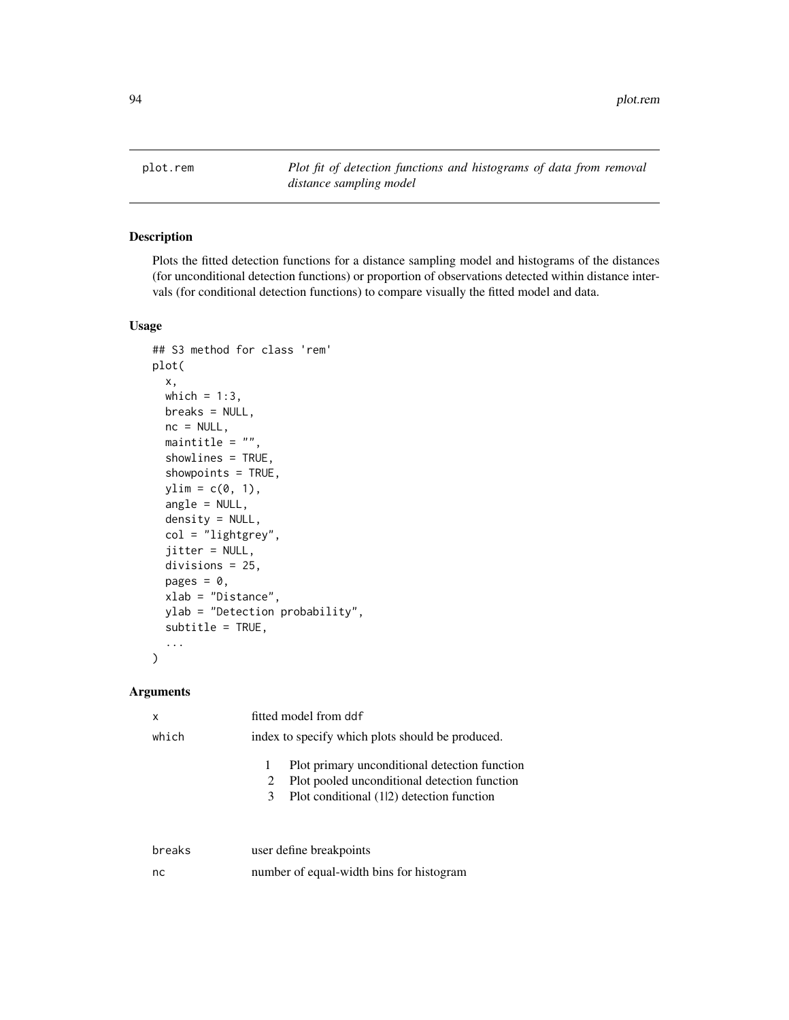plot.rem *Plot fit of detection functions and histograms of data from removal distance sampling model*

## Description

Plots the fitted detection functions for a distance sampling model and histograms of the distances (for unconditional detection functions) or proportion of observations detected within distance intervals (for conditional detection functions) to compare visually the fitted model and data.

## Usage

```
## S3 method for class 'rem'
plot(
  x,
 which = 1:3,
 breaks = NULL,
  nc = NULL,maintitle = ".
  showlines = TRUE,
  showpoints = TRUE,
  ylim = c(0, 1),angle = NULL,
  density = NULL,col = "lightgrey",
  jitter = NULL,
  divisions = 25,
  pages = \theta,
  xlab = "Distance",
  ylab = "Detection probability",
  subtitle = TRUE,...
\mathcal{L}
```
#### Arguments

| x      | fitted model from ddf                                                                                                                          |
|--------|------------------------------------------------------------------------------------------------------------------------------------------------|
| which  | index to specify which plots should be produced.                                                                                               |
|        | Plot primary unconditional detection function<br>Plot pooled unconditional detection function<br>Plot conditional (12) detection function<br>3 |
| breaks | user define breakpoints                                                                                                                        |
| nc     | number of equal-width bins for histogram                                                                                                       |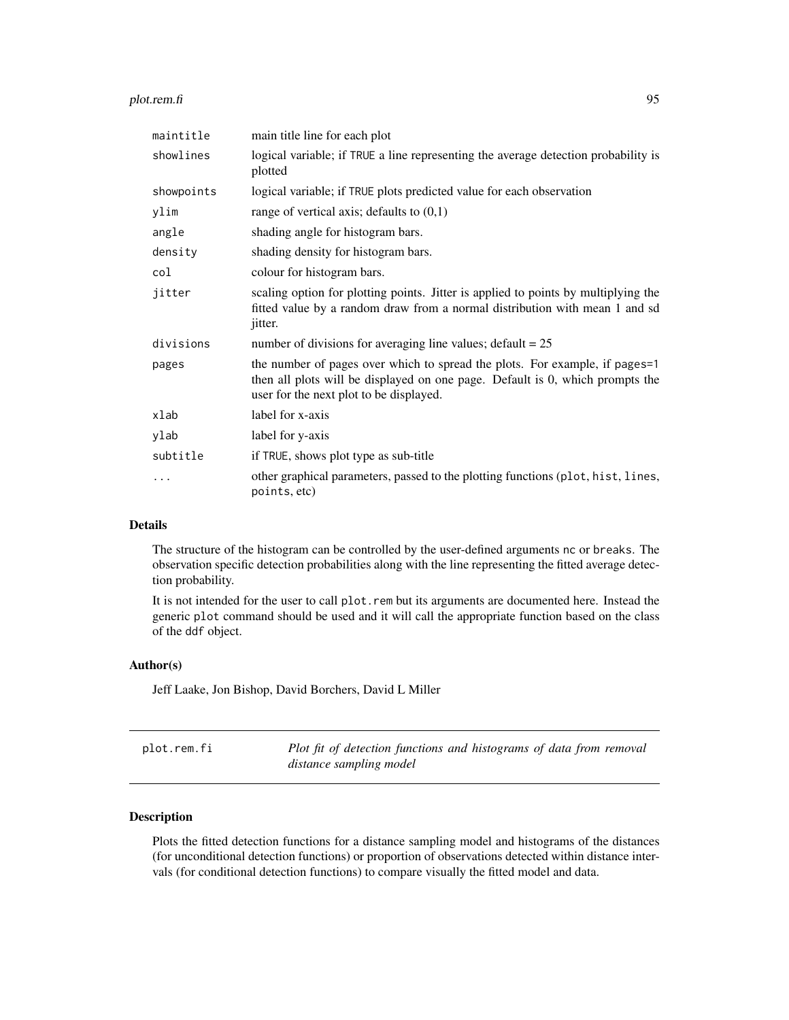#### plot.rem.fi 95

| maintitle  | main title line for each plot                                                                                                                                                                           |
|------------|---------------------------------------------------------------------------------------------------------------------------------------------------------------------------------------------------------|
| showlines  | logical variable; if TRUE a line representing the average detection probability is<br>plotted                                                                                                           |
| showpoints | logical variable; if TRUE plots predicted value for each observation                                                                                                                                    |
| ylim       | range of vertical axis; defaults to $(0,1)$                                                                                                                                                             |
| angle      | shading angle for histogram bars.                                                                                                                                                                       |
| density    | shading density for histogram bars.                                                                                                                                                                     |
| col        | colour for histogram bars.                                                                                                                                                                              |
| jitter     | scaling option for plotting points. Jitter is applied to points by multiplying the<br>fitted value by a random draw from a normal distribution with mean 1 and sd<br>jitter.                            |
| divisions  | number of divisions for averaging line values; $\text{default} = 25$                                                                                                                                    |
| pages      | the number of pages over which to spread the plots. For example, if pages=1<br>then all plots will be displayed on one page. Default is 0, which prompts the<br>user for the next plot to be displayed. |
| xlab       | label for x-axis                                                                                                                                                                                        |
| ylab       | label for y-axis                                                                                                                                                                                        |
| subtitle   | if TRUE, shows plot type as sub-title                                                                                                                                                                   |
| .          | other graphical parameters, passed to the plotting functions (plot, hist, lines,<br>points, etc)                                                                                                        |

## Details

The structure of the histogram can be controlled by the user-defined arguments nc or breaks. The observation specific detection probabilities along with the line representing the fitted average detection probability.

It is not intended for the user to call plot.rem but its arguments are documented here. Instead the generic plot command should be used and it will call the appropriate function based on the class of the ddf object.

## Author(s)

Jeff Laake, Jon Bishop, David Borchers, David L Miller

| plot.rem.fi | Plot fit of detection functions and histograms of data from removal |
|-------------|---------------------------------------------------------------------|
|             | distance sampling model                                             |

### Description

Plots the fitted detection functions for a distance sampling model and histograms of the distances (for unconditional detection functions) or proportion of observations detected within distance intervals (for conditional detection functions) to compare visually the fitted model and data.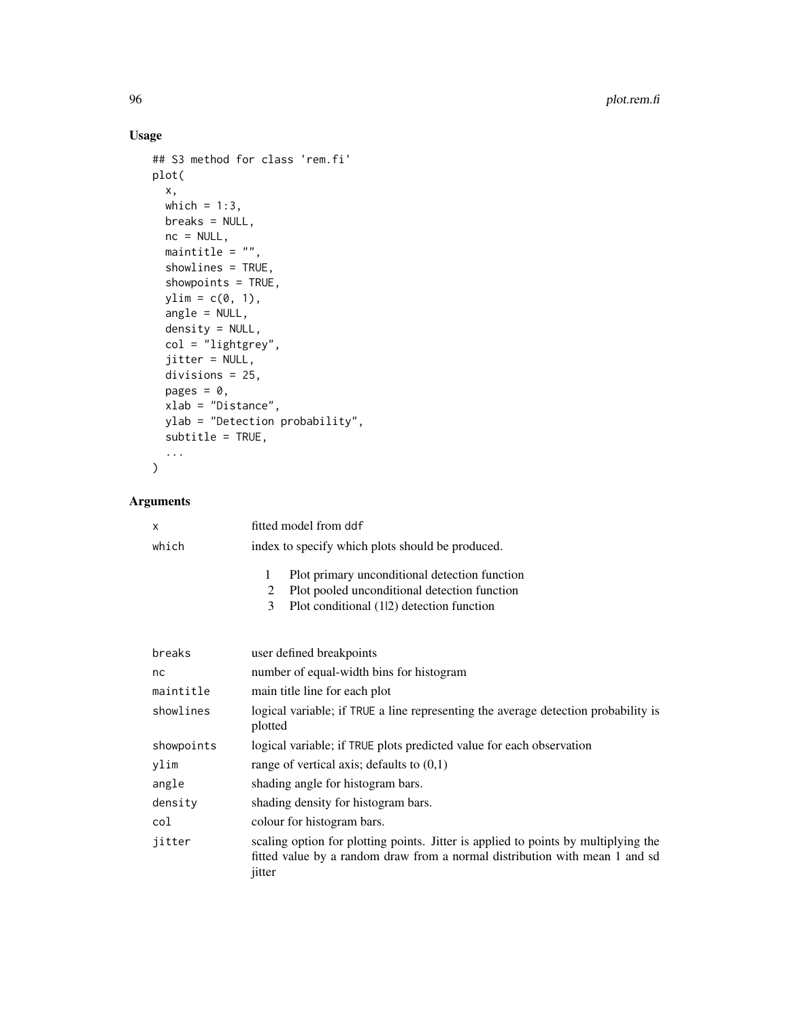## Usage

```
## S3 method for class 'rem.fi'
plot(
 x,
 which = 1:3,
 breaks = NULL,
 nc = NULL,maintitle = ",
 showlines = TRUE,
  showpoints = TRUE,
 ylim = c(0, 1),
  angle = NULL,
 density = NULL,
 col = "lightgrey",
  jitter = NULL,
 divisions = 25,
 pages = 0,
 xlab = "Distance",
 ylab = "Detection probability",
 subtitle = TRUE,
  ...
)
```
## Arguments

| X          | fitted model from ddf                                                                                                                                                       |
|------------|-----------------------------------------------------------------------------------------------------------------------------------------------------------------------------|
| which      | index to specify which plots should be produced.                                                                                                                            |
|            | Plot primary unconditional detection function<br>1<br>Plot pooled unconditional detection function<br>2<br>3<br>Plot conditional (12) detection function                    |
| breaks     | user defined breakpoints                                                                                                                                                    |
| nc         | number of equal-width bins for histogram                                                                                                                                    |
| maintitle  | main title line for each plot                                                                                                                                               |
| showlines  | logical variable; if TRUE a line representing the average detection probability is<br>plotted                                                                               |
| showpoints | logical variable; if TRUE plots predicted value for each observation                                                                                                        |
| ylim       | range of vertical axis; defaults to $(0,1)$                                                                                                                                 |
| angle      | shading angle for histogram bars.                                                                                                                                           |
| density    | shading density for histogram bars.                                                                                                                                         |
| col        | colour for histogram bars.                                                                                                                                                  |
| jitter     | scaling option for plotting points. Jitter is applied to points by multiplying the<br>fitted value by a random draw from a normal distribution with mean 1 and sd<br>jitter |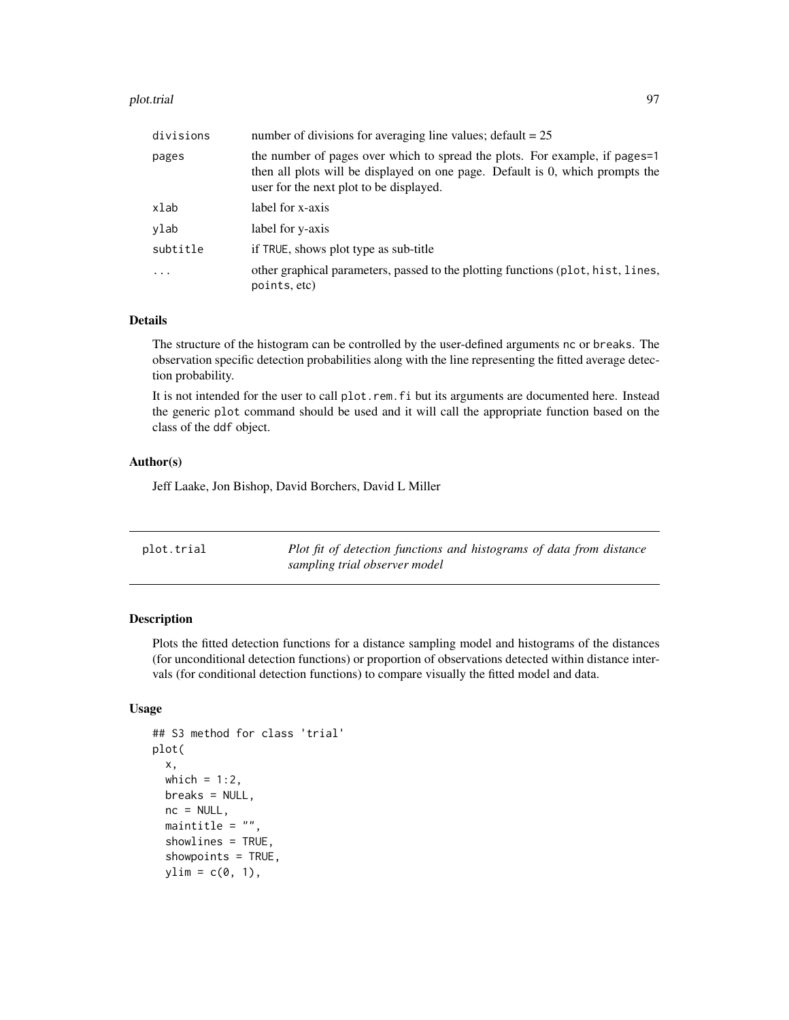#### plot.trial 97

| divisions | number of divisions for averaging line values; $\text{default} = 25$                                                                                                                                    |
|-----------|---------------------------------------------------------------------------------------------------------------------------------------------------------------------------------------------------------|
| pages     | the number of pages over which to spread the plots. For example, if pages=1<br>then all plots will be displayed on one page. Default is 0, which prompts the<br>user for the next plot to be displayed. |
| xlab      | label for x-axis                                                                                                                                                                                        |
| ylab      | label for y-axis                                                                                                                                                                                        |
| subtitle  | if TRUE, shows plot type as sub-title                                                                                                                                                                   |
|           | other graphical parameters, passed to the plotting functions (plot, hist, lines,<br>points, etc)                                                                                                        |

### Details

The structure of the histogram can be controlled by the user-defined arguments nc or breaks. The observation specific detection probabilities along with the line representing the fitted average detection probability.

It is not intended for the user to call plot.rem.fi but its arguments are documented here. Instead the generic plot command should be used and it will call the appropriate function based on the class of the ddf object.

#### Author(s)

Jeff Laake, Jon Bishop, David Borchers, David L Miller

| plot.trial | Plot fit of detection functions and histograms of data from distance |
|------------|----------------------------------------------------------------------|
|            | sampling trial observer model                                        |

#### Description

Plots the fitted detection functions for a distance sampling model and histograms of the distances (for unconditional detection functions) or proportion of observations detected within distance intervals (for conditional detection functions) to compare visually the fitted model and data.

## Usage

```
## S3 method for class 'trial'
plot(
  x,
 which = 1:2,
 breaks = NULL,
 nc = NULL,maintitle = ".
  showlines = TRUE,
  showpoints = TRUE,
 ylim = c(0, 1),
```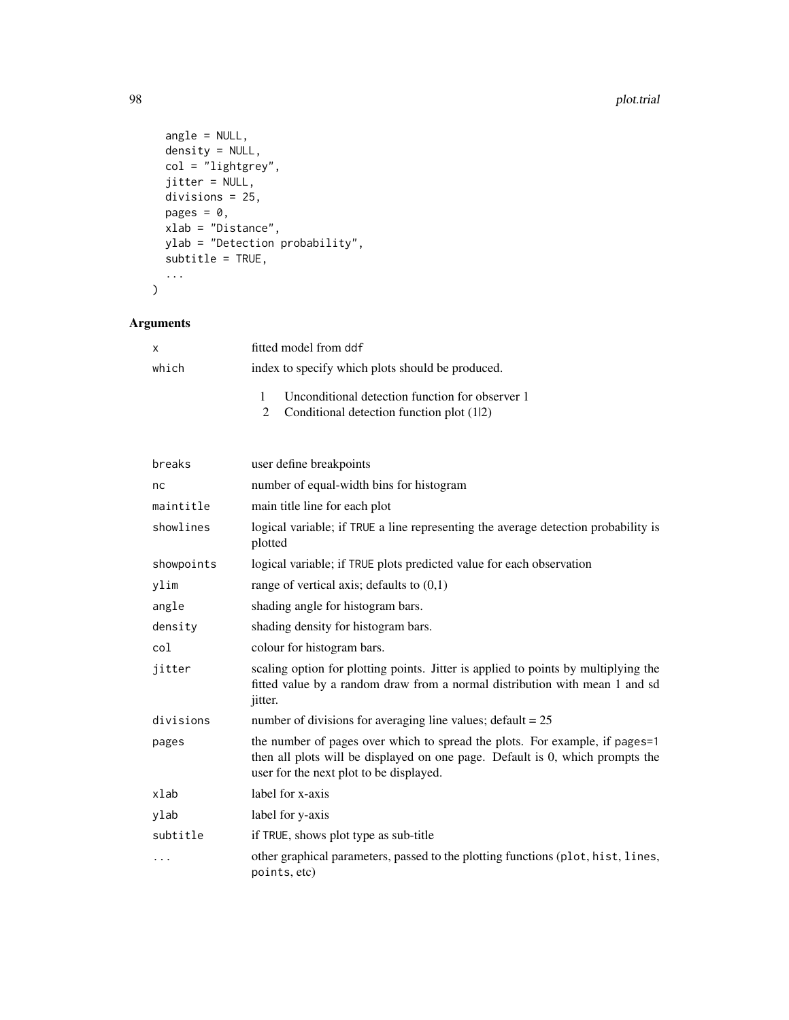```
angle = NULL,
 density = NULL,
 col = "lightgrey",jitter = NULL,
 divisions = 25,pages = 0,
 xlab = "Distance",
 ylab = "Detection probability",
 subtitle = TRUE,
  ...
\sum_{i=1}^{n}
```
## Arguments

| $\mathsf{x}$ | fitted model from ddf                                                                         |
|--------------|-----------------------------------------------------------------------------------------------|
| which        | index to specify which plots should be produced.                                              |
|              | Unconditional detection function for observer 1<br>2 Conditional detection function plot (12) |

| breaks     | user define breakpoints                                                                                                                                                                                 |
|------------|---------------------------------------------------------------------------------------------------------------------------------------------------------------------------------------------------------|
| nc         | number of equal-width bins for histogram                                                                                                                                                                |
| maintitle  | main title line for each plot                                                                                                                                                                           |
| showlines  | logical variable; if TRUE a line representing the average detection probability is<br>plotted                                                                                                           |
| showpoints | logical variable; if TRUE plots predicted value for each observation                                                                                                                                    |
| ylim       | range of vertical axis; defaults to $(0,1)$                                                                                                                                                             |
| angle      | shading angle for histogram bars.                                                                                                                                                                       |
| density    | shading density for histogram bars.                                                                                                                                                                     |
| col        | colour for histogram bars.                                                                                                                                                                              |
| jitter     | scaling option for plotting points. Jitter is applied to points by multiplying the<br>fitted value by a random draw from a normal distribution with mean 1 and sd<br>jitter.                            |
| divisions  | number of divisions for averaging line values; $\text{default} = 25$                                                                                                                                    |
| pages      | the number of pages over which to spread the plots. For example, if pages=1<br>then all plots will be displayed on one page. Default is 0, which prompts the<br>user for the next plot to be displayed. |
| xlab       | label for x-axis                                                                                                                                                                                        |
| ylab       | label for y-axis                                                                                                                                                                                        |
| subtitle   | if TRUE, shows plot type as sub-title                                                                                                                                                                   |
| .          | other graphical parameters, passed to the plotting functions (plot, hist, lines,<br>points, etc)                                                                                                        |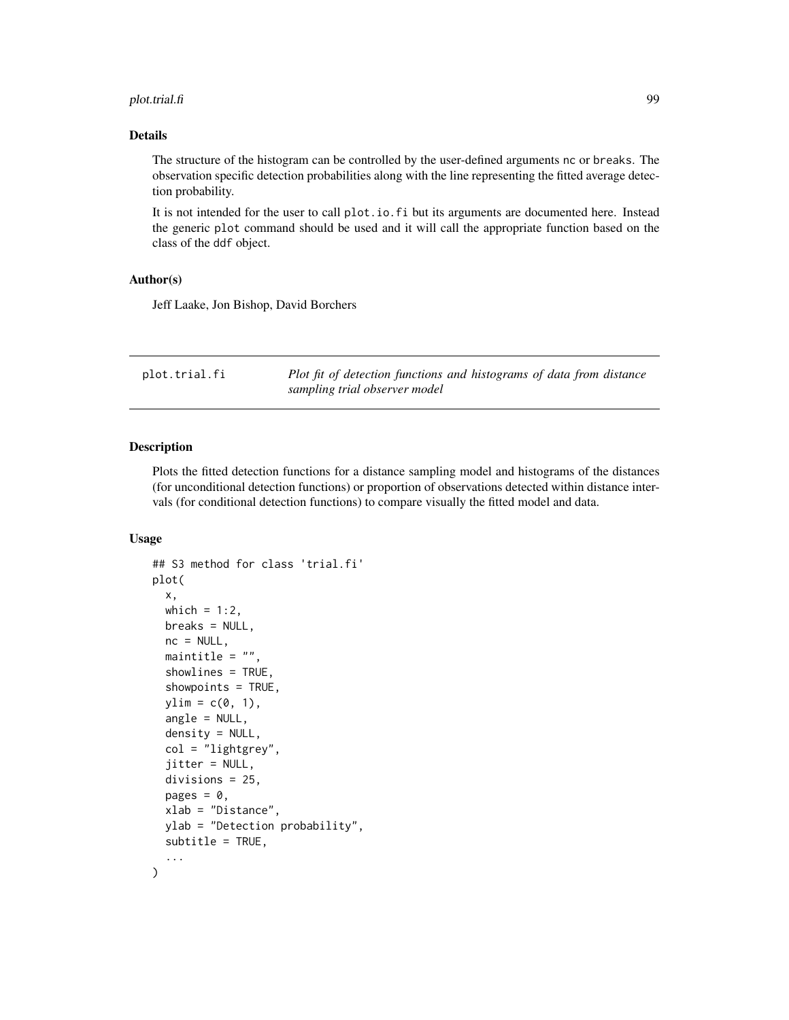#### plot.trial.fi 99

#### Details

The structure of the histogram can be controlled by the user-defined arguments nc or breaks. The observation specific detection probabilities along with the line representing the fitted average detection probability.

It is not intended for the user to call plot.io.fi but its arguments are documented here. Instead the generic plot command should be used and it will call the appropriate function based on the class of the ddf object.

#### Author(s)

Jeff Laake, Jon Bishop, David Borchers

| plot.trial.fi | Plot fit of detection functions and histograms of data from distance |
|---------------|----------------------------------------------------------------------|
|               | sampling trial observer model                                        |

## Description

Plots the fitted detection functions for a distance sampling model and histograms of the distances (for unconditional detection functions) or proportion of observations detected within distance intervals (for conditional detection functions) to compare visually the fitted model and data.

#### Usage

```
## S3 method for class 'trial.fi'
plot(
 x,
 which = 1:2,
 breaks = NULL,
  nc = NULL,maintitle = ",
  showlines = TRUE,
  showpoints = TRUE,
  vlim = c(0, 1),angle = NULL,
  density = NULL,col = "lightgrey",
  jitter = NULL,
  divisions = 25,
  pages = 0,
  xlab = "Distance",
 ylab = "Detection probability",
  subtitle = TRUE,
  ...
)
```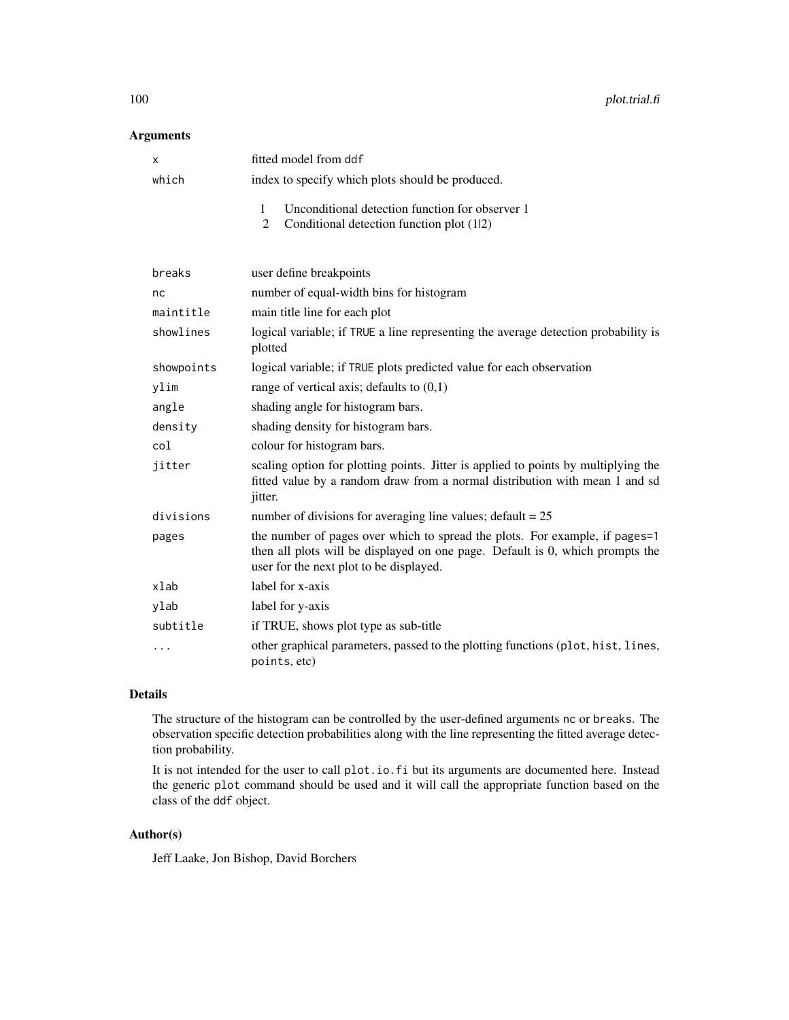### Arguments

| х          | fitted model from ddf                                                                                                                                                                                   |
|------------|---------------------------------------------------------------------------------------------------------------------------------------------------------------------------------------------------------|
| which      | index to specify which plots should be produced.                                                                                                                                                        |
|            | Unconditional detection function for observer 1<br>1<br>Conditional detection function plot (12)<br>$\overline{2}$                                                                                      |
| breaks     | user define breakpoints                                                                                                                                                                                 |
| nc         | number of equal-width bins for histogram                                                                                                                                                                |
| maintitle  | main title line for each plot                                                                                                                                                                           |
| showlines  | logical variable; if TRUE a line representing the average detection probability is<br>plotted                                                                                                           |
| showpoints | logical variable; if TRUE plots predicted value for each observation                                                                                                                                    |
| ylim       | range of vertical axis; defaults to $(0,1)$                                                                                                                                                             |
| angle      | shading angle for histogram bars.                                                                                                                                                                       |
| density    | shading density for histogram bars.                                                                                                                                                                     |
| col        | colour for histogram bars.                                                                                                                                                                              |
| jitter     | scaling option for plotting points. Jitter is applied to points by multiplying the<br>fitted value by a random draw from a normal distribution with mean 1 and sd<br>jitter.                            |
| divisions  | number of divisions for averaging line values; $\text{default} = 25$                                                                                                                                    |
| pages      | the number of pages over which to spread the plots. For example, if pages=1<br>then all plots will be displayed on one page. Default is 0, which prompts the<br>user for the next plot to be displayed. |
| xlab       | label for x-axis                                                                                                                                                                                        |
| ylab       | label for y-axis                                                                                                                                                                                        |
| subtitle   | if TRUE, shows plot type as sub-title                                                                                                                                                                   |
| .          | other graphical parameters, passed to the plotting functions (plot, hist, lines,<br>points, etc)                                                                                                        |

## Details

The structure of the histogram can be controlled by the user-defined arguments nc or breaks. The observation specific detection probabilities along with the line representing the fitted average detection probability.

It is not intended for the user to call plot.io.fi but its arguments are documented here. Instead the generic plot command should be used and it will call the appropriate function based on the class of the ddf object.

## Author(s)

Jeff Laake, Jon Bishop, David Borchers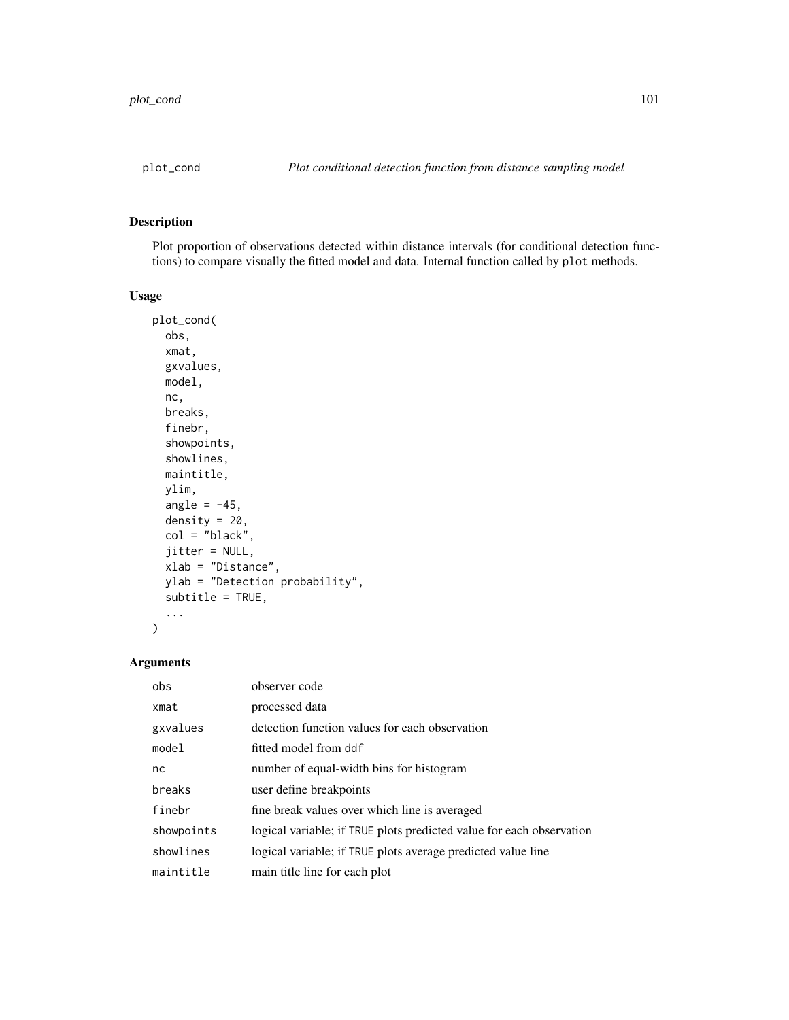Plot proportion of observations detected within distance intervals (for conditional detection functions) to compare visually the fitted model and data. Internal function called by plot methods.

## Usage

```
plot_cond(
 obs,
  xmat,
  gxvalues,
 model,
  nc,
 breaks,
  finebr,
  showpoints,
  showlines,
 maintitle,
  ylim,
  angle = -45,
  density = 20,
  col = "black",
  jitter = NULL,
  xlab = "Distance",
 ylab = "Detection probability",
  subtitle = TRUE,
  ...
)
```
## Arguments

| obs        | observer code                                                        |
|------------|----------------------------------------------------------------------|
| xmat       | processed data                                                       |
| gxvalues   | detection function values for each observation                       |
| model      | fitted model from ddf                                                |
| nc         | number of equal-width bins for histogram                             |
| breaks     | user define breakpoints                                              |
| finebr     | fine break values over which line is averaged                        |
| showpoints | logical variable; if TRUE plots predicted value for each observation |
| showlines  | logical variable; if TRUE plots average predicted value line         |
| maintitle  | main title line for each plot                                        |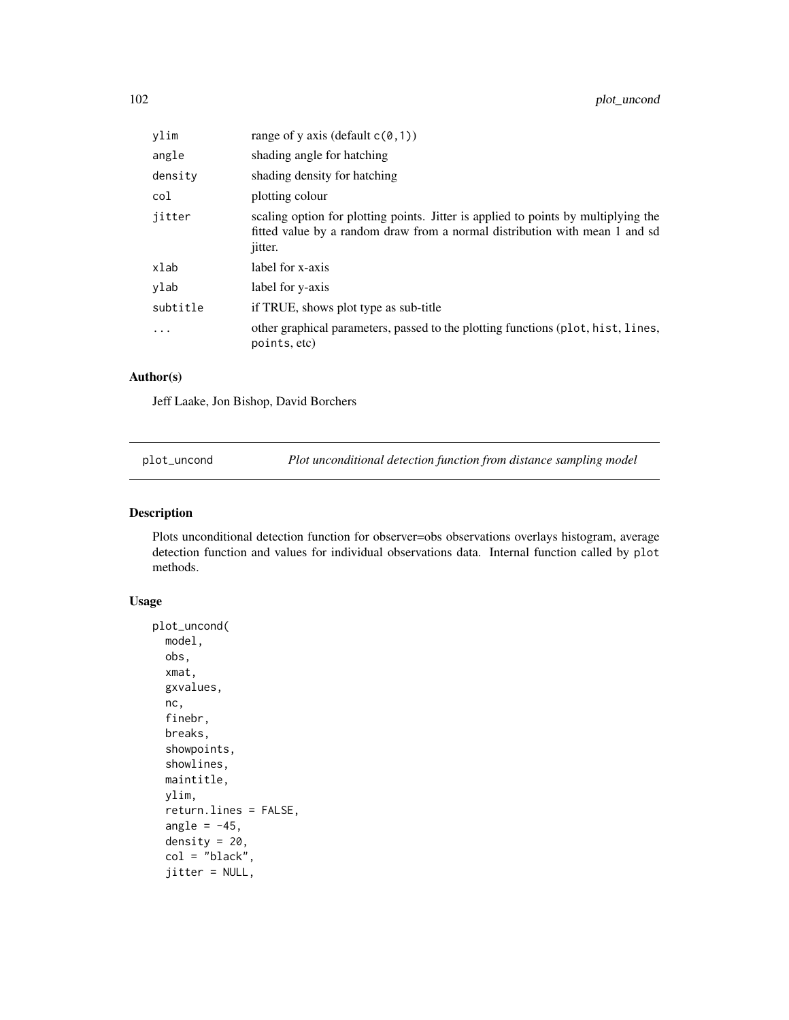| ylim     | range of y axis (default $c(0,1)$ )                                                                                                                                                 |
|----------|-------------------------------------------------------------------------------------------------------------------------------------------------------------------------------------|
| angle    | shading angle for hatching                                                                                                                                                          |
| density  | shading density for hatching                                                                                                                                                        |
| col      | plotting colour                                                                                                                                                                     |
| jitter   | scaling option for plotting points. Jitter is applied to points by multiplying the<br>fitted value by a random draw from a normal distribution with mean 1 and sd<br><i>jitter.</i> |
| xlab     | label for x-axis                                                                                                                                                                    |
| ylab     | label for y-axis                                                                                                                                                                    |
| subtitle | if TRUE, shows plot type as sub-title                                                                                                                                               |
| $\cdot$  | other graphical parameters, passed to the plotting functions (plot, hist, lines,<br>points, etc)                                                                                    |

#### Author(s)

Jeff Laake, Jon Bishop, David Borchers

plot\_uncond *Plot unconditional detection function from distance sampling model*

#### Description

Plots unconditional detection function for observer=obs observations overlays histogram, average detection function and values for individual observations data. Internal function called by plot methods.

## Usage

```
plot_uncond(
 model,
  obs,
  xmat,
  gxvalues,
  nc,
  finebr,
  breaks,
  showpoints,
  showlines,
 maintitle,
  ylim,
  return.lines = FALSE,
  angle = -45,
  density = 20,
  col = "black",jitter = NULL,
```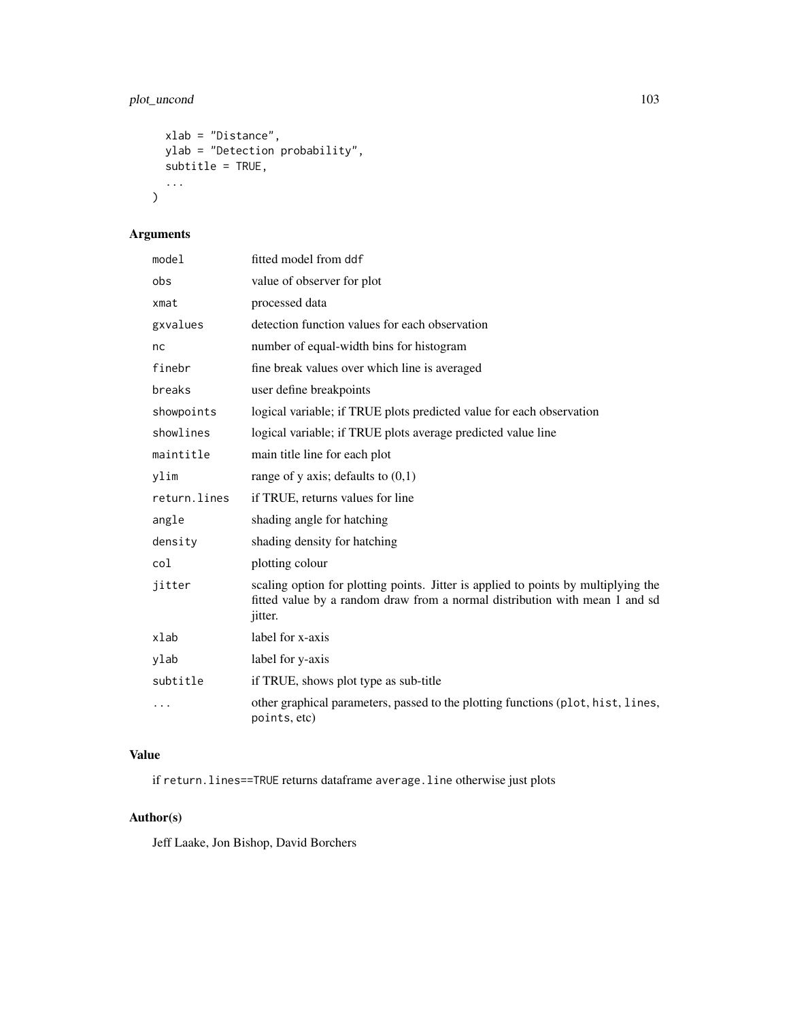## plot\_uncond 103

```
xlab = "Distance",
 ylab = "Detection probability",
 subtitle = TRUE,
  ...
)
```
# Arguments

| model        | fitted model from ddf                                                                                                                                                               |
|--------------|-------------------------------------------------------------------------------------------------------------------------------------------------------------------------------------|
| obs          | value of observer for plot                                                                                                                                                          |
| xmat         | processed data                                                                                                                                                                      |
| gxvalues     | detection function values for each observation                                                                                                                                      |
| nc           | number of equal-width bins for histogram                                                                                                                                            |
| finebr       | fine break values over which line is averaged                                                                                                                                       |
| breaks       | user define breakpoints                                                                                                                                                             |
| showpoints   | logical variable; if TRUE plots predicted value for each observation                                                                                                                |
| showlines    | logical variable; if TRUE plots average predicted value line                                                                                                                        |
| maintitle    | main title line for each plot                                                                                                                                                       |
| ylim         | range of y axis; defaults to $(0,1)$                                                                                                                                                |
| return.lines | if TRUE, returns values for line                                                                                                                                                    |
| angle        | shading angle for hatching                                                                                                                                                          |
| density      | shading density for hatching                                                                                                                                                        |
| col          | plotting colour                                                                                                                                                                     |
| jitter       | scaling option for plotting points. Jitter is applied to points by multiplying the<br>fitted value by a random draw from a normal distribution with mean 1 and sd<br><i>jitter.</i> |
| xlab         | label for x-axis                                                                                                                                                                    |
| ylab         | label for y-axis                                                                                                                                                                    |
| subtitle     | if TRUE, shows plot type as sub-title                                                                                                                                               |
|              | other graphical parameters, passed to the plotting functions (plot, hist, lines,<br>points, etc)                                                                                    |

## Value

if return.lines==TRUE returns dataframe average.line otherwise just plots

## Author(s)

Jeff Laake, Jon Bishop, David Borchers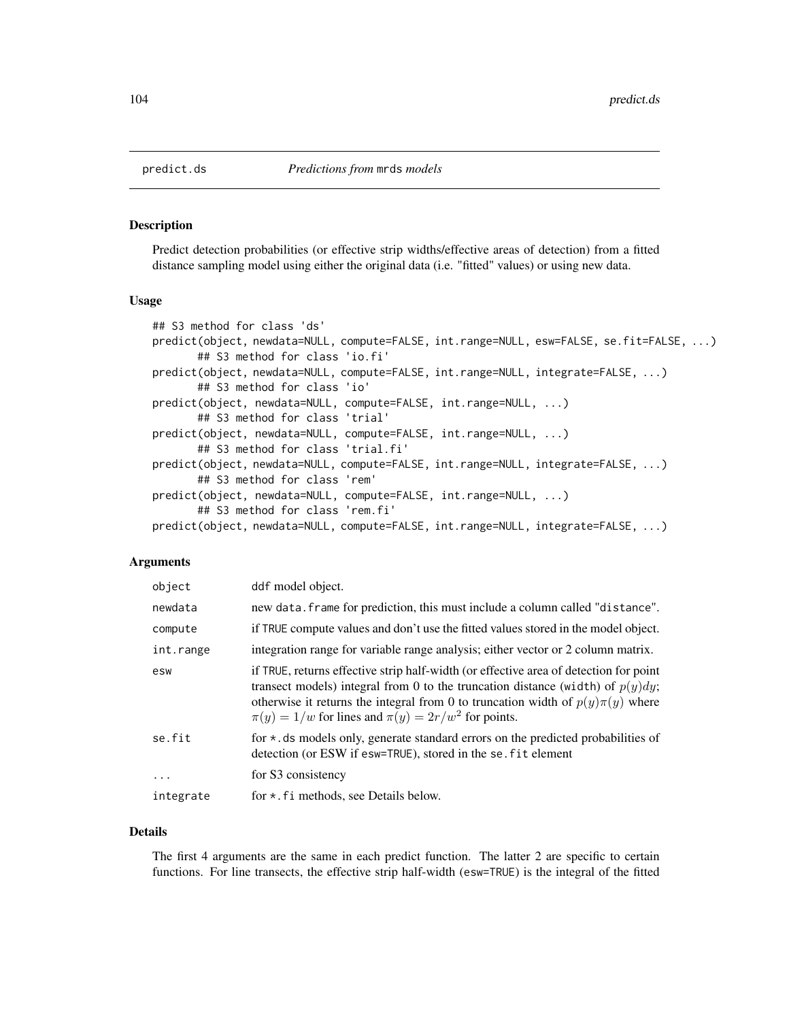Predict detection probabilities (or effective strip widths/effective areas of detection) from a fitted distance sampling model using either the original data (i.e. "fitted" values) or using new data.

#### Usage

```
## S3 method for class 'ds'
predict(object, newdata=NULL, compute=FALSE, int.range=NULL, esw=FALSE, se.fit=FALSE, ...)
       ## S3 method for class 'io.fi'
predict(object, newdata=NULL, compute=FALSE, int.range=NULL, integrate=FALSE, ...)
       ## S3 method for class 'io'
predict(object, newdata=NULL, compute=FALSE, int.range=NULL, ...)
       ## S3 method for class 'trial'
predict(object, newdata=NULL, compute=FALSE, int.range=NULL, ...)
       ## S3 method for class 'trial.fi'
predict(object, newdata=NULL, compute=FALSE, int.range=NULL, integrate=FALSE, ...)
       ## S3 method for class 'rem'
predict(object, newdata=NULL, compute=FALSE, int.range=NULL, ...)
       ## S3 method for class 'rem.fi'
predict(object, newdata=NULL, compute=FALSE, int.range=NULL, integrate=FALSE, ...)
```
#### Arguments

| object    | ddf model object.                                                                                                                                                                                                                                                                                                              |
|-----------|--------------------------------------------------------------------------------------------------------------------------------------------------------------------------------------------------------------------------------------------------------------------------------------------------------------------------------|
| newdata   | new data. frame for prediction, this must include a column called "distance".                                                                                                                                                                                                                                                  |
| compute   | if TRUE compute values and don't use the fitted values stored in the model object.                                                                                                                                                                                                                                             |
| int.range | integration range for variable range analysis; either vector or 2 column matrix.                                                                                                                                                                                                                                               |
| esw       | if TRUE, returns effective strip half-width (or effective area of detection for point<br>transect models) integral from 0 to the truncation distance (width) of $p(y)dy$ ;<br>otherwise it returns the integral from 0 to truncation width of $p(y)\pi(y)$ where<br>$\pi(y) = 1/w$ for lines and $\pi(y) = 2r/w^2$ for points. |
| se.fit    | for * ds models only, generate standard errors on the predicted probabilities of<br>detection (or ESW if esw=TRUE), stored in the se. fit element                                                                                                                                                                              |
| $\cdot$   | for S3 consistency                                                                                                                                                                                                                                                                                                             |
| integrate | for $\star$ . Fi methods, see Details below.                                                                                                                                                                                                                                                                                   |

#### Details

The first 4 arguments are the same in each predict function. The latter 2 are specific to certain functions. For line transects, the effective strip half-width (esw=TRUE) is the integral of the fitted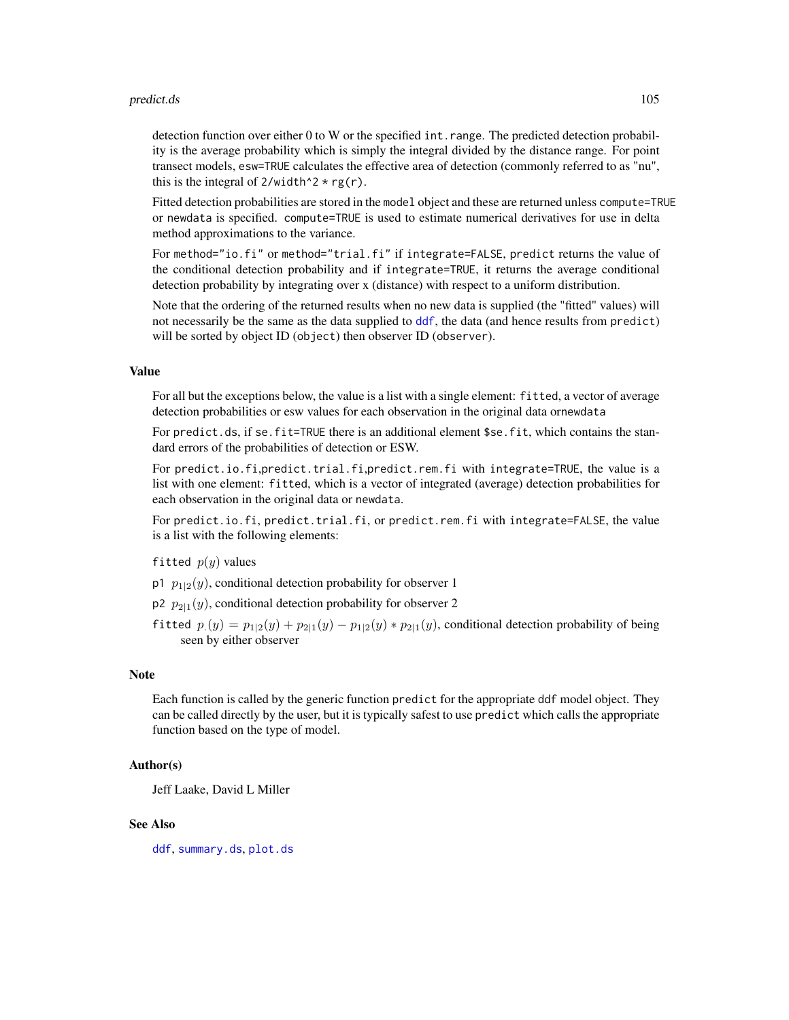#### predict.ds 105

detection function over either 0 to W or the specified int.range. The predicted detection probability is the average probability which is simply the integral divided by the distance range. For point transect models, esw=TRUE calculates the effective area of detection (commonly referred to as "nu", this is the integral of  $2$ /width<sup> $\lambda$ </sup>  $\rightarrow$  rg(r).

Fitted detection probabilities are stored in the model object and these are returned unless compute=TRUE or newdata is specified. compute=TRUE is used to estimate numerical derivatives for use in delta method approximations to the variance.

For method="io.fi" or method="trial.fi" if integrate=FALSE, predict returns the value of the conditional detection probability and if integrate=TRUE, it returns the average conditional detection probability by integrating over x (distance) with respect to a uniform distribution.

Note that the ordering of the returned results when no new data is supplied (the "fitted" values) will not necessarily be the same as the data supplied to [ddf](#page-19-0), the data (and hence results from predict) will be sorted by object ID (object) then observer ID (observer).

#### Value

For all but the exceptions below, the value is a list with a single element: fitted, a vector of average detection probabilities or esw values for each observation in the original data ornewdata

For predict.ds, if se.fit=TRUE there is an additional element \$se.fit, which contains the standard errors of the probabilities of detection or ESW.

For predict.io.fi,predict.trial.fi,predict.rem.fi with integrate=TRUE, the value is a list with one element: fitted, which is a vector of integrated (average) detection probabilities for each observation in the original data or newdata.

For predict.io.fi, predict.trial.fi, or predict.rem.fi with integrate=FALSE, the value is a list with the following elements:

#### fitted  $p(y)$  values

- p1  $p_{1|2}(y)$ , conditional detection probability for observer 1
- $p_2$   $p_{2|1}(y)$ , conditional detection probability for observer 2
- fitted  $p_1(y) = p_{1|2}(y) + p_{2|1}(y) p_{1|2}(y) * p_{2|1}(y)$ , conditional detection probability of being seen by either observer

#### Note

Each function is called by the generic function predict for the appropriate ddf model object. They can be called directly by the user, but it is typically safest to use predict which calls the appropriate function based on the type of model.

#### Author(s)

Jeff Laake, David L Miller

## See Also

[ddf](#page-19-0), [summary.ds](#page-132-0), [plot.ds](#page-85-0)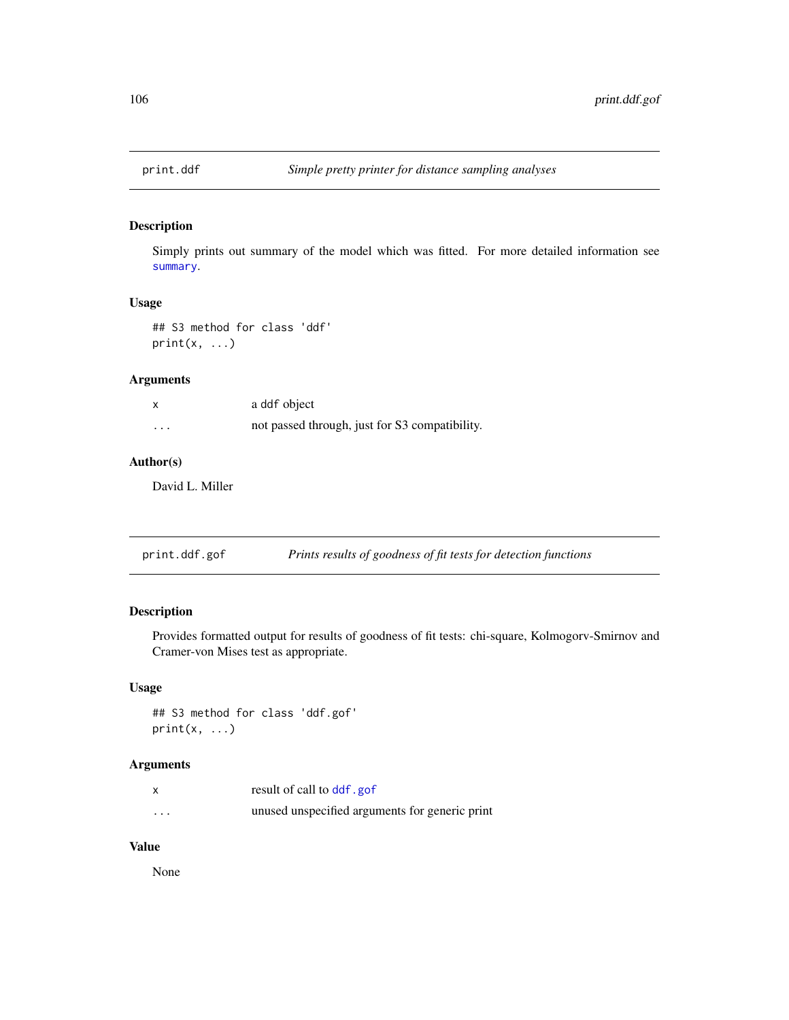Simply prints out summary of the model which was fitted. For more detailed information see [summary](#page-0-0).

#### Usage

```
## S3 method for class 'ddf'
print(x, \ldots)
```
## Arguments

|          | a ddf object                                   |
|----------|------------------------------------------------|
| $\cdots$ | not passed through, just for S3 compatibility. |

## Author(s)

David L. Miller

| print.ddf.gof |  | Prints results of goodness of fit tests for detection functions |
|---------------|--|-----------------------------------------------------------------|
|               |  |                                                                 |

## Description

Provides formatted output for results of goodness of fit tests: chi-square, Kolmogorv-Smirnov and Cramer-von Mises test as appropriate.

### Usage

```
## S3 method for class 'ddf.gof'
print(x, \ldots)
```
## Arguments

|          | result of call to ddf.gof                      |
|----------|------------------------------------------------|
| $\cdots$ | unused unspecified arguments for generic print |

#### Value

None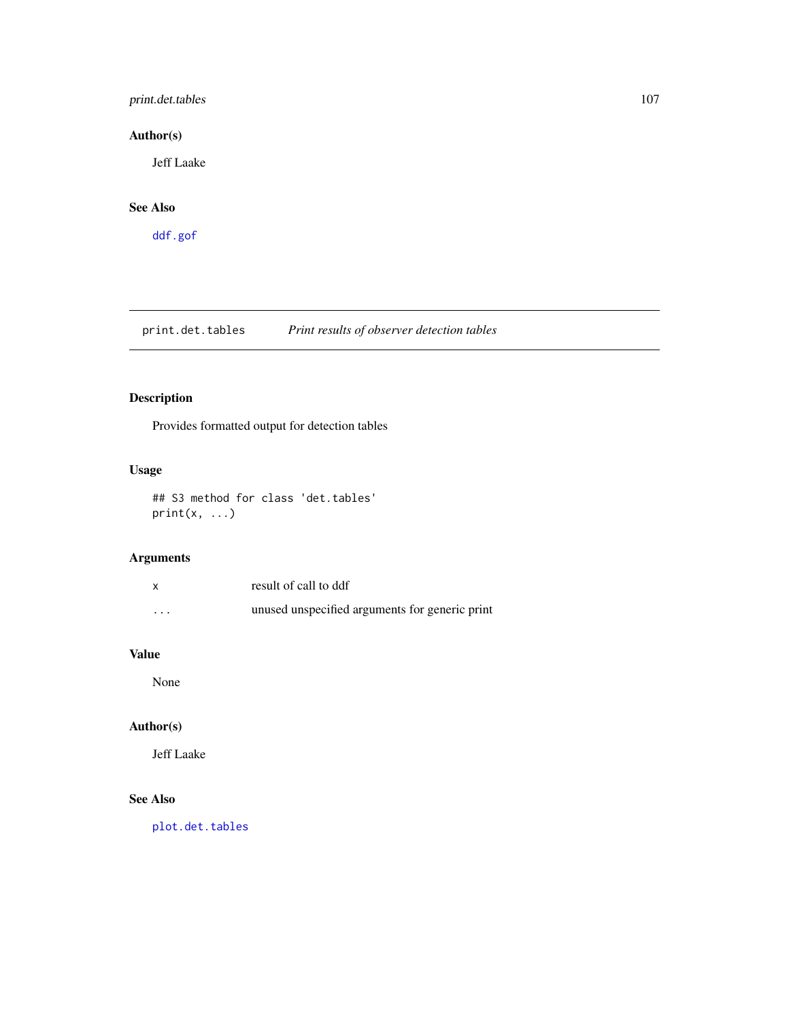## print.det.tables 107

## Author(s)

Jeff Laake

## See Also

[ddf.gof](#page-26-0)

print.det.tables *Print results of observer detection tables*

# Description

Provides formatted output for detection tables

## Usage

## S3 method for class 'det.tables'  $print(x, \ldots)$ 

## Arguments

|         | result of call to ddf                          |
|---------|------------------------------------------------|
| $\cdot$ | unused unspecified arguments for generic print |

## Value

None

## Author(s)

Jeff Laake

## See Also

[plot.det.tables](#page-84-0)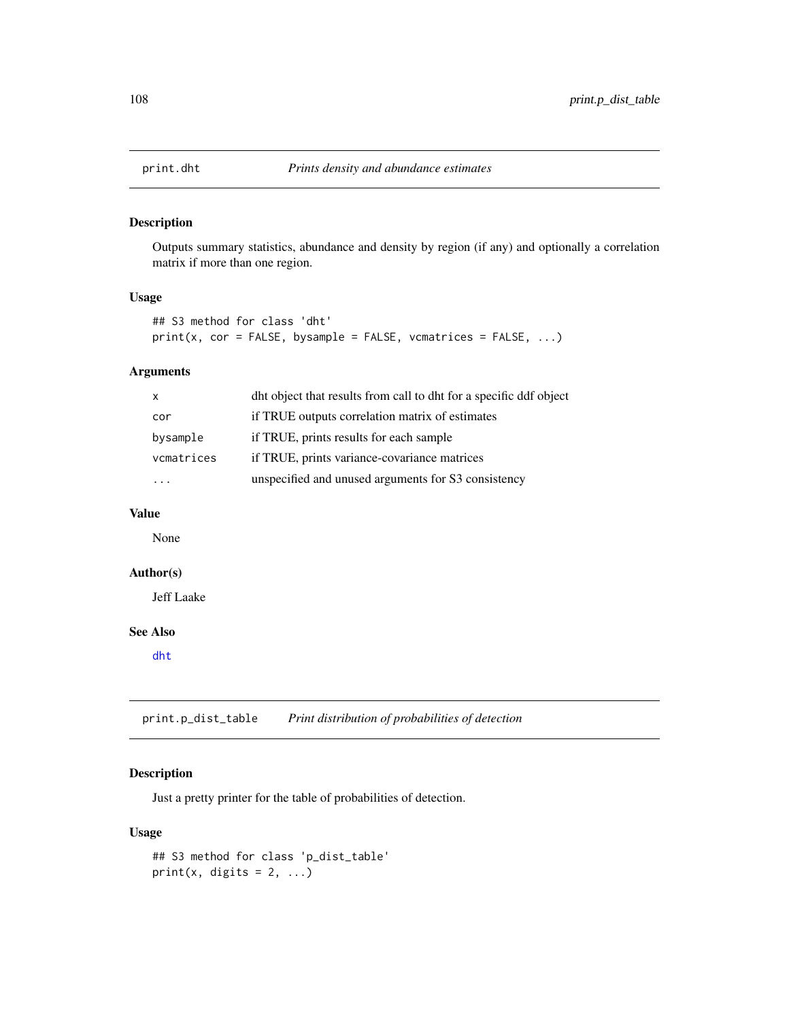Outputs summary statistics, abundance and density by region (if any) and optionally a correlation matrix if more than one region.

## Usage

```
## S3 method for class 'dht'
print(x, cor = FALSE, bysample = FALSE, vematics = FALSE, ...)
```
### Arguments

| $\mathsf{X}$ | dht object that results from call to dht for a specific ddf object |
|--------------|--------------------------------------------------------------------|
| cor          | if TRUE outputs correlation matrix of estimates                    |
| bysample     | if TRUE, prints results for each sample                            |
| vcmatrices   | if TRUE, prints variance-covariance matrices                       |
|              | unspecified and unused arguments for S3 consistency                |

#### Value

None

## Author(s)

Jeff Laake

## See Also

[dht](#page-40-0)

print.p\_dist\_table *Print distribution of probabilities of detection*

## Description

Just a pretty printer for the table of probabilities of detection.

#### Usage

```
## S3 method for class 'p_dist_table'
print(x, digits = 2, ...)
```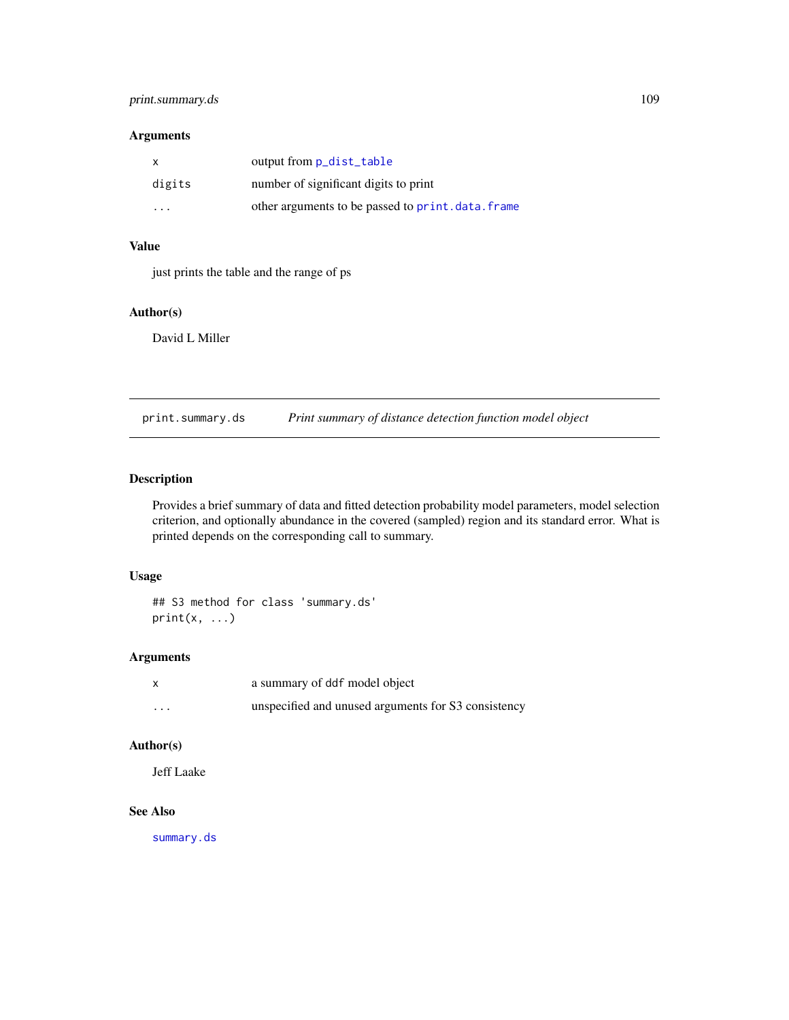# <span id="page-108-0"></span>print.summary.ds 109

# Arguments

| X                       | output from <b>p_dist_table</b>                  |
|-------------------------|--------------------------------------------------|
| digits                  | number of significant digits to print            |
| $\cdot$ $\cdot$ $\cdot$ | other arguments to be passed to print.data.frame |

# Value

just prints the table and the range of ps

# Author(s)

David L Miller

print.summary.ds *Print summary of distance detection function model object*

# Description

Provides a brief summary of data and fitted detection probability model parameters, model selection criterion, and optionally abundance in the covered (sampled) region and its standard error. What is printed depends on the corresponding call to summary.

# Usage

## S3 method for class 'summary.ds'  $print(x, \ldots)$ 

# Arguments

| $\mathsf{x}$ | a summary of ddf model object                       |
|--------------|-----------------------------------------------------|
| $\cdots$     | unspecified and unused arguments for S3 consistency |

# Author(s)

Jeff Laake

#### See Also

[summary.ds](#page-132-0)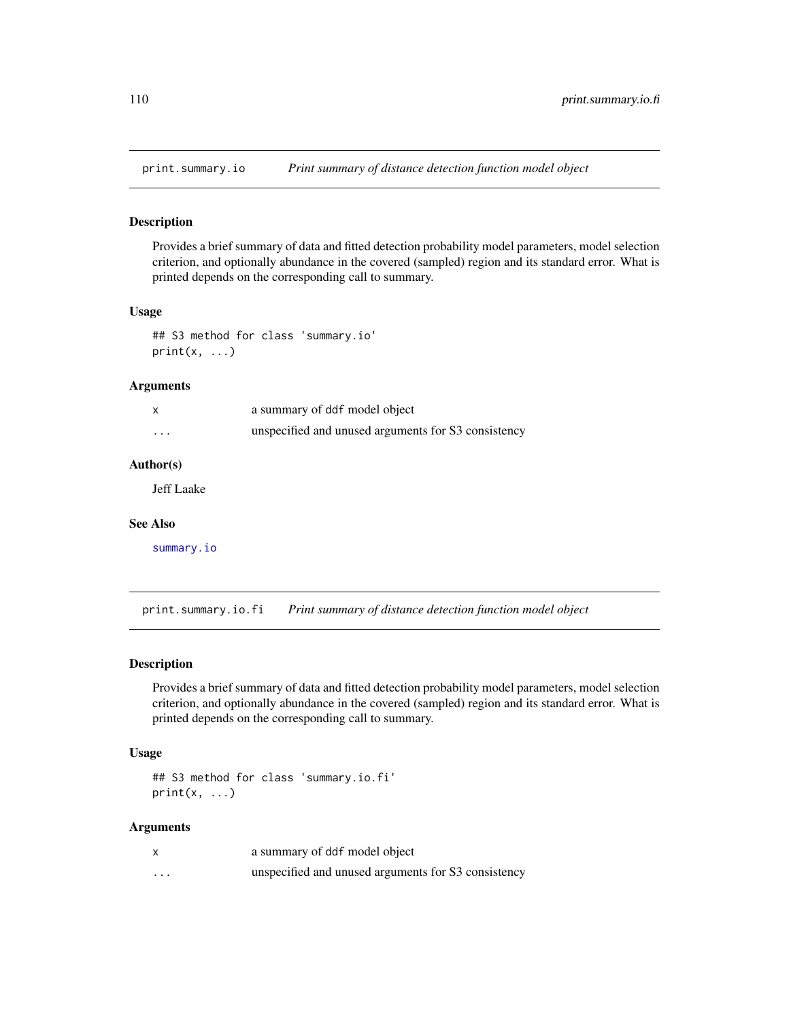<span id="page-109-0"></span>

Provides a brief summary of data and fitted detection probability model parameters, model selection criterion, and optionally abundance in the covered (sampled) region and its standard error. What is printed depends on the corresponding call to summary.

#### Usage

```
## S3 method for class 'summary.io'
print(x, \ldots)
```
#### Arguments

|          | a summary of ddf model object                       |
|----------|-----------------------------------------------------|
| $\cdots$ | unspecified and unused arguments for S3 consistency |

#### Author(s)

Jeff Laake

#### See Also

[summary.io](#page-133-0)

print.summary.io.fi *Print summary of distance detection function model object*

#### Description

Provides a brief summary of data and fitted detection probability model parameters, model selection criterion, and optionally abundance in the covered (sampled) region and its standard error. What is printed depends on the corresponding call to summary.

# Usage

```
## S3 method for class 'summary.io.fi'
print(x, \ldots)
```
# Arguments

|   | a summary of ddf model object                       |
|---|-----------------------------------------------------|
| . | unspecified and unused arguments for S3 consistency |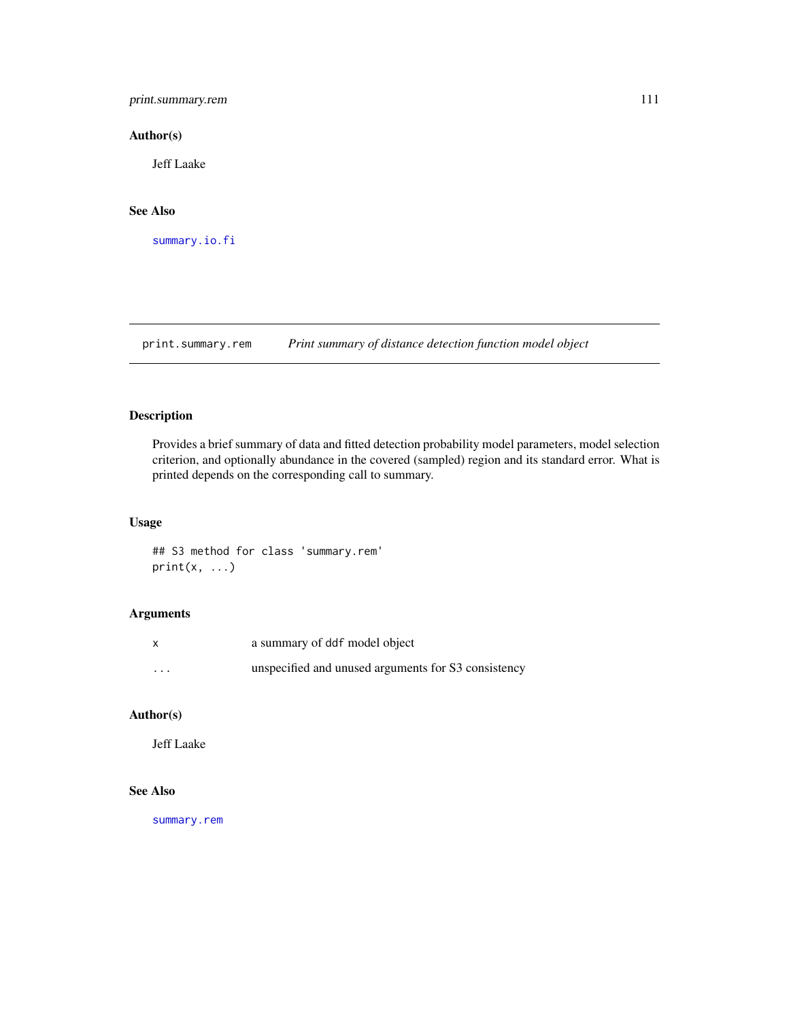<span id="page-110-0"></span>print.summary.rem 111

#### Author(s)

Jeff Laake

# See Also

[summary.io.fi](#page-134-0)

print.summary.rem *Print summary of distance detection function model object*

# Description

Provides a brief summary of data and fitted detection probability model parameters, model selection criterion, and optionally abundance in the covered (sampled) region and its standard error. What is printed depends on the corresponding call to summary.

# Usage

## S3 method for class 'summary.rem'  $print(x, \ldots)$ 

# Arguments

| $\boldsymbol{\mathsf{x}}$ | a summary of ddf model object                       |
|---------------------------|-----------------------------------------------------|
| $\cdots$                  | unspecified and unused arguments for S3 consistency |

# Author(s)

Jeff Laake

#### See Also

[summary.rem](#page-135-0)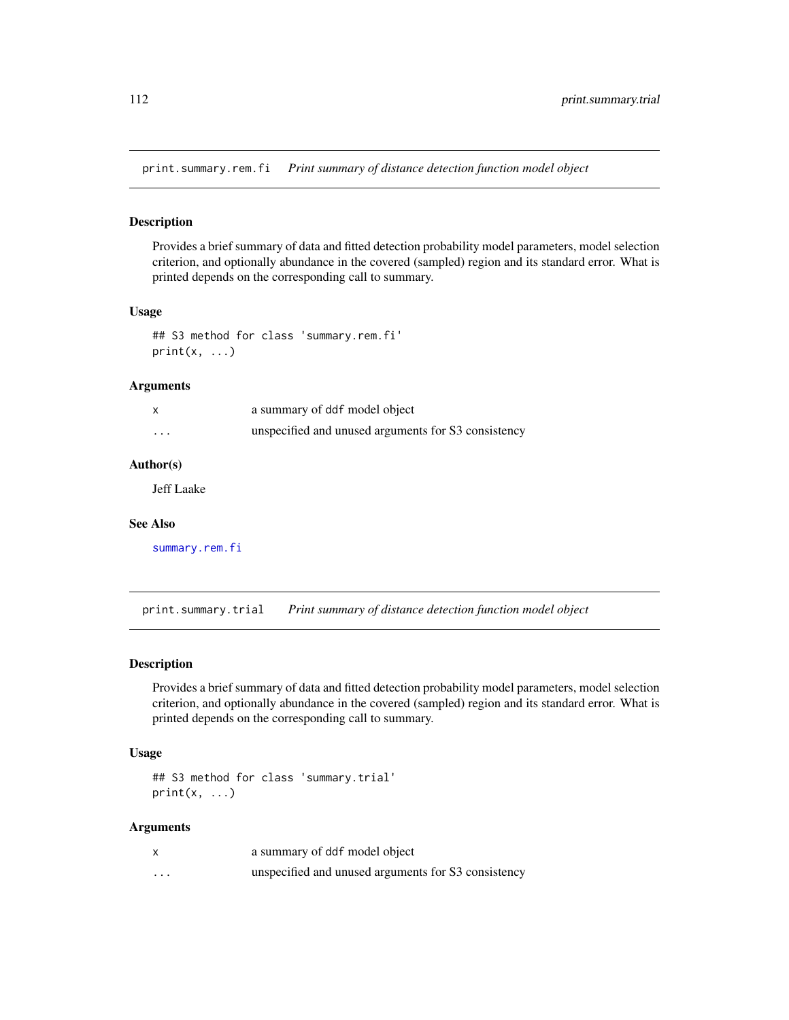<span id="page-111-0"></span>print.summary.rem.fi *Print summary of distance detection function model object*

#### Description

Provides a brief summary of data and fitted detection probability model parameters, model selection criterion, and optionally abundance in the covered (sampled) region and its standard error. What is printed depends on the corresponding call to summary.

## Usage

```
## S3 method for class 'summary.rem.fi'
print(x, \ldots)
```
#### Arguments

|          | a summary of ddf model object                       |
|----------|-----------------------------------------------------|
| $\cdots$ | unspecified and unused arguments for S3 consistency |

#### Author(s)

Jeff Laake

#### See Also

[summary.rem.fi](#page-136-0)

print.summary.trial *Print summary of distance detection function model object*

#### Description

Provides a brief summary of data and fitted detection probability model parameters, model selection criterion, and optionally abundance in the covered (sampled) region and its standard error. What is printed depends on the corresponding call to summary.

# Usage

```
## S3 method for class 'summary.trial'
print(x, \ldots)
```
# Arguments

|   | a summary of ddf model object                       |
|---|-----------------------------------------------------|
| . | unspecified and unused arguments for S3 consistency |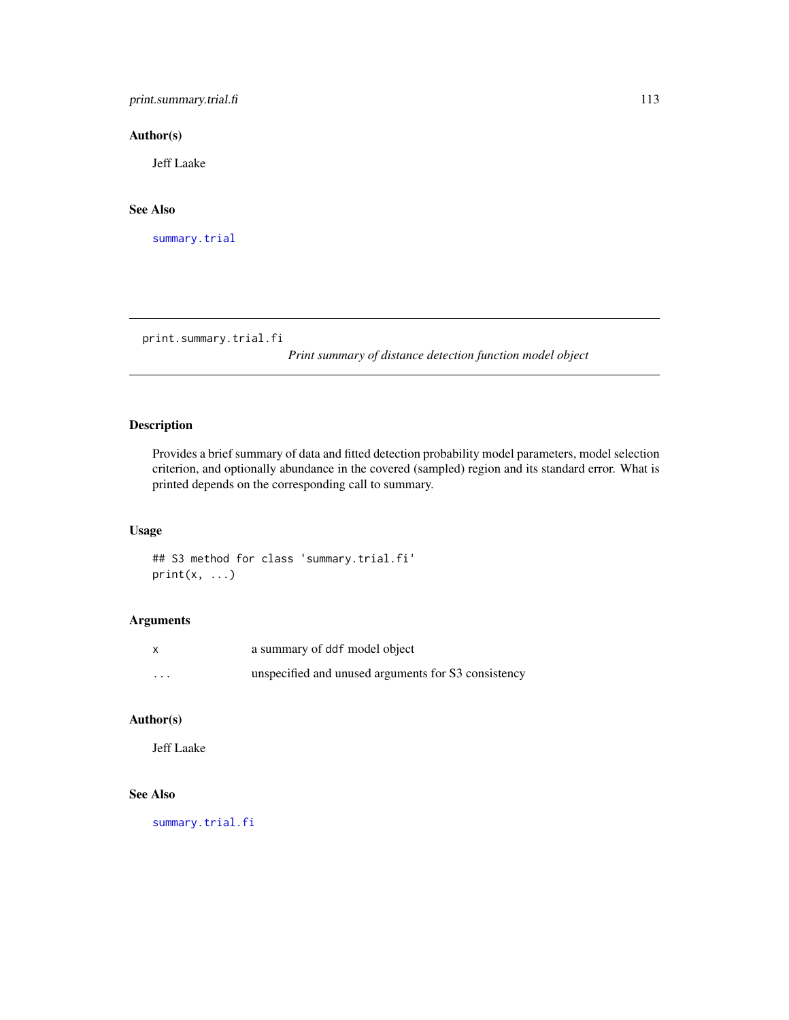<span id="page-112-0"></span>print.summary.trial.fi 113

# Author(s)

Jeff Laake

# See Also

[summary.trial](#page-137-0)

print.summary.trial.fi

*Print summary of distance detection function model object*

# Description

Provides a brief summary of data and fitted detection probability model parameters, model selection criterion, and optionally abundance in the covered (sampled) region and its standard error. What is printed depends on the corresponding call to summary.

# Usage

## S3 method for class 'summary.trial.fi'  $print(x, \ldots)$ 

# Arguments

| X        | a summary of ddf model object                       |
|----------|-----------------------------------------------------|
| $\cdots$ | unspecified and unused arguments for S3 consistency |

#### Author(s)

Jeff Laake

# See Also

[summary.trial.fi](#page-138-0)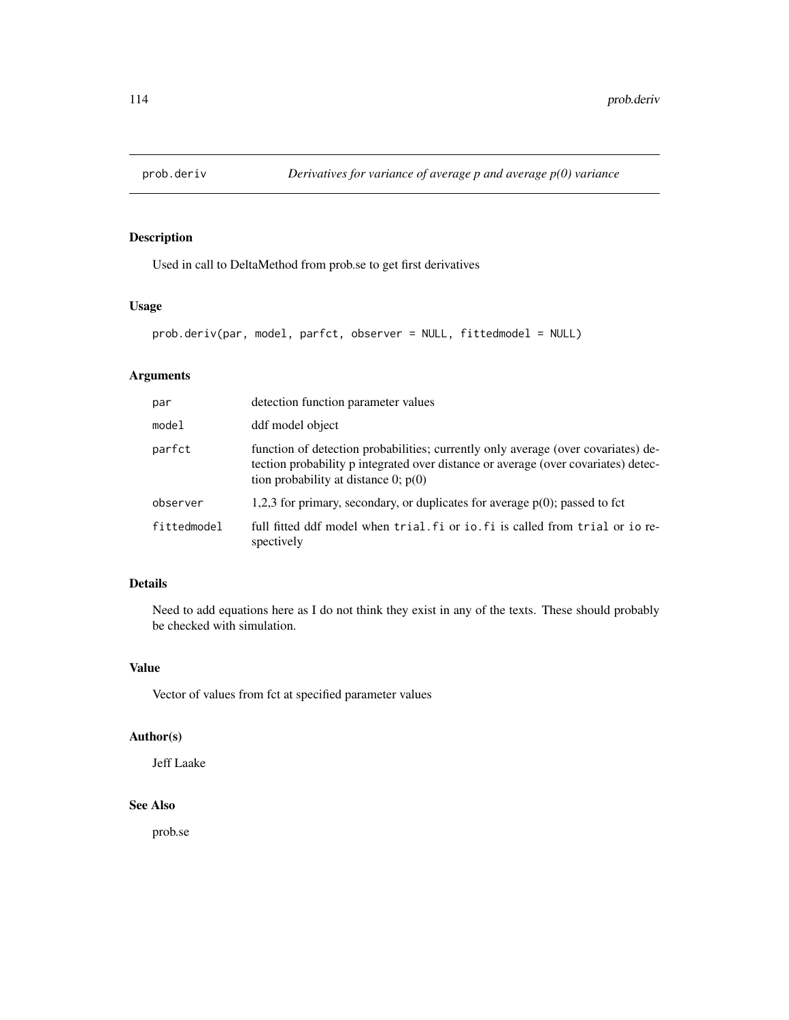Used in call to DeltaMethod from prob.se to get first derivatives

# Usage

```
prob.deriv(par, model, parfct, observer = NULL, fittedmodel = NULL)
```
# Arguments

| par         | detection function parameter values                                                                                                                                                                               |
|-------------|-------------------------------------------------------------------------------------------------------------------------------------------------------------------------------------------------------------------|
| model       | ddf model object                                                                                                                                                                                                  |
| parfct      | function of detection probabilities; currently only average (over covariates) de-<br>tection probability p integrated over distance or average (over covariates) detec-<br>tion probability at distance 0; $p(0)$ |
| observer    | 1,2,3 for primary, secondary, or duplicates for average $p(0)$ ; passed to fct                                                                                                                                    |
| fittedmodel | full fitted ddf model when trial fi or io fi is called from trial or io re-<br>spectively                                                                                                                         |

# Details

Need to add equations here as I do not think they exist in any of the texts. These should probably be checked with simulation.

# Value

Vector of values from fct at specified parameter values

# Author(s)

Jeff Laake

# See Also

prob.se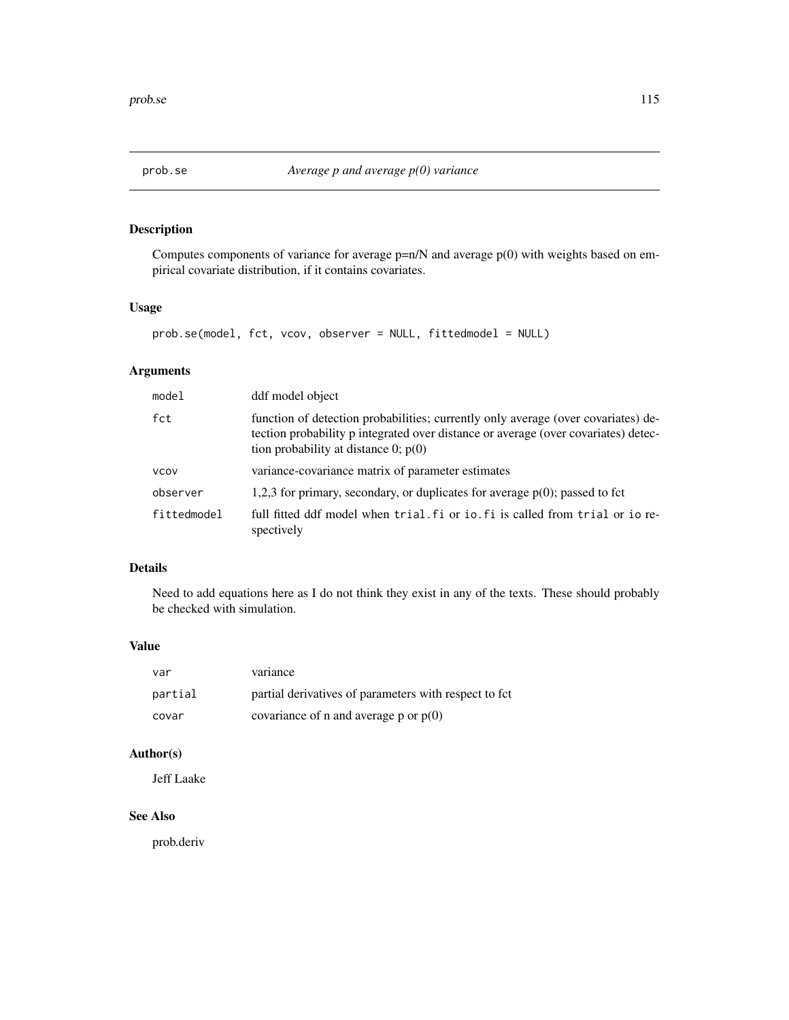Computes components of variance for average  $p=n/N$  and average  $p(0)$  with weights based on empirical covariate distribution, if it contains covariates.

# Usage

```
prob.se(model, fct, vcov, observer = NULL, fittedmodel = NULL)
```
# Arguments

| model       | ddf model object                                                                                                                                                                                                  |
|-------------|-------------------------------------------------------------------------------------------------------------------------------------------------------------------------------------------------------------------|
| fct         | function of detection probabilities; currently only average (over covariates) de-<br>tection probability p integrated over distance or average (over covariates) detec-<br>tion probability at distance 0; $p(0)$ |
| <b>VCOV</b> | variance-covariance matrix of parameter estimates                                                                                                                                                                 |
| observer    | 1,2,3 for primary, secondary, or duplicates for average $p(0)$ ; passed to fct                                                                                                                                    |
| fittedmodel | full fitted ddf model when trial. Fi or io. Fi is called from trial or io re-<br>spectively                                                                                                                       |

# Details

Need to add equations here as I do not think they exist in any of the texts. These should probably be checked with simulation.

#### Value

| var     | variance                                               |
|---------|--------------------------------------------------------|
| partial | partial derivatives of parameters with respect to fct. |
| covar   | covariance of n and average p or $p(0)$                |

# Author(s)

Jeff Laake

# See Also

prob.deriv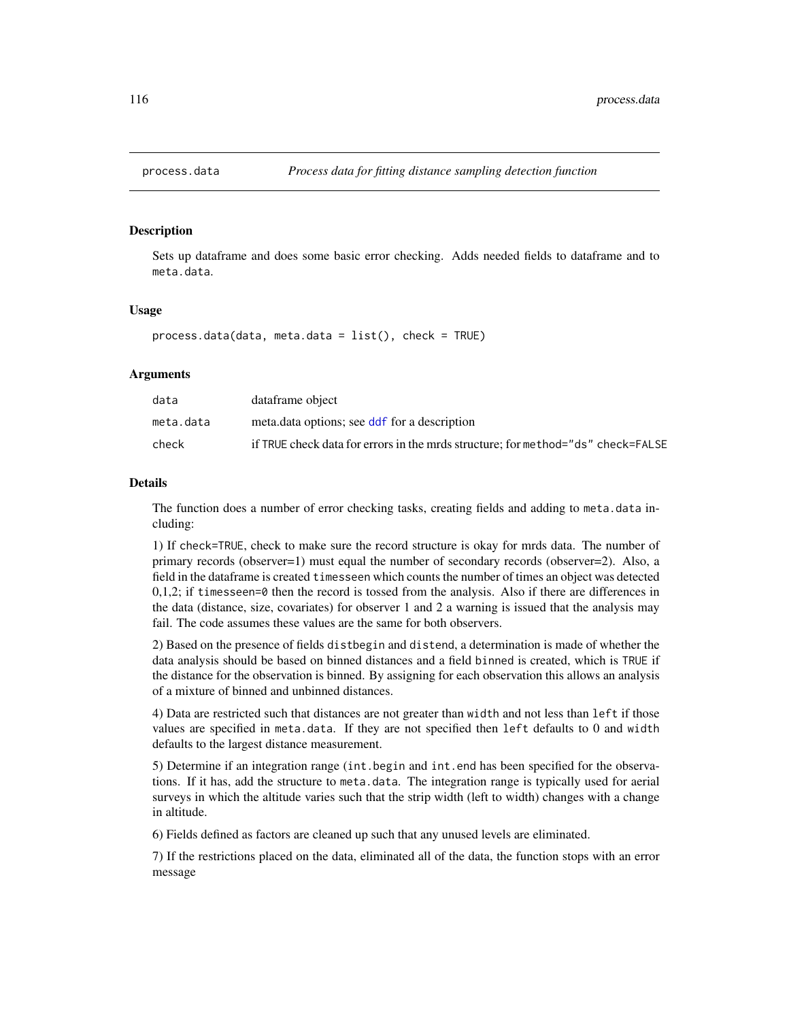<span id="page-115-0"></span>

Sets up dataframe and does some basic error checking. Adds needed fields to dataframe and to meta.data.

#### Usage

 $process.data(data, meta.data = list(), check = TRUE)$ 

# Arguments

| data      | dataframe object                                                                 |
|-----------|----------------------------------------------------------------------------------|
| meta.data | meta.data options; see ddf for a description                                     |
| check     | if TRUE check data for errors in the mrds structure: for method="ds" check=FALSE |

#### Details

The function does a number of error checking tasks, creating fields and adding to meta.data including:

1) If check=TRUE, check to make sure the record structure is okay for mrds data. The number of primary records (observer=1) must equal the number of secondary records (observer=2). Also, a field in the dataframe is created timesseen which counts the number of times an object was detected  $0,1,2$ ; if timesseen=0 then the record is tossed from the analysis. Also if there are differences in the data (distance, size, covariates) for observer 1 and 2 a warning is issued that the analysis may fail. The code assumes these values are the same for both observers.

2) Based on the presence of fields distbegin and distend, a determination is made of whether the data analysis should be based on binned distances and a field binned is created, which is TRUE if the distance for the observation is binned. By assigning for each observation this allows an analysis of a mixture of binned and unbinned distances.

4) Data are restricted such that distances are not greater than width and not less than left if those values are specified in meta.data. If they are not specified then left defaults to 0 and width defaults to the largest distance measurement.

5) Determine if an integration range (int.begin and int.end has been specified for the observations. If it has, add the structure to meta.data. The integration range is typically used for aerial surveys in which the altitude varies such that the strip width (left to width) changes with a change in altitude.

6) Fields defined as factors are cleaned up such that any unused levels are eliminated.

7) If the restrictions placed on the data, eliminated all of the data, the function stops with an error message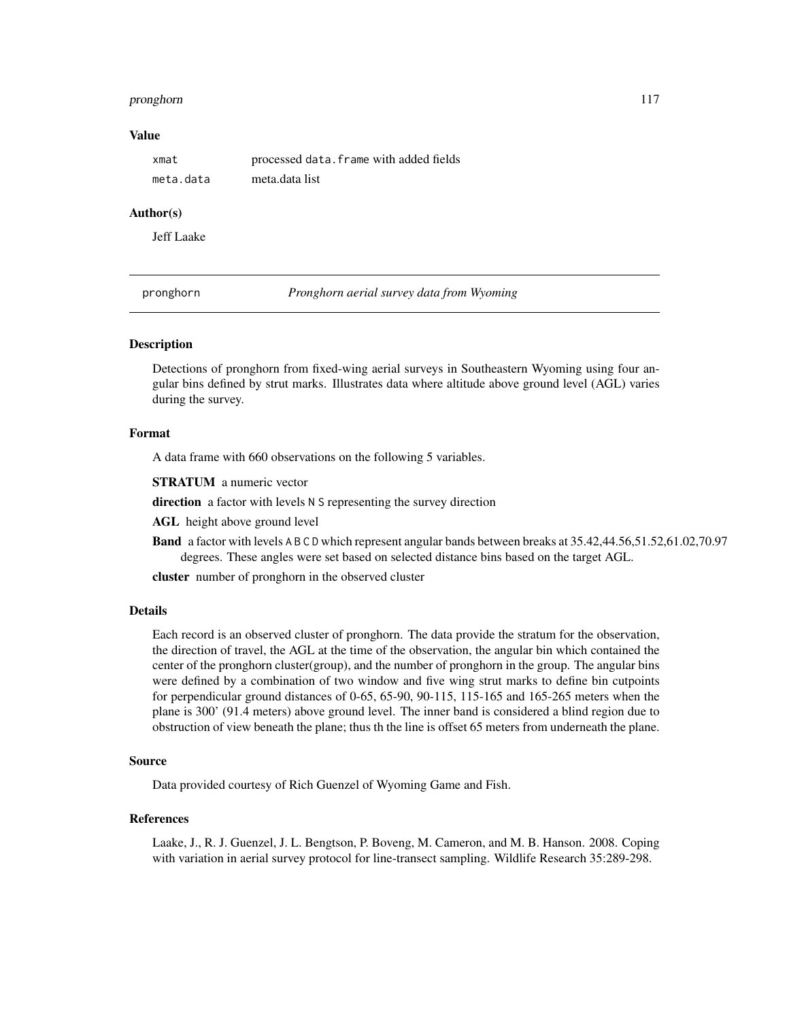#### <span id="page-116-0"></span>pronghorn 117

#### Value

| xmat      | processed data. frame with added fields |
|-----------|-----------------------------------------|
| meta.data | meta.data list                          |

#### Author(s)

Jeff Laake

pronghorn *Pronghorn aerial survey data from Wyoming*

# Description

Detections of pronghorn from fixed-wing aerial surveys in Southeastern Wyoming using four angular bins defined by strut marks. Illustrates data where altitude above ground level (AGL) varies during the survey.

# Format

A data frame with 660 observations on the following 5 variables.

STRATUM a numeric vector

direction a factor with levels N S representing the survey direction

AGL height above ground level

Band a factor with levels A B C D which represent angular bands between breaks at 35.42,44.56,51.52,61.02,70.97 degrees. These angles were set based on selected distance bins based on the target AGL.

cluster number of pronghorn in the observed cluster

# Details

Each record is an observed cluster of pronghorn. The data provide the stratum for the observation, the direction of travel, the AGL at the time of the observation, the angular bin which contained the center of the pronghorn cluster(group), and the number of pronghorn in the group. The angular bins were defined by a combination of two window and five wing strut marks to define bin cutpoints for perpendicular ground distances of 0-65, 65-90, 90-115, 115-165 and 165-265 meters when the plane is 300' (91.4 meters) above ground level. The inner band is considered a blind region due to obstruction of view beneath the plane; thus th the line is offset 65 meters from underneath the plane.

#### Source

Data provided courtesy of Rich Guenzel of Wyoming Game and Fish.

#### References

Laake, J., R. J. Guenzel, J. L. Bengtson, P. Boveng, M. Cameron, and M. B. Hanson. 2008. Coping with variation in aerial survey protocol for line-transect sampling. Wildlife Research 35:289-298.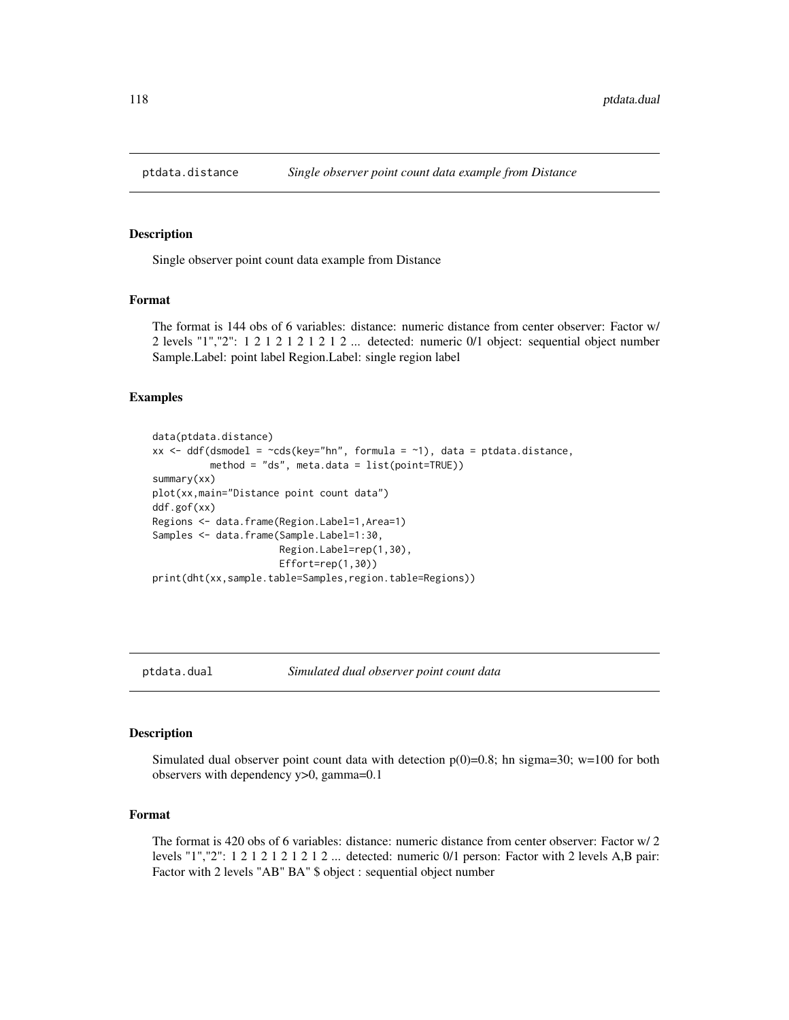<span id="page-117-0"></span>

Single observer point count data example from Distance

#### Format

The format is 144 obs of 6 variables: distance: numeric distance from center observer: Factor w/ 2 levels "1","2":  $1 \ 2 \ 1 \ 2 \ 1 \ 2 \ 1 \ 2 \ 1 \ 2 \ldots$  detected: numeric  $0/1$  object: sequential object number Sample.Label: point label Region.Label: single region label

#### Examples

```
data(ptdata.distance)
xx <- ddf(dsmodel = \simcds(key="hn", formula = \sim1), data = ptdata.distance,
          method = "ds", meta.data = list(point=TRUE))
summary(xx)
plot(xx,main="Distance point count data")
ddf.gof(xx)
Regions <- data.frame(Region.Label=1,Area=1)
Samples <- data.frame(Sample.Label=1:30,
                      Region.Label=rep(1,30),
                      Effort=rep(1,30))
print(dht(xx,sample.table=Samples,region.table=Regions))
```
ptdata.dual *Simulated dual observer point count data*

#### Description

Simulated dual observer point count data with detection  $p(0)=0.8$ ; hn sigma=30; w=100 for both observers with dependency y>0, gamma=0.1

# Format

The format is 420 obs of 6 variables: distance: numeric distance from center observer: Factor w/ 2 levels "1","2": 1 2 1 2 1 2 1 2 1 2 ... detected: numeric 0/1 person: Factor with 2 levels A,B pair: Factor with 2 levels "AB" BA" \$ object : sequential object number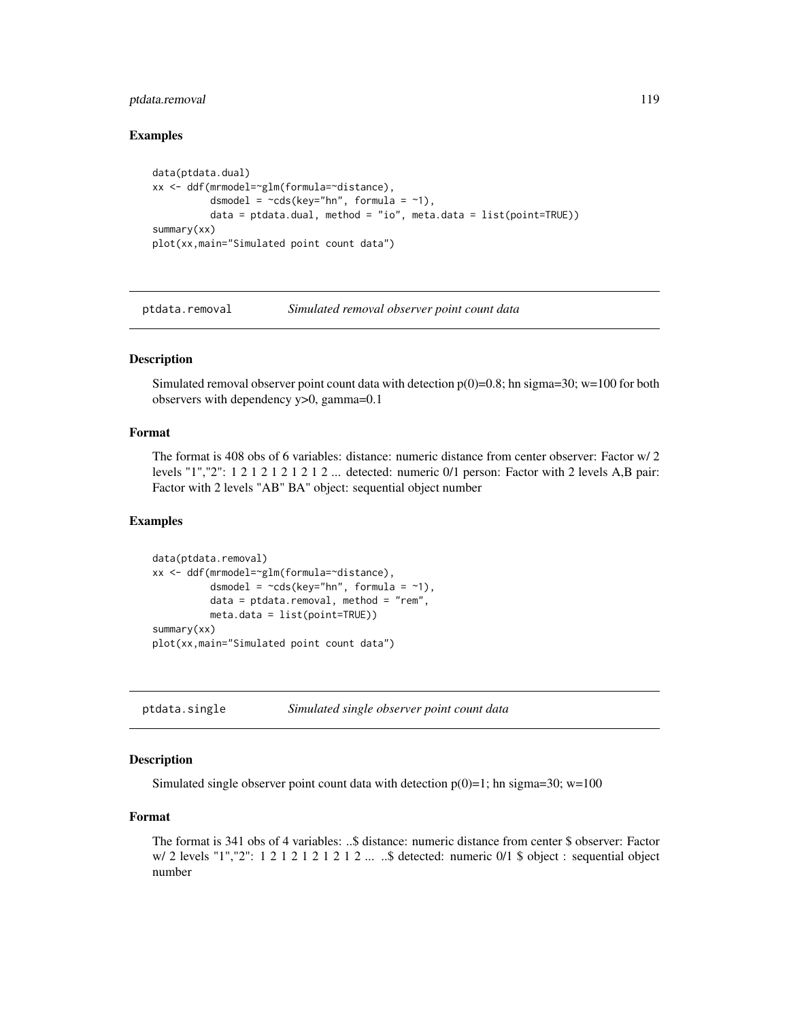# <span id="page-118-0"></span>ptdata.removal 119

## Examples

```
data(ptdata.dual)
xx <- ddf(mrmodel=~glm(formula=~distance),
         dsmodel = -cds(key="hn", formula = ~1),data = ptdata.dual, method = "io", meta.data = list(point=True))summary(xx)
plot(xx,main="Simulated point count data")
```
ptdata.removal *Simulated removal observer point count data*

# Description

Simulated removal observer point count data with detection  $p(0)=0.8$ ; hn sigma=30; w=100 for both observers with dependency y>0, gamma=0.1

# Format

The format is 408 obs of 6 variables: distance: numeric distance from center observer: Factor w/ 2 levels "1","2": 1 2 1 2 1 2 1 2 1 2 ... detected: numeric 0/1 person: Factor with 2 levels A,B pair: Factor with 2 levels "AB" BA" object: sequential object number

#### Examples

```
data(ptdata.removal)
xx <- ddf(mrmodel=~glm(formula=~distance),
          dsmodel = -cds(key="hn", formula = ~1),data = ptdata.removal, method = "rem",
         meta.data = list(point=TRUE))
summary(xx)
plot(xx,main="Simulated point count data")
```
ptdata.single *Simulated single observer point count data*

#### Description

Simulated single observer point count data with detection  $p(0)=1$ ; hn sigma=30; w=100

# Format

The format is 341 obs of 4 variables: ..\$ distance: numeric distance from center \$ observer: Factor w/ 2 levels "1","2": 1 2 1 2 1 2 1 2 1 2 ... ..\$ detected: numeric 0/1 \$ object : sequential object number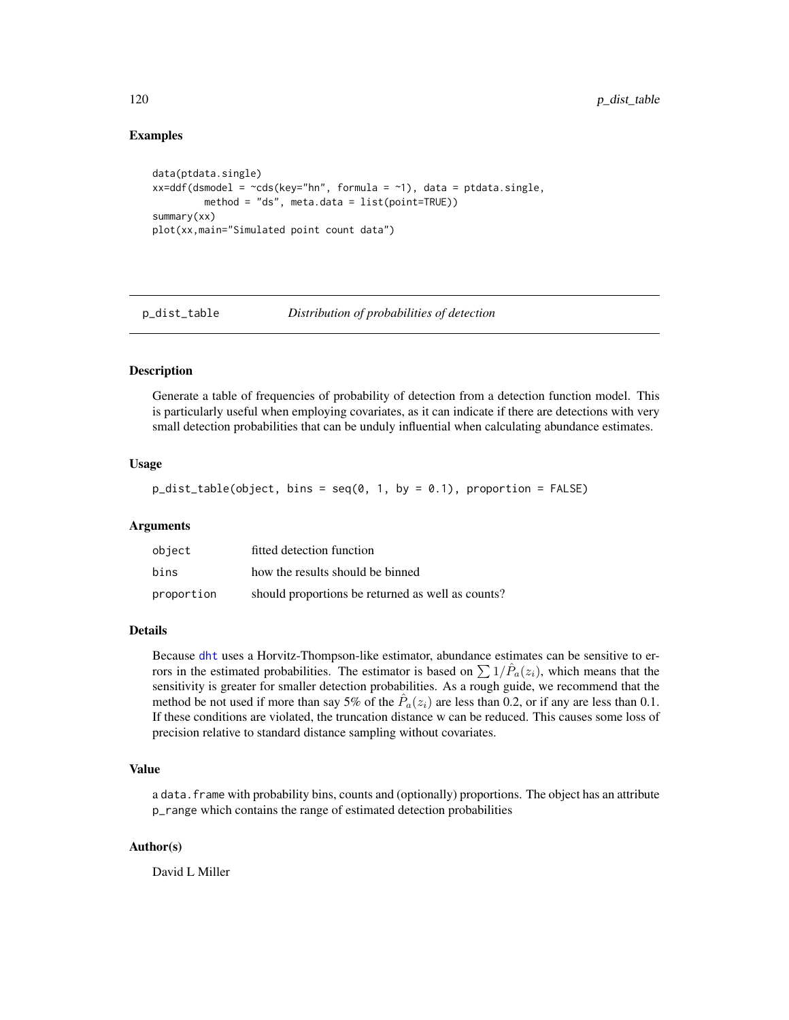# Examples

```
data(ptdata.single)
xx=ddf(dsmooth = <math>\sim</math>cds(key="hn", formula = <math>\sim</math>1), data = ptdata.single,method = "ds", meta.data = list(point=TRUE))
summary(xx)
plot(xx,main="Simulated point count data")
```
<span id="page-119-0"></span>p\_dist\_table *Distribution of probabilities of detection*

#### **Description**

Generate a table of frequencies of probability of detection from a detection function model. This is particularly useful when employing covariates, as it can indicate if there are detections with very small detection probabilities that can be unduly influential when calculating abundance estimates.

# Usage

 $p\_dist\_table(object, bins = seq(0, 1, by = 0.1), proportion = FALSE)$ 

#### Arguments

| object     | fitted detection function                         |
|------------|---------------------------------------------------|
| bins       | how the results should be binned                  |
| proportion | should proportions be returned as well as counts? |

# Details

Because [dht](#page-40-0) uses a Horvitz-Thompson-like estimator, abundance estimates can be sensitive to errors in the estimated probabilities. The estimator is based on  $\sum 1/\hat{P}_a(z_i)$ , which means that the sensitivity is greater for smaller detection probabilities. As a rough guide, we recommend that the method be not used if more than say 5% of the  $\hat{P}_a(z_i)$  are less than 0.2, or if any are less than 0.1. If these conditions are violated, the truncation distance w can be reduced. This causes some loss of precision relative to standard distance sampling without covariates.

# Value

a data.frame with probability bins, counts and (optionally) proportions. The object has an attribute p\_range which contains the range of estimated detection probabilities

# Author(s)

David L Miller

<span id="page-119-1"></span>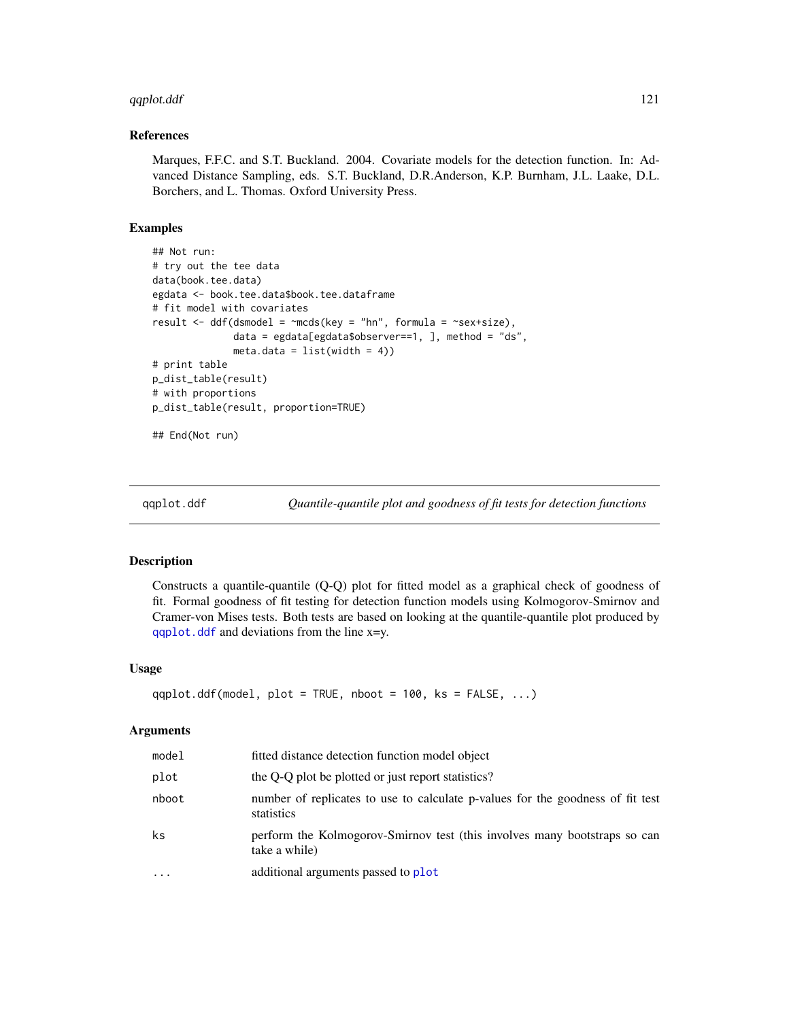# <span id="page-120-1"></span>qqplot.ddf 121

#### References

Marques, F.F.C. and S.T. Buckland. 2004. Covariate models for the detection function. In: Advanced Distance Sampling, eds. S.T. Buckland, D.R.Anderson, K.P. Burnham, J.L. Laake, D.L. Borchers, and L. Thomas. Oxford University Press.

# Examples

```
## Not run:
# try out the tee data
data(book.tee.data)
egdata <- book.tee.data$book.tee.dataframe
# fit model with covariates
result \leq ddf(dsmodel = \simmcds(key = "hn", formula = \simsex+size),
              data = egdata[egdata$observer==1, \exists, method = "ds",
              meta.data = list(width = 4)# print table
p_dist_table(result)
# with proportions
p_dist_table(result, proportion=TRUE)
## End(Not run)
```
<span id="page-120-0"></span>

qqplot.ddf *Quantile-quantile plot and goodness of fit tests for detection functions*

#### **Description**

Constructs a quantile-quantile (Q-Q) plot for fitted model as a graphical check of goodness of fit. Formal goodness of fit testing for detection function models using Kolmogorov-Smirnov and Cramer-von Mises tests. Both tests are based on looking at the quantile-quantile plot produced by [qqplot.ddf](#page-120-0) and deviations from the line x=y.

#### Usage

```
qqplot.ddf(model, plot = TRUE, nboot = 100, ks = FALSE, ...)
```
#### Arguments

| model     | fitted distance detection function model object                                              |
|-----------|----------------------------------------------------------------------------------------------|
| plot      | the O-O plot be plotted or just report statistics?                                           |
| nboot     | number of replicates to use to calculate p-values for the goodness of fit test<br>statistics |
| ks        | perform the Kolmogorov-Smirnov test (this involves many bootstraps so can<br>take a while)   |
| $\ddotsc$ | additional arguments passed to plot                                                          |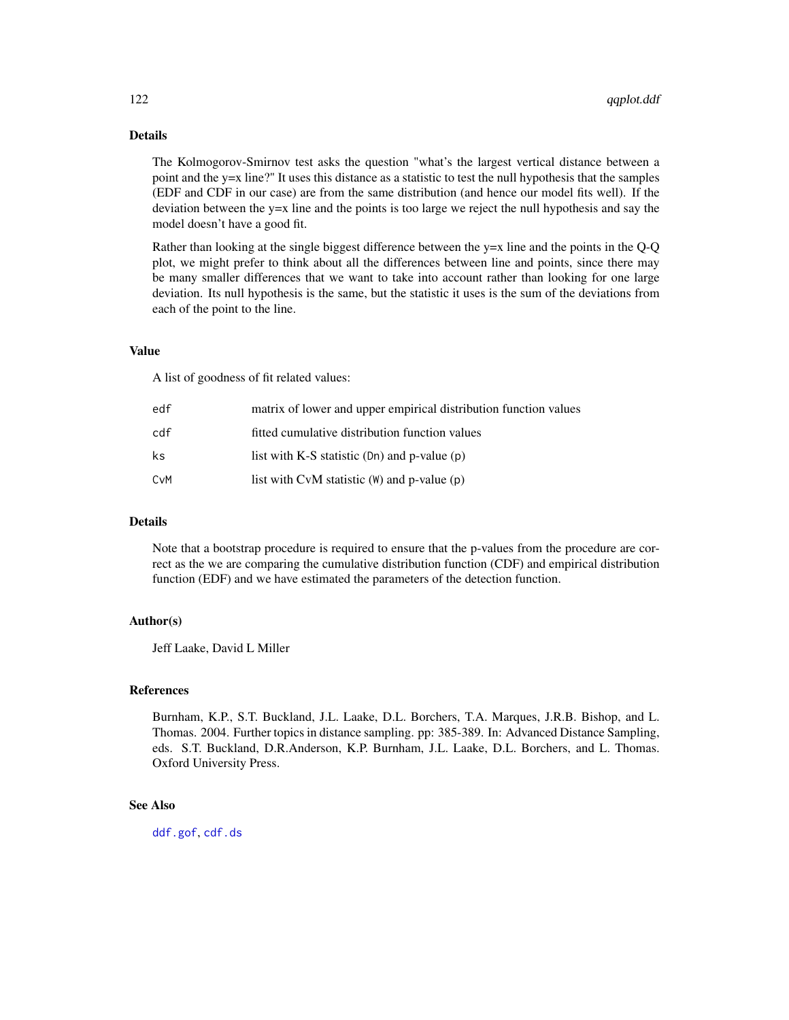# <span id="page-121-0"></span>Details

The Kolmogorov-Smirnov test asks the question "what's the largest vertical distance between a point and the y=x line?" It uses this distance as a statistic to test the null hypothesis that the samples (EDF and CDF in our case) are from the same distribution (and hence our model fits well). If the deviation between the y=x line and the points is too large we reject the null hypothesis and say the model doesn't have a good fit.

Rather than looking at the single biggest difference between the y=x line and the points in the Q-Q plot, we might prefer to think about all the differences between line and points, since there may be many smaller differences that we want to take into account rather than looking for one large deviation. Its null hypothesis is the same, but the statistic it uses is the sum of the deviations from each of the point to the line.

#### Value

A list of goodness of fit related values:

| edf | matrix of lower and upper empirical distribution function values |
|-----|------------------------------------------------------------------|
| cdf | fitted cumulative distribution function values                   |
| ks  | list with K-S statistic $(Dn)$ and p-value $(p)$                 |
| CvM | list with $CvM$ statistic $(W)$ and p-value $(p)$                |

#### **Details**

Note that a bootstrap procedure is required to ensure that the p-values from the procedure are correct as the we are comparing the cumulative distribution function (CDF) and empirical distribution function (EDF) and we have estimated the parameters of the detection function.

# Author(s)

Jeff Laake, David L Miller

#### References

Burnham, K.P., S.T. Buckland, J.L. Laake, D.L. Borchers, T.A. Marques, J.R.B. Bishop, and L. Thomas. 2004. Further topics in distance sampling. pp: 385-389. In: Advanced Distance Sampling, eds. S.T. Buckland, D.R.Anderson, K.P. Burnham, J.L. Laake, D.L. Borchers, and L. Thomas. Oxford University Press.

#### See Also

[ddf.gof](#page-26-0), [cdf.ds](#page-10-0)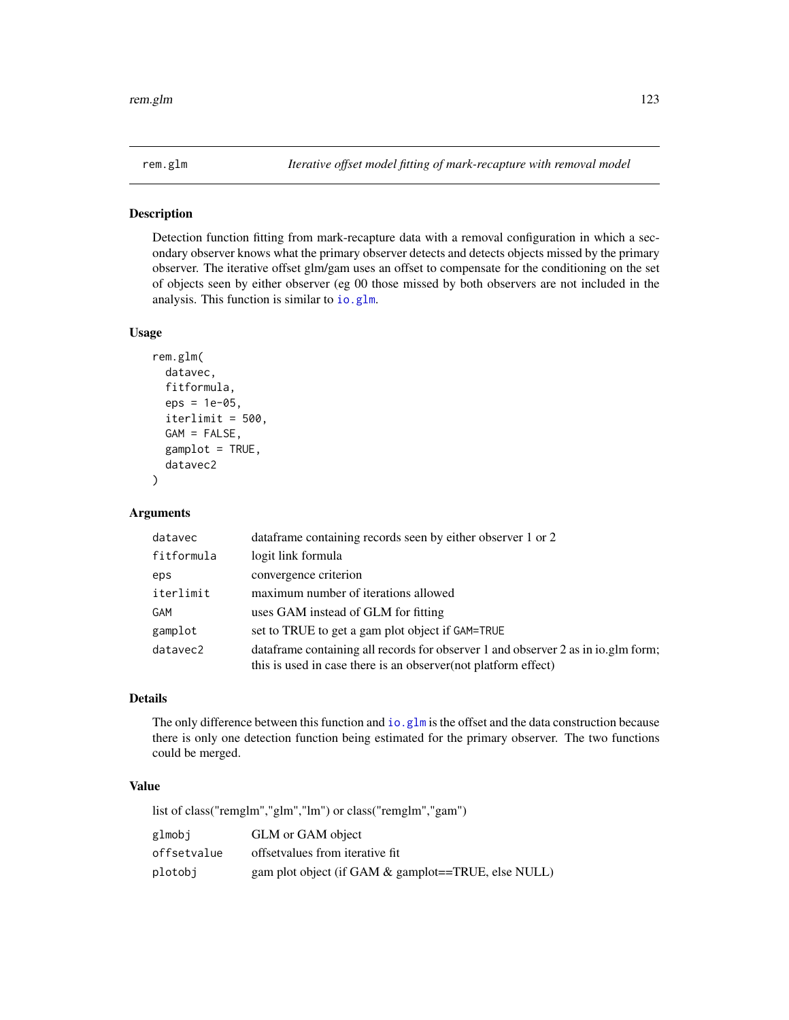<span id="page-122-0"></span>Detection function fitting from mark-recapture data with a removal configuration in which a secondary observer knows what the primary observer detects and detects objects missed by the primary observer. The iterative offset glm/gam uses an offset to compensate for the conditioning on the set of objects seen by either observer (eg 00 those missed by both observers are not included in the analysis. This function is similar to [io.glm](#page-57-0).

#### Usage

```
rem.glm(
  datavec,
  fitformula,
  eps = 1e-05,
  iterlimit = 500,
  GAM = FALSE,
  gamplot = TRUE,
  datavec2
)
```
# Arguments

| datavec    | data frame containing records seen by either observer 1 or 2                                                                                         |
|------------|------------------------------------------------------------------------------------------------------------------------------------------------------|
| fitformula | logit link formula                                                                                                                                   |
| eps        | convergence criterion                                                                                                                                |
| iterlimit  | maximum number of iterations allowed                                                                                                                 |
| GAM        | uses GAM instead of GLM for fitting                                                                                                                  |
| gamplot    | set to TRUE to get a gam plot object if GAM=TRUE                                                                                                     |
| datavec2   | dataframe containing all records for observer 1 and observer 2 as in io.glm form;<br>this is used in case there is an observer (not platform effect) |

# Details

The only difference between this function and [io.glm](#page-57-0) is the offset and the data construction because there is only one detection function being estimated for the primary observer. The two functions could be merged.

# Value

list of class("remglm","glm","lm") or class("remglm","gam")

| glmobi      | GLM or GAM object                                      |
|-------------|--------------------------------------------------------|
| offsetvalue | offsetvalues from iterative fit.                       |
| plotobi     | gam plot object (if GAM $\&$ gamplot==TRUE, else NULL) |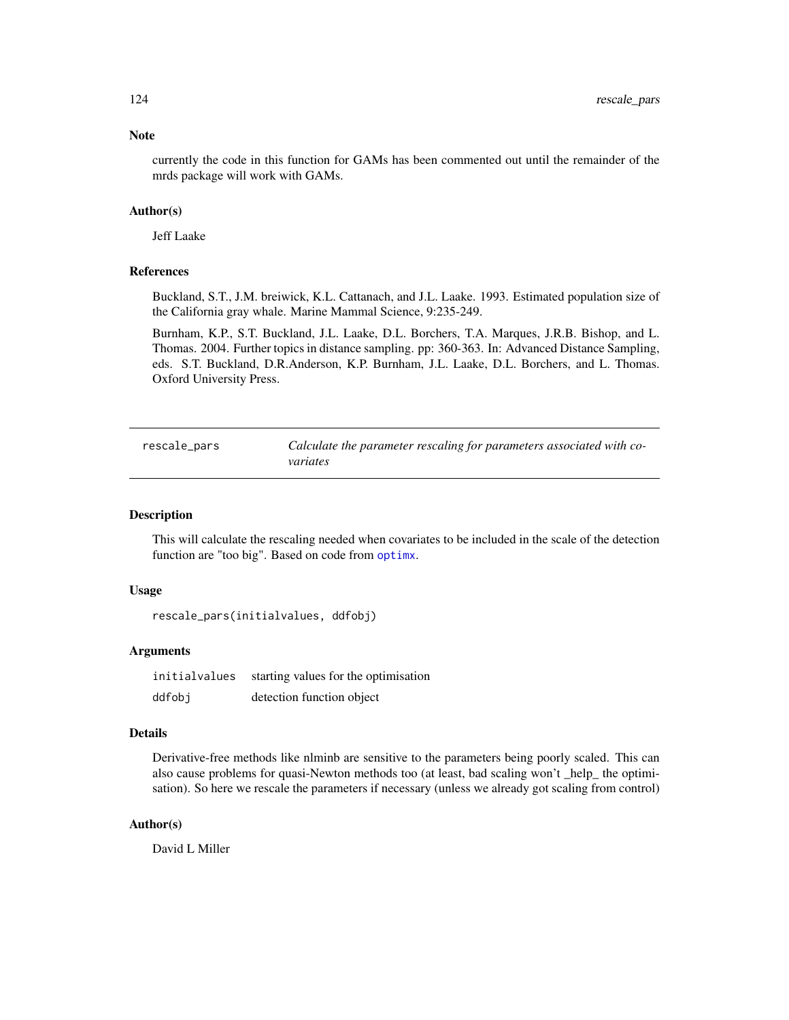# Note

currently the code in this function for GAMs has been commented out until the remainder of the mrds package will work with GAMs.

# Author(s)

Jeff Laake

#### References

Buckland, S.T., J.M. breiwick, K.L. Cattanach, and J.L. Laake. 1993. Estimated population size of the California gray whale. Marine Mammal Science, 9:235-249.

Burnham, K.P., S.T. Buckland, J.L. Laake, D.L. Borchers, T.A. Marques, J.R.B. Bishop, and L. Thomas. 2004. Further topics in distance sampling. pp: 360-363. In: Advanced Distance Sampling, eds. S.T. Buckland, D.R.Anderson, K.P. Burnham, J.L. Laake, D.L. Borchers, and L. Thomas. Oxford University Press.

| rescale_pars | Calculate the parameter rescaling for parameters associated with co- |
|--------------|----------------------------------------------------------------------|
|              | variates                                                             |

#### Description

This will calculate the rescaling needed when covariates to be included in the scale of the detection function are "too big". Based on code from [optimx](#page-0-0).

#### Usage

rescale\_pars(initialvalues, ddfobj)

#### Arguments

initialvalues starting values for the optimisation ddfobj detection function object

#### **Details**

Derivative-free methods like nlminb are sensitive to the parameters being poorly scaled. This can also cause problems for quasi-Newton methods too (at least, bad scaling won't \_help\_ the optimisation). So here we rescale the parameters if necessary (unless we already got scaling from control)

#### Author(s)

David L Miller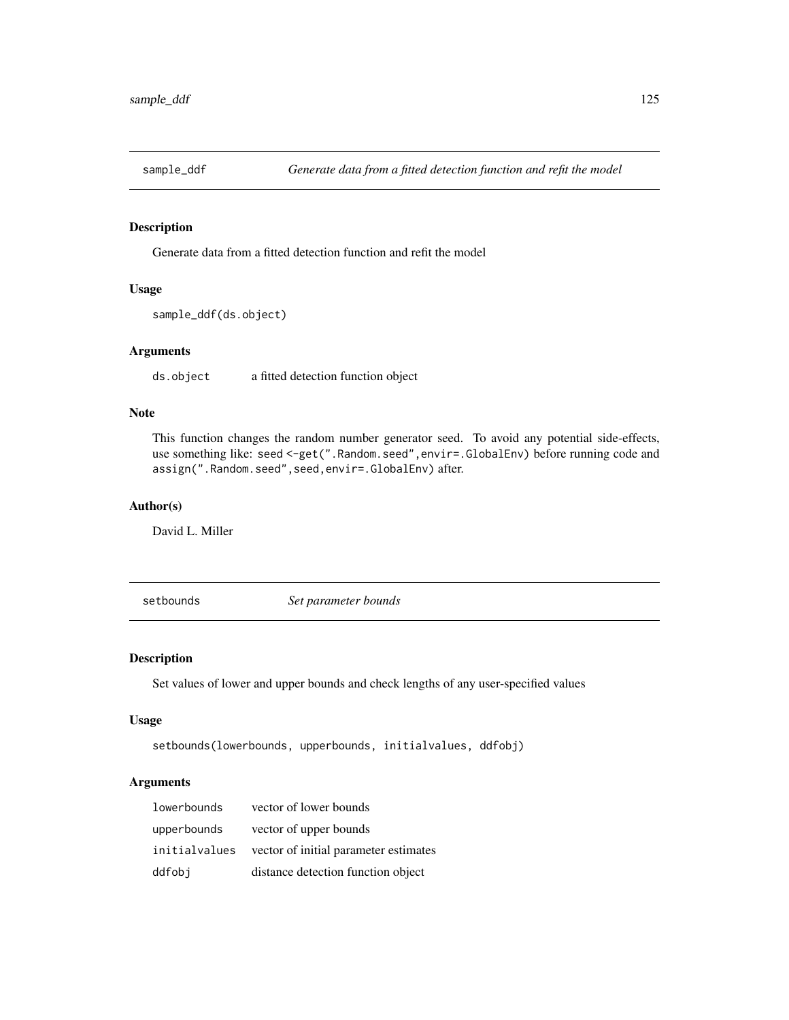Generate data from a fitted detection function and refit the model

# Usage

```
sample_ddf(ds.object)
```
# Arguments

ds.object a fitted detection function object

# Note

This function changes the random number generator seed. To avoid any potential side-effects, use something like: seed <-get(".Random.seed", envir=.GlobalEnv) before running code and assign(".Random.seed",seed,envir=.GlobalEnv) after.

#### Author(s)

David L. Miller

setbounds *Set parameter bounds*

# Description

Set values of lower and upper bounds and check lengths of any user-specified values

#### Usage

```
setbounds(lowerbounds, upperbounds, initialvalues, ddfobj)
```
# Arguments

| lowerbounds | vector of lower bounds                               |
|-------------|------------------------------------------------------|
| upperbounds | vector of upper bounds                               |
|             | initial values vector of initial parameter estimates |
| ddfobi      | distance detection function object                   |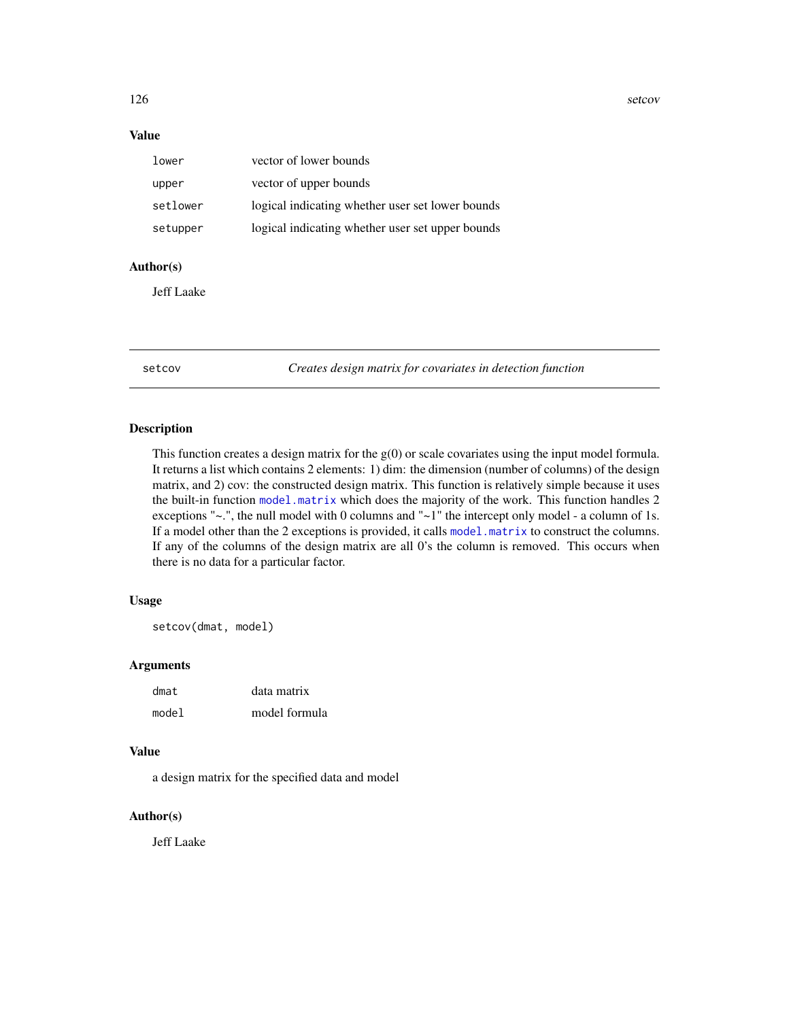<span id="page-125-0"></span>126 setcov

# Value

| lower    | vector of lower bounds                           |
|----------|--------------------------------------------------|
| upper    | vector of upper bounds                           |
| setlower | logical indicating whether user set lower bounds |
| setupper | logical indicating whether user set upper bounds |

# Author(s)

Jeff Laake

setcov *Creates design matrix for covariates in detection function*

#### Description

This function creates a design matrix for the  $g(0)$  or scale covariates using the input model formula. It returns a list which contains 2 elements: 1) dim: the dimension (number of columns) of the design matrix, and 2) cov: the constructed design matrix. This function is relatively simple because it uses the built-in function [model.matrix](#page-0-0) which does the majority of the work. This function handles 2 exceptions " $\sim$ .", the null model with 0 columns and " $\sim$ 1" the intercept only model - a column of 1s. If a model other than the 2 exceptions is provided, it calls [model.matrix](#page-0-0) to construct the columns. If any of the columns of the design matrix are all 0's the column is removed. This occurs when there is no data for a particular factor.

# Usage

setcov(dmat, model)

# Arguments

| dmat  | data matrix   |
|-------|---------------|
| model | model formula |

# Value

a design matrix for the specified data and model

# Author(s)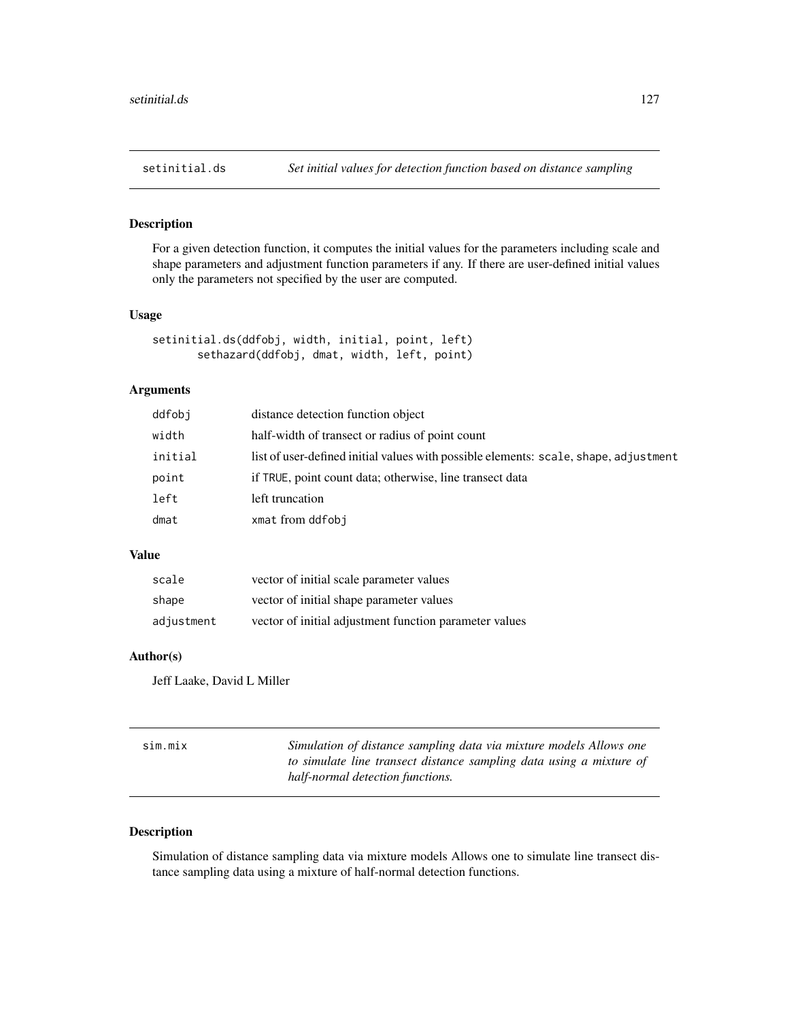For a given detection function, it computes the initial values for the parameters including scale and shape parameters and adjustment function parameters if any. If there are user-defined initial values only the parameters not specified by the user are computed.

# Usage

```
setinitial.ds(ddfobj, width, initial, point, left)
       sethazard(ddfobj, dmat, width, left, point)
```
# Arguments

| ddfobj  | distance detection function object                                                   |
|---------|--------------------------------------------------------------------------------------|
| width   | half-width of transect or radius of point count                                      |
| initial | list of user-defined initial values with possible elements: scale, shape, adjustment |
| point   | if TRUE, point count data; otherwise, line transect data                             |
| left    | left truncation                                                                      |
| dmat    | xmat from ddfobj                                                                     |
|         |                                                                                      |

#### Value

| scale      | vector of initial scale parameter values               |
|------------|--------------------------------------------------------|
| shape      | vector of initial shape parameter values               |
| adjustment | vector of initial adjustment function parameter values |

#### Author(s)

Jeff Laake, David L Miller

| Sim.mix | Simulation of distance sampling data via mixture models Allows one  |
|---------|---------------------------------------------------------------------|
|         | to simulate line transect distance sampling data using a mixture of |
|         | half-normal detection functions.                                    |

# Description

Simulation of distance sampling data via mixture models Allows one to simulate line transect distance sampling data using a mixture of half-normal detection functions.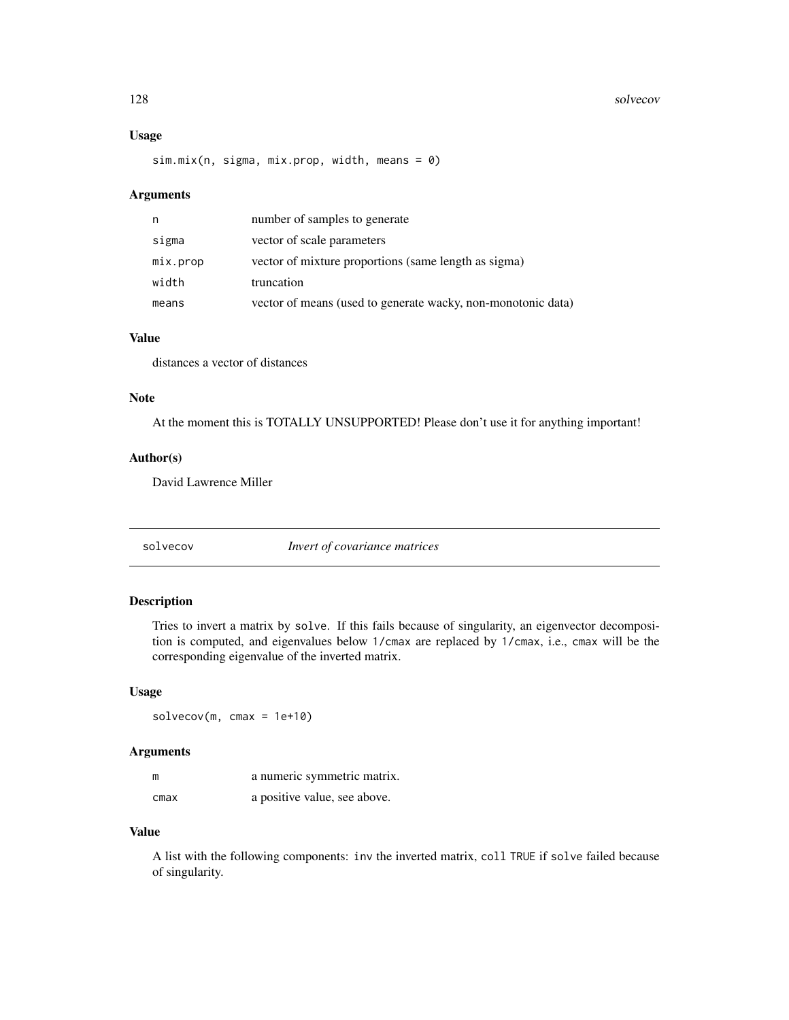#### 128 solvecov

# Usage

sim.mix(n, sigma, mix.prop, width, means = 0)

#### Arguments

| n        | number of samples to generate                                |
|----------|--------------------------------------------------------------|
| sigma    | vector of scale parameters                                   |
| mix.prop | vector of mixture proportions (same length as sigma)         |
| width    | truncation                                                   |
| means    | vector of means (used to generate wacky, non-monotonic data) |

# Value

distances a vector of distances

# Note

At the moment this is TOTALLY UNSUPPORTED! Please don't use it for anything important!

#### Author(s)

David Lawrence Miller

solvecov *Invert of covariance matrices*

# Description

Tries to invert a matrix by solve. If this fails because of singularity, an eigenvector decomposition is computed, and eigenvalues below 1/cmax are replaced by 1/cmax, i.e., cmax will be the corresponding eigenvalue of the inverted matrix.

#### Usage

 $solvecov(m, cmax = 1e+10)$ 

# Arguments

| m    | a numeric symmetric matrix.  |
|------|------------------------------|
| cmax | a positive value, see above. |

# Value

A list with the following components: inv the inverted matrix, coll TRUE if solve failed because of singularity.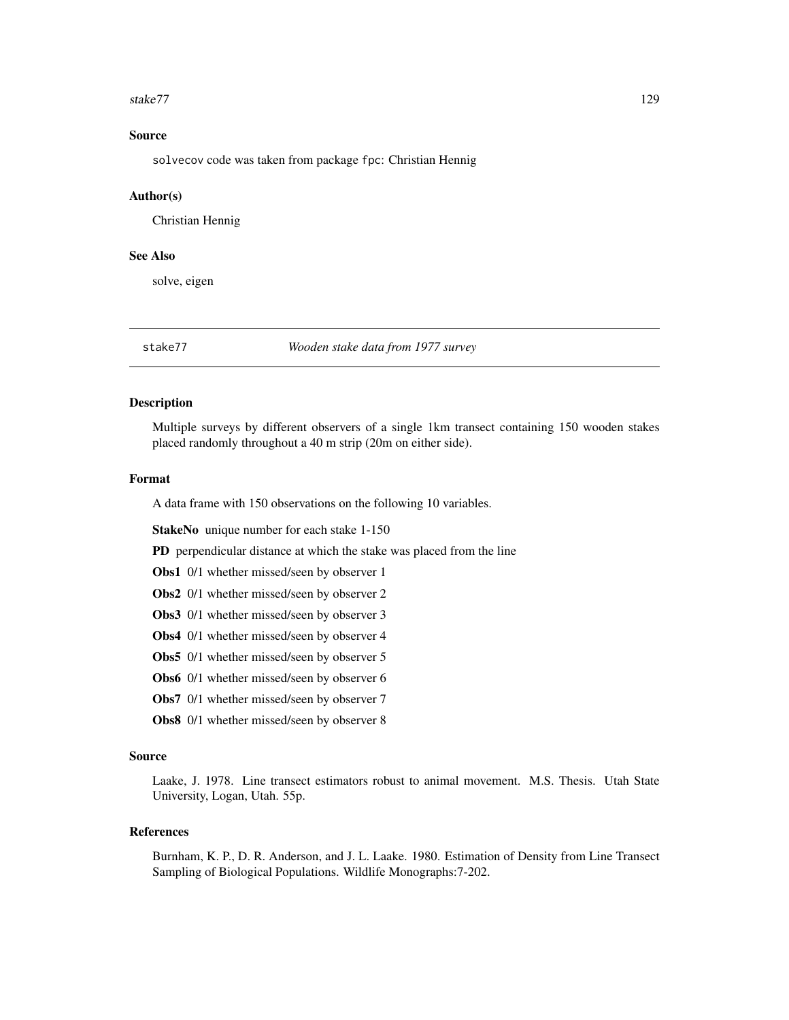#### <span id="page-128-0"></span>stake77 and the state of the state of the state of the state of the state of the state of the state of the state of the state of the state of the state of the state of the state of the state of the state of the state of th

# Source

solvecov code was taken from package fpc: Christian Hennig

#### Author(s)

Christian Hennig

# See Also

solve, eigen

stake77 *Wooden stake data from 1977 survey*

# **Description**

Multiple surveys by different observers of a single 1km transect containing 150 wooden stakes placed randomly throughout a 40 m strip (20m on either side).

#### Format

A data frame with 150 observations on the following 10 variables.

StakeNo unique number for each stake 1-150

PD perpendicular distance at which the stake was placed from the line

Obs1 0/1 whether missed/seen by observer 1

- Obs2 0/1 whether missed/seen by observer 2
- Obs3 0/1 whether missed/seen by observer 3
- Obs4 0/1 whether missed/seen by observer 4

Obs5 0/1 whether missed/seen by observer 5

- Obs6 0/1 whether missed/seen by observer 6
- Obs7 0/1 whether missed/seen by observer 7
- Obs8 0/1 whether missed/seen by observer 8

#### Source

Laake, J. 1978. Line transect estimators robust to animal movement. M.S. Thesis. Utah State University, Logan, Utah. 55p.

#### References

Burnham, K. P., D. R. Anderson, and J. L. Laake. 1980. Estimation of Density from Line Transect Sampling of Biological Populations. Wildlife Monographs:7-202.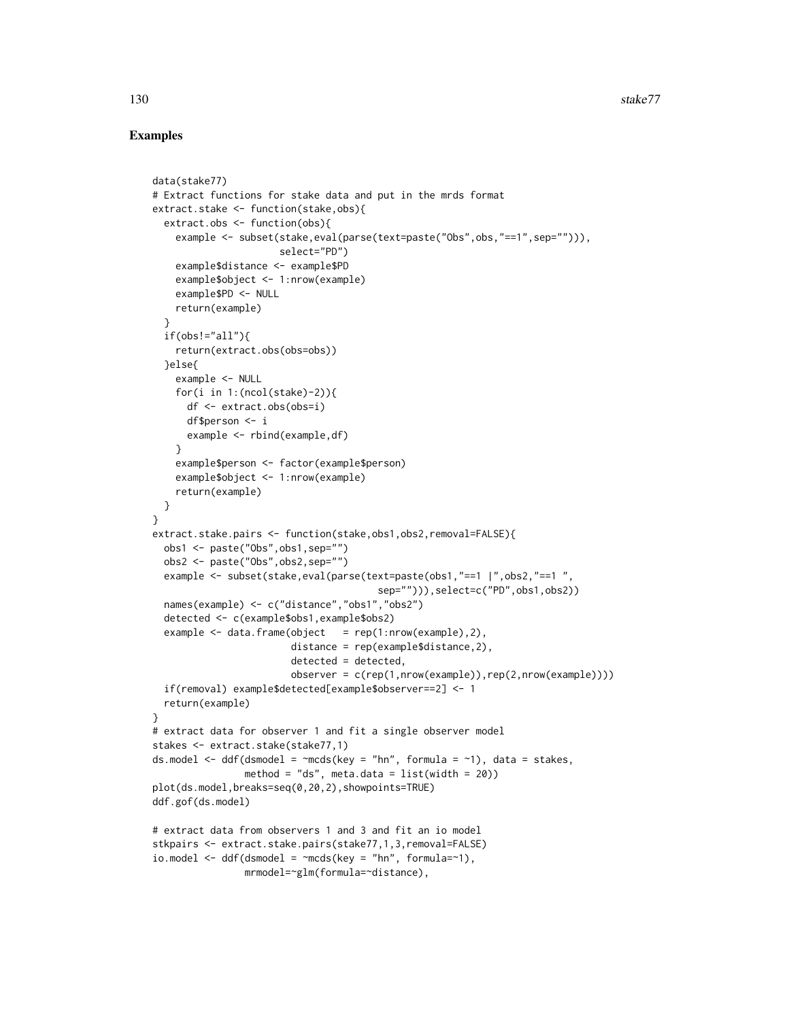# Examples

```
data(stake77)
# Extract functions for stake data and put in the mrds format
extract.stake <- function(stake,obs){
 extract.obs <- function(obs){
    example <- subset(stake,eval(parse(text=paste("Obs",obs,"==1",sep=""))),
                      select="PD")
    example$distance <- example$PD
   example$object <- 1:nrow(example)
   example$PD <- NULL
   return(example)
 }
 if(obs!="all")return(extract.obs(obs=obs))
 }else{
   example <- NULL
   for(i in 1:(\text{ncol}(\text{stake})-2)){
      df <- extract.obs(obs=i)
      df$person <- i
      example <- rbind(example,df)
    }
    example$person <- factor(example$person)
    example$object <- 1:nrow(example)
   return(example)
 }
}
extract.stake.pairs <- function(stake,obs1,obs2,removal=FALSE){
 obs1 <- paste("Obs",obs1,sep="")
 obs2 <- paste("Obs",obs2,sep="")
 example <- subset(stake,eval(parse(text=paste(obs1,"==1 |",obs2,"==1 ",
                                        sep=""))),select=c("PD",obs1,obs2))
 names(example) <- c("distance","obs1","obs2")
 detected <- c(example$obs1,example$obs2)
 example \leq data.frame(object = rep(1:nrow(example),2),
                        distance = rep(example$distance,2),
                        detected = detected,
                        observer = c(rep(1,nrow(example)),rep(2,nrow(example))))
 if(removal) example$detected[example$observer==2] <- 1
 return(example)
}
# extract data for observer 1 and fit a single observer model
stakes <- extract.stake(stake77,1)
ds.model \leq ddf(dsmodel = \simmcds(key = "hn", formula = \sim1), data = stakes,
                method = "ds", meta.data = list(width = 20))
plot(ds.model,breaks=seq(0,20,2),showpoints=TRUE)
ddf.gof(ds.model)
# extract data from observers 1 and 3 and fit an io model
stkpairs <- extract.stake.pairs(stake77,1,3,removal=FALSE)
io.model \leq ddf(dsmodel = \simmcds(key = "hn", formula=\sim1),
                mrmodel=~glm(formula=~distance),
```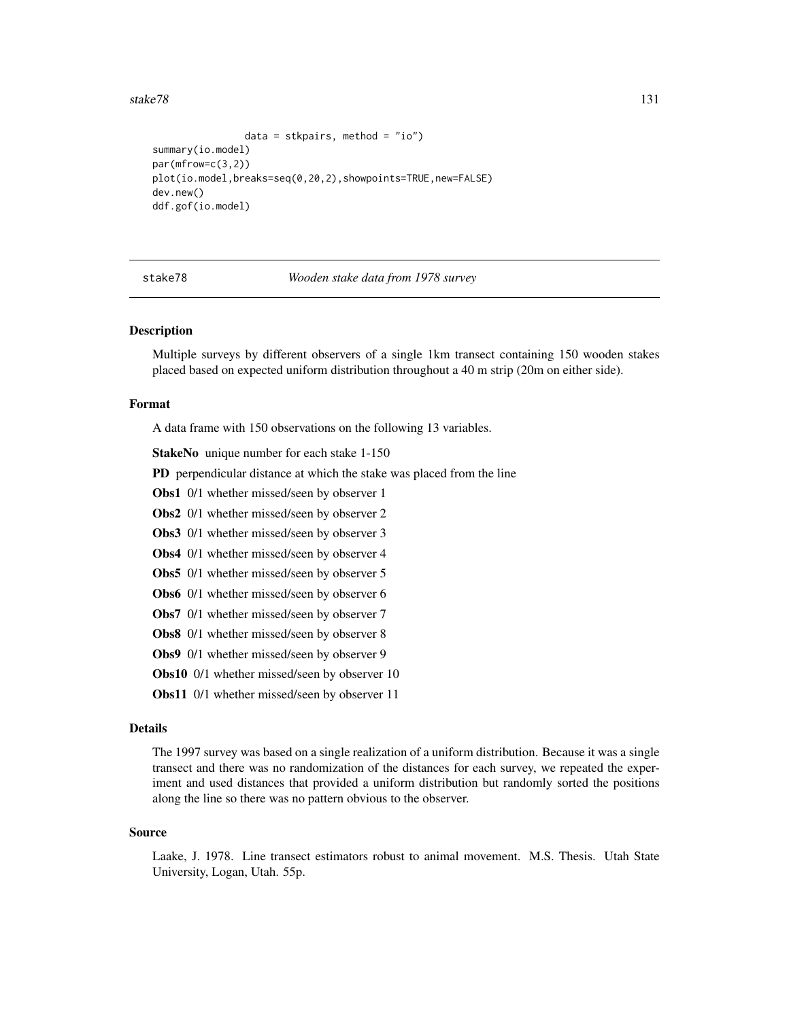#### <span id="page-130-0"></span>stake78 131

```
data = stkpairs, method = "io")
summary(io.model)
par(mfrow=c(3,2))
plot(io.model,breaks=seq(0,20,2),showpoints=TRUE,new=FALSE)
dev.new()
ddf.gof(io.model)
```
stake78 *Wooden stake data from 1978 survey*

#### Description

Multiple surveys by different observers of a single 1km transect containing 150 wooden stakes placed based on expected uniform distribution throughout a 40 m strip (20m on either side).

#### Format

A data frame with 150 observations on the following 13 variables.

StakeNo unique number for each stake 1-150

PD perpendicular distance at which the stake was placed from the line

Obs1 0/1 whether missed/seen by observer 1

Obs2 0/1 whether missed/seen by observer 2

Obs3 0/1 whether missed/seen by observer 3

Obs4 0/1 whether missed/seen by observer 4

Obs5 0/1 whether missed/seen by observer 5

Obs6 0/1 whether missed/seen by observer 6

Obs7 0/1 whether missed/seen by observer 7

Obs8 0/1 whether missed/seen by observer 8

Obs9 0/1 whether missed/seen by observer 9

Obs10 0/1 whether missed/seen by observer 10

Obs11 0/1 whether missed/seen by observer 11

#### Details

The 1997 survey was based on a single realization of a uniform distribution. Because it was a single transect and there was no randomization of the distances for each survey, we repeated the experiment and used distances that provided a uniform distribution but randomly sorted the positions along the line so there was no pattern obvious to the observer.

#### Source

Laake, J. 1978. Line transect estimators robust to animal movement. M.S. Thesis. Utah State University, Logan, Utah. 55p.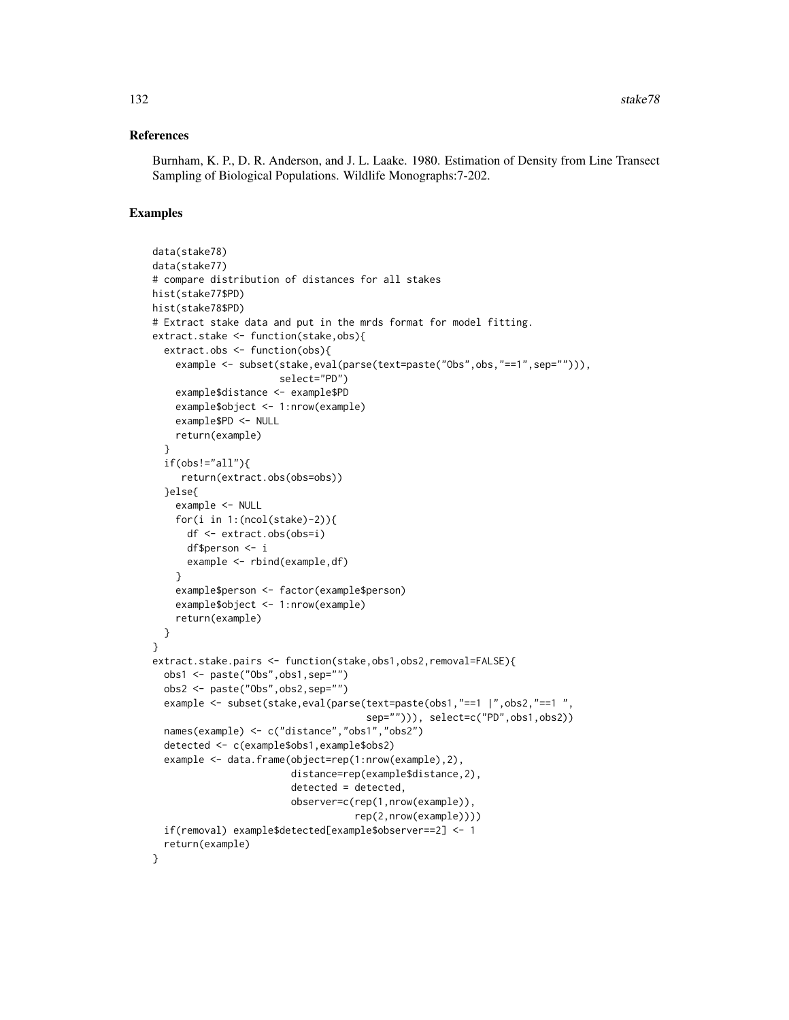#### References

Burnham, K. P., D. R. Anderson, and J. L. Laake. 1980. Estimation of Density from Line Transect Sampling of Biological Populations. Wildlife Monographs:7-202.

#### Examples

```
data(stake78)
data(stake77)
# compare distribution of distances for all stakes
hist(stake77$PD)
hist(stake78$PD)
# Extract stake data and put in the mrds format for model fitting.
extract.stake <- function(stake,obs){
  extract.obs <- function(obs){
    example <- subset(stake,eval(parse(text=paste("Obs",obs,"==1",sep=""))),
                      select="PD")
    example$distance <- example$PD
    example$object <- 1:nrow(example)
    example$PD <- NULL
    return(example)
  }
  if(obs!="all")return(extract.obs(obs=obs))
  }else{
    example <- NULL
    for(i in 1:(\text{ncol}(\text{stake})-2)){
      df <- extract.obs(obs=i)
      df$person <- i
      example <- rbind(example,df)
    }
    example$person <- factor(example$person)
    example$object <- 1:nrow(example)
    return(example)
  }
}
extract.stake.pairs <- function(stake,obs1,obs2,removal=FALSE){
  obs1 <- paste("Obs",obs1,sep="")
  obs2 <- paste("Obs",obs2,sep="")
  example <- subset(stake,eval(parse(text=paste(obs1,"==1 |",obs2,"==1 ",
                                      sep=""))), select=c("PD",obs1,obs2))
  names(example) <- c("distance","obs1","obs2")
  detected <- c(example$obs1,example$obs2)
  example <- data.frame(object=rep(1:nrow(example),2),
                        distance=rep(example$distance,2),
                        detected = detected,
                        observer=c(rep(1,nrow(example)),
                                    rep(2,nrow(example))))
  if(removal) example$detected[example$observer==2] <- 1
  return(example)
}
```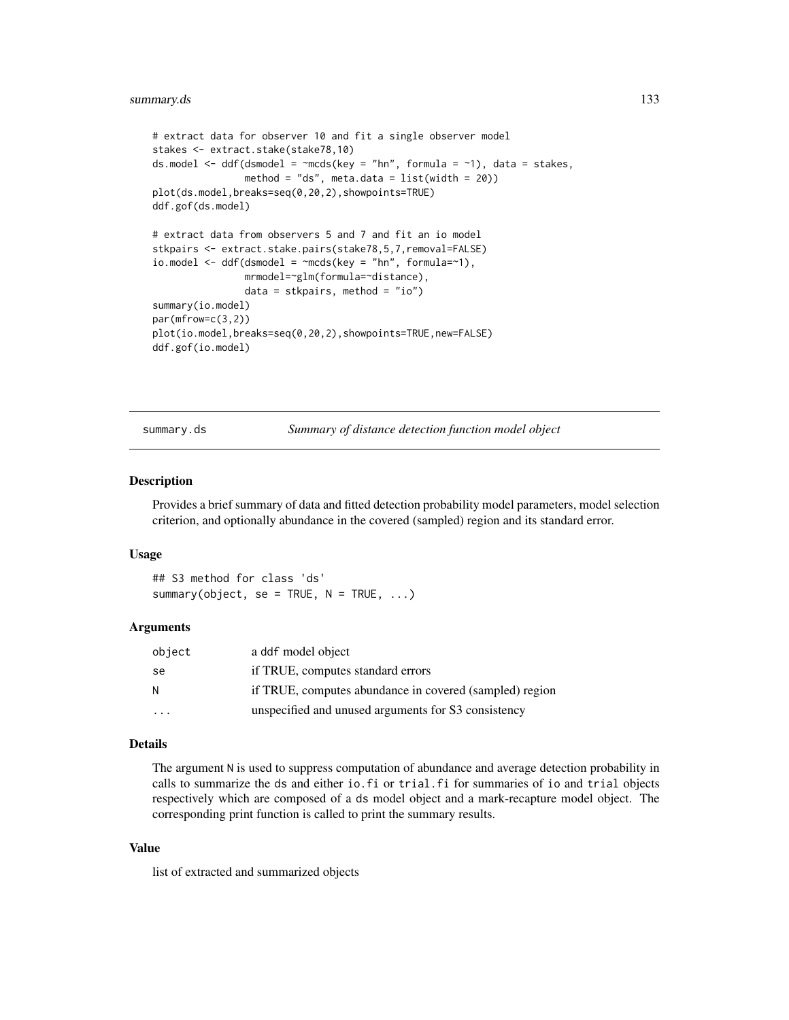```
# extract data for observer 10 and fit a single observer model
stakes <- extract.stake(stake78,10)
ds.model \leq ddf(dsmodel = \simmcds(key = "hn", formula = \sim1), data = stakes,
                method = "ds", meta.data = list(width = 20))
plot(ds.model,breaks=seq(0,20,2),showpoints=TRUE)
ddf.gof(ds.model)
# extract data from observers 5 and 7 and fit an io model
stkpairs <- extract.stake.pairs(stake78,5,7,removal=FALSE)
io.model \leq ddf(dsmodel = \simmcds(key = "hn", formula=\sim1),
                mrmodel=~glm(formula=~distance),
                data = stkpairs, method = "io")
summary(io.model)
par(mfrow=c(3,2))
plot(io.model,breaks=seq(0,20,2),showpoints=TRUE,new=FALSE)
ddf.gof(io.model)
```
<span id="page-132-0"></span>summary.ds *Summary of distance detection function model object*

# Description

Provides a brief summary of data and fitted detection probability model parameters, model selection criterion, and optionally abundance in the covered (sampled) region and its standard error.

#### Usage

## S3 method for class 'ds' summary(object, se = TRUE,  $N = TRUE, ...$ )

#### Arguments

| object                  | a ddf model object                                      |
|-------------------------|---------------------------------------------------------|
| -se                     | if TRUE, computes standard errors                       |
| N.                      | if TRUE, computes abundance in covered (sampled) region |
| $\cdot$ $\cdot$ $\cdot$ | unspecified and unused arguments for S3 consistency     |

# Details

The argument N is used to suppress computation of abundance and average detection probability in calls to summarize the ds and either io.fi or trial.fi for summaries of io and trial objects respectively which are composed of a ds model object and a mark-recapture model object. The corresponding print function is called to print the summary results.

# Value

list of extracted and summarized objects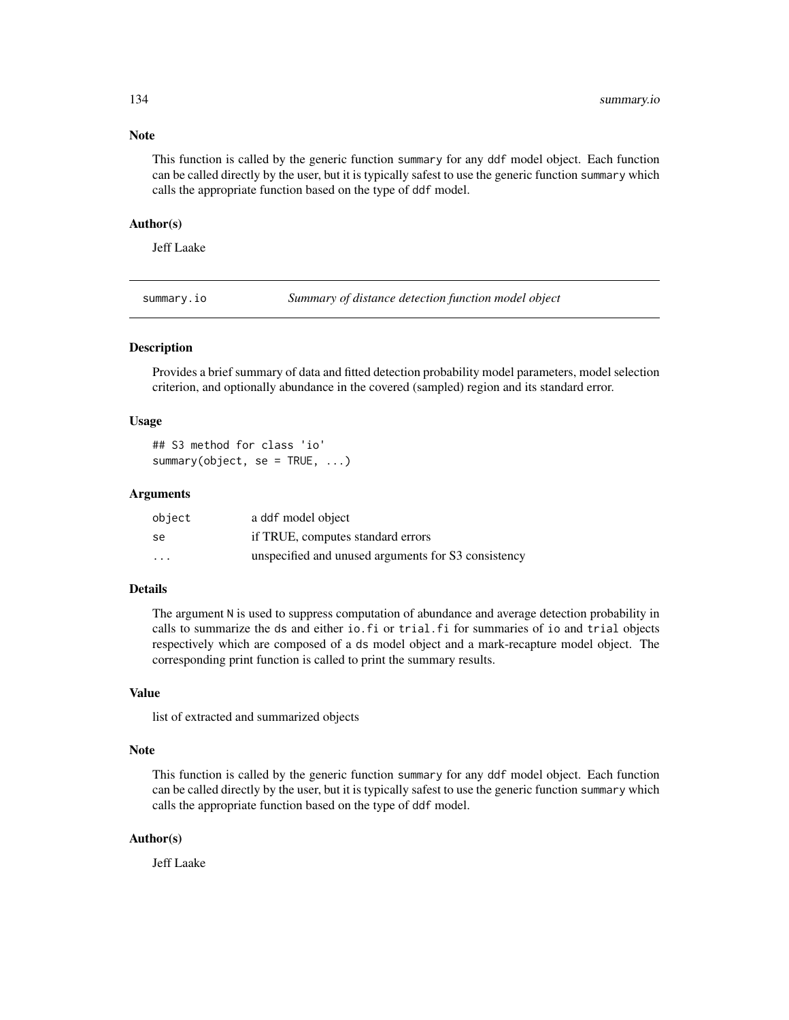#### Note

This function is called by the generic function summary for any ddf model object. Each function can be called directly by the user, but it is typically safest to use the generic function summary which calls the appropriate function based on the type of ddf model.

#### Author(s)

Jeff Laake

<span id="page-133-0"></span>summary.io *Summary of distance detection function model object*

# Description

Provides a brief summary of data and fitted detection probability model parameters, model selection criterion, and optionally abundance in the covered (sampled) region and its standard error.

#### Usage

```
## S3 method for class 'io'
summary(object, se = TRUE, ...)
```
#### Arguments

| object   | a ddf model object                                  |
|----------|-----------------------------------------------------|
| se       | if TRUE, computes standard errors                   |
| $\cdots$ | unspecified and unused arguments for S3 consistency |

# Details

The argument N is used to suppress computation of abundance and average detection probability in calls to summarize the ds and either io.fi or trial.fi for summaries of io and trial objects respectively which are composed of a ds model object and a mark-recapture model object. The corresponding print function is called to print the summary results.

#### Value

list of extracted and summarized objects

#### Note

This function is called by the generic function summary for any ddf model object. Each function can be called directly by the user, but it is typically safest to use the generic function summary which calls the appropriate function based on the type of ddf model.

#### Author(s)

<span id="page-133-1"></span>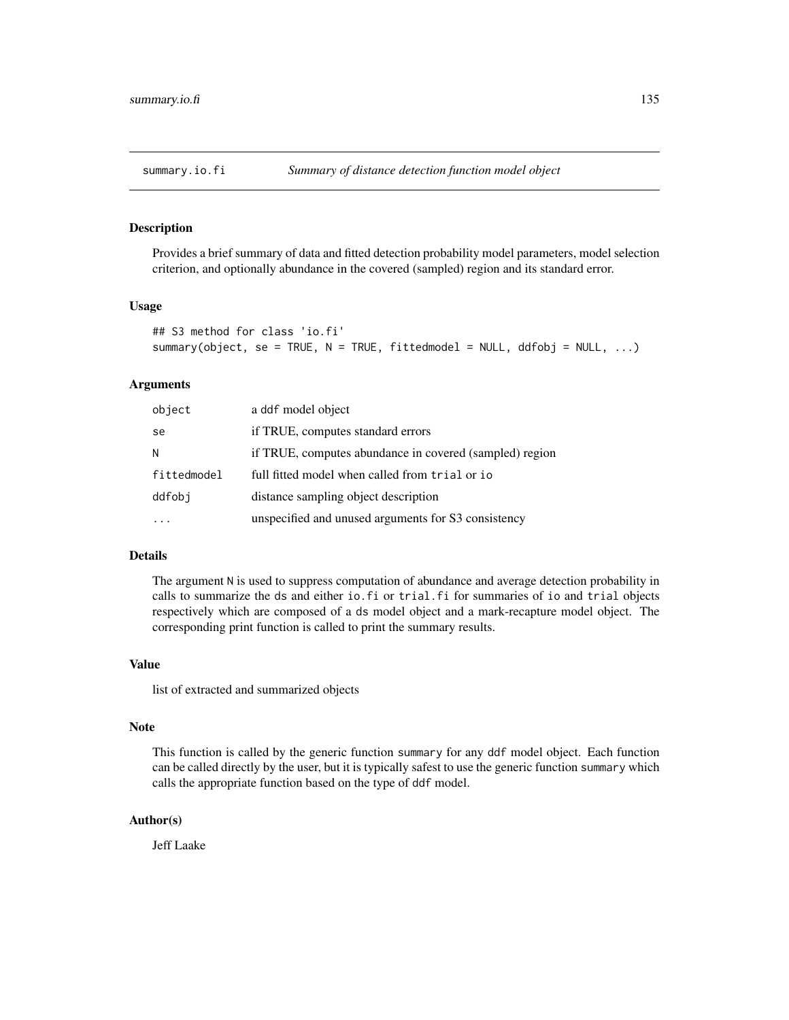<span id="page-134-1"></span><span id="page-134-0"></span>

Provides a brief summary of data and fitted detection probability model parameters, model selection criterion, and optionally abundance in the covered (sampled) region and its standard error.

#### Usage

```
## S3 method for class 'io.fi'
summary(object, se = TRUE, N = TRUE, fittedmodel = NULL, ddfobj = NULL, ...)
```
#### Arguments

| object      | a ddf model object                                      |
|-------------|---------------------------------------------------------|
| se          | if TRUE, computes standard errors                       |
| N           | if TRUE, computes abundance in covered (sampled) region |
| fittedmodel | full fitted model when called from trial or io          |
| ddfobi      | distance sampling object description                    |
|             | unspecified and unused arguments for S3 consistency     |

#### Details

The argument N is used to suppress computation of abundance and average detection probability in calls to summarize the ds and either io.fi or trial.fi for summaries of io and trial objects respectively which are composed of a ds model object and a mark-recapture model object. The corresponding print function is called to print the summary results.

#### Value

list of extracted and summarized objects

#### Note

This function is called by the generic function summary for any ddf model object. Each function can be called directly by the user, but it is typically safest to use the generic function summary which calls the appropriate function based on the type of ddf model.

# Author(s)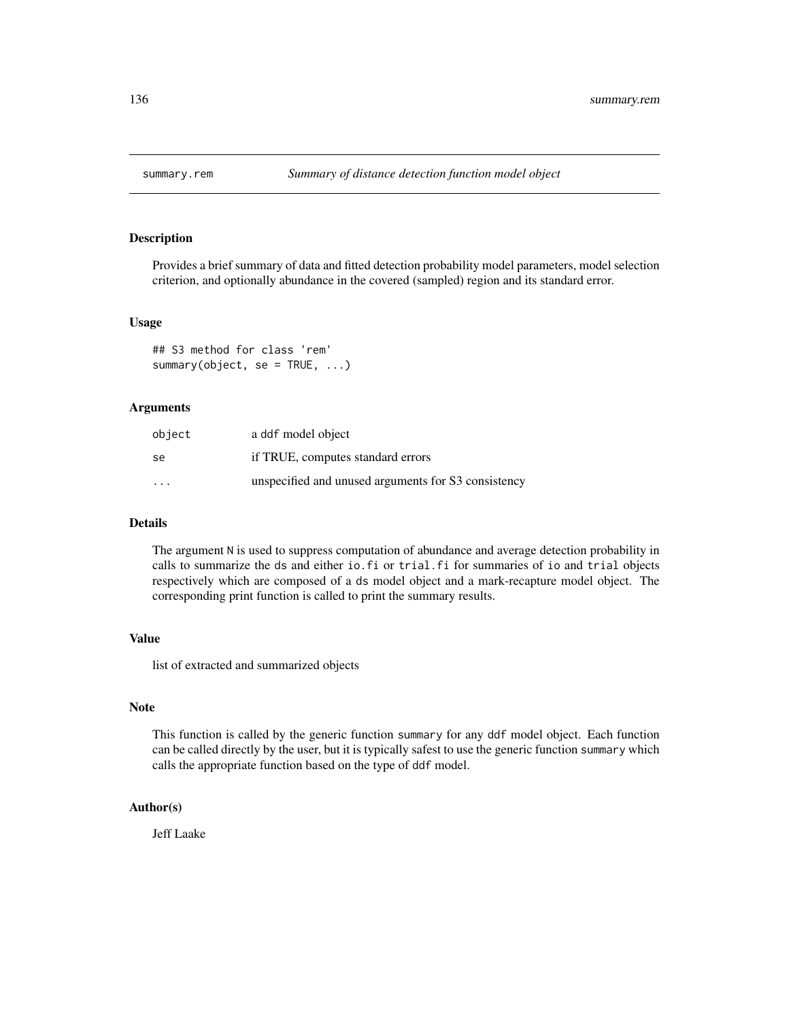<span id="page-135-1"></span><span id="page-135-0"></span>

Provides a brief summary of data and fitted detection probability model parameters, model selection criterion, and optionally abundance in the covered (sampled) region and its standard error.

#### Usage

## S3 method for class 'rem' summary(object, se = TRUE, ...)

#### Arguments

| object                  | a ddf model object                                  |
|-------------------------|-----------------------------------------------------|
| se                      | if TRUE, computes standard errors                   |
| $\cdot$ $\cdot$ $\cdot$ | unspecified and unused arguments for S3 consistency |

#### Details

The argument N is used to suppress computation of abundance and average detection probability in calls to summarize the ds and either io.fi or trial.fi for summaries of io and trial objects respectively which are composed of a ds model object and a mark-recapture model object. The corresponding print function is called to print the summary results.

## Value

list of extracted and summarized objects

# Note

This function is called by the generic function summary for any ddf model object. Each function can be called directly by the user, but it is typically safest to use the generic function summary which calls the appropriate function based on the type of ddf model.

# Author(s)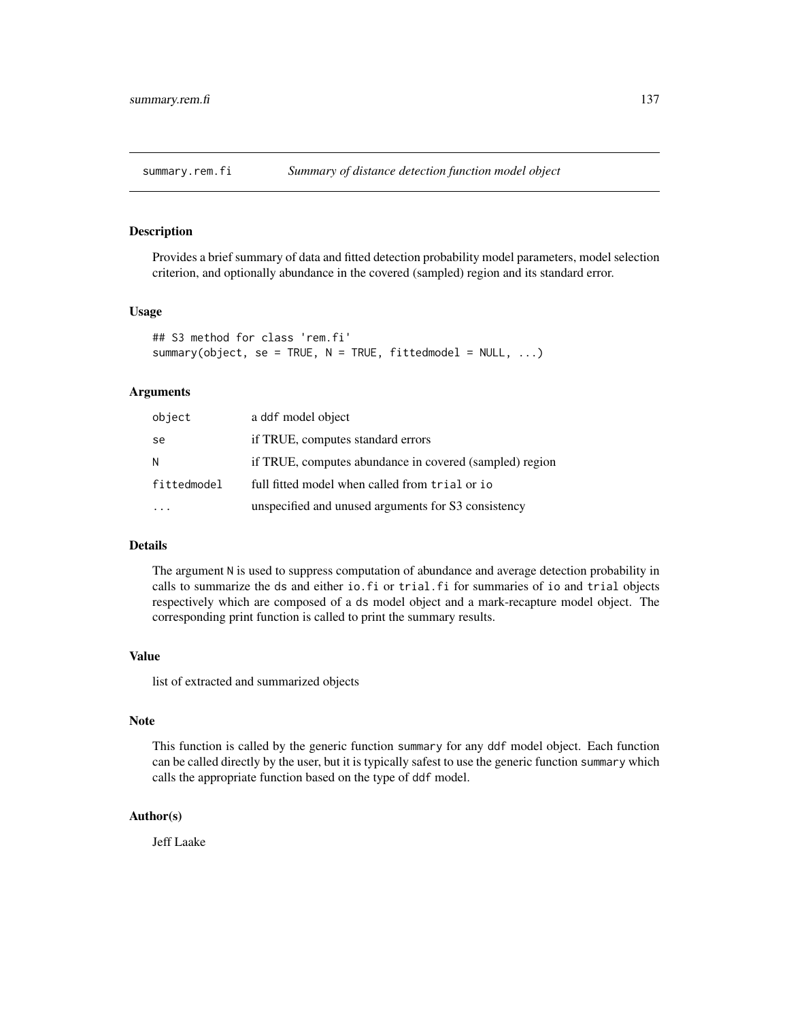<span id="page-136-1"></span><span id="page-136-0"></span>

Provides a brief summary of data and fitted detection probability model parameters, model selection criterion, and optionally abundance in the covered (sampled) region and its standard error.

## Usage

```
## S3 method for class 'rem.fi'
summary(object, se = TRUE, N = TRUE, fittedmodel = NULL, ...)
```
# Arguments

| object      | a ddf model object                                      |
|-------------|---------------------------------------------------------|
| se          | if TRUE, computes standard errors                       |
| N           | if TRUE, computes abundance in covered (sampled) region |
| fittedmodel | full fitted model when called from trial or io          |
|             | unspecified and unused arguments for S3 consistency     |

# Details

The argument N is used to suppress computation of abundance and average detection probability in calls to summarize the ds and either io.fi or trial.fi for summaries of io and trial objects respectively which are composed of a ds model object and a mark-recapture model object. The corresponding print function is called to print the summary results.

#### Value

list of extracted and summarized objects

# Note

This function is called by the generic function summary for any ddf model object. Each function can be called directly by the user, but it is typically safest to use the generic function summary which calls the appropriate function based on the type of ddf model.

#### Author(s)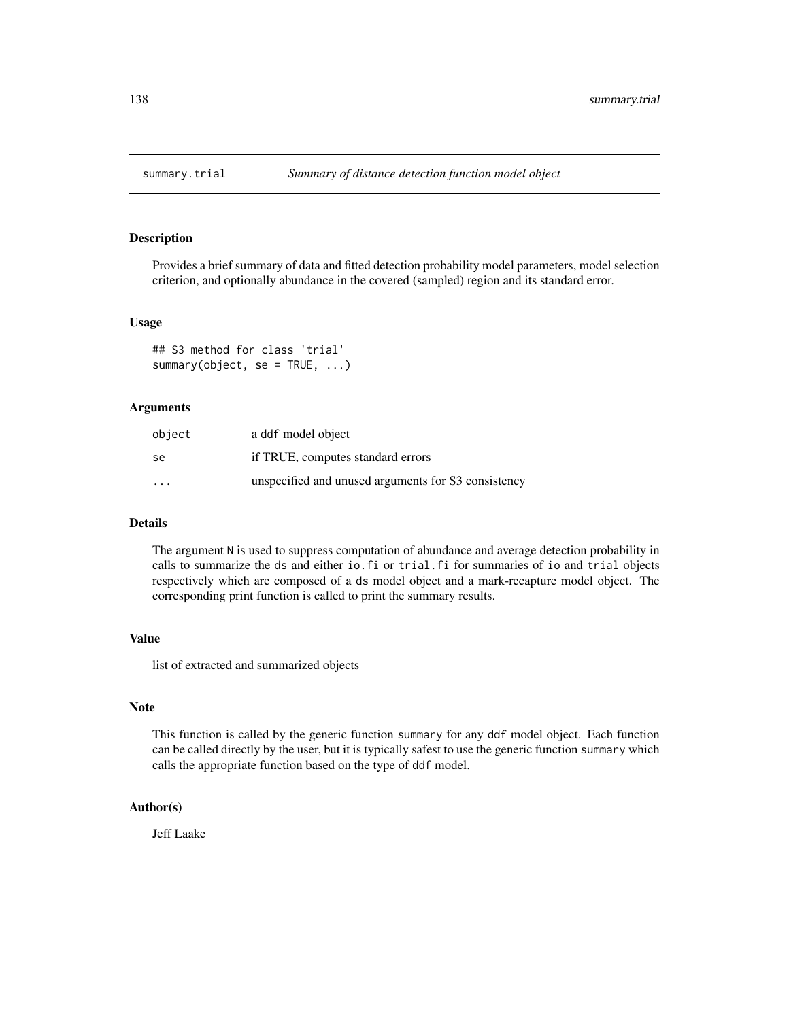<span id="page-137-1"></span><span id="page-137-0"></span>

Provides a brief summary of data and fitted detection probability model parameters, model selection criterion, and optionally abundance in the covered (sampled) region and its standard error.

#### Usage

## S3 method for class 'trial' summary(object, se = TRUE, ...)

#### Arguments

| object                  | a ddf model object                                  |
|-------------------------|-----------------------------------------------------|
| se                      | if TRUE, computes standard errors                   |
| $\cdot$ $\cdot$ $\cdot$ | unspecified and unused arguments for S3 consistency |

#### Details

The argument N is used to suppress computation of abundance and average detection probability in calls to summarize the ds and either io.fi or trial.fi for summaries of io and trial objects respectively which are composed of a ds model object and a mark-recapture model object. The corresponding print function is called to print the summary results.

# Value

list of extracted and summarized objects

# Note

This function is called by the generic function summary for any ddf model object. Each function can be called directly by the user, but it is typically safest to use the generic function summary which calls the appropriate function based on the type of ddf model.

# Author(s)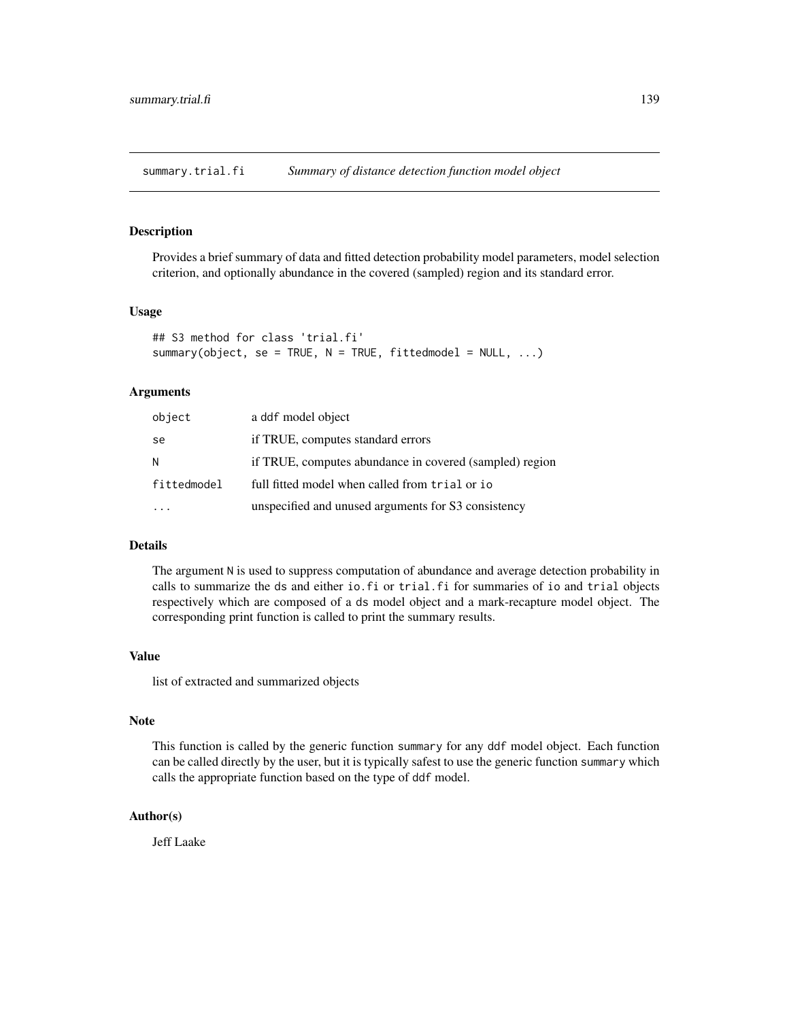<span id="page-138-1"></span><span id="page-138-0"></span>summary.trial.fi *Summary of distance detection function model object*

#### Description

Provides a brief summary of data and fitted detection probability model parameters, model selection criterion, and optionally abundance in the covered (sampled) region and its standard error.

# Usage

```
## S3 method for class 'trial.fi'
summary(object, se = TRUE, N = TRUE, fittedmodel = NULL, ...)
```
# Arguments

| object      | a ddf model object                                      |
|-------------|---------------------------------------------------------|
| se          | if TRUE, computes standard errors                       |
| N           | if TRUE, computes abundance in covered (sampled) region |
| fittedmodel | full fitted model when called from trial or io          |
|             | unspecified and unused arguments for S3 consistency     |

# Details

The argument N is used to suppress computation of abundance and average detection probability in calls to summarize the ds and either io.fi or trial.fi for summaries of io and trial objects respectively which are composed of a ds model object and a mark-recapture model object. The corresponding print function is called to print the summary results.

#### Value

list of extracted and summarized objects

# Note

This function is called by the generic function summary for any ddf model object. Each function can be called directly by the user, but it is typically safest to use the generic function summary which calls the appropriate function based on the type of ddf model.

#### Author(s)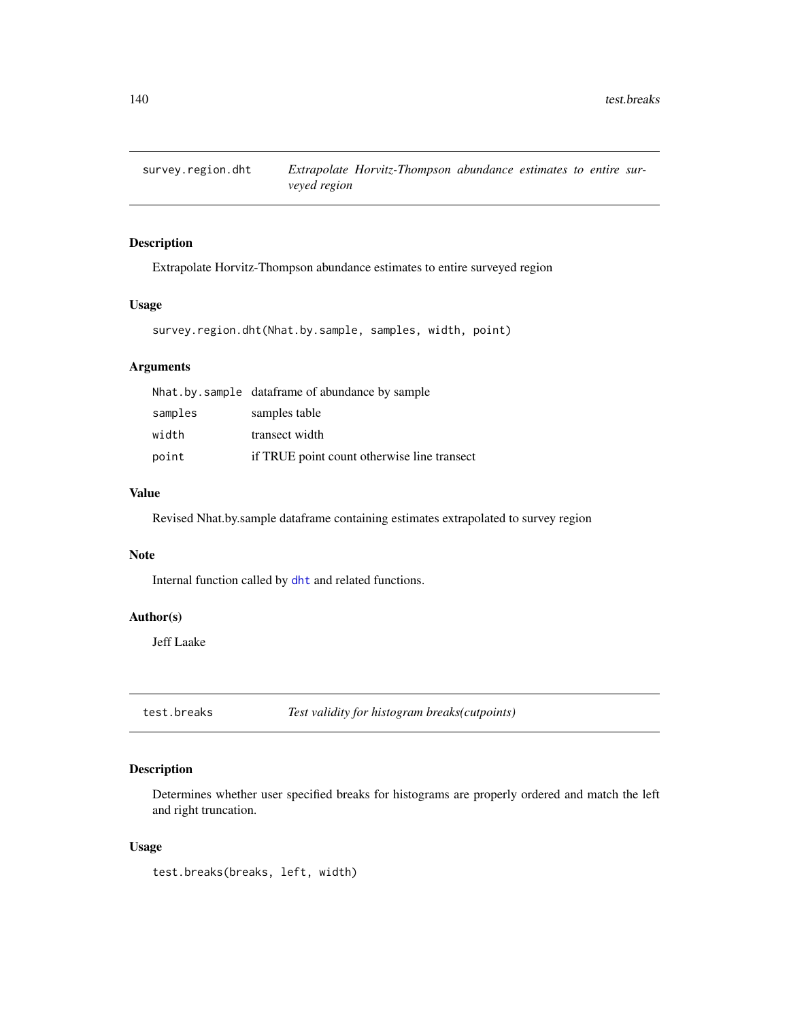<span id="page-139-0"></span>

Extrapolate Horvitz-Thompson abundance estimates to entire surveyed region

# Usage

```
survey.region.dht(Nhat.by.sample, samples, width, point)
```
#### Arguments

|         | Nhat by sample dataframe of abundance by sample |
|---------|-------------------------------------------------|
| samples | samples table                                   |
| width   | transect width                                  |
| point   | if TRUE point count otherwise line transect     |

## Value

Revised Nhat.by.sample dataframe containing estimates extrapolated to survey region

#### Note

Internal function called by [dht](#page-40-0) and related functions.

# Author(s)

Jeff Laake

test.breaks *Test validity for histogram breaks(cutpoints)*

# Description

Determines whether user specified breaks for histograms are properly ordered and match the left and right truncation.

#### Usage

test.breaks(breaks, left, width)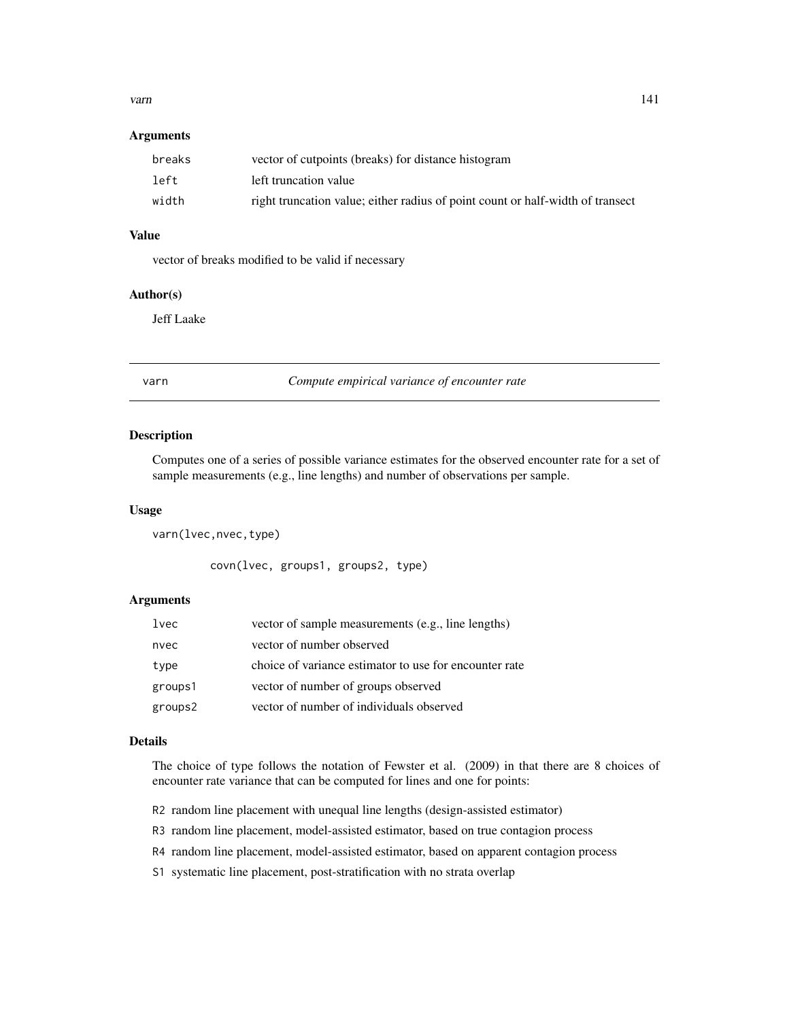#### <span id="page-140-0"></span>varn and the contract of the contract of the contract of the contract of the contract of the contract of the contract of the contract of the contract of the contract of the contract of the contract of the contract of the c

#### **Arguments**

| breaks | vector of cutpoints (breaks) for distance histogram                            |
|--------|--------------------------------------------------------------------------------|
| left   | left truncation value                                                          |
| width  | right truncation value; either radius of point count or half-width of transect |

# Value

vector of breaks modified to be valid if necessary

# Author(s)

Jeff Laake

varn *Compute empirical variance of encounter rate*

#### Description

Computes one of a series of possible variance estimates for the observed encounter rate for a set of sample measurements (e.g., line lengths) and number of observations per sample.

#### Usage

varn(lvec,nvec,type)

covn(lvec, groups1, groups2, type)

#### Arguments

| lvec    | vector of sample measurements (e.g., line lengths)     |
|---------|--------------------------------------------------------|
| nvec    | vector of number observed                              |
| type    | choice of variance estimator to use for encounter rate |
| groups1 | vector of number of groups observed                    |
| groups2 | vector of number of individuals observed               |

#### Details

The choice of type follows the notation of Fewster et al. (2009) in that there are 8 choices of encounter rate variance that can be computed for lines and one for points:

- R2 random line placement with unequal line lengths (design-assisted estimator)
- R3 random line placement, model-assisted estimator, based on true contagion process
- R4 random line placement, model-assisted estimator, based on apparent contagion process
- S1 systematic line placement, post-stratification with no strata overlap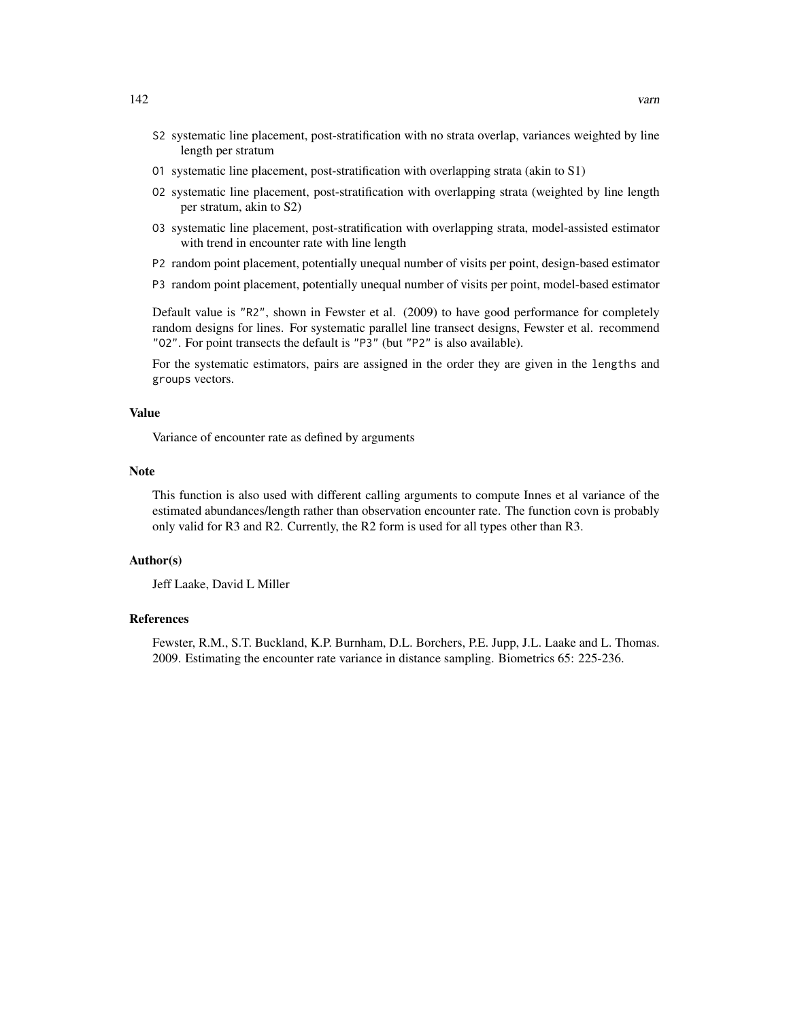- S2 systematic line placement, post-stratification with no strata overlap, variances weighted by line length per stratum
- O1 systematic line placement, post-stratification with overlapping strata (akin to S1)
- O2 systematic line placement, post-stratification with overlapping strata (weighted by line length per stratum, akin to S2)
- O3 systematic line placement, post-stratification with overlapping strata, model-assisted estimator with trend in encounter rate with line length
- P2 random point placement, potentially unequal number of visits per point, design-based estimator
- P3 random point placement, potentially unequal number of visits per point, model-based estimator

Default value is "R2", shown in Fewster et al. (2009) to have good performance for completely random designs for lines. For systematic parallel line transect designs, Fewster et al. recommend "O2". For point transects the default is "P3" (but "P2" is also available).

For the systematic estimators, pairs are assigned in the order they are given in the lengths and groups vectors.

# Value

Variance of encounter rate as defined by arguments

#### Note

This function is also used with different calling arguments to compute Innes et al variance of the estimated abundances/length rather than observation encounter rate. The function covn is probably only valid for R3 and R2. Currently, the R2 form is used for all types other than R3.

#### Author(s)

Jeff Laake, David L Miller

#### References

Fewster, R.M., S.T. Buckland, K.P. Burnham, D.L. Borchers, P.E. Jupp, J.L. Laake and L. Thomas. 2009. Estimating the encounter rate variance in distance sampling. Biometrics 65: 225-236.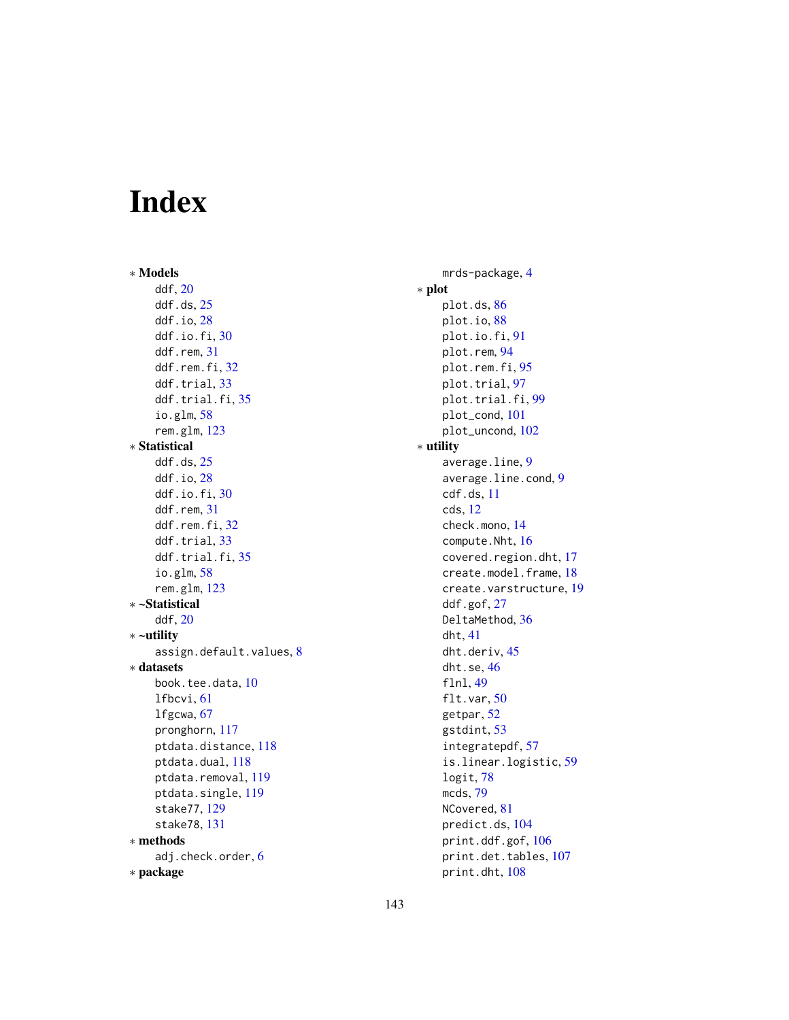# Index

∗ Models ddf, [20](#page-19-1) ddf.ds, [25](#page-24-0) ddf.io, [28](#page-27-0) ddf.io.fi, [30](#page-29-0) ddf.rem, [31](#page-30-0) ddf.rem.fi, [32](#page-31-0) ddf.trial, [33](#page-32-0) ddf.trial.fi, [35](#page-34-0) io.glm, [58](#page-57-1) rem.glm, [123](#page-122-0) ∗ Statistical ddf.ds, [25](#page-24-0) ddf.io, [28](#page-27-0) ddf.io.fi, [30](#page-29-0) ddf.rem, [31](#page-30-0) ddf.rem.fi, [32](#page-31-0) ddf.trial, [33](#page-32-0) ddf.trial.fi, [35](#page-34-0) io.glm, [58](#page-57-1) rem.glm, [123](#page-122-0) ∗ ~Statistical ddf, [20](#page-19-1) ∗ ~utility assign.default.values, [8](#page-7-0) ∗ datasets book.tee.data, [10](#page-9-0) lfbcvi, [61](#page-60-0) lfgcwa, [67](#page-66-0) pronghorn, [117](#page-116-0) ptdata.distance, [118](#page-117-0) ptdata.dual, [118](#page-117-0) ptdata.removal, [119](#page-118-0) ptdata.single, [119](#page-118-0) stake77, [129](#page-128-0) stake78, [131](#page-130-0) ∗ methods adj.check.order, [6](#page-5-0) ∗ package

mrds-package, [4](#page-3-0) ∗ plot plot.ds, [86](#page-85-0) plot.io, [88](#page-87-0) plot.io.fi, [91](#page-90-0) plot.rem, [94](#page-93-0) plot.rem.fi, [95](#page-94-0) plot.trial, [97](#page-96-0) plot.trial.fi, [99](#page-98-0) plot\_cond, [101](#page-100-0) plot\_uncond, [102](#page-101-0) ∗ utility average.line, [9](#page-8-0) average.line.cond, [9](#page-8-0) cdf.ds, [11](#page-10-1) cds, [12](#page-11-0) check.mono, [14](#page-13-0) compute.Nht, [16](#page-15-0) covered.region.dht, [17](#page-16-0) create.model.frame, [18](#page-17-0) create.varstructure, [19](#page-18-0) ddf.gof, [27](#page-26-1) DeltaMethod, [36](#page-35-0) dht, [41](#page-40-1) dht.deriv, [45](#page-44-0) dht.se, [46](#page-45-0) flnl, [49](#page-48-0) flt.var, [50](#page-49-0) getpar, [52](#page-51-0) gstdint, [53](#page-52-0) integratepdf, [57](#page-56-0) is.linear.logistic, [59](#page-58-0) logit, [78](#page-77-0) mcds, [79](#page-78-0) NCovered, [81](#page-80-0) predict.ds, [104](#page-103-0) print.ddf.gof, [106](#page-105-0) print.det.tables, [107](#page-106-0) print.dht, [108](#page-107-0)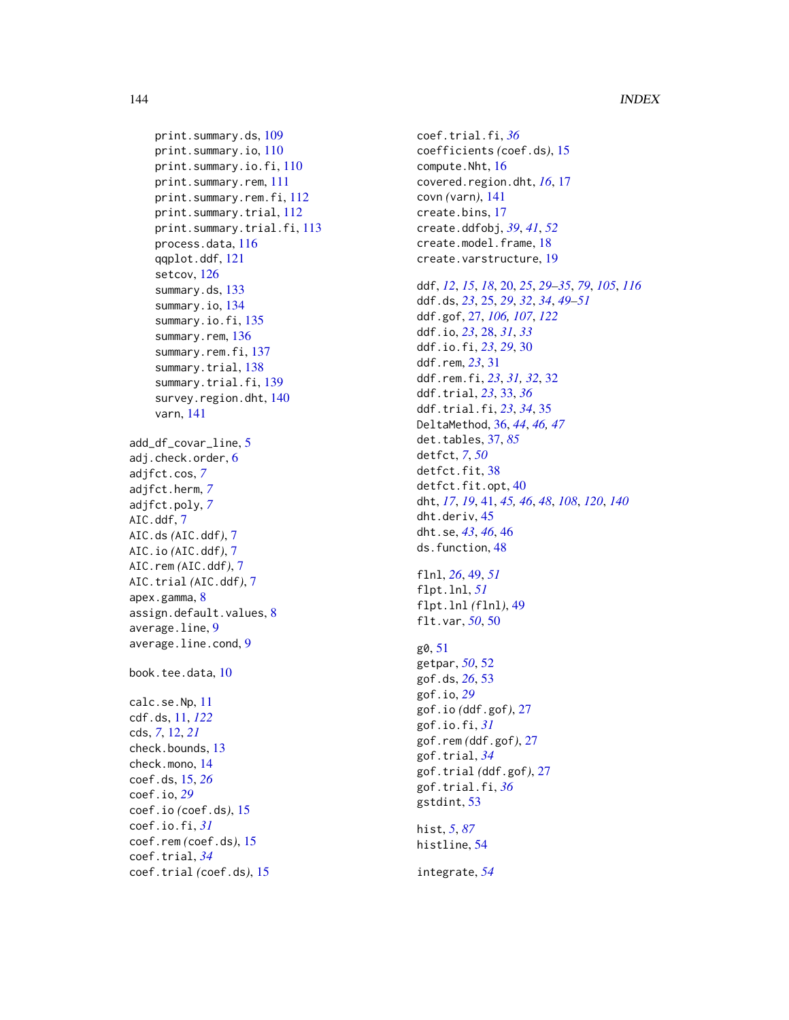```
print.summary.ds, 109
    print.summary.io, 110
    print.summary.io.fi, 110
    print.summary.rem, 111
    print.summary.rem.fi, 112
    print.summary.trial, 112
    print.summary.trial.fi, 113
    process.data, 116
    qqplot.ddf, 121
    setcov, 126
    summary.ds, 133
    summary.io, 134
    summary.io.fi, 135
    summary.rem, 136
    summary.rem.fi, 137
    summary.trial, 138
    summary.trial.fi, 139
    survey.region.dht, 140
    varn, 141
add_df_covar_line, 5
adj.check.order, 6
adjfct.cos, 7
adjfct.herm, 7
adjfct.poly, 7
AIC.ddf, 7
AIC.ds (AIC.ddf), 7
AIC.io (AIC.ddf), 7
AIC.rem (AIC.ddf), 7
AIC.trial (AIC.ddf), 7
apex.gamma, 8
assign.default.values, 8
average.line, 9
average.line.cond, 9
book.tee.data, 10
calc.se.Np, 11
cdf.ds, 11, 122
cds, 7, 12, 21
check.bounds, 13
check.mono, 14
coef.ds, 15, 26
coef.io, 29
coef.io (coef.ds), 15
coef.io.fi, 31
coef.rem (coef.ds), 15
coef.trial, 34
coef.trial (coef.ds), 15
```
coef.trial.fi, *[36](#page-35-0)* coefficients *(*coef.ds*)*, [15](#page-14-0) compute.Nht, [16](#page-15-0) covered.region.dht, *[16](#page-15-0)*, [17](#page-16-0) covn *(*varn*)*, [141](#page-140-0) create.bins, [17](#page-16-0) create.ddfobj, *[39](#page-38-0)*, *[41](#page-40-1)*, *[52](#page-51-0)* create.model.frame, [18](#page-17-0) create.varstructure, [19](#page-18-0) ddf, *[12](#page-11-0)*, *[15](#page-14-0)*, *[18](#page-17-0)*, [20,](#page-19-1) *[25](#page-24-0)*, *[29](#page-28-0)[–35](#page-34-0)*, *[79](#page-78-0)*, *[105](#page-104-0)*, *[116](#page-115-0)* ddf.ds, *[23](#page-22-0)*, [25,](#page-24-0) *[29](#page-28-0)*, *[32](#page-31-0)*, *[34](#page-33-0)*, *[49](#page-48-0)[–51](#page-50-0)* ddf.gof, [27,](#page-26-1) *[106,](#page-105-0) [107](#page-106-0)*, *[122](#page-121-0)* ddf.io, *[23](#page-22-0)*, [28,](#page-27-0) *[31](#page-30-0)*, *[33](#page-32-0)* ddf.io.fi, *[23](#page-22-0)*, *[29](#page-28-0)*, [30](#page-29-0) ddf.rem, *[23](#page-22-0)*, [31](#page-30-0) ddf.rem.fi, *[23](#page-22-0)*, *[31,](#page-30-0) [32](#page-31-0)*, [32](#page-31-0) ddf.trial, *[23](#page-22-0)*, [33,](#page-32-0) *[36](#page-35-0)* ddf.trial.fi, *[23](#page-22-0)*, *[34](#page-33-0)*, [35](#page-34-0) DeltaMethod, [36,](#page-35-0) *[44](#page-43-0)*, *[46,](#page-45-0) [47](#page-46-0)* det.tables, [37,](#page-36-0) *[85](#page-84-0)* detfct, *[7](#page-6-0)*, *[50](#page-49-0)* detfct.fit.[38](#page-37-0) detfct.fit.opt, [40](#page-39-0) dht, *[17](#page-16-0)*, *[19](#page-18-0)*, [41,](#page-40-1) *[45,](#page-44-0) [46](#page-45-0)*, *[48](#page-47-0)*, *[108](#page-107-0)*, *[120](#page-119-1)*, *[140](#page-139-0)* dht.deriv, [45](#page-44-0) dht.se, *[43](#page-42-0)*, *[46](#page-45-0)*, [46](#page-45-0) ds.function, [48](#page-47-0) flnl, *[26](#page-25-0)*, [49,](#page-48-0) *[51](#page-50-0)* flpt.lnl, *[51](#page-50-0)* flpt.lnl *(*flnl*)*, [49](#page-48-0) flt.var, *[50](#page-49-0)*, [50](#page-49-0) g0, [51](#page-50-0) getpar, *[50](#page-49-0)*, [52](#page-51-0) gof.ds, *[26](#page-25-0)*, [53](#page-52-0) gof.io, *[29](#page-28-0)* gof.io *(*ddf.gof*)*, [27](#page-26-1) gof.io.fi, *[31](#page-30-0)* gof.rem *(*ddf.gof*)*, [27](#page-26-1) gof.trial, *[34](#page-33-0)* gof.trial *(*ddf.gof*)*, [27](#page-26-1) gof.trial.fi, *[36](#page-35-0)* gstdint, [53](#page-52-0) hist, *[5](#page-4-0)*, *[87](#page-86-0)* histline, [54](#page-53-0) integrate, *[54](#page-53-0)*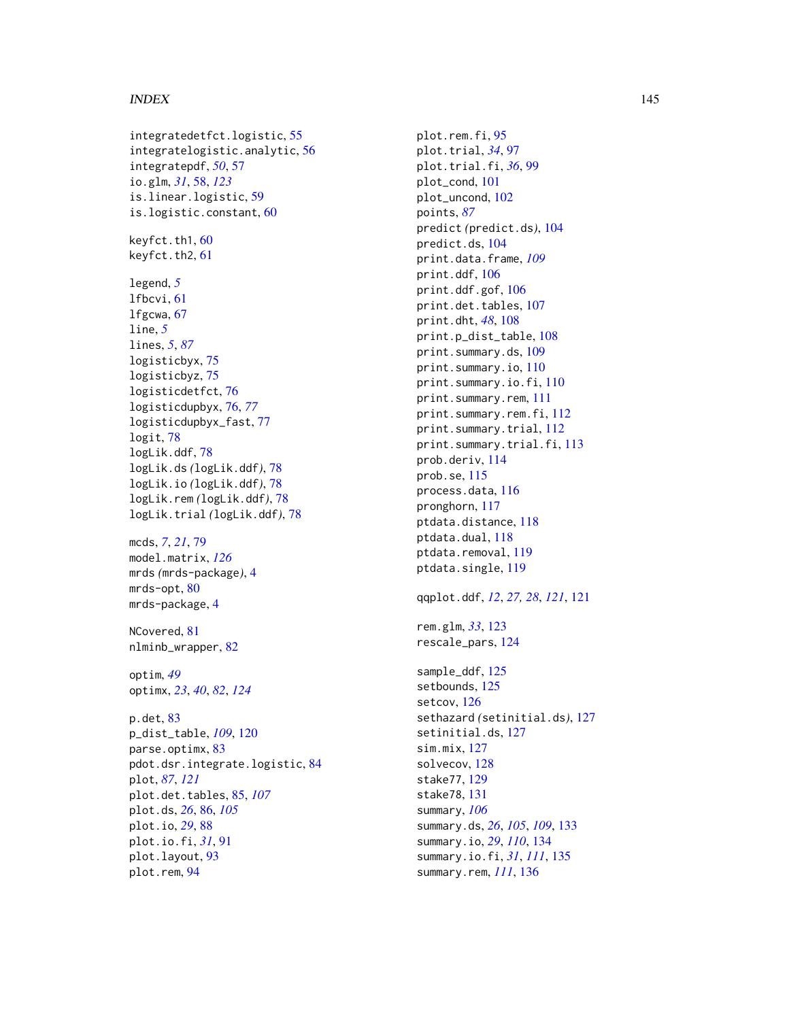## INDEX 145

integratedetfct.logistic , [55](#page-54-0) integratelogistic.analytic , [56](#page-55-0) integratepdf , *[50](#page-49-0)* , [57](#page-56-0) io.glm , *[31](#page-30-0)* , [58](#page-57-0) , *[123](#page-122-0)* is.linear.logistic , [59](#page-58-0) is.logistic.constant , [60](#page-59-0) keyfct.th1, [60](#page-59-0) keyfct.th2 , [61](#page-60-0) legend , *[5](#page-4-0)* lfbcvi , [61](#page-60-0) lfgcwa , [67](#page-66-0) line , *[5](#page-4-0)* lines , *[5](#page-4-0)* , *[87](#page-86-0)* logisticbyx , [75](#page-74-0) logisticbyz , [75](#page-74-0) logisticdetfct , [76](#page-75-0) logisticdupbyx , [76](#page-75-0) , *[77](#page-76-0)* logisticdupbyx\_fast , [77](#page-76-0) logit , [78](#page-77-0) logLik.ddf , [78](#page-77-0) logLik.ds *(*logLik.ddf *)* , [78](#page-77-0) logLik.io *(*logLik.ddf *)* , [78](#page-77-0) logLik.rem *(*logLik.ddf *)* , [78](#page-77-0) logLik.trial *(*logLik.ddf *)* , [78](#page-77-0) mcds , *[7](#page-6-0)* , *[21](#page-20-0)* , [79](#page-78-0) model.matrix , *[126](#page-125-0)* mrds *(*mrds-package *)* , [4](#page-3-0) mrds-opt, [80](#page-79-0) mrds-package, [4](#page-3-0) NCovered, [81](#page-80-0) nlminb\_wrapper , [82](#page-81-0) optim , *[49](#page-48-0)* optimx , *[23](#page-22-0)* , *[40](#page-39-0)* , *[82](#page-81-0)* , *[124](#page-123-0)* p.det , [83](#page-82-0) p\_dist\_table , *[109](#page-108-0)* , [120](#page-119-0) parse.optimx, <mark>[83](#page-82-0)</mark> pdot.dsr.integrate.logistic , [84](#page-83-0) plot , *[87](#page-86-0)* , *[121](#page-120-0)* plot.det.tables , [85](#page-84-0) , *[107](#page-106-0)* plot.ds , *[26](#page-25-0)* , [86](#page-85-0) , *[105](#page-104-0)* plot.io , *[29](#page-28-0)* , [88](#page-87-0) plot.io.fi , *[31](#page-30-0)* , [91](#page-90-0) plot.layout , [93](#page-92-0) plot.rem , [94](#page-93-0)

plot.rem.fi, [95](#page-94-0) plot.trial , *[34](#page-33-0)* , [97](#page-96-0) plot.trial.fi , *[36](#page-35-0)* , [99](#page-98-0) plot\_cond , [101](#page-100-0) plot\_uncond , [102](#page-101-0) points , *[87](#page-86-0)* predict *(*predict.ds *)* , [104](#page-103-0) predict.ds , [104](#page-103-0) print.data.frame , *[109](#page-108-0)* print.ddf , [106](#page-105-0) print.ddf.gof , [106](#page-105-0) print.det.tables , [107](#page-106-0) print.dht , *[48](#page-47-0)* , [108](#page-107-0) print.p\_dist\_table , [108](#page-107-0) print.summary.ds , [109](#page-108-0) print.summary.io , [110](#page-109-0) print.summary.io.fi,  $110$ print.summary.rem , [111](#page-110-0) print.summary.rem.fi,<mark>[112](#page-111-0)</mark> print.summary.trial , [112](#page-111-0) print.summary.trial.fi , [113](#page-112-0) prob.deriv , [114](#page-113-0) prob.se , [115](#page-114-0) process.data , [116](#page-115-0) pronghorn , [117](#page-116-0) ptdata.distance , [118](#page-117-0) ptdata.dual , [118](#page-117-0) ptdata.removal , [119](#page-118-0) ptdata.single , [119](#page-118-0) qqplot.ddf , *[12](#page-11-0)* , *[27,](#page-26-0) [28](#page-27-0)* , *[121](#page-120-0)* , [121](#page-120-0) rem.glm , *[33](#page-32-0)* , [123](#page-122-0) rescale\_pars , [124](#page-123-0) sample\_ddf , [125](#page-124-0) setbounds , [125](#page-124-0) setcov , [126](#page-125-0) sethazard *(*setinitial.ds *)* , [127](#page-126-0) setinitial.ds , [127](#page-126-0) sim.mix , [127](#page-126-0) solvecov , [128](#page-127-0) stake77 , [129](#page-128-0) stake78 , [131](#page-130-0) summary , *[106](#page-105-0)* summary.ds , *[26](#page-25-0)* , *[105](#page-104-0)* , *[109](#page-108-0)* , [133](#page-132-0) summary.io , *[29](#page-28-0)* , *[110](#page-109-0)* , [134](#page-133-0) summary.io.fi , *[31](#page-30-0)* , *[111](#page-110-0)* , [135](#page-134-0) summary.rem , *[111](#page-110-0)* , [136](#page-135-0)